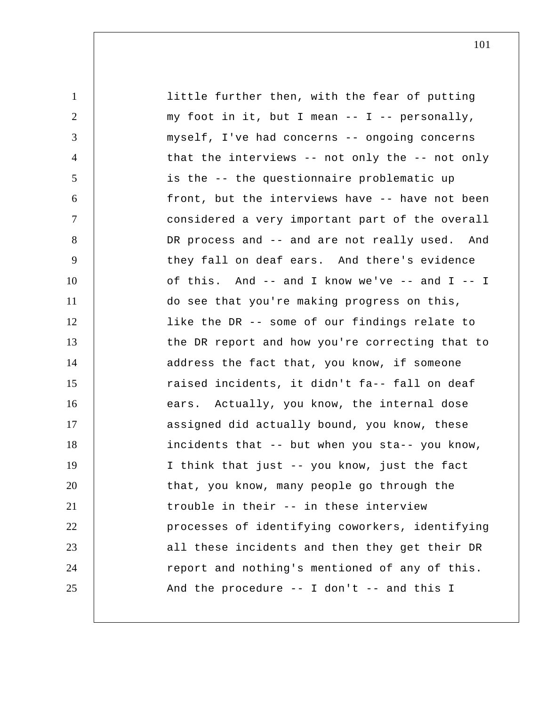1 2 3 4 5 6 7 8 9 10 11 12 13 14 15 16 17 18 19 20 21 22 23 24 25 little further then, with the fear of putting my foot in it, but I mean  $-$  I  $-$  personally, myself, I've had concerns -- ongoing concerns that the interviews -- not only the -- not only is the -- the questionnaire problematic up front, but the interviews have -- have not been considered a very important part of the overall DR process and -- and are not really used. And they fall on deaf ears. And there's evidence of this. And -- and I know we've -- and I -- I do see that you're making progress on this, like the DR -- some of our findings relate to the DR report and how you're correcting that to address the fact that, you know, if someone raised incidents, it didn't fa-- fall on deaf ears. Actually, you know, the internal dose assigned did actually bound, you know, these incidents that -- but when you sta-- you know, I think that just -- you know, just the fact that, you know, many people go through the trouble in their -- in these interview processes of identifying coworkers, identifying all these incidents and then they get their DR report and nothing's mentioned of any of this. And the procedure  $--$  I don't  $--$  and this I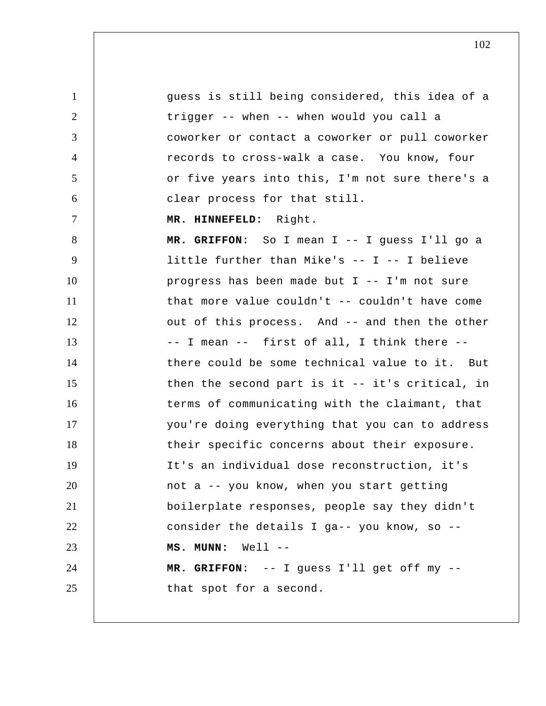1 2 3 4 5 6 7 8 9 10 11 12 13 14 15 16 17 18 19 20 21 22 23 24 25 guess is still being considered, this idea of a trigger -- when -- when would you call a coworker or contact a coworker or pull coworker records to cross-walk a case. You know, four or five years into this, I'm not sure there's a clear process for that still.  **MR. HINNEFELD:** Right.  **MR. GRIFFON:** So I mean I -- I guess I'll go a little further than Mike's -- I -- I believe progress has been made but I -- I'm not sure that more value couldn't -- couldn't have come out of this process. And -- and then the other -- I mean -- first of all, I think there - there could be some technical value to it. But then the second part is it -- it's critical, in terms of communicating with the claimant, that you're doing everything that you can to address their specific concerns about their exposure. It's an individual dose reconstruction, it's not a -- you know, when you start getting boilerplate responses, people say they didn't consider the details I ga-- you know, so --  **MS. MUNN:** Well -- **MR. GRIFFON:** -- I guess I'll get off my - that spot for a second.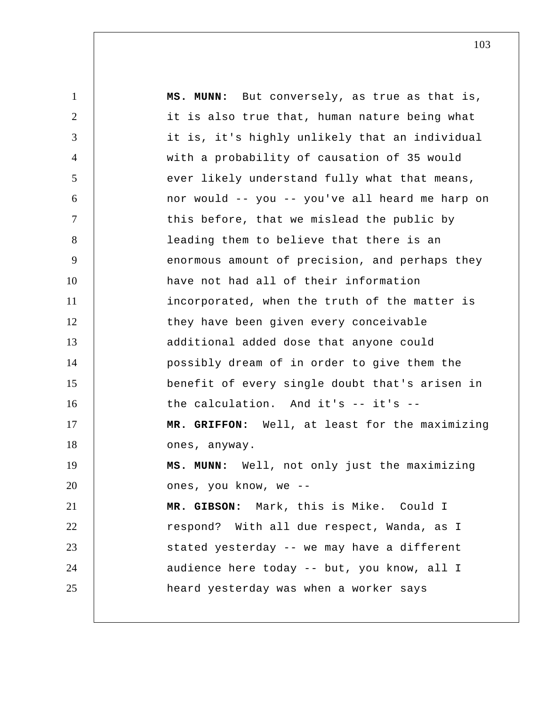1 2 3 4 5 6 7 8 9 10 11 12 13 14 15 16 17 18 19 20 21 22 23 24 25  **MS. MUNN:** But conversely, as true as that is, it is also true that, human nature being what it is, it's highly unlikely that an individual with a probability of causation of 35 would ever likely understand fully what that means, nor would -- you -- you've all heard me harp on this before, that we mislead the public by leading them to believe that there is an enormous amount of precision, and perhaps they have not had all of their information incorporated, when the truth of the matter is they have been given every conceivable additional added dose that anyone could possibly dream of in order to give them the benefit of every single doubt that's arisen in the calculation. And it's -- it's --  **MR. GRIFFON:** Well, at least for the maximizing ones, anyway.  **MS. MUNN:** Well, not only just the maximizing ones, you know, we --  **MR. GIBSON:** Mark, this is Mike. Could I respond? With all due respect, Wanda, as I stated yesterday -- we may have a different audience here today -- but, you know, all I heard yesterday was when a worker says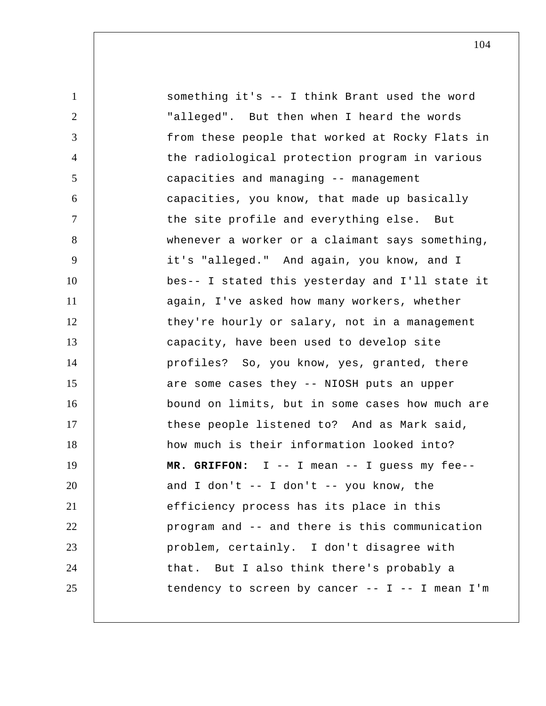| $\mathbf{1}$   | something it's -- I think Brant used the word     |
|----------------|---------------------------------------------------|
| $\overline{2}$ | "alleged". But then when I heard the words        |
| 3              | from these people that worked at Rocky Flats in   |
| 4              | the radiological protection program in various    |
| 5              | capacities and managing -- management             |
| 6              | capacities, you know, that made up basically      |
| 7              | the site profile and everything else. But         |
| 8              | whenever a worker or a claimant says something,   |
| 9              | it's "alleged." And again, you know, and I        |
| 10             | bes-- I stated this yesterday and I'll state it   |
| 11             | again, I've asked how many workers, whether       |
| 12             | they're hourly or salary, not in a management     |
| 13             | capacity, have been used to develop site          |
| 14             | profiles? So, you know, yes, granted, there       |
| 15             | are some cases they -- NIOSH puts an upper        |
| 16             | bound on limits, but in some cases how much are   |
| 17             | these people listened to? And as Mark said,       |
| 18             | how much is their information looked into?        |
| 19             | MR. GRIFFON: I -- I mean -- I guess my fee--      |
| 20             | and I don't $-$ - I don't $-$ - you know, the     |
| 21             | efficiency process has its place in this          |
| 22             | program and -- and there is this communication    |
| 23             | problem, certainly. I don't disagree with         |
| 24             | that. But I also think there's probably a         |
| 25             | tendency to screen by cancer -- $I$ -- I mean I'm |
|                |                                                   |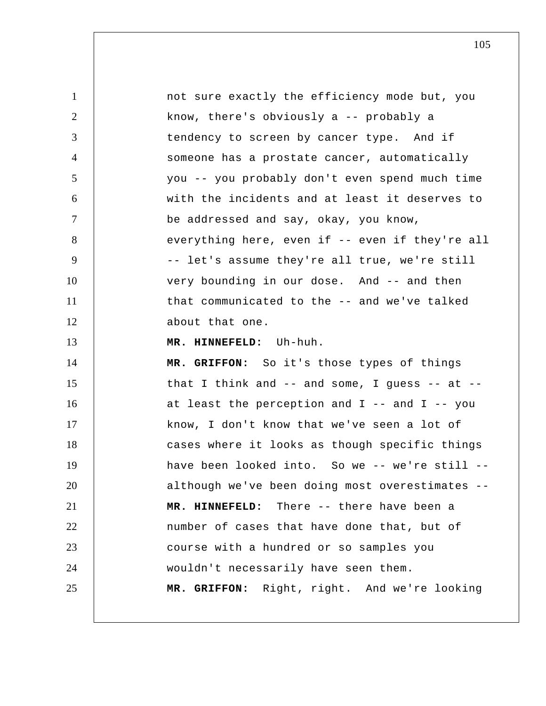1 2 3 4 5 6 7 8 9 10 11 12 13 14 15 16 17 18 19 20 21 22 23 24 25 not sure exactly the efficiency mode but, you know, there's obviously a -- probably a tendency to screen by cancer type. And if someone has a prostate cancer, automatically you -- you probably don't even spend much time with the incidents and at least it deserves to be addressed and say, okay, you know, everything here, even if -- even if they're all -- let's assume they're all true, we're still very bounding in our dose. And -- and then that communicated to the -- and we've talked about that one.  **MR. HINNEFELD:** Uh-huh.  **MR. GRIFFON:** So it's those types of things that I think and  $--$  and some, I guess  $--$  at  $-$ at least the perception and  $I$  -- and  $I$  -- you know, I don't know that we've seen a lot of cases where it looks as though specific things have been looked into. So we -- we're still - although we've been doing most overestimates --  **MR. HINNEFELD:** There -- there have been a number of cases that have done that, but of course with a hundred or so samples you wouldn't necessarily have seen them.  **MR. GRIFFON:** Right, right. And we're looking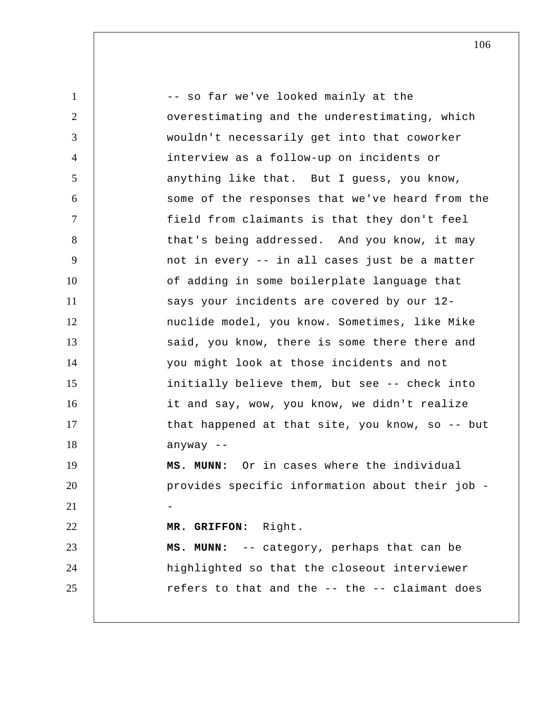1 2 3 4 5 6 7 8 9 10 11 12 13 14 15 16 17 18 19 20 21 22 23 24 25 -- so far we've looked mainly at the overestimating and the underestimating, which wouldn't necessarily get into that coworker interview as a follow-up on incidents or anything like that. But I guess, you know, some of the responses that we've heard from the field from claimants is that they don't feel that's being addressed. And you know, it may not in every -- in all cases just be a matter of adding in some boilerplate language that says your incidents are covered by our 12 nuclide model, you know. Sometimes, like Mike said, you know, there is some there there and you might look at those incidents and not initially believe them, but see -- check into it and say, wow, you know, we didn't realize that happened at that site, you know, so -- but anyway --  **MS. MUNN:** Or in cases where the individual provides specific information about their job - **MR. GRIFFON:** Right.  **MS. MUNN:** -- category, perhaps that can be highlighted so that the closeout interviewer refers to that and the -- the -- claimant does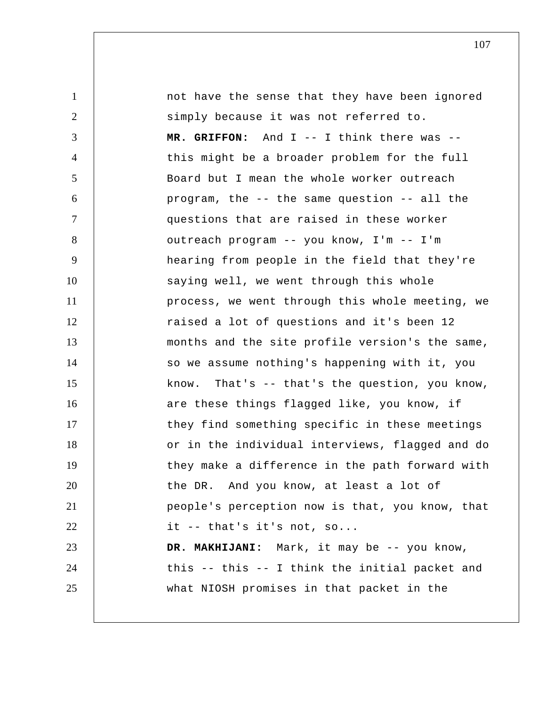1 2 3 4 5 6 7 8 9 10 11 12 13 14 15 16 17 18 19 20 21 22 23 24 25 not have the sense that they have been ignored simply because it was not referred to.  **MR. GRIFFON:** And I -- I think there was - this might be a broader problem for the full Board but I mean the whole worker outreach program, the -- the same question -- all the questions that are raised in these worker outreach program -- you know, I'm -- I'm hearing from people in the field that they're saying well, we went through this whole process, we went through this whole meeting, we raised a lot of questions and it's been 12 months and the site profile version's the same, so we assume nothing's happening with it, you know. That's -- that's the question, you know, are these things flagged like, you know, if they find something specific in these meetings or in the individual interviews, flagged and do they make a difference in the path forward with the DR. And you know, at least a lot of people's perception now is that, you know, that it -- that's it's not, so...  **DR. MAKHIJANI:** Mark, it may be -- you know, this -- this -- I think the initial packet and what NIOSH promises in that packet in the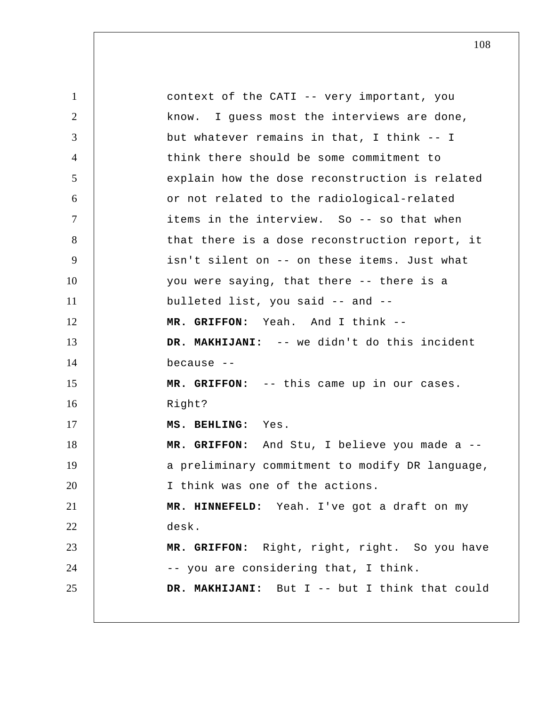1 2 3 4 5 6 7 8 9 10 11 12 13 14 15 16 17 18 19 20 21 22 23 24 25 context of the CATI -- very important, you know. I guess most the interviews are done, but whatever remains in that, I think -- I think there should be some commitment to explain how the dose reconstruction is related or not related to the radiological-related items in the interview. So -- so that when that there is a dose reconstruction report, it isn't silent on -- on these items. Just what you were saying, that there -- there is a bulleted list, you said -- and --  **MR. GRIFFON:** Yeah. And I think --  **DR. MAKHIJANI:** -- we didn't do this incident because --  **MR. GRIFFON:** -- this came up in our cases. Right?  **MS. BEHLING:** Yes.  **MR. GRIFFON:** And Stu, I believe you made a - a preliminary commitment to modify DR language, I think was one of the actions.  **MR. HINNEFELD:** Yeah. I've got a draft on my desk.  **MR. GRIFFON:** Right, right, right. So you have -- you are considering that, I think.  **DR. MAKHIJANI:** But I -- but I think that could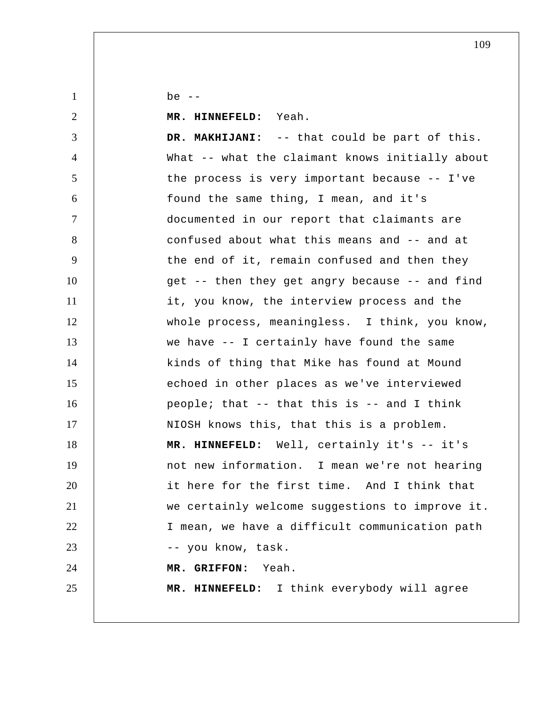be  $--$ 

1

2 3 4 5 6 7 8 9 10 11 12 13 14 15 16 17 18 19 20 21 22 23 24 25  **MR. HINNEFELD:** Yeah.  **DR. MAKHIJANI:** -- that could be part of this. What -- what the claimant knows initially about the process is very important because -- I've found the same thing, I mean, and it's documented in our report that claimants are confused about what this means and -- and at the end of it, remain confused and then they get -- then they get angry because -- and find it, you know, the interview process and the whole process, meaningless. I think, you know, we have -- I certainly have found the same kinds of thing that Mike has found at Mound echoed in other places as we've interviewed people; that -- that this is -- and I think NIOSH knows this, that this is a problem.  **MR. HINNEFELD:** Well, certainly it's -- it's not new information. I mean we're not hearing it here for the first time. And I think that we certainly welcome suggestions to improve it. I mean, we have a difficult communication path -- you know, task.  **MR. GRIFFON:** Yeah.  **MR. HINNEFELD:** I think everybody will agree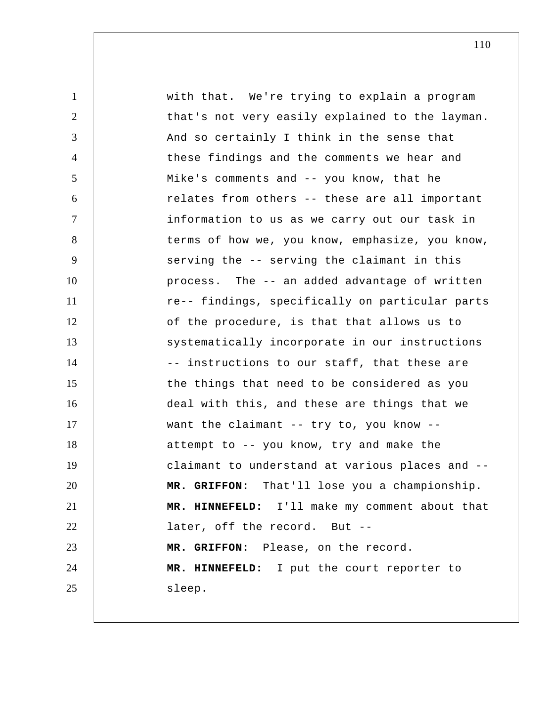1 2 3 4 5 6 7 8 9 10 11 12 13 14 15 16 17 18 19 20 21 22 23 24 25 with that. We're trying to explain a program that's not very easily explained to the layman. And so certainly I think in the sense that these findings and the comments we hear and Mike's comments and -- you know, that he relates from others -- these are all important information to us as we carry out our task in terms of how we, you know, emphasize, you know, serving the -- serving the claimant in this process. The -- an added advantage of written re-- findings, specifically on particular parts of the procedure, is that that allows us to systematically incorporate in our instructions -- instructions to our staff, that these are the things that need to be considered as you deal with this, and these are things that we want the claimant -- try to, you know - attempt to -- you know, try and make the claimant to understand at various places and --  **MR. GRIFFON:** That'll lose you a championship.  **MR. HINNEFELD:** I'll make my comment about that later, off the record. But -- **MR. GRIFFON:** Please, on the record.  **MR. HINNEFELD:** I put the court reporter to sleep.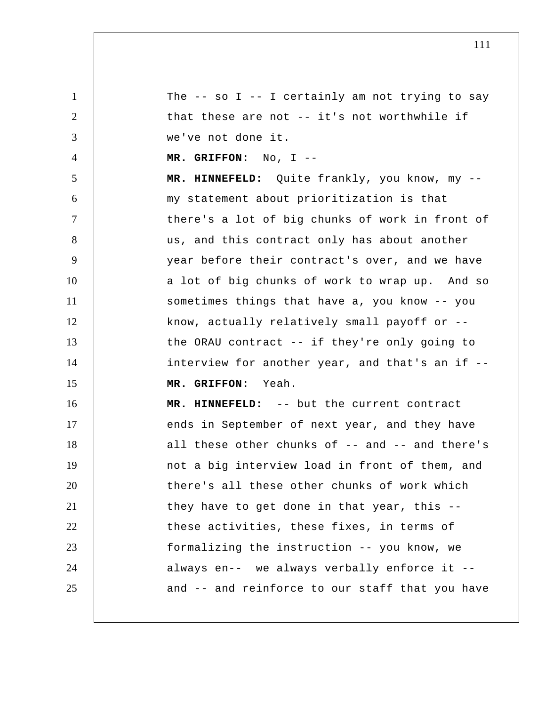1 2 3 4 5 6 7 8 9 10 11 12 13 14 15 16 17 18 19 20 21 22 23 24 25 The  $-$  so I  $-$  I certainly am not trying to say that these are not -- it's not worthwhile if we've not done it.  **MR. GRIFFON:** No, I -- **MR. HINNEFELD:** Quite frankly, you know, my - my statement about prioritization is that there's a lot of big chunks of work in front of us, and this contract only has about another year before their contract's over, and we have a lot of big chunks of work to wrap up. And so sometimes things that have a, you know -- you know, actually relatively small payoff or - the ORAU contract -- if they're only going to interview for another year, and that's an if --  **MR. GRIFFON:** Yeah.  **MR. HINNEFELD:** -- but the current contract ends in September of next year, and they have all these other chunks of -- and -- and there's not a big interview load in front of them, and there's all these other chunks of work which they have to get done in that year, this - these activities, these fixes, in terms of formalizing the instruction -- you know, we always en-- we always verbally enforce it - and -- and reinforce to our staff that you have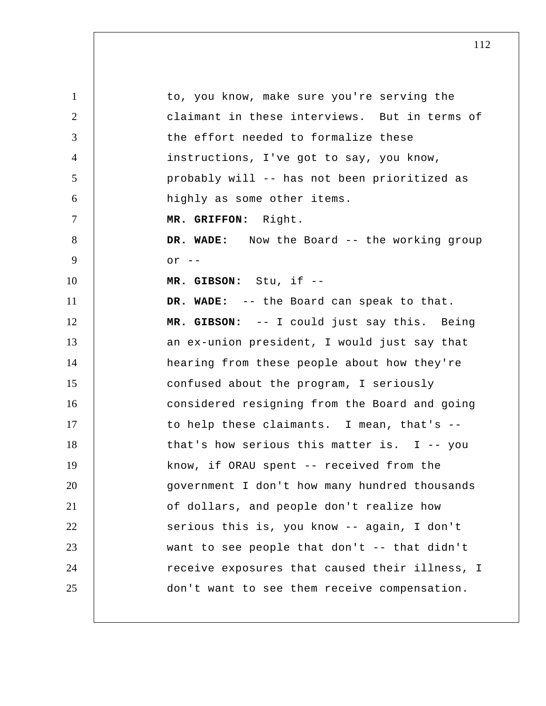1 2 3 4 5 6 7 8 9 10 11 12 13 14 15 16 17 18 19 20 21 22 23 24 25 to, you know, make sure you're serving the claimant in these interviews. But in terms of the effort needed to formalize these instructions, I've got to say, you know, probably will -- has not been prioritized as highly as some other items.  **MR. GRIFFON:** Right.  **DR. WADE:** Now the Board -- the working group  $or$   $--$  **MR. GIBSON:** Stu, if -- **DR. WADE:** -- the Board can speak to that.  **MR. GIBSON:** -- I could just say this. Being an ex-union president, I would just say that hearing from these people about how they're confused about the program, I seriously considered resigning from the Board and going to help these claimants. I mean, that's - that's how serious this matter is. I -- you know, if ORAU spent -- received from the government I don't how many hundred thousands of dollars, and people don't realize how serious this is, you know -- again, I don't want to see people that don't -- that didn't receive exposures that caused their illness, I don't want to see them receive compensation.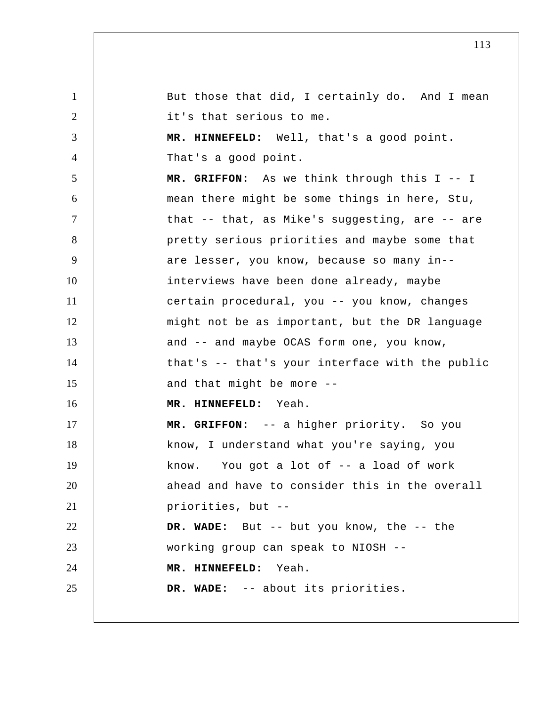1 2 3 4 5 6 7 8 9 10 11 12 13 14 15 16 17 18 19 20 21 22 23 24 25 But those that did, I certainly do. And I mean it's that serious to me.  **MR. HINNEFELD:** Well, that's a good point. That's a good point.  **MR. GRIFFON:** As we think through this I -- I mean there might be some things in here, Stu, that -- that, as Mike's suggesting, are -- are pretty serious priorities and maybe some that are lesser, you know, because so many in- interviews have been done already, maybe certain procedural, you -- you know, changes might not be as important, but the DR language and -- and maybe OCAS form one, you know, that's -- that's your interface with the public and that might be more --  **MR. HINNEFELD:** Yeah.  **MR. GRIFFON:** -- a higher priority. So you know, I understand what you're saying, you know. You got a lot of -- a load of work ahead and have to consider this in the overall priorities, but -- **DR. WADE:** But -- but you know, the -- the working group can speak to NIOSH --  **MR. HINNEFELD:** Yeah.  **DR. WADE:** -- about its priorities.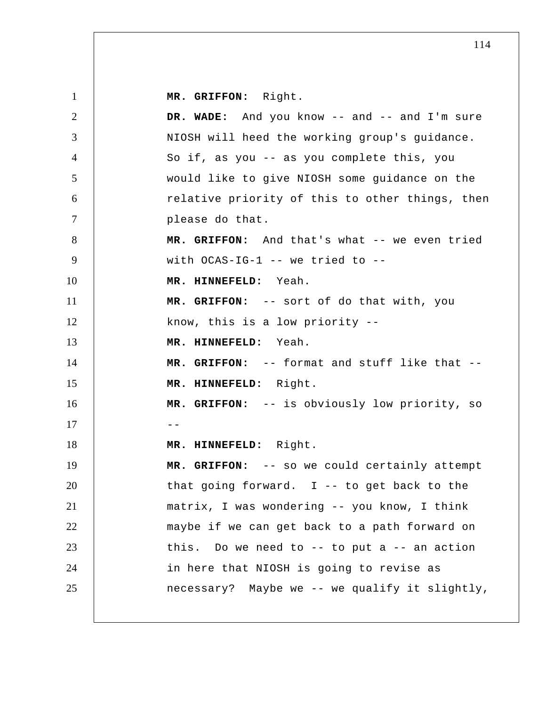1 2 3 4 5 6 7 8 9 10 11 12 13 14 15 16  $17$   $-$ 18 19 20 21 22 23 24 25  **MR. GRIFFON:** Right.  **DR. WADE:** And you know -- and -- and I'm sure NIOSH will heed the working group's guidance. So if, as you -- as you complete this, you would like to give NIOSH some guidance on the relative priority of this to other things, then please do that.  **MR. GRIFFON:** And that's what -- we even tried with OCAS-IG-1 -- we tried to --  **MR. HINNEFELD:** Yeah.  **MR. GRIFFON:** -- sort of do that with, you know, this is a low priority --  **MR. HINNEFELD:** Yeah.  **MR. GRIFFON:** -- format and stuff like that --  **MR. HINNEFELD:** Right.  **MR. GRIFFON:** -- is obviously low priority, so  **MR. HINNEFELD:** Right.  **MR. GRIFFON:** -- so we could certainly attempt that going forward.  $I$  -- to get back to the matrix, I was wondering -- you know, I think maybe if we can get back to a path forward on this. Do we need to  $-$ - to put a  $-$ - an action in here that NIOSH is going to revise as necessary? Maybe we -- we qualify it slightly,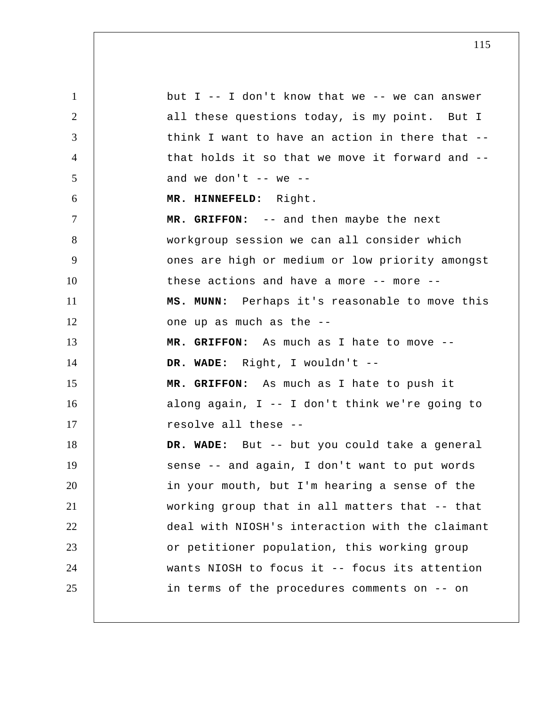1 2 3 4 5 6 7 8 9 10 11 12 13 14 15 16 17 18 19 20 21 22 23 24 25 but  $I$  -- I don't know that we -- we can answer all these questions today, is my point. But I think I want to have an action in there that - that holds it so that we move it forward and - and we don't  $--$  we  $--$  **MR. HINNEFELD:** Right.  **MR. GRIFFON:** -- and then maybe the next workgroup session we can all consider which ones are high or medium or low priority amongst these actions and have a more -- more --  **MS. MUNN:** Perhaps it's reasonable to move this one up as much as the --  **MR. GRIFFON:** As much as I hate to move --  **DR. WADE:** Right, I wouldn't --  **MR. GRIFFON:** As much as I hate to push it along again, I -- I don't think we're going to resolve all these --  **DR. WADE:** But -- but you could take a general sense -- and again, I don't want to put words in your mouth, but I'm hearing a sense of the working group that in all matters that -- that deal with NIOSH's interaction with the claimant or petitioner population, this working group wants NIOSH to focus it -- focus its attention in terms of the procedures comments on -- on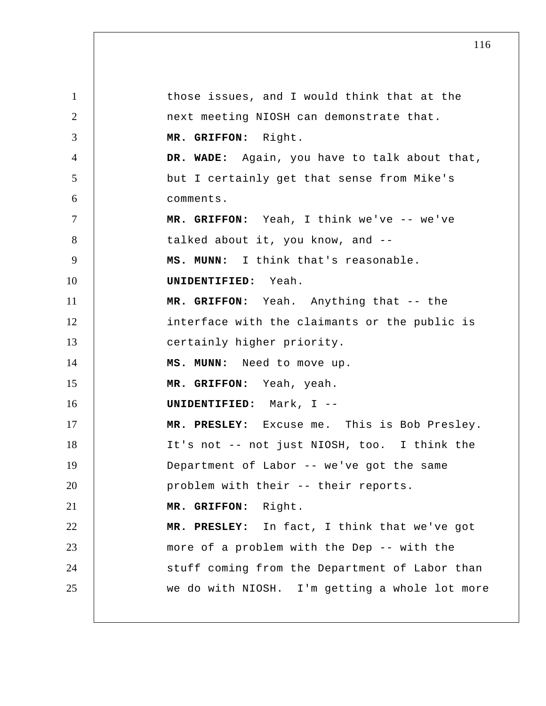1 2 3 4 5 6 7 8 9 10 11 12 13 14 15 16 17 18 19 20 21 22 23 24 25 those issues, and I would think that at the next meeting NIOSH can demonstrate that.  **MR. GRIFFON:** Right.  **DR. WADE:** Again, you have to talk about that, but I certainly get that sense from Mike's comments.  **MR. GRIFFON:** Yeah, I think we've -- we've talked about it, you know, and --  **MS. MUNN:** I think that's reasonable. **UNIDENTIFIED:** Yeah.  **MR. GRIFFON:** Yeah. Anything that -- the interface with the claimants or the public is certainly higher priority.  **MS. MUNN:** Need to move up.  **MR. GRIFFON:** Yeah, yeah. **UNIDENTIFIED:** Mark, I -- **MR. PRESLEY:** Excuse me. This is Bob Presley. It's not -- not just NIOSH, too. I think the Department of Labor -- we've got the same problem with their -- their reports.  **MR. GRIFFON:** Right.  **MR. PRESLEY:** In fact, I think that we've got more of a problem with the Dep -- with the stuff coming from the Department of Labor than we do with NIOSH. I'm getting a whole lot more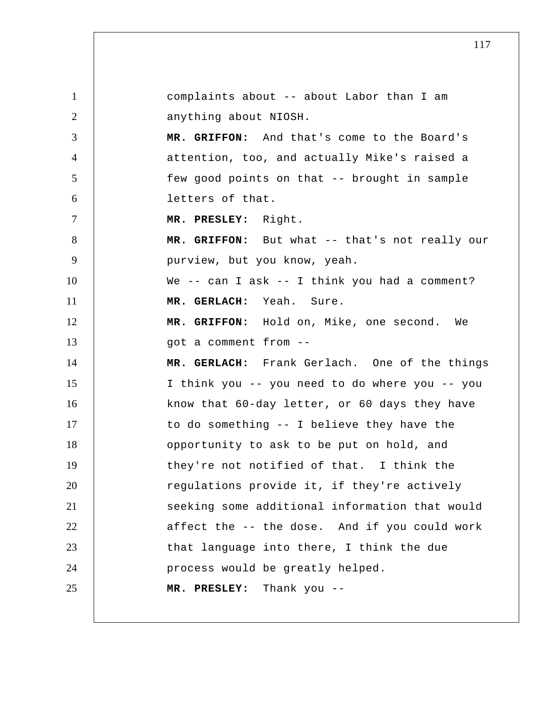1 2 3 4 5 6 7 8 9 10 11 12 13 14 15 16 17 18 19 20 21 22 23 24 25 complaints about -- about Labor than I am anything about NIOSH.  **MR. GRIFFON:** And that's come to the Board's attention, too, and actually Mike's raised a few good points on that -- brought in sample letters of that.  **MR. PRESLEY:** Right.  **MR. GRIFFON:** But what -- that's not really our purview, but you know, yeah. We -- can I ask -- I think you had a comment?  **MR. GERLACH:** Yeah. Sure.  **MR. GRIFFON:** Hold on, Mike, one second. We got a comment from --  **MR. GERLACH:** Frank Gerlach. One of the things I think you -- you need to do where you -- you know that 60-day letter, or 60 days they have to do something -- I believe they have the opportunity to ask to be put on hold, and they're not notified of that. I think the regulations provide it, if they're actively seeking some additional information that would affect the -- the dose. And if you could work that language into there, I think the due process would be greatly helped.  **MR. PRESLEY:** Thank you --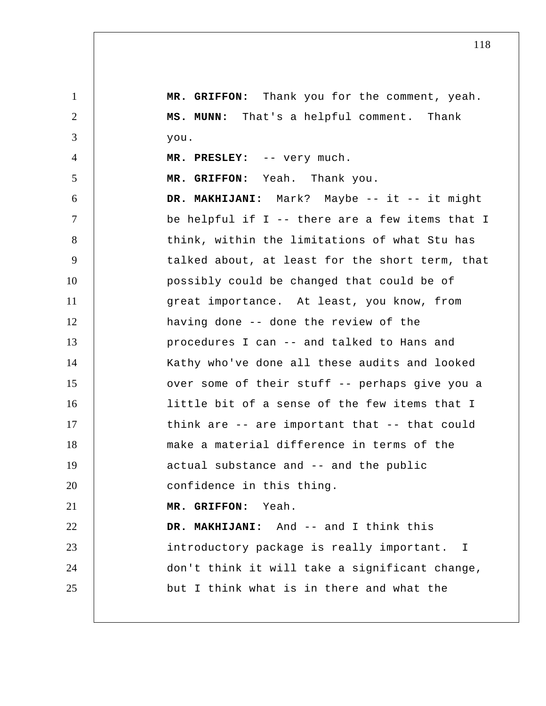1 2 3 4 5 6 7 8 9 10 11 12 13 14 15 16 17 18 19 20 21 22 23 24 25  **MR. GRIFFON:** Thank you for the comment, yeah.  **MS. MUNN:** That's a helpful comment. Thank you.  **MR. PRESLEY:** -- very much.  **MR. GRIFFON:** Yeah. Thank you. DR. MAKHIJANI: Mark? Maybe -- it -- it might be helpful if I -- there are a few items that I think, within the limitations of what Stu has talked about, at least for the short term, that possibly could be changed that could be of great importance. At least, you know, from having done -- done the review of the procedures I can -- and talked to Hans and Kathy who've done all these audits and looked over some of their stuff -- perhaps give you a little bit of a sense of the few items that I think are -- are important that -- that could make a material difference in terms of the actual substance and -- and the public confidence in this thing.  **MR. GRIFFON:** Yeah.  **DR. MAKHIJANI:** And -- and I think this introductory package is really important. I don't think it will take a significant change, but I think what is in there and what the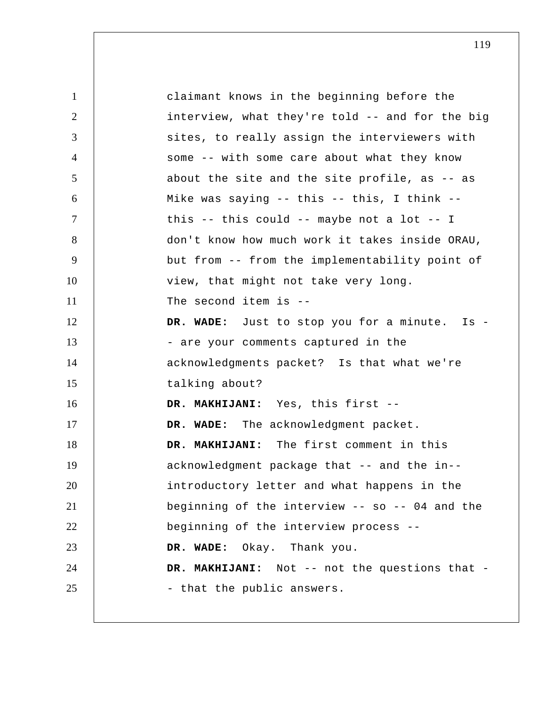| $\mathbf{1}$   | claimant knows in the beginning before the      |
|----------------|-------------------------------------------------|
| $\overline{2}$ | interview, what they're told -- and for the big |
| 3              | sites, to really assign the interviewers with   |
| $\overline{4}$ | some -- with some care about what they know     |
| 5              | about the site and the site profile, as -- as   |
| 6              | Mike was saying -- this -- this, I think --     |
| $\overline{7}$ | this -- this could -- maybe not a lot -- I      |
| 8              | don't know how much work it takes inside ORAU,  |
| 9              | but from -- from the implementability point of  |
| 10             | view, that might not take very long.            |
| 11             | The second item is $-$ -                        |
| 12             | DR. WADE: Just to stop you for a minute. Is -   |
| 13             | - are your comments captured in the             |
| 14             | acknowledgments packet? Is that what we're      |
| 15             | talking about?                                  |
| 16             | DR. MAKHIJANI: Yes, this first --               |
| 17             | DR. WADE: The acknowledgment packet.            |
| 18             | DR. MAKHIJANI: The first comment in this        |
| 19             | acknowledgment package that -- and the in--     |
| 20             | introductory letter and what happens in the     |
| 21             | beginning of the interview -- so -- 04 and the  |
| 22             | beginning of the interview process --           |
| 23             | DR. WADE: Okay. Thank you.                      |
| 24             | DR. MAKHIJANI: Not -- not the questions that -  |
| 25             | - that the public answers.                      |
|                |                                                 |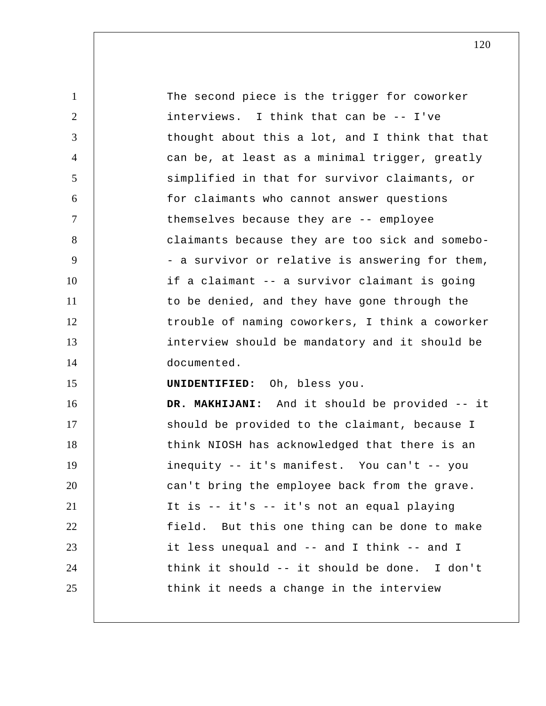| 1              | The second piece is the trigger for coworker    |
|----------------|-------------------------------------------------|
| 2              | interviews. I think that can be -- I've         |
| 3              | thought about this a lot, and I think that that |
| $\overline{4}$ | can be, at least as a minimal trigger, greatly  |
| 5              | simplified in that for survivor claimants, or   |
| 6              | for claimants who cannot answer questions       |
| $\tau$         | themselves because they are -- employee         |
| 8              | claimants because they are too sick and somebo- |
| 9              | - a survivor or relative is answering for them, |
| 10             | if a claimant -- a survivor claimant is going   |
| 11             | to be denied, and they have gone through the    |
| 12             | trouble of naming coworkers, I think a coworker |
| 13             | interview should be mandatory and it should be  |
| 14             | documented.                                     |
| 15             | UNIDENTIFIED: Oh, bless you.                    |
| 16             | DR. MAKHIJANI: And it should be provided -- it  |
| 17             | should be provided to the claimant, because I   |
| 18             | think NIOSH has acknowledged that there is an   |
| 19             | inequity -- it's manifest. You can't -- you     |
| 20             | can't bring the employee back from the grave.   |
| 21             | It is -- it's -- it's not an equal playing      |
| 22             | field. But this one thing can be done to make   |
| 23             | it less unequal and -- and I think -- and I     |
| 24             | think it should -- it should be done. I don't   |
| 25             | think it needs a change in the interview        |
|                |                                                 |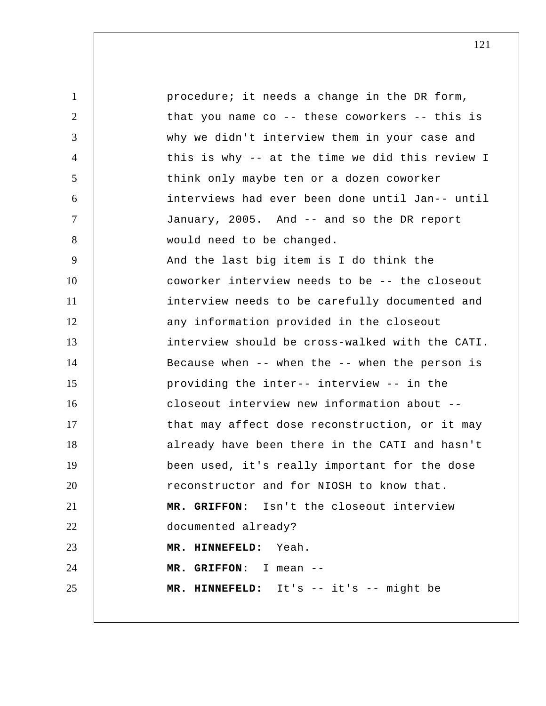1 2 3 4 5 6 7 8 9 10 11 12 13 14 15 16 17 18 19 20 21 22 23 24 25 procedure; it needs a change in the DR form, that you name co -- these coworkers -- this is why we didn't interview them in your case and this is why -- at the time we did this review I think only maybe ten or a dozen coworker interviews had ever been done until Jan-- until January, 2005. And -- and so the DR report would need to be changed. And the last big item is I do think the coworker interview needs to be -- the closeout interview needs to be carefully documented and any information provided in the closeout interview should be cross-walked with the CATI. Because when -- when the -- when the person is providing the inter-- interview -- in the closeout interview new information about - that may affect dose reconstruction, or it may already have been there in the CATI and hasn't been used, it's really important for the dose reconstructor and for NIOSH to know that.  **MR. GRIFFON:** Isn't the closeout interview documented already?  **MR. HINNEFELD:** Yeah.  **MR. GRIFFON:** I mean -- **MR. HINNEFELD:** It's -- it's -- might be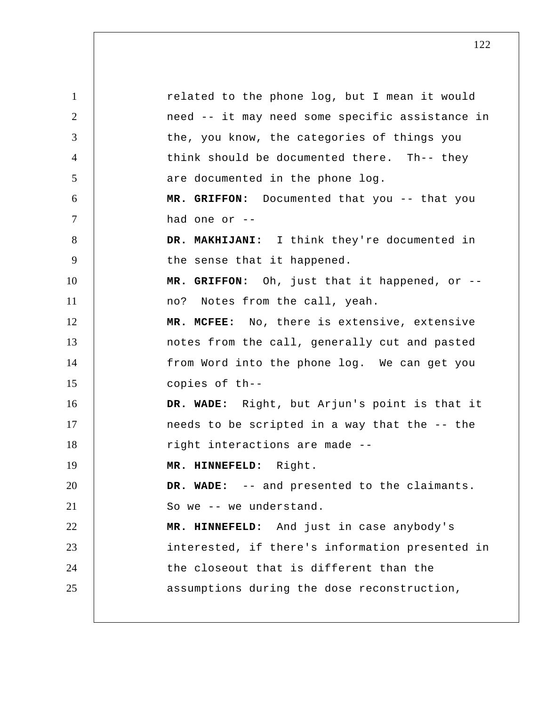1 2 3 4 5 6 7 8 9 10 11 12 13 14 15 16 17 18 19 20 21 22 23 24 25 related to the phone log, but I mean it would need -- it may need some specific assistance in the, you know, the categories of things you think should be documented there. Th-- they are documented in the phone log.  **MR. GRIFFON:** Documented that you -- that you had one or -- **DR. MAKHIJANI:** I think they're documented in the sense that it happened.  **MR. GRIFFON:** Oh, just that it happened, or - no? Notes from the call, yeah.  **MR. MCFEE:** No, there is extensive, extensive notes from the call, generally cut and pasted from Word into the phone log. We can get you copies of th-- **DR. WADE:** Right, but Arjun's point is that it needs to be scripted in a way that the -- the right interactions are made --  **MR. HINNEFELD:** Right.  **DR. WADE:** -- and presented to the claimants. So we -- we understand.  **MR. HINNEFELD:** And just in case anybody's interested, if there's information presented in the closeout that is different than the assumptions during the dose reconstruction,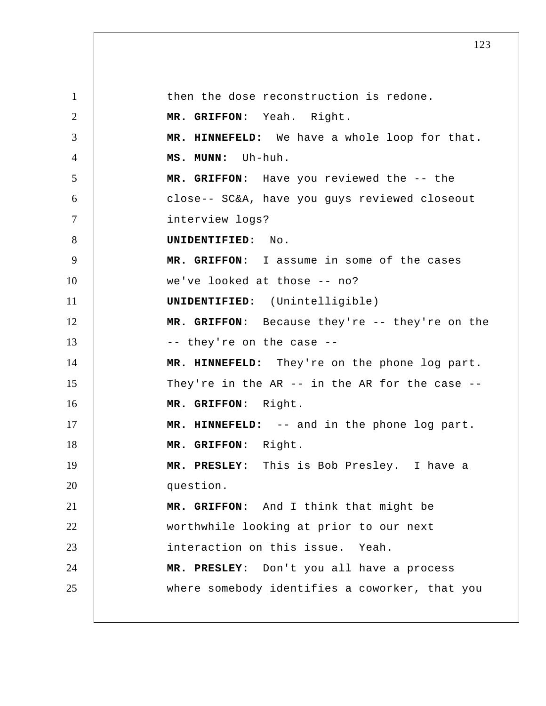1 2 3 4 5 6 7 8 9 10 11 12 13 14 15 16 17 18 19 20 21 22 23 24 25 then the dose reconstruction is redone.  **MR. GRIFFON:** Yeah. Right.  **MR. HINNEFELD:** We have a whole loop for that.  **MS. MUNN:** Uh-huh.  **MR. GRIFFON:** Have you reviewed the -- the close-- SC&A, have you guys reviewed closeout interview logs? **UNIDENTIFIED:** No.  **MR. GRIFFON:** I assume in some of the cases we've looked at those -- no? **UNIDENTIFIED:** (Unintelligible)  **MR. GRIFFON:** Because they're -- they're on the -- they're on the case --  **MR. HINNEFELD:** They're on the phone log part. They're in the AR -- in the AR for the case --  **MR. GRIFFON:** Right.  **MR. HINNEFELD:** -- and in the phone log part.  **MR. GRIFFON:** Right.  **MR. PRESLEY:** This is Bob Presley. I have a question.  **MR. GRIFFON:** And I think that might be worthwhile looking at prior to our next interaction on this issue. Yeah.  **MR. PRESLEY:** Don't you all have a process where somebody identifies a coworker, that you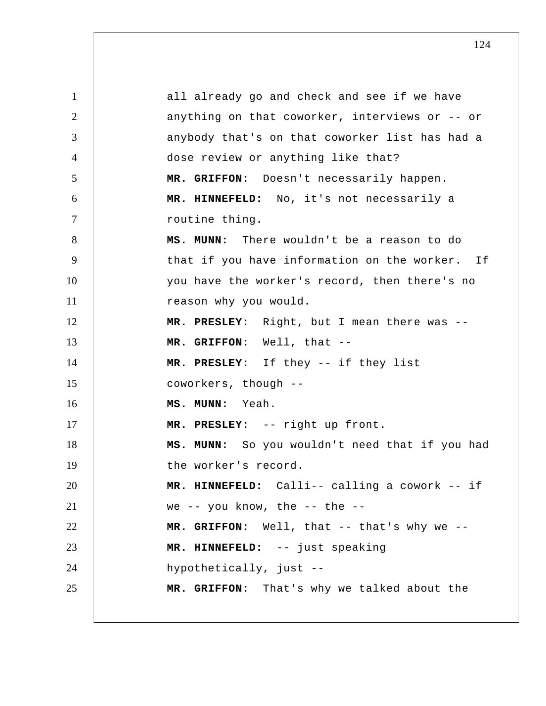1 2 3 4 5 6 7 8 9 10 11 12 13 14 15 16 17 18 19 20 21 22 23 24 25 all already go and check and see if we have anything on that coworker, interviews or -- or anybody that's on that coworker list has had a dose review or anything like that?  **MR. GRIFFON:** Doesn't necessarily happen.  **MR. HINNEFELD:** No, it's not necessarily a routine thing.  **MS. MUNN:** There wouldn't be a reason to do that if you have information on the worker. If you have the worker's record, then there's no reason why you would.  **MR. PRESLEY:** Right, but I mean there was --  **MR. GRIFFON:** Well, that -- **MR. PRESLEY:** If they -- if they list coworkers, though -- **MS. MUNN:** Yeah.  **MR. PRESLEY:** -- right up front.  **MS. MUNN:** So you wouldn't need that if you had the worker's record.  **MR. HINNEFELD:** Calli-- calling a cowork -- if we -- you know, the -- the --  **MR. GRIFFON:** Well, that -- that's why we --  **MR. HINNEFELD:** -- just speaking hypothetically, just --  **MR. GRIFFON:** That's why we talked about the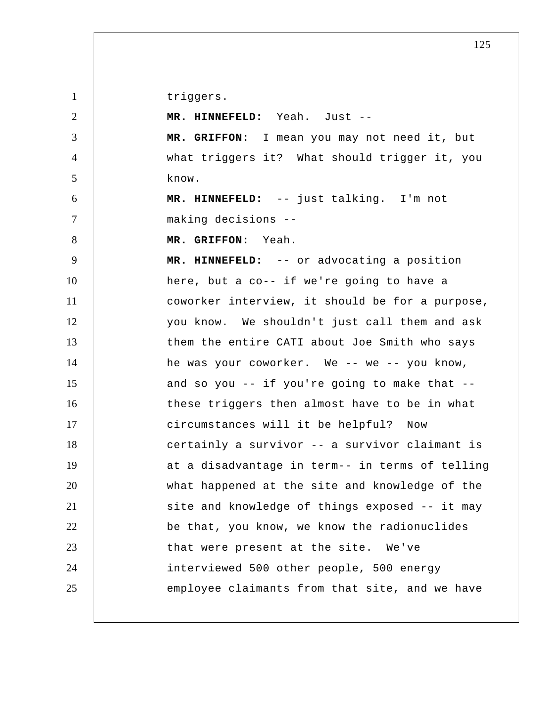triggers.

| $\overline{2}$ | MR. HINNEFELD: Yeah. Just --                    |
|----------------|-------------------------------------------------|
| 3              | MR. GRIFFON: I mean you may not need it, but    |
| $\overline{4}$ | what triggers it? What should trigger it, you   |
| 5              | know.                                           |
| 6              | MR. HINNEFELD: -- just talking. I'm not         |
| $\tau$         | making decisions --                             |
| 8              | MR. GRIFFON: Yeah.                              |
| 9              | MR. HINNEFELD: -- or advocating a position      |
| 10             | here, but a co-- if we're going to have a       |
| 11             | coworker interview, it should be for a purpose, |
| 12             | you know. We shouldn't just call them and ask   |
| 13             | them the entire CATI about Joe Smith who says   |
| 14             | he was your coworker. We -- we -- you know,     |
| 15             | and so you -- if you're going to make that --   |
| 16             | these triggers then almost have to be in what   |
| 17             | circumstances will it be helpful? Now           |
| 18             | certainly a survivor -- a survivor claimant is  |
| 19             | at a disadvantage in term-- in terms of telling |
| 20             | what happened at the site and knowledge of the  |
| 21             | site and knowledge of things exposed -- it may  |
| 22             | be that, you know, we know the radionuclides    |
| 23             | that were present at the site. We've            |
| 24             | interviewed 500 other people, 500 energy        |
| 25             | employee claimants from that site, and we have  |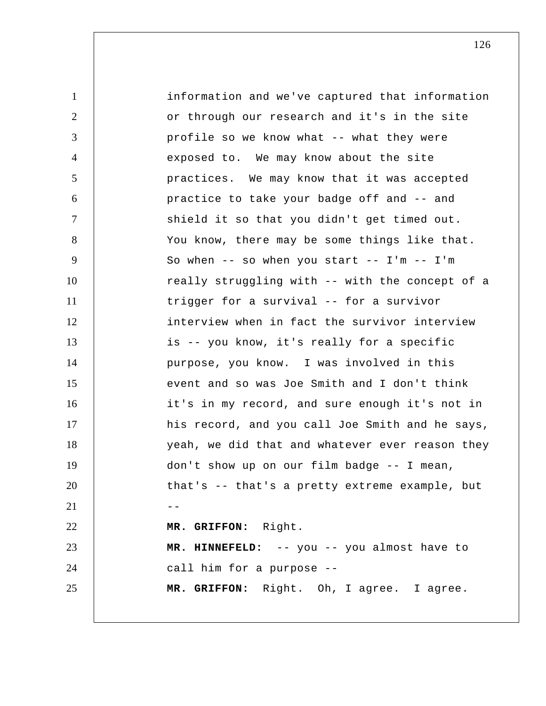1 2 3 4 5 6 7 8 9 10 11 12 13 14 15 16 17 18 19 20  $21$   $-$ 22 23 24 25 information and we've captured that information or through our research and it's in the site profile so we know what -- what they were exposed to. We may know about the site practices. We may know that it was accepted practice to take your badge off and -- and shield it so that you didn't get timed out. You know, there may be some things like that. So when  $--$  so when you start  $--$  I'm  $--$  I'm really struggling with -- with the concept of a trigger for a survival -- for a survivor interview when in fact the survivor interview is -- you know, it's really for a specific purpose, you know. I was involved in this event and so was Joe Smith and I don't think it's in my record, and sure enough it's not in his record, and you call Joe Smith and he says, yeah, we did that and whatever ever reason they don't show up on our film badge -- I mean, that's -- that's a pretty extreme example, but  **MR. GRIFFON:** Right.  **MR. HINNEFELD:** -- you -- you almost have to call him for a purpose --  **MR. GRIFFON:** Right. Oh, I agree. I agree.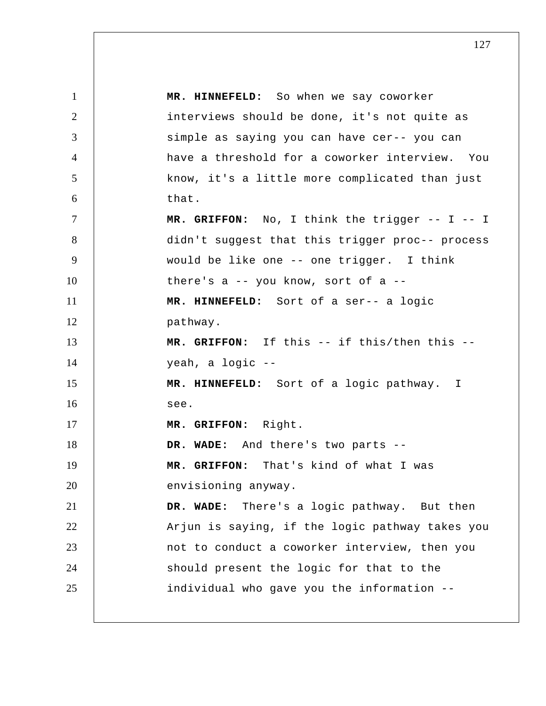1 2 3 4 5 6 7 8 9 10 11 12 13 14 15 16 17 18 19 20 21 22 23 24 25  **MR. HINNEFELD:** So when we say coworker interviews should be done, it's not quite as simple as saying you can have cer-- you can have a threshold for a coworker interview. You know, it's a little more complicated than just that.  **MR. GRIFFON:** No, I think the trigger -- I -- I didn't suggest that this trigger proc-- process would be like one -- one trigger. I think there's a -- you know, sort of a --  **MR. HINNEFELD:** Sort of a ser-- a logic pathway.  **MR. GRIFFON:** If this -- if this/then this - yeah, a logic -- **MR. HINNEFELD:** Sort of a logic pathway. I see.  **MR. GRIFFON:** Right.  **DR. WADE:** And there's two parts --  **MR. GRIFFON:** That's kind of what I was envisioning anyway.  **DR. WADE:** There's a logic pathway. But then Arjun is saying, if the logic pathway takes you not to conduct a coworker interview, then you should present the logic for that to the individual who gave you the information --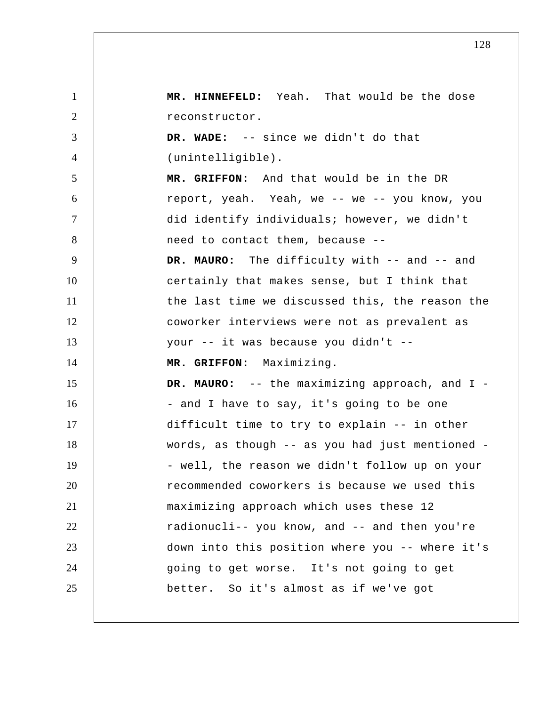1 2 3 4 5 6 7 8 9 10 11 12 13 14 15 16 17 18 19 20 21 22 23 24 25  **MR. HINNEFELD:** Yeah. That would be the dose reconstructor.  **DR. WADE:** -- since we didn't do that (unintelligible).  **MR. GRIFFON:** And that would be in the DR report, yeah. Yeah, we -- we -- you know, you did identify individuals; however, we didn't need to contact them, because --  **DR. MAURO:** The difficulty with -- and -- and certainly that makes sense, but I think that the last time we discussed this, the reason the coworker interviews were not as prevalent as your -- it was because you didn't --  **MR. GRIFFON:** Maximizing.  **DR. MAURO:** -- the maximizing approach, and I - and I have to say, it's going to be one difficult time to try to explain -- in other words, as though -- as you had just mentioned - well, the reason we didn't follow up on your recommended coworkers is because we used this maximizing approach which uses these 12 radionucli-- you know, and -- and then you're down into this position where you -- where it's going to get worse. It's not going to get better. So it's almost as if we've got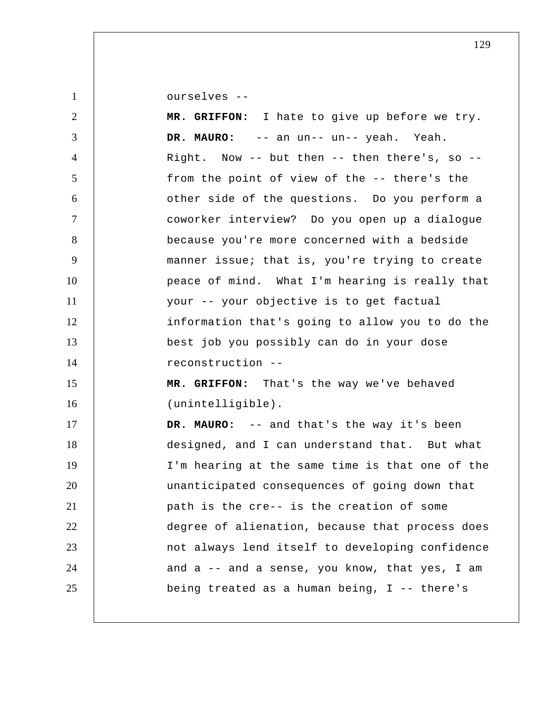ourselves --

| 2              | MR. GRIFFON: I hate to give up before we try.   |
|----------------|-------------------------------------------------|
| 3              | DR. MAURO:<br>-- an un-- un-- yeah. Yeah.       |
| $\overline{4}$ | Right. Now -- but then -- then there's, so --   |
| 5              | from the point of view of the -- there's the    |
| 6              | other side of the questions. Do you perform a   |
| $\tau$         | coworker interview? Do you open up a dialogue   |
| 8              | because you're more concerned with a bedside    |
| 9              | manner issue; that is, you're trying to create  |
| 10             | peace of mind. What I'm hearing is really that  |
| 11             | your -- your objective is to get factual        |
| 12             | information that's going to allow you to do the |
| 13             | best job you possibly can do in your dose       |
| 14             | reconstruction --                               |
| 15             | MR. GRIFFON: That's the way we've behaved       |
| 16             | (unintelligible).                               |
| 17             | DR. MAURO: -- and that's the way it's been      |
| 18             | designed, and I can understand that. But what   |
| 19             | I'm hearing at the same time is that one of the |
| 20             | unanticipated consequences of going down that   |
| 21             | path is the cre-- is the creation of some       |
| 22             | degree of alienation, because that process does |
| 23             | not always lend itself to developing confidence |
| 24             | and a -- and a sense, you know, that yes, I am  |
| 25             | being treated as a human being, I -- there's    |
|                |                                                 |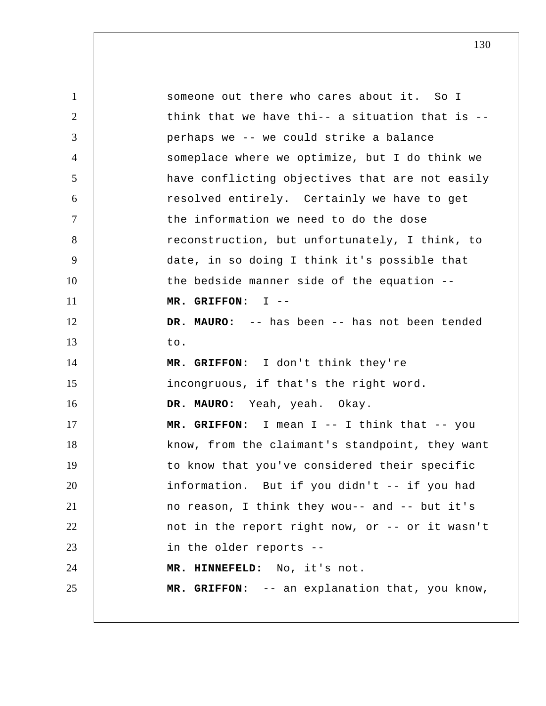| $\mathbf{1}$   | someone out there who cares about it. So I      |
|----------------|-------------------------------------------------|
| $\overline{2}$ | think that we have thi-- a situation that is -- |
| 3              | perhaps we -- we could strike a balance         |
| $\overline{4}$ | someplace where we optimize, but I do think we  |
| 5              | have conflicting objectives that are not easily |
| 6              | resolved entirely. Certainly we have to get     |
| $\overline{7}$ | the information we need to do the dose          |
| 8              | reconstruction, but unfortunately, I think, to  |
| 9              | date, in so doing I think it's possible that    |
| 10             | the bedside manner side of the equation --      |
| 11             | MR. GRIFFON: $I$ --                             |
| 12             | DR. MAURO: -- has been -- has not been tended   |
| 13             | to.                                             |
| 14             | MR. GRIFFON: I don't think they're              |
| 15             | incongruous, if that's the right word.          |
| 16             | DR. MAURO: Yeah, yeah. Okay.                    |
| 17             | MR. GRIFFON: I mean I -- I think that -- you    |
| 18             | know, from the claimant's standpoint, they want |
| 19             | to know that you've considered their specific   |
| 20             | information. But if you didn't -- if you had    |
| 21             | no reason, I think they wou-- and -- but it's   |
| 22             | not in the report right now, or -- or it wasn't |
| 23             | in the older reports --                         |
| 24             | MR. HINNEFELD: No, it's not.                    |
| 25             | MR. GRIFFON: -- an explanation that, you know,  |
|                |                                                 |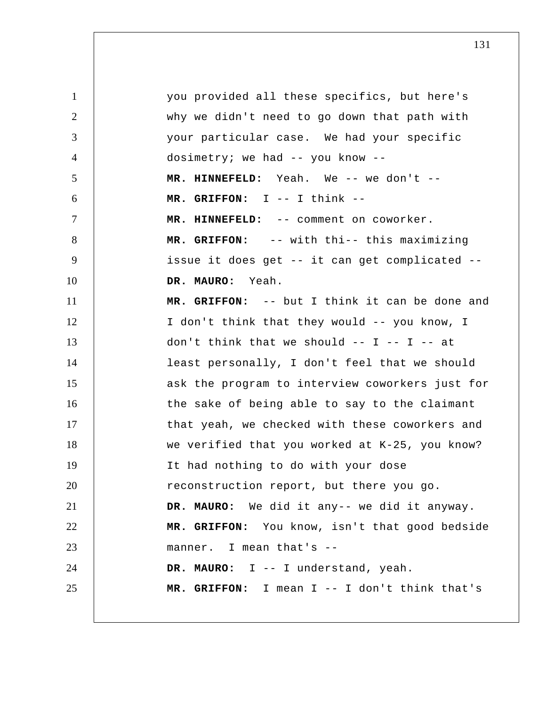1 2 3 4 5 6 7 8 9 10 11 12 13 14 15 16 17 18 19 20 21 22 23 24 25 you provided all these specifics, but here's why we didn't need to go down that path with your particular case. We had your specific dosimetry; we had -- you know --  **MR. HINNEFELD:** Yeah. We -- we don't --  **MR. GRIFFON:** I -- I think -- **MR. HINNEFELD:** -- comment on coworker.  **MR. GRIFFON:** -- with thi-- this maximizing issue it does get -- it can get complicated --  **DR. MAURO:** Yeah.  **MR. GRIFFON:** -- but I think it can be done and I don't think that they would -- you know, I don't think that we should  $-- I -- I -- at$ least personally, I don't feel that we should ask the program to interview coworkers just for the sake of being able to say to the claimant that yeah, we checked with these coworkers and we verified that you worked at K-25, you know? It had nothing to do with your dose reconstruction report, but there you go. **DR. MAURO:** We did it any-- we did it anyway.  **MR. GRIFFON:** You know, isn't that good bedside manner. I mean that's --  **DR. MAURO:** I -- I understand, yeah.  **MR. GRIFFON:** I mean I -- I don't think that's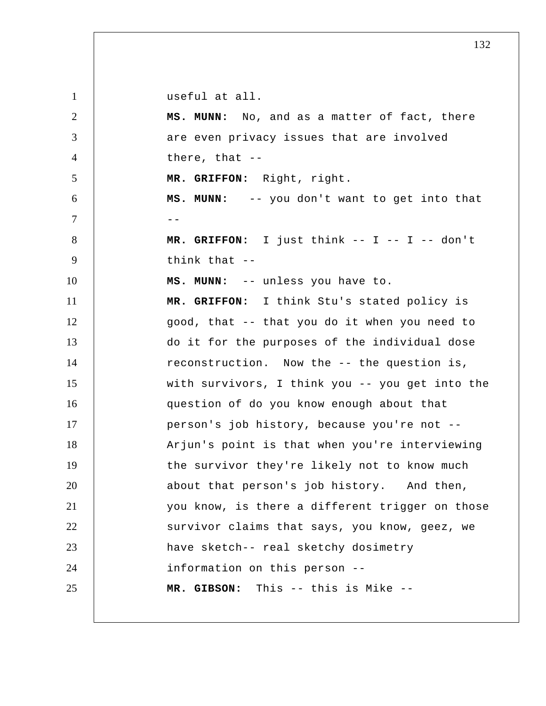| $\mathbf{1}$   | useful at all.                                  |
|----------------|-------------------------------------------------|
| $\overline{2}$ | MS. MUNN: No, and as a matter of fact, there    |
| 3              | are even privacy issues that are involved       |
| $\overline{4}$ | there, that $--$                                |
| 5              | MR. GRIFFON: Right, right.                      |
| 6              | MS. MUNN: -- you don't want to get into that    |
| $\tau$         | $ -$                                            |
| 8              | MR. GRIFFON: I just think -- I -- I -- don't    |
| 9              | think that $-$                                  |
| 10             | MS. MUNN: -- unless you have to.                |
| 11             | MR. GRIFFON: I think Stu's stated policy is     |
| 12             | good, that -- that you do it when you need to   |
| 13             | do it for the purposes of the individual dose   |
| 14             | reconstruction. Now the -- the question is,     |
| 15             | with survivors, I think you -- you get into the |
| 16             | question of do you know enough about that       |
| 17             | person's job history, because you're not --     |
| 18             | Arjun's point is that when you're interviewing  |
| 19             | the survivor they're likely not to know much    |
| 20             | about that person's job history. And then,      |
| 21             | you know, is there a different trigger on those |
| 22             | survivor claims that says, you know, geez, we   |
| 23             | have sketch-- real sketchy dosimetry            |
| 24             | information on this person --                   |
| 25             | MR. GIBSON: This -- this is Mike --             |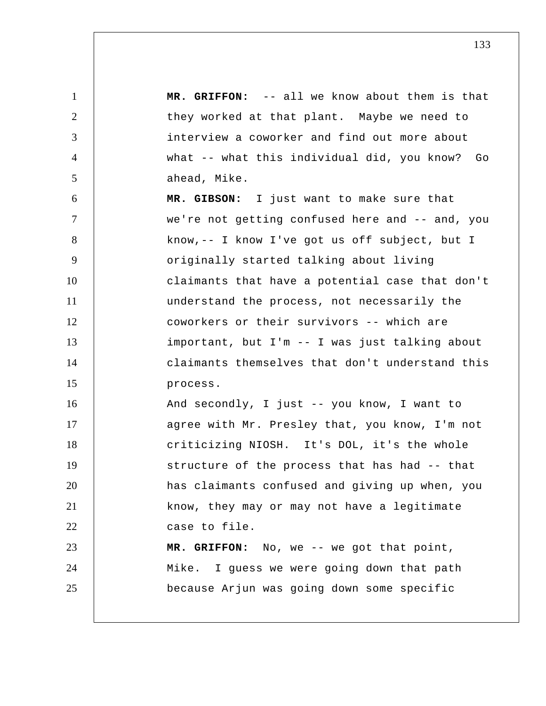1 2 3 4 5 6 7 8 9 10 11 12 13 14 15 16 17 18 19 20 21 22 23 24 25  **MR. GRIFFON:** -- all we know about them is that they worked at that plant. Maybe we need to interview a coworker and find out more about what -- what this individual did, you know? Go ahead, Mike.  **MR. GIBSON:** I just want to make sure that we're not getting confused here and -- and, you know,-- I know I've got us off subject, but I originally started talking about living claimants that have a potential case that don't understand the process, not necessarily the coworkers or their survivors -- which are important, but I'm -- I was just talking about claimants themselves that don't understand this process. And secondly, I just -- you know, I want to agree with Mr. Presley that, you know, I'm not criticizing NIOSH. It's DOL, it's the whole structure of the process that has had -- that has claimants confused and giving up when, you know, they may or may not have a legitimate case to file.  **MR. GRIFFON:** No, we -- we got that point, Mike. I guess we were going down that path because Arjun was going down some specific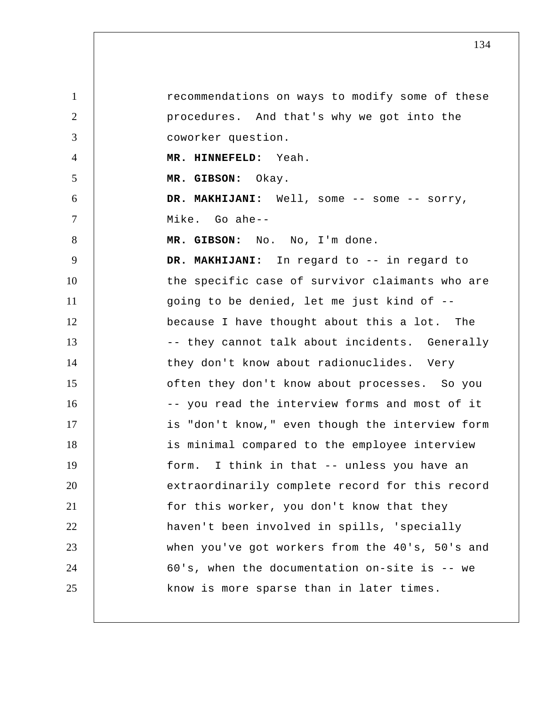1 2 3 4 5 6 7 8 9 10 11 12 13 14 15 16 17 18 19 20 21 22 23 24 25 recommendations on ways to modify some of these procedures. And that's why we got into the coworker question.  **MR. HINNEFELD:** Yeah.  **MR. GIBSON:** Okay.  **DR. MAKHIJANI:** Well, some -- some -- sorry, Mike. Go ahe-- **MR. GIBSON:** No. No, I'm done.  **DR. MAKHIJANI:** In regard to -- in regard to the specific case of survivor claimants who are going to be denied, let me just kind of - because I have thought about this a lot. The -- they cannot talk about incidents. Generally they don't know about radionuclides. Very often they don't know about processes. So you -- you read the interview forms and most of it is "don't know," even though the interview form is minimal compared to the employee interview form. I think in that -- unless you have an extraordinarily complete record for this record for this worker, you don't know that they haven't been involved in spills, 'specially when you've got workers from the 40's, 50's and 60's, when the documentation on-site is -- we know is more sparse than in later times.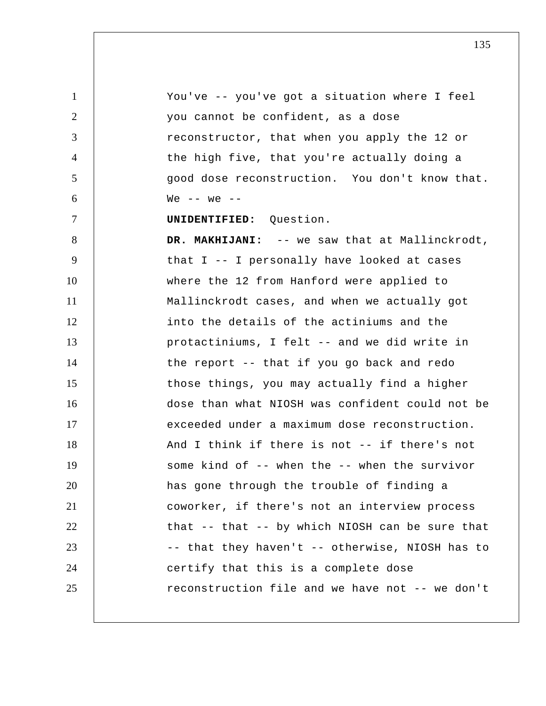1 2 3 4 5 6 7 8 9 10 11 12 13 14 15 16 17 18 19 20 21 22 23 24 25 You've -- you've got a situation where I feel you cannot be confident, as a dose reconstructor, that when you apply the 12 or the high five, that you're actually doing a good dose reconstruction. You don't know that. We  $--$  we  $--$ **UNIDENTIFIED:** Question. DR. MAKHIJANI: -- we saw that at Mallinckrodt, that I -- I personally have looked at cases where the 12 from Hanford were applied to Mallinckrodt cases, and when we actually got into the details of the actiniums and the protactiniums, I felt -- and we did write in the report -- that if you go back and redo those things, you may actually find a higher dose than what NIOSH was confident could not be exceeded under a maximum dose reconstruction. And I think if there is not -- if there's not some kind of -- when the -- when the survivor has gone through the trouble of finding a coworker, if there's not an interview process that -- that -- by which NIOSH can be sure that -- that they haven't -- otherwise, NIOSH has to certify that this is a complete dose reconstruction file and we have not -- we don't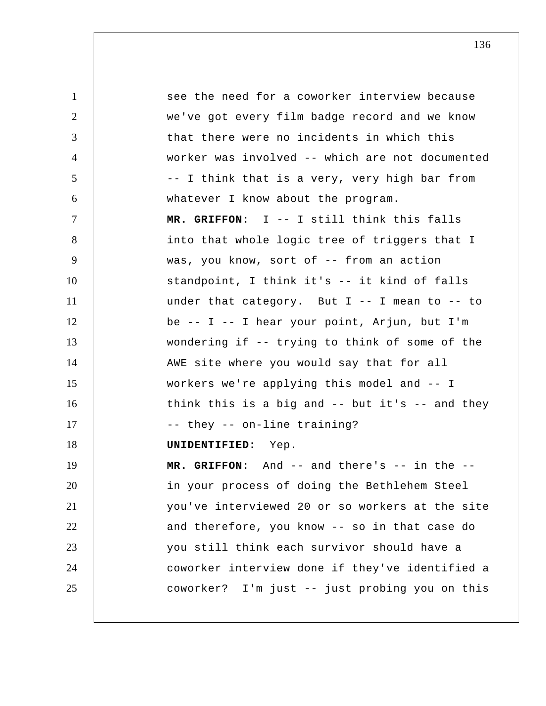1 2 3 4 5 6 7 8 9 10 11 12 13 14 15 16 17 18 19 20 21 22 23 24 25 see the need for a coworker interview because we've got every film badge record and we know that there were no incidents in which this worker was involved -- which are not documented -- I think that is a very, very high bar from whatever I know about the program.  **MR. GRIFFON:** I -- I still think this falls into that whole logic tree of triggers that I was, you know, sort of -- from an action standpoint, I think it's -- it kind of falls under that category. But I -- I mean to -- to be -- I -- I hear your point, Arjun, but I'm wondering if -- trying to think of some of the AWE site where you would say that for all workers we're applying this model and -- I think this is a big and -- but it's -- and they -- they -- on-line training? **UNIDENTIFIED:** Yep.  **MR. GRIFFON:** And -- and there's -- in the - in your process of doing the Bethlehem Steel you've interviewed 20 or so workers at the site and therefore, you know -- so in that case do you still think each survivor should have a coworker interview done if they've identified a coworker? I'm just -- just probing you on this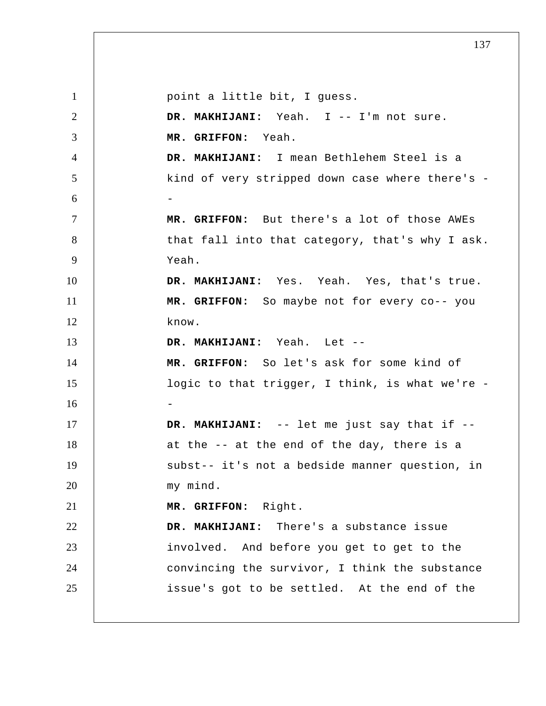1 2 3 4 5 6 7 8 9 10 11 12 13 14 15 16 17 18 19 20 21 22 23 24 25 point a little bit, I guess.  **DR. MAKHIJANI:** Yeah. I -- I'm not sure.  **MR. GRIFFON:** Yeah.  **DR. MAKHIJANI:** I mean Bethlehem Steel is a kind of very stripped down case where there's - **MR. GRIFFON:** But there's a lot of those AWEs that fall into that category, that's why I ask. Yeah.  **DR. MAKHIJANI:** Yes. Yeah. Yes, that's true.  **MR. GRIFFON:** So maybe not for every co-- you know.  **DR. MAKHIJANI:** Yeah. Let -- **MR. GRIFFON:** So let's ask for some kind of logic to that trigger, I think, is what we're - **DR. MAKHIJANI:** -- let me just say that if - at the -- at the end of the day, there is a subst-- it's not a bedside manner question, in my mind.  **MR. GRIFFON:** Right.  **DR. MAKHIJANI:** There's a substance issue involved. And before you get to get to the convincing the survivor, I think the substance issue's got to be settled. At the end of the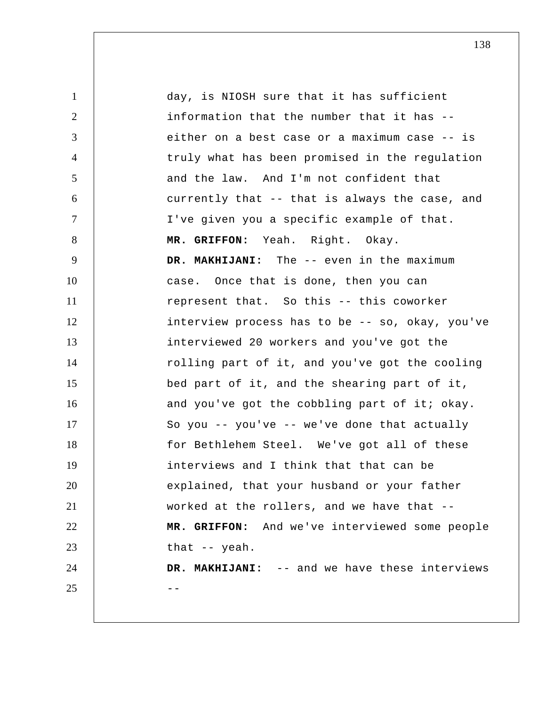1 2 3 4 5 6 7 8 9 10 11 12 13 14 15 16 17 18 19 20 21 22 23 24  $25$  -day, is NIOSH sure that it has sufficient information that the number that it has - either on a best case or a maximum case -- is truly what has been promised in the regulation and the law. And I'm not confident that currently that -- that is always the case, and I've given you a specific example of that.  **MR. GRIFFON:** Yeah. Right. Okay.  **DR. MAKHIJANI:** The -- even in the maximum case. Once that is done, then you can represent that. So this -- this coworker interview process has to be -- so, okay, you've interviewed 20 workers and you've got the rolling part of it, and you've got the cooling bed part of it, and the shearing part of it, and you've got the cobbling part of it; okay. So you -- you've -- we've done that actually for Bethlehem Steel. We've got all of these interviews and I think that that can be explained, that your husband or your father worked at the rollers, and we have that --  **MR. GRIFFON:** And we've interviewed some people that -- yeah.  **DR. MAKHIJANI:** -- and we have these interviews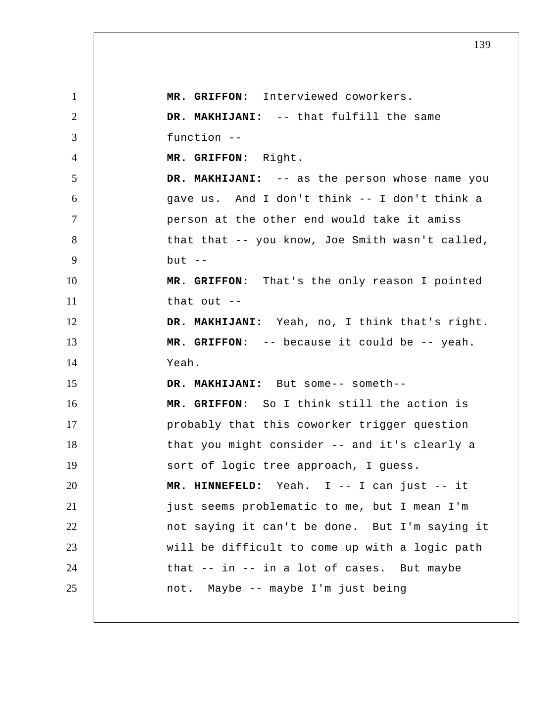1 2 3 4 5 6 7 8 9 10 11 12 13 14 15 16 17 18 19 20 21 22 23 24 25  **MR. GRIFFON:** Interviewed coworkers.  **DR. MAKHIJANI:** -- that fulfill the same function --  **MR. GRIFFON:** Right.  **DR. MAKHIJANI:** -- as the person whose name you gave us. And I don't think -- I don't think a person at the other end would take it amiss that that -- you know, Joe Smith wasn't called, but  $--$  **MR. GRIFFON:** That's the only reason I pointed that out -- **DR. MAKHIJANI:** Yeah, no, I think that's right.  **MR. GRIFFON:** -- because it could be -- yeah. Yeah.  **DR. MAKHIJANI:** But some-- someth-- **MR. GRIFFON:** So I think still the action is probably that this coworker trigger question that you might consider -- and it's clearly a sort of logic tree approach, I guess.  **MR. HINNEFELD:** Yeah. I -- I can just -- it just seems problematic to me, but I mean I'm not saying it can't be done. But I'm saying it will be difficult to come up with a logic path that -- in -- in a lot of cases. But maybe not. Maybe -- maybe I'm just being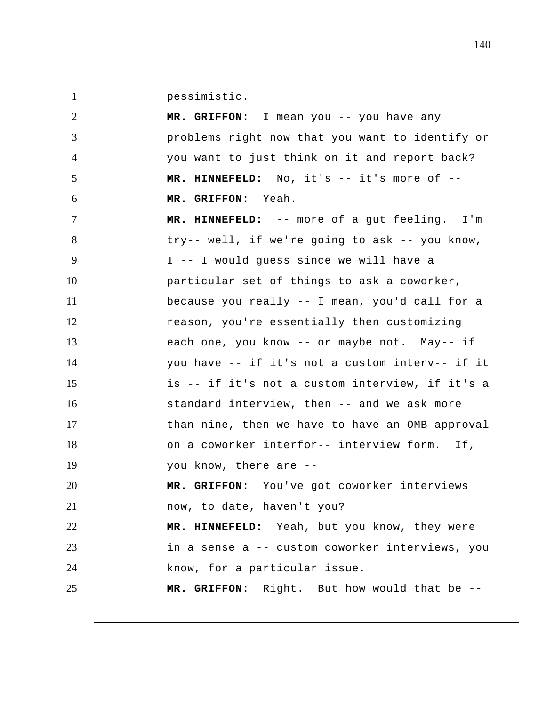pessimistic.

| $\overline{2}$ | MR. GRIFFON: I mean you -- you have any         |
|----------------|-------------------------------------------------|
| 3              | problems right now that you want to identify or |
| $\overline{4}$ | you want to just think on it and report back?   |
| 5              | MR. HINNEFELD: No, it's -- it's more of --      |
| 6              | MR. GRIFFON: Yeah.                              |
| $\tau$         | MR. HINNEFELD: -- more of a gut feeling. I'm    |
| 8              | try-- well, if we're going to ask -- you know,  |
| 9              | I -- I would guess since we will have a         |
| 10             | particular set of things to ask a coworker,     |
| 11             | because you really -- I mean, you'd call for a  |
| 12             | reason, you're essentially then customizing     |
| 13             | each one, you know -- or maybe not. May-- if    |
| 14             | you have -- if it's not a custom interv-- if it |
| 15             | is -- if it's not a custom interview, if it's a |
| 16             | standard interview, then -- and we ask more     |
| 17             | than nine, then we have to have an OMB approval |
| 18             | on a coworker interfor-- interview form. If,    |
| 19             | you know, there are --                          |
| 20             | MR. GRIFFON: You've got coworker interviews     |
| 21             | now, to date, haven't you?                      |
| 22             | MR. HINNEFELD: Yeah, but you know, they were    |
| 23             | in a sense a -- custom coworker interviews, you |
| 24             | know, for a particular issue.                   |
| 25             | MR. GRIFFON: Right. But how would that be --    |
|                |                                                 |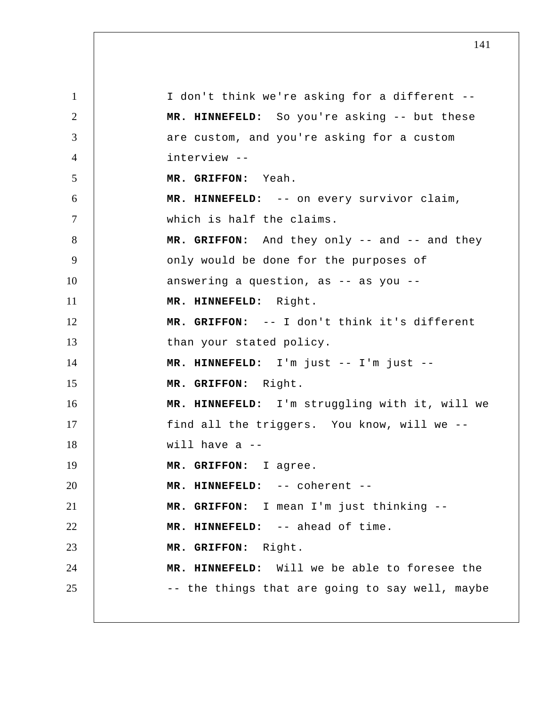1 2 3 4 5 6 7 8 9 10 11 12 13 14 15 16 17 18 19 20 21 22 23 24 25 I don't think we're asking for a different --  **MR. HINNEFELD:** So you're asking -- but these are custom, and you're asking for a custom interview -- **MR. GRIFFON:** Yeah.  **MR. HINNEFELD:** -- on every survivor claim, which is half the claims. MR. GRIFFON: And they only -- and -- and they only would be done for the purposes of answering a question, as -- as you --  **MR. HINNEFELD:** Right.  **MR. GRIFFON:** -- I don't think it's different than your stated policy.  **MR. HINNEFELD:** I'm just -- I'm just --  **MR. GRIFFON:** Right.  **MR. HINNEFELD:** I'm struggling with it, will we find all the triggers. You know, will we - will have a  $-$  **MR. GRIFFON:** I agree.  **MR. HINNEFELD:** -- coherent -- **MR. GRIFFON:** I mean I'm just thinking --  **MR. HINNEFELD:** -- ahead of time.  **MR. GRIFFON:** Right.  **MR. HINNEFELD:** Will we be able to foresee the -- the things that are going to say well, maybe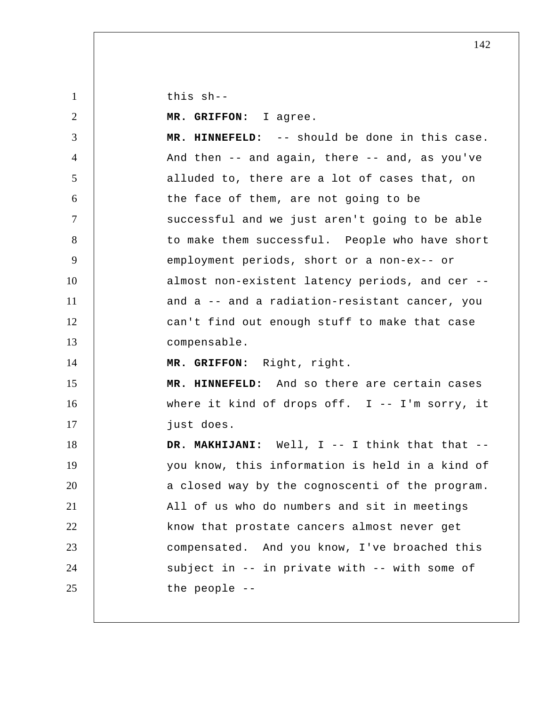this sh--

1

2 3 4 5 6 7 8 9 10 11 12 13 14 15 16 17 18 19 20 21 22 23 24 25  **MR. GRIFFON:** I agree.  **MR. HINNEFELD:** -- should be done in this case. And then  $-$  and again, there  $-$  and, as you've alluded to, there are a lot of cases that, on the face of them, are not going to be successful and we just aren't going to be able to make them successful. People who have short employment periods, short or a non-ex-- or almost non-existent latency periods, and cer - and a -- and a radiation-resistant cancer, you can't find out enough stuff to make that case compensable.  **MR. GRIFFON:** Right, right.  **MR. HINNEFELD:** And so there are certain cases where it kind of drops off.  $I$  -- I'm sorry, it just does. DR. MAKHIJANI: Well, I -- I think that that -you know, this information is held in a kind of a closed way by the cognoscenti of the program. All of us who do numbers and sit in meetings know that prostate cancers almost never get compensated. And you know, I've broached this subject in -- in private with -- with some of the people --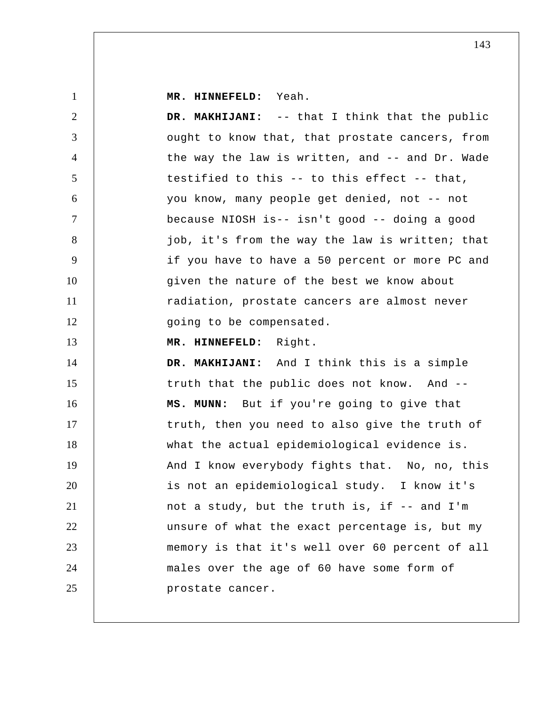**MR. HINNEFELD:** Yeah.

1

2 3 4 5 6 7 8 9 10 11 12 13 14 15 16 17 18 19 20 21 22 23 24 25  **DR. MAKHIJANI:** -- that I think that the public ought to know that, that prostate cancers, from the way the law is written, and -- and Dr. Wade testified to this -- to this effect -- that, you know, many people get denied, not -- not because NIOSH is-- isn't good -- doing a good job, it's from the way the law is written; that if you have to have a 50 percent or more PC and given the nature of the best we know about radiation, prostate cancers are almost never going to be compensated.  **MR. HINNEFELD:** Right.  **DR. MAKHIJANI:** And I think this is a simple truth that the public does not know. And -- **MS. MUNN:** But if you're going to give that truth, then you need to also give the truth of what the actual epidemiological evidence is. And I know everybody fights that. No, no, this is not an epidemiological study. I know it's not a study, but the truth is, if -- and I'm unsure of what the exact percentage is, but my memory is that it's well over 60 percent of all males over the age of 60 have some form of prostate cancer.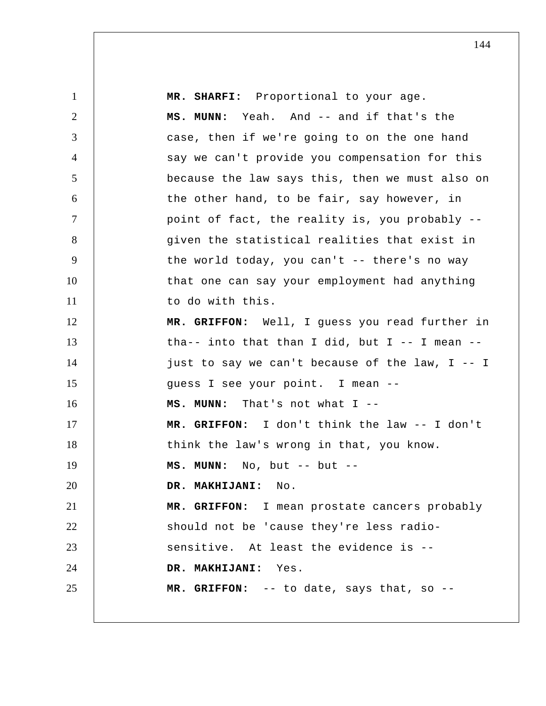| $\mathbf{1}$   | MR. SHARFI: Proportional to your age.             |
|----------------|---------------------------------------------------|
| 2              | MS. MUNN: Yeah. And -- and if that's the          |
| 3              | case, then if we're going to on the one hand      |
| $\overline{4}$ | say we can't provide you compensation for this    |
| 5              | because the law says this, then we must also on   |
| 6              | the other hand, to be fair, say however, in       |
| $\tau$         | point of fact, the reality is, you probably --    |
| 8              | given the statistical realities that exist in     |
| 9              | the world today, you can't $-$ there's no way     |
| 10             | that one can say your employment had anything     |
| 11             | to do with this.                                  |
| 12             | MR. GRIFFON: Well, I guess you read further in    |
| 13             | tha-- into that than I did, but I -- I mean --    |
| 14             | just to say we can't because of the law, $I$ -- I |
| 15             | guess I see your point. I mean --                 |
| 16             | MS. MUNN: That's not what I --                    |
| 17             | MR. GRIFFON: I don't think the law -- I don't     |
| 18             | think the law's wrong in that, you know.          |
| 19             | MS. MUNN: No, but -- but --                       |
| 20             | DR. MAKHIJANI: No.                                |
| 21             | MR. GRIFFON: I mean prostate cancers probably     |
| 22             | should not be 'cause they're less radio-          |
| 23             | sensitive. At least the evidence is --            |
| 24             | DR. MAKHIJANI: Yes.                               |
| 25             | MR. GRIFFON: -- to date, says that, so --         |
|                |                                                   |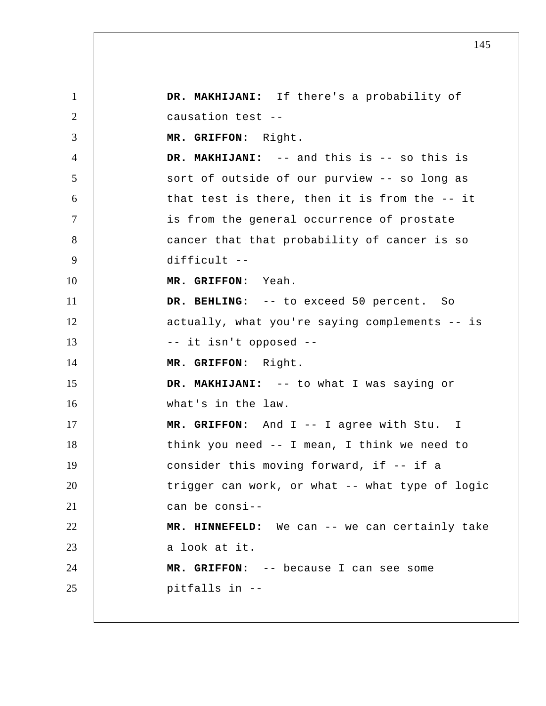1 2 3 4 5 6 7 8 9 10 11 12 13 14 15 16 17 18 19 20 21 22 23 24 25  **DR. MAKHIJANI:** If there's a probability of causation test -- **MR. GRIFFON:** Right.  **DR. MAKHIJANI:** -- and this is -- so this is sort of outside of our purview -- so long as that test is there, then it is from the -- it is from the general occurrence of prostate cancer that that probability of cancer is so difficult -- **MR. GRIFFON:** Yeah. DR. BEHLING: -- to exceed 50 percent. So actually, what you're saying complements -- is -- it isn't opposed -- **MR. GRIFFON:** Right.  **DR. MAKHIJANI:** -- to what I was saying or what's in the law.  **MR. GRIFFON:** And I -- I agree with Stu. I think you need -- I mean, I think we need to consider this moving forward, if -- if a trigger can work, or what -- what type of logic can be consi-- **MR. HINNEFELD:** We can -- we can certainly take a look at it.  **MR. GRIFFON:** -- because I can see some pitfalls in --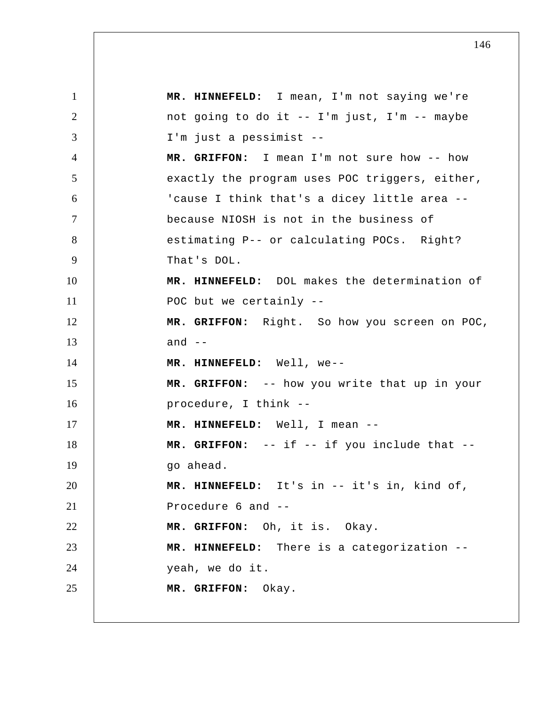1 2 3 4 5 6 7 8 9 10 11 12 13 14 15 16 17 18 19 20 21 22 23 24 25  **MR. HINNEFELD:** I mean, I'm not saying we're not going to do it -- I'm just, I'm -- maybe I'm just a pessimist -- **MR. GRIFFON:** I mean I'm not sure how -- how exactly the program uses POC triggers, either, 'cause I think that's a dicey little area - because NIOSH is not in the business of estimating P-- or calculating POCs. Right? That's DOL.  **MR. HINNEFELD:** DOL makes the determination of POC but we certainly -- **MR. GRIFFON:** Right. So how you screen on POC, and  $--$  **MR. HINNEFELD:** Well, we-- **MR. GRIFFON:** -- how you write that up in your procedure, I think --  **MR. HINNEFELD:** Well, I mean -- **MR. GRIFFON:** -- if -- if you include that - go ahead.  **MR. HINNEFELD:** It's in -- it's in, kind of, Procedure 6 and -- **MR. GRIFFON:** Oh, it is. Okay.  **MR. HINNEFELD:** There is a categorization - yeah, we do it.  **MR. GRIFFON:** Okay.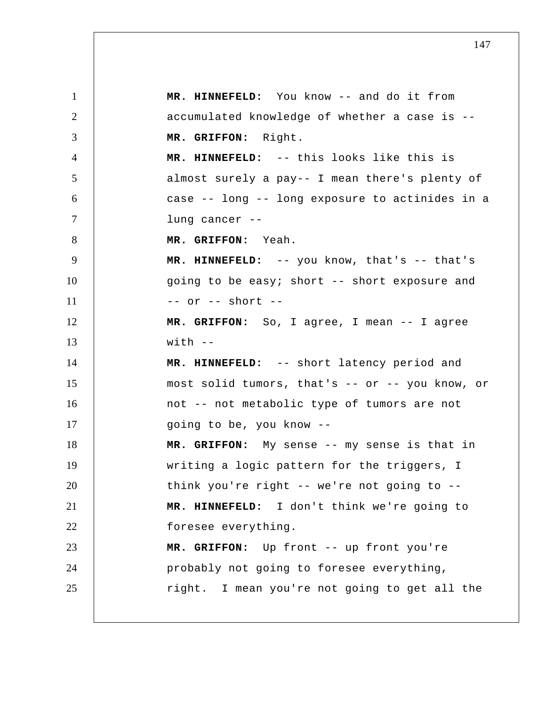1 2 3 4 5 6 7 8 9 10 11 12 13 14 15 16 17 18 19 20 21 22 23 24 25  **MR. HINNEFELD:** You know -- and do it from accumulated knowledge of whether a case is --  **MR. GRIFFON:** Right.  **MR. HINNEFELD:** -- this looks like this is almost surely a pay-- I mean there's plenty of case -- long -- long exposure to actinides in a lung cancer -- **MR. GRIFFON:** Yeah.  **MR. HINNEFELD:** -- you know, that's -- that's going to be easy; short -- short exposure and  $--$  or  $--$  short  $--$  **MR. GRIFFON:** So, I agree, I mean -- I agree  $with$   $-$  **MR. HINNEFELD:** -- short latency period and most solid tumors, that's -- or -- you know, or not -- not metabolic type of tumors are not going to be, you know -- **MR. GRIFFON:** My sense -- my sense is that in writing a logic pattern for the triggers, I think you're right -- we're not going to --  **MR. HINNEFELD:** I don't think we're going to foresee everything.  **MR. GRIFFON:** Up front -- up front you're probably not going to foresee everything, right. I mean you're not going to get all the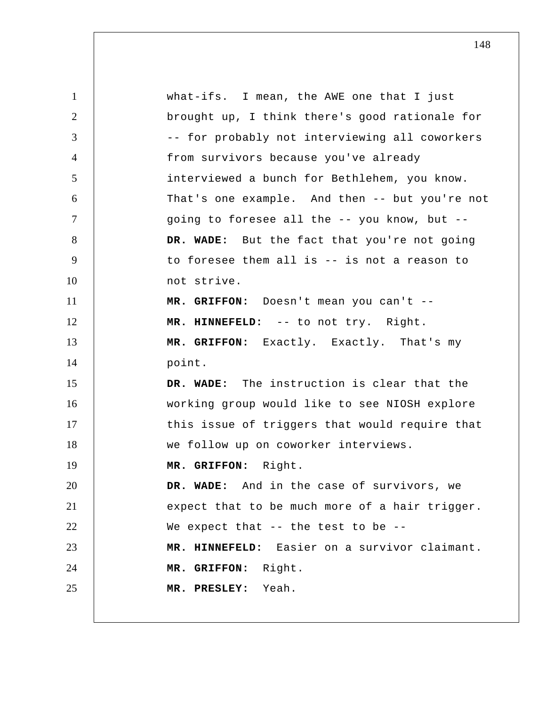| $\mathbf{1}$   | what-ifs. I mean, the AWE one that I just      |
|----------------|------------------------------------------------|
| $\overline{2}$ | brought up, I think there's good rationale for |
| 3              | -- for probably not interviewing all coworkers |
| $\overline{4}$ | from survivors because you've already          |
| 5              | interviewed a bunch for Bethlehem, you know.   |
| 6              | That's one example. And then -- but you're not |
| $\tau$         | going to foresee all the -- you know, but --   |
| 8              | DR. WADE: But the fact that you're not going   |
| 9              | to foresee them all is -- is not a reason to   |
| 10             | not strive.                                    |
| 11             | MR. GRIFFON: Doesn't mean you can't --         |
| 12             | MR. HINNEFELD: -- to not try. Right.           |
| 13             | MR. GRIFFON: Exactly. Exactly. That's my       |
| 14             | point.                                         |
| 15             | DR. WADE: The instruction is clear that the    |
| 16             | working group would like to see NIOSH explore  |
| 17             | this issue of triggers that would require that |
| 18             | we follow up on coworker interviews.           |
| 19             | MR. GRIFFON: Right.                            |
| 20             | DR. WADE: And in the case of survivors, we     |
| 21             | expect that to be much more of a hair trigger. |
| 22             | We expect that $-$ - the test to be $-$ -      |
| 23             | MR. HINNEFELD: Easier on a survivor claimant.  |
| 24             | MR. GRIFFON: Right.                            |
| 25             | MR. PRESLEY: Yeah.                             |
|                |                                                |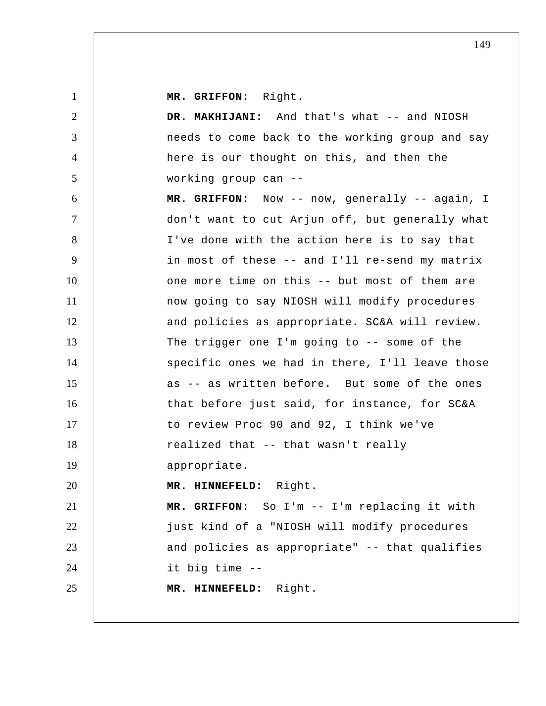**MR. GRIFFON:** Right.

1

2 3 4 5 6 7 8 9 10 11 12 13 14 15 16 17 18 19 20 21 22 23 24 25 DR. MAKHIJANI: And that's what -- and NIOSH needs to come back to the working group and say here is our thought on this, and then the working group can --  **MR. GRIFFON:** Now -- now, generally -- again, I don't want to cut Arjun off, but generally what I've done with the action here is to say that in most of these -- and I'll re-send my matrix one more time on this -- but most of them are now going to say NIOSH will modify procedures and policies as appropriate. SC&A will review. The trigger one I'm going to -- some of the specific ones we had in there, I'll leave those as -- as written before. But some of the ones that before just said, for instance, for SC&A to review Proc 90 and 92, I think we've realized that -- that wasn't really appropriate.  **MR. HINNEFELD:** Right.  **MR. GRIFFON:** So I'm -- I'm replacing it with just kind of a "NIOSH will modify procedures and policies as appropriate" -- that qualifies it big time --  **MR. HINNEFELD:** Right.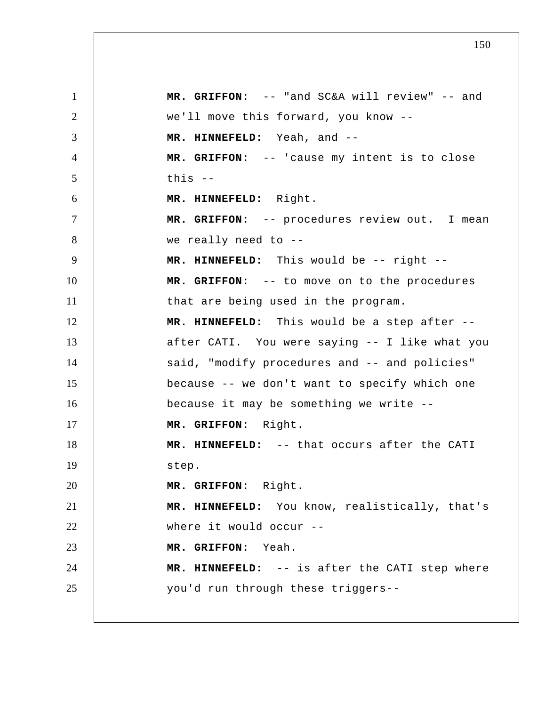1 2 3 4 5 6 7 8 9 10 11 12 13 14 15 16 17 18 19 20 21 22 23 24 25  **MR. GRIFFON:** -- "and SC&A will review" -- and we'll move this forward, you know --  **MR. HINNEFELD:** Yeah, and -- **MR. GRIFFON:** -- 'cause my intent is to close this -- **MR. HINNEFELD:** Right.  **MR. GRIFFON:** -- procedures review out. I mean we really need to -- **MR. HINNEFELD:** This would be -- right --  **MR. GRIFFON:** -- to move on to the procedures that are being used in the program.  **MR. HINNEFELD:** This would be a step after - after CATI. You were saying -- I like what you said, "modify procedures and -- and policies" because -- we don't want to specify which one because it may be something we write --  **MR. GRIFFON:** Right.  **MR. HINNEFELD:** -- that occurs after the CATI step.  **MR. GRIFFON:** Right.  **MR. HINNEFELD:** You know, realistically, that's where it would occur -- **MR. GRIFFON:** Yeah.  **MR. HINNEFELD:** -- is after the CATI step where you'd run through these triggers--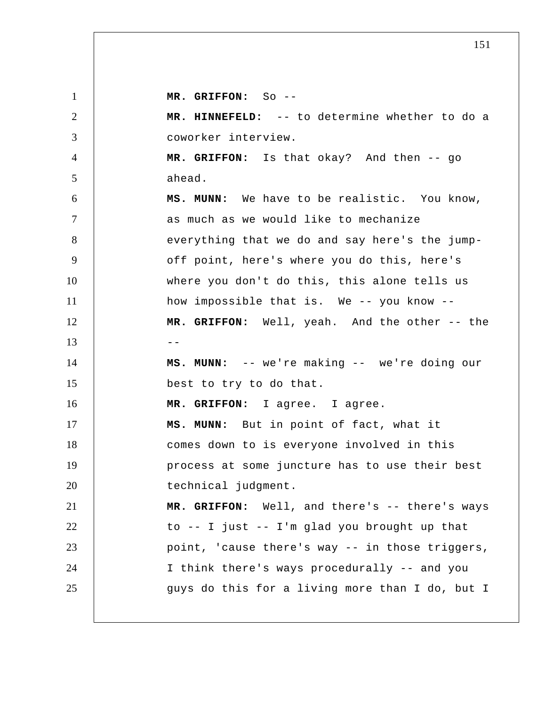1 2 3 4 5 6 7 8 9 10 11 12  $13$   $-$ 14 15 16 17 18 19 20 21 22 23 24 25  **MR. GRIFFON:** So -- **MR. HINNEFELD:** -- to determine whether to do a coworker interview.  **MR. GRIFFON:** Is that okay? And then -- go ahead.  **MS. MUNN:** We have to be realistic. You know, as much as we would like to mechanize everything that we do and say here's the jumpoff point, here's where you do this, here's where you don't do this, this alone tells us how impossible that is. We -- you know --  **MR. GRIFFON:** Well, yeah. And the other -- the  **MS. MUNN:** -- we're making -- we're doing our best to try to do that.  **MR. GRIFFON:** I agree. I agree.  **MS. MUNN:** But in point of fact, what it comes down to is everyone involved in this process at some juncture has to use their best technical judgment.  **MR. GRIFFON:** Well, and there's -- there's ways to -- I just -- I'm glad you brought up that point, 'cause there's way -- in those triggers, I think there's ways procedurally -- and you guys do this for a living more than I do, but I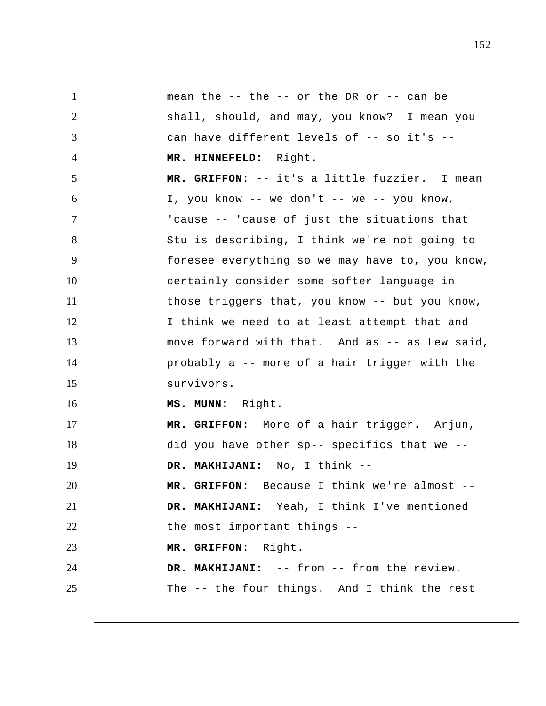1 2 3 4 5 6 7 8 9 10 11 12 13 14 15 16 17 18 19 20 21 22 23 24 25 mean the  $-$ - the  $-$ - or the DR or  $-$ - can be shall, should, and may, you know? I mean you can have different levels of -- so it's -- **MR. HINNEFELD:** Right.  **MR. GRIFFON:** -- it's a little fuzzier. I mean I, you know  $--$  we don't  $--$  we  $--$  you know, 'cause -- 'cause of just the situations that Stu is describing, I think we're not going to foresee everything so we may have to, you know, certainly consider some softer language in those triggers that, you know -- but you know, I think we need to at least attempt that and move forward with that. And as -- as Lew said, probably a -- more of a hair trigger with the survivors.  **MS. MUNN:** Right.  **MR. GRIFFON:** More of a hair trigger. Arjun, did you have other sp-- specifics that we --  **DR. MAKHIJANI:** No, I think -- **MR. GRIFFON:** Because I think we're almost --  **DR. MAKHIJANI:** Yeah, I think I've mentioned the most important things --  **MR. GRIFFON:** Right.  **DR. MAKHIJANI:** -- from -- from the review. The -- the four things. And I think the rest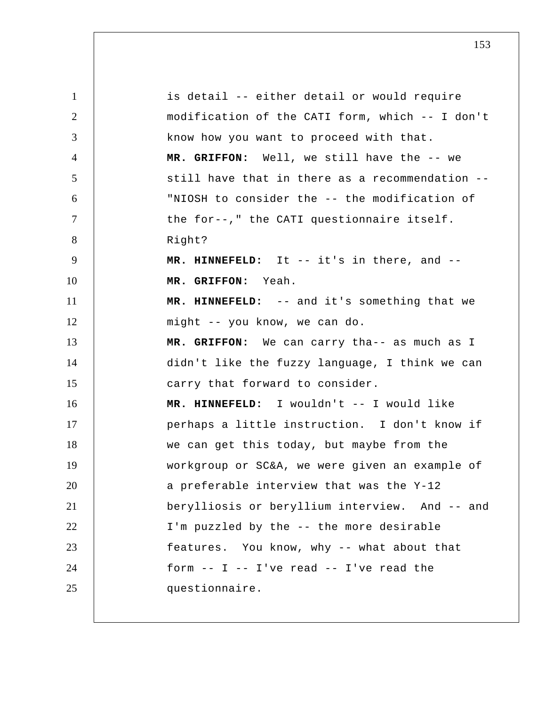| $\mathbf{1}$   | is detail -- either detail or would require     |
|----------------|-------------------------------------------------|
| $\overline{2}$ | modification of the CATI form, which -- I don't |
| 3              | know how you want to proceed with that.         |
| $\overline{4}$ | MR. GRIFFON: Well, we still have the -- we      |
| 5              | still have that in there as a recommendation -- |
| 6              | "NIOSH to consider the -- the modification of   |
| $\tau$         | the for--," the CATI questionnaire itself.      |
| 8              | Right?                                          |
| 9              | MR. HINNEFELD: It -- it's in there, and --      |
| 10             | MR. GRIFFON: Yeah.                              |
| 11             | MR. HINNEFELD: -- and it's something that we    |
| 12             | might -- you know, we can do.                   |
| 13             | MR. GRIFFON: We can carry tha-- as much as I    |
| 14             | didn't like the fuzzy language, I think we can  |
| 15             | carry that forward to consider.                 |
| 16             | MR. HINNEFELD: I wouldn't -- I would like       |
| 17             | perhaps a little instruction. I don't know if   |
| 18             | we can get this today, but maybe from the       |
| 19             | workgroup or SC&A, we were given an example of  |
| 20             | a preferable interview that was the Y-12        |
| 21             | berylliosis or beryllium interview. And -- and  |
| 22             | I'm puzzled by the -- the more desirable        |
| 23             | features. You know, why -- what about that      |
| 24             | form $--$ I $--$ I've read $--$ I've read the   |
| 25             | questionnaire.                                  |
|                |                                                 |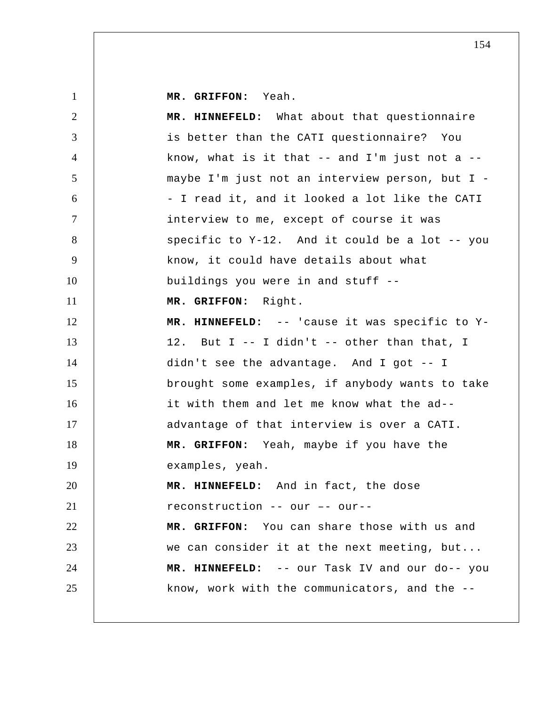**MR. GRIFFON:** Yeah.

| $\overline{2}$ | MR. HINNEFELD: What about that questionnaire         |
|----------------|------------------------------------------------------|
| 3              | is better than the CATI questionnaire? You           |
| $\overline{4}$ | know, what is it that $-$ - and I'm just not a $-$ - |
| 5              | maybe I'm just not an interview person, but I -      |
| 6              | - I read it, and it looked a lot like the CATI       |
| $\tau$         | interview to me, except of course it was             |
| 8              | specific to Y-12. And it could be a lot -- you       |
| 9              | know, it could have details about what               |
| 10             | buildings you were in and stuff --                   |
| 11             | MR. GRIFFON: Right.                                  |
| 12             | MR. HINNEFELD: -- 'cause it was specific to Y-       |
| 13             | 12. But I -- I didn't -- other than that, I          |
| 14             | didn't see the advantage. And I got -- I             |
| 15             | brought some examples, if anybody wants to take      |
| 16             | it with them and let me know what the ad--           |
| 17             | advantage of that interview is over a CATI.          |
| 18             | MR. GRIFFON: Yeah, maybe if you have the             |
| 19             | examples, yeah.                                      |
| 20             | MR. HINNEFELD: And in fact, the dose                 |
| 21             | reconstruction -- our -- our--                       |
| 22             | MR. GRIFFON: You can share those with us and         |
| 23             | we can consider it at the next meeting, but          |
| 24             | MR. HINNEFELD: -- our Task IV and our do-- you       |
| 25             | know, work with the communicators, and the --        |
|                |                                                      |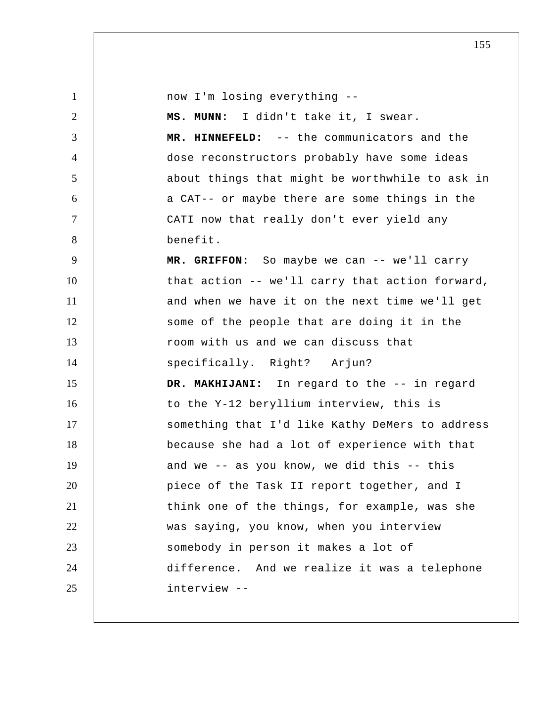| $\mathbf{1}$   | now I'm losing everything --                    |
|----------------|-------------------------------------------------|
| 2              | MS. MUNN: I didn't take it, I swear.            |
| 3              | MR. HINNEFELD: -- the communicators and the     |
| $\overline{4}$ | dose reconstructors probably have some ideas    |
| 5              | about things that might be worthwhile to ask in |
| 6              | a CAT-- or maybe there are some things in the   |
| $\tau$         | CATI now that really don't ever yield any       |
| 8              | benefit.                                        |
| 9              | MR. GRIFFON: So maybe we can -- we'll carry     |
| 10             | that action -- we'll carry that action forward, |
| 11             | and when we have it on the next time we'll get  |
| 12             | some of the people that are doing it in the     |
| 13             | room with us and we can discuss that            |
| 14             | specifically. Right? Arjun?                     |
| 15             | DR. MAKHIJANI: In regard to the -- in regard    |
| 16             | to the Y-12 beryllium interview, this is        |
| 17             | something that I'd like Kathy DeMers to address |
| 18             | because she had a lot of experience with that   |
| 19             | and we -- as you know, we did this -- this      |
| 20             | piece of the Task II report together, and I     |
| 21             | think one of the things, for example, was she   |
| 22             | was saying, you know, when you interview        |
| 23             | somebody in person it makes a lot of            |
| 24             | difference. And we realize it was a telephone   |
| 25             | interview --                                    |
|                |                                                 |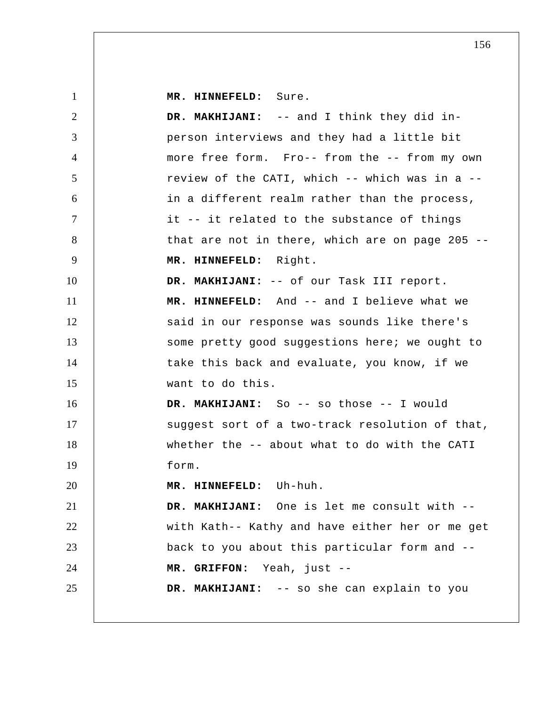| $\mathbf{1}$   | MR. HINNEFELD: Sure.                            |
|----------------|-------------------------------------------------|
| $\overline{2}$ | DR. MAKHIJANI: -- and I think they did in-      |
| 3              | person interviews and they had a little bit     |
| 4              | more free form. Fro-- from the -- from my own   |
| 5              | review of the CATI, which -- which was in a --  |
| 6              | in a different realm rather than the process,   |
| $\tau$         | it -- it related to the substance of things     |
| 8              | that are not in there, which are on page 205 -- |
| 9              | MR. HINNEFELD: Right.                           |
| 10             | DR. MAKHIJANI: -- of our Task III report.       |
| 11             | MR. HINNEFELD: And -- and I believe what we     |
| 12             | said in our response was sounds like there's    |
| 13             | some pretty good suggestions here; we ought to  |
| 14             | take this back and evaluate, you know, if we    |
| 15             | want to do this.                                |
| 16             | DR. MAKHIJANI: So -- so those -- I would        |
| 17             | suggest sort of a two-track resolution of that, |
| 18             | whether the -- about what to do with the CATI   |
| 19             | form.                                           |
| 20             | MR. HINNEFELD: Uh-huh.                          |
| 21             | DR. MAKHIJANI: One is let me consult with --    |
| 22             | with Kath-- Kathy and have either her or me get |
| 23             | back to you about this particular form and --   |
| 24             | MR. GRIFFON: Yeah, just --                      |
| 25             | DR. MAKHIJANI: -- so she can explain to you     |
|                |                                                 |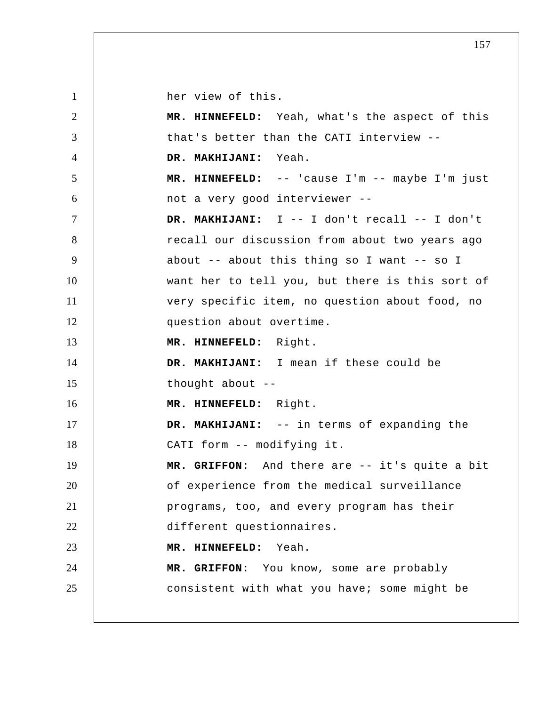her view of this.

1

2 3 4 5 6 7 8 9 10 11 12 13 14 15 16 17 18 19 20 21 22 23 24 25  **MR. HINNEFELD:** Yeah, what's the aspect of this that's better than the CATI interview --  **DR. MAKHIJANI:** Yeah.  **MR. HINNEFELD:** -- 'cause I'm -- maybe I'm just not a very good interviewer --  **DR. MAKHIJANI:** I -- I don't recall -- I don't recall our discussion from about two years ago about -- about this thing so I want -- so I want her to tell you, but there is this sort of very specific item, no question about food, no question about overtime.  **MR. HINNEFELD:** Right.  **DR. MAKHIJANI:** I mean if these could be thought about --  **MR. HINNEFELD:** Right.  **DR. MAKHIJANI:** -- in terms of expanding the CATI form -- modifying it.  **MR. GRIFFON:** And there are -- it's quite a bit of experience from the medical surveillance programs, too, and every program has their different questionnaires.  **MR. HINNEFELD:** Yeah.  **MR. GRIFFON:** You know, some are probably consistent with what you have; some might be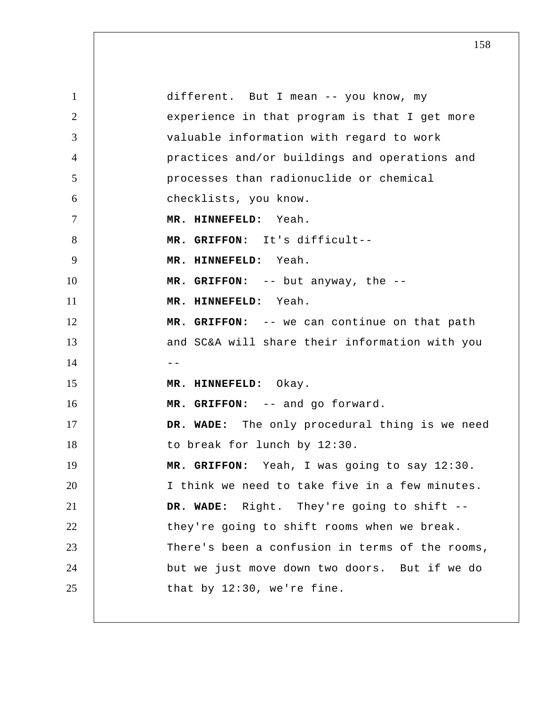1 2 3 4 5 6 7 8 9 10 11 12 13  $14$  --15 16 17 18 19 20 21 22 23 24 25 different. But I mean -- you know, my experience in that program is that I get more valuable information with regard to work practices and/or buildings and operations and processes than radionuclide or chemical checklists, you know.  **MR. HINNEFELD:** Yeah.  **MR. GRIFFON:** It's difficult-- **MR. HINNEFELD:** Yeah.  **MR. GRIFFON:** -- but anyway, the --  **MR. HINNEFELD:** Yeah.  **MR. GRIFFON:** -- we can continue on that path and SC&A will share their information with you  **MR. HINNEFELD:** Okay.  **MR. GRIFFON:** -- and go forward.  **DR. WADE:** The only procedural thing is we need to break for lunch by 12:30.  **MR. GRIFFON:** Yeah, I was going to say 12:30. I think we need to take five in a few minutes.  **DR. WADE:** Right. They're going to shift - they're going to shift rooms when we break. There's been a confusion in terms of the rooms, but we just move down two doors. But if we do that by 12:30, we're fine.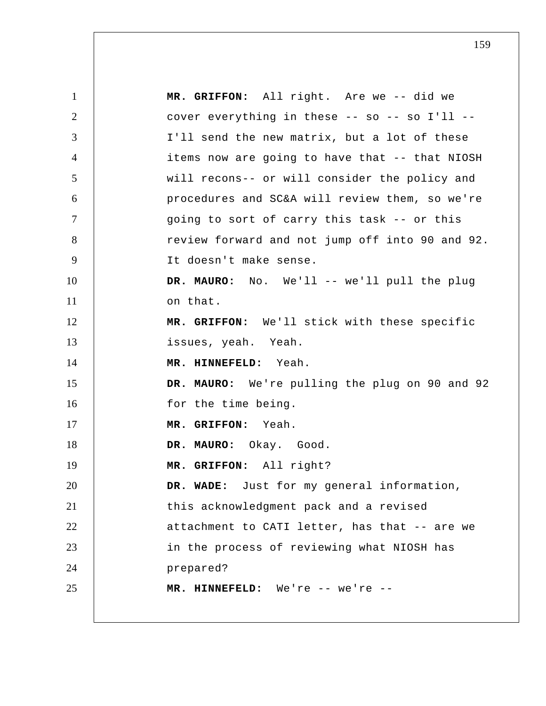1 2 3 4 5 6 7 8 9 10 11 12 13 14 15 16 17 18 19 20 21 22 23 24 25  **MR. GRIFFON:** All right. Are we -- did we cover everything in these -- so -- so I'll -- I'll send the new matrix, but a lot of these items now are going to have that -- that NIOSH will recons-- or will consider the policy and procedures and SC&A will review them, so we're going to sort of carry this task -- or this review forward and not jump off into 90 and 92. It doesn't make sense. DR. MAURO: No. We'll -- we'll pull the plug on that.  **MR. GRIFFON:** We'll stick with these specific issues, yeah. Yeah.  **MR. HINNEFELD:** Yeah.  **DR. MAURO:** We're pulling the plug on 90 and 92 for the time being.  **MR. GRIFFON:** Yeah. **DR. MAURO:** Okay. Good.  **MR. GRIFFON:** All right?  **DR. WADE:** Just for my general information, this acknowledgment pack and a revised attachment to CATI letter, has that -- are we in the process of reviewing what NIOSH has prepared?  **MR. HINNEFELD:** We're -- we're --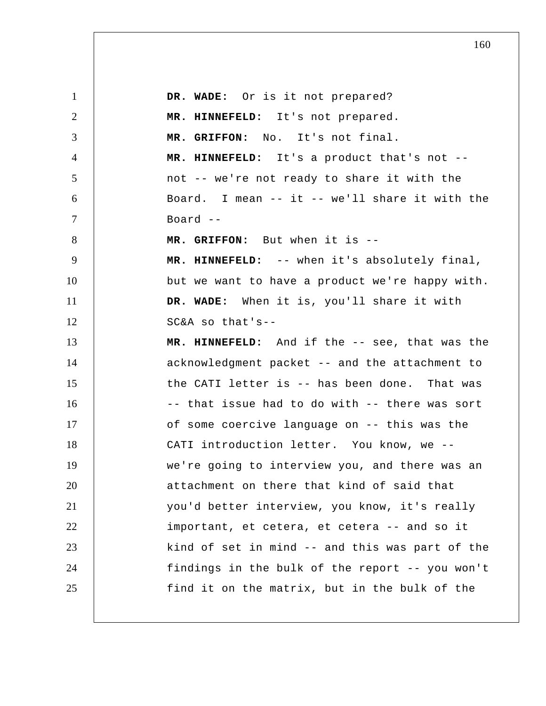1 2 3 4 5 6 7 8 9 10 11 12 13 14 15 16 17 18 19 20 21 22 23 24 25  **DR. WADE:** Or is it not prepared?  **MR. HINNEFELD:** It's not prepared.  **MR. GRIFFON:** No. It's not final.  **MR. HINNEFELD:** It's a product that's not - not -- we're not ready to share it with the Board. I mean -- it -- we'll share it with the  $Board --$  **MR. GRIFFON:** But when it is -- **MR. HINNEFELD:** -- when it's absolutely final, but we want to have a product we're happy with.  **DR. WADE:** When it is, you'll share it with SC&A so that's-- **MR. HINNEFELD:** And if the -- see, that was the acknowledgment packet -- and the attachment to the CATI letter is -- has been done. That was -- that issue had to do with -- there was sort of some coercive language on -- this was the CATI introduction letter. You know, we - we're going to interview you, and there was an attachment on there that kind of said that you'd better interview, you know, it's really important, et cetera, et cetera -- and so it kind of set in mind -- and this was part of the findings in the bulk of the report -- you won't find it on the matrix, but in the bulk of the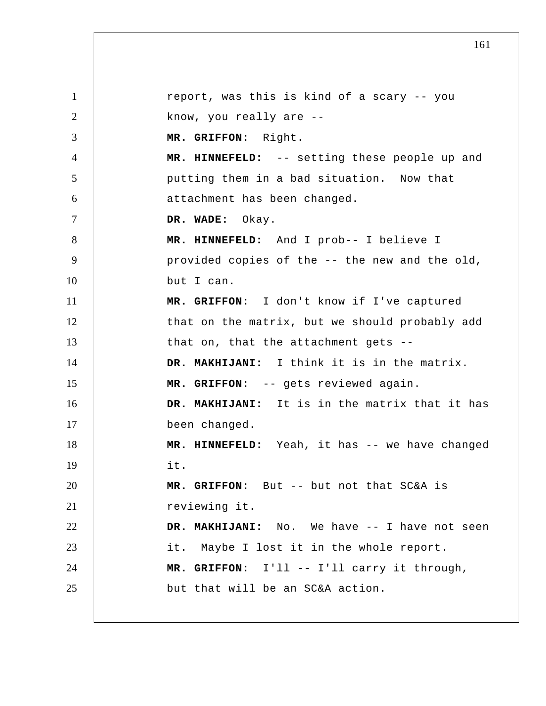1 2 3 4 5 6 7 8 9 10 11 12 13 14 15 16 17 18 19 20 21 22 23 24 25 report, was this is kind of a scary -- you know, you really are --  **MR. GRIFFON:** Right.  **MR. HINNEFELD:** -- setting these people up and putting them in a bad situation. Now that attachment has been changed.  **DR. WADE:** Okay.  **MR. HINNEFELD:** And I prob-- I believe I provided copies of the -- the new and the old, but I can.  **MR. GRIFFON:** I don't know if I've captured that on the matrix, but we should probably add that on, that the attachment gets --  **DR. MAKHIJANI:** I think it is in the matrix.  **MR. GRIFFON:** -- gets reviewed again.  **DR. MAKHIJANI:** It is in the matrix that it has been changed.  **MR. HINNEFELD:** Yeah, it has -- we have changed it.  **MR. GRIFFON:** But -- but not that SC&A is reviewing it.  **DR. MAKHIJANI:** No. We have -- I have not seen it. Maybe I lost it in the whole report.  **MR. GRIFFON:** I'll -- I'll carry it through, but that will be an SC&A action.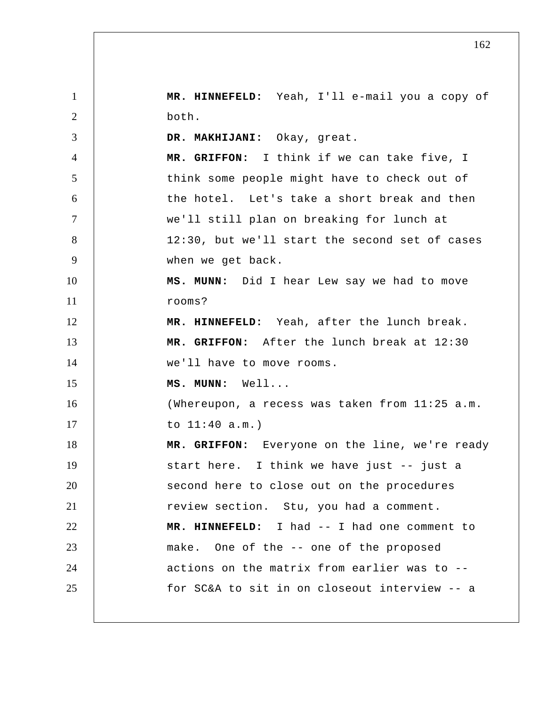1 2 3 4 5 6 7 8 9 10 11 12 13 14 15 16 17 18 19 20 21 22 23 24 25  **MR. HINNEFELD:** Yeah, I'll e-mail you a copy of both.  **DR. MAKHIJANI:** Okay, great.  **MR. GRIFFON:** I think if we can take five, I think some people might have to check out of the hotel. Let's take a short break and then we'll still plan on breaking for lunch at 12:30, but we'll start the second set of cases when we get back.  **MS. MUNN:** Did I hear Lew say we had to move rooms?  **MR. HINNEFELD:** Yeah, after the lunch break.  **MR. GRIFFON:** After the lunch break at 12:30 we'll have to move rooms.  **MS. MUNN:** Well... (Whereupon, a recess was taken from 11:25 a.m. to 11:40 a.m.)  **MR. GRIFFON:** Everyone on the line, we're ready start here. I think we have just -- just a second here to close out on the procedures review section. Stu, you had a comment.  **MR. HINNEFELD:** I had -- I had one comment to make. One of the -- one of the proposed actions on the matrix from earlier was to - for SC&A to sit in on closeout interview -- a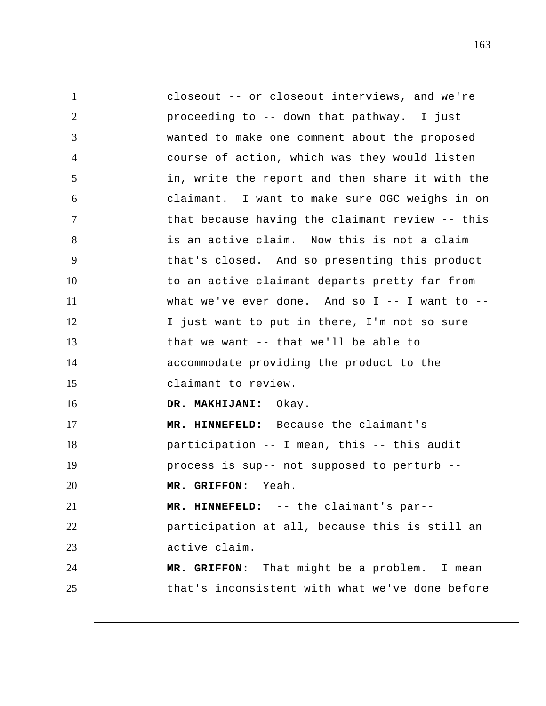1 2 3 4 5 6 7 8 9 10 11 12 13 14 15 16 17 18 19 20 21 22 23 24 25 closeout -- or closeout interviews, and we're proceeding to -- down that pathway. I just wanted to make one comment about the proposed course of action, which was they would listen in, write the report and then share it with the claimant. I want to make sure OGC weighs in on that because having the claimant review -- this is an active claim. Now this is not a claim that's closed. And so presenting this product to an active claimant departs pretty far from what we've ever done. And so I -- I want to -- I just want to put in there, I'm not so sure that we want -- that we'll be able to accommodate providing the product to the claimant to review.  **DR. MAKHIJANI:** Okay.  **MR. HINNEFELD:** Because the claimant's participation -- I mean, this -- this audit process is sup-- not supposed to perturb --  **MR. GRIFFON:** Yeah.  **MR. HINNEFELD:** -- the claimant's par- participation at all, because this is still an active claim.  **MR. GRIFFON:** That might be a problem. I mean that's inconsistent with what we've done before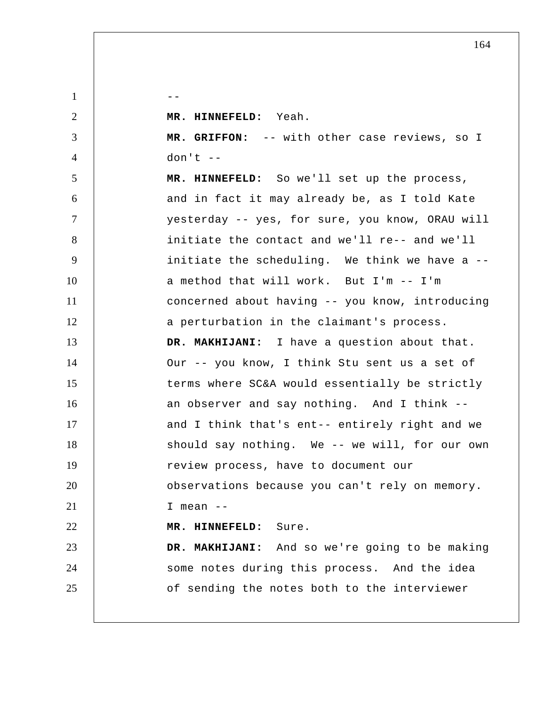$1 \quad \vert \quad \vert \quad \vert \quad \vert \quad \vert \quad \vert$ 

2

3

4

 **MR. HINNEFELD:** Yeah.

 **MR. GRIFFON:** -- with other case reviews, so I  $don't --$ 

5 6 7 8 9 10 11 12 13 14 15 16 17 18 19 20 21 22 23 24 25  **MR. HINNEFELD:** So we'll set up the process, and in fact it may already be, as I told Kate yesterday -- yes, for sure, you know, ORAU will initiate the contact and we'll re-- and we'll initiate the scheduling. We think we have a - a method that will work. But I'm -- I'm concerned about having -- you know, introducing a perturbation in the claimant's process.  **DR. MAKHIJANI:** I have a question about that. Our -- you know, I think Stu sent us a set of terms where SC&A would essentially be strictly an observer and say nothing. And I think - and I think that's ent-- entirely right and we should say nothing. We -- we will, for our own review process, have to document our observations because you can't rely on memory. I mean -- **MR. HINNEFELD:** Sure.  **DR. MAKHIJANI:** And so we're going to be making some notes during this process. And the idea of sending the notes both to the interviewer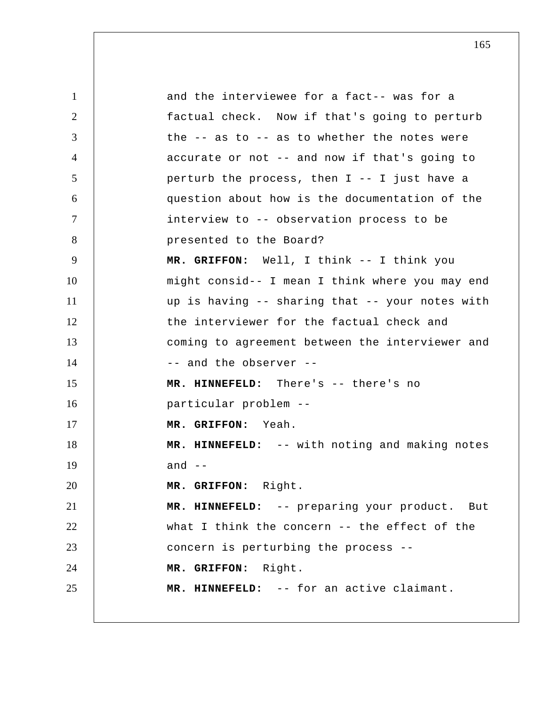1 2 3 4 5 6 7 8 9 10 11 12 13 14 15 16 17 18 19 20 21 22 23 24 25 and the interviewee for a fact-- was for a factual check. Now if that's going to perturb the -- as to -- as to whether the notes were accurate or not -- and now if that's going to perturb the process, then I -- I just have a question about how is the documentation of the interview to -- observation process to be presented to the Board?  **MR. GRIFFON:** Well, I think -- I think you might consid-- I mean I think where you may end up is having -- sharing that -- your notes with the interviewer for the factual check and coming to agreement between the interviewer and -- and the observer -- **MR. HINNEFELD:** There's -- there's no particular problem -- **MR. GRIFFON:** Yeah.  **MR. HINNEFELD:** -- with noting and making notes and  $--$  **MR. GRIFFON:** Right.  **MR. HINNEFELD:** -- preparing your product. But what I think the concern -- the effect of the concern is perturbing the process --  **MR. GRIFFON:** Right.  **MR. HINNEFELD:** -- for an active claimant.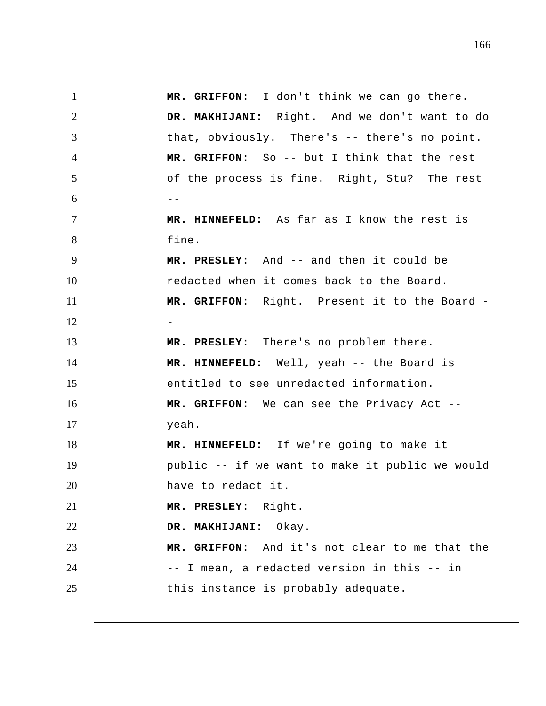1 2 3 4 5  $6$  --7 8 9 10 11 12 13 14 15 16 17 18 19 20 21 22 23 24 25  **MR. GRIFFON:** I don't think we can go there.  **DR. MAKHIJANI:** Right. And we don't want to do that, obviously. There's -- there's no point.  **MR. GRIFFON:** So -- but I think that the rest of the process is fine. Right, Stu? The rest  **MR. HINNEFELD:** As far as I know the rest is fine.  **MR. PRESLEY:** And -- and then it could be redacted when it comes back to the Board.  **MR. GRIFFON:** Right. Present it to the Board -  **MR. PRESLEY:** There's no problem there.  **MR. HINNEFELD:** Well, yeah -- the Board is entitled to see unredacted information.  **MR. GRIFFON:** We can see the Privacy Act - yeah.  **MR. HINNEFELD:** If we're going to make it public -- if we want to make it public we would have to redact it.  **MR. PRESLEY:** Right.  **DR. MAKHIJANI:** Okay.  **MR. GRIFFON:** And it's not clear to me that the -- I mean, a redacted version in this -- in this instance is probably adequate.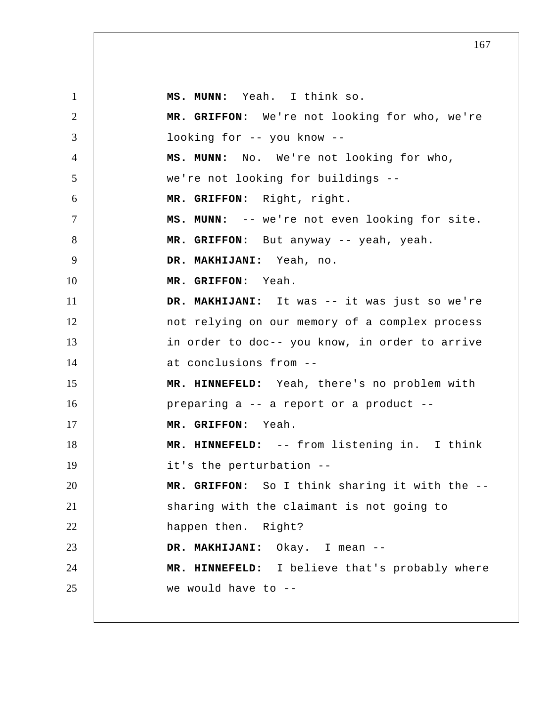1 2 3 4 5 6 7 8 9 10 11 12 13 14 15 16 17 18 19 20 21 22 23 24 25  **MS. MUNN:** Yeah. I think so.  **MR. GRIFFON:** We're not looking for who, we're looking for -- you know --  **MS. MUNN:** No. We're not looking for who, we're not looking for buildings --  **MR. GRIFFON:** Right, right.  **MS. MUNN:** -- we're not even looking for site.  **MR. GRIFFON:** But anyway -- yeah, yeah.  **DR. MAKHIJANI:** Yeah, no.  **MR. GRIFFON:** Yeah.  **DR. MAKHIJANI:** It was -- it was just so we're not relying on our memory of a complex process in order to doc-- you know, in order to arrive at conclusions from -- **MR. HINNEFELD:** Yeah, there's no problem with preparing a -- a report or a product --  **MR. GRIFFON:** Yeah.  **MR. HINNEFELD:** -- from listening in. I think it's the perturbation --  **MR. GRIFFON:** So I think sharing it with the - sharing with the claimant is not going to happen then. Right?  **DR. MAKHIJANI:** Okay. I mean -- **MR. HINNEFELD:** I believe that's probably where we would have to --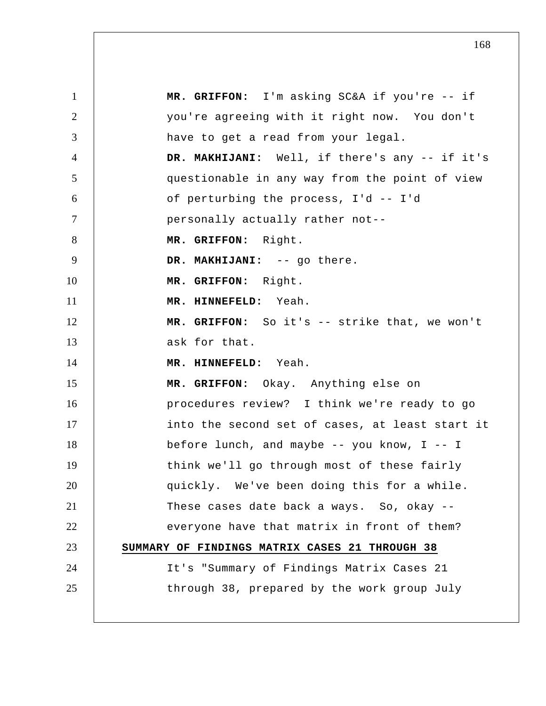1 2 3 4 5 6 7 8 9 10 11 12 13 14 15 16 17 18 19 20 21 22 23 24 25  **MR. GRIFFON:** I'm asking SC&A if you're -- if you're agreeing with it right now. You don't have to get a read from your legal.  **DR. MAKHIJANI:** Well, if there's any -- if it's questionable in any way from the point of view of perturbing the process, I'd -- I'd personally actually rather not--  **MR. GRIFFON:** Right. DR. MAKHIJANI: -- go there.  **MR. GRIFFON:** Right.  **MR. HINNEFELD:** Yeah.  **MR. GRIFFON:** So it's -- strike that, we won't ask for that.  **MR. HINNEFELD:** Yeah.  **MR. GRIFFON:** Okay. Anything else on procedures review? I think we're ready to go into the second set of cases, at least start it before lunch, and maybe -- you know, I -- I think we'll go through most of these fairly quickly. We've been doing this for a while. These cases date back a ways. So, okay -everyone have that matrix in front of them? **SUMMARY OF FINDINGS MATRIX CASES 21 THROUGH 38** It's "Summary of Findings Matrix Cases 21 through 38, prepared by the work group July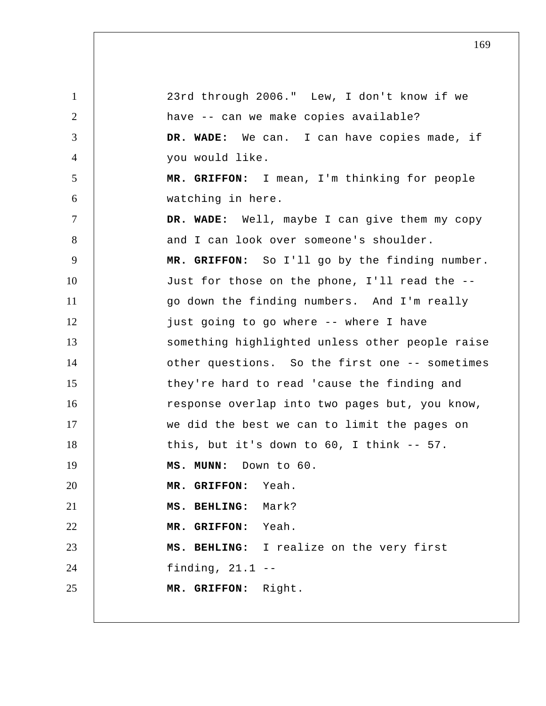1 2 3 4 5 6 7 8 9 10 11 12 13 14 15 16 17 18 19 20 21 22 23 24 25 23rd through 2006." Lew, I don't know if we have -- can we make copies available?  **DR. WADE:** We can. I can have copies made, if you would like.  **MR. GRIFFON:** I mean, I'm thinking for people watching in here.  **DR. WADE:** Well, maybe I can give them my copy and I can look over someone's shoulder.  **MR. GRIFFON:** So I'll go by the finding number. Just for those on the phone, I'll read the - go down the finding numbers. And I'm really just going to go where -- where I have something highlighted unless other people raise other questions. So the first one -- sometimes they're hard to read 'cause the finding and response overlap into two pages but, you know, we did the best we can to limit the pages on this, but it's down to 60, I think -- 57.  **MS. MUNN:** Down to 60.  **MR. GRIFFON:** Yeah.  **MS. BEHLING:** Mark?  **MR. GRIFFON:** Yeah.  **MS. BEHLING:** I realize on the very first finding, 21.1 -- **MR. GRIFFON:** Right.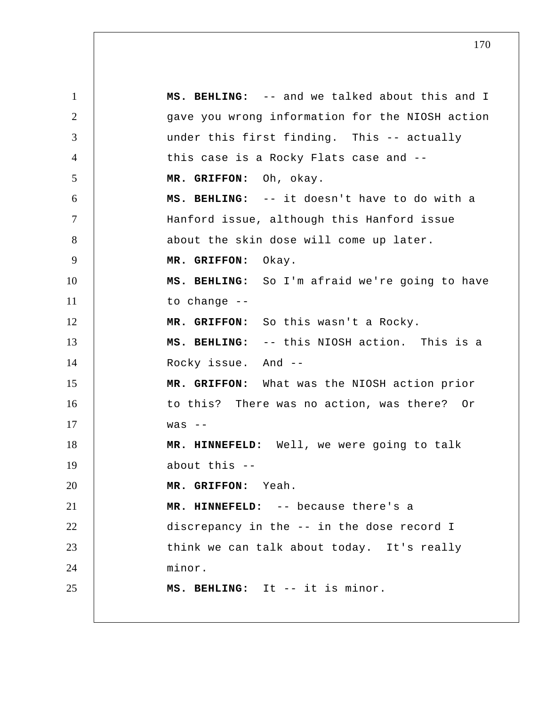1 2 3 4 5 6 7 8 9 10 11 12 13 14 15 16 17 18 19 20 21 22 23 24 25  **MS. BEHLING:** -- and we talked about this and I gave you wrong information for the NIOSH action under this first finding. This -- actually this case is a Rocky Flats case and --  **MR. GRIFFON:** Oh, okay.  **MS. BEHLING:** -- it doesn't have to do with a Hanford issue, although this Hanford issue about the skin dose will come up later.  **MR. GRIFFON:** Okay.  **MS. BEHLING:** So I'm afraid we're going to have to change --  **MR. GRIFFON:** So this wasn't a Rocky.  **MS. BEHLING:** -- this NIOSH action. This is a Rocky issue. And --  **MR. GRIFFON:** What was the NIOSH action prior to this? There was no action, was there? Or  $WAS$  -- **MR. HINNEFELD:** Well, we were going to talk about this -- **MR. GRIFFON:** Yeah.  **MR. HINNEFELD:** -- because there's a discrepancy in the -- in the dose record I think we can talk about today. It's really minor.  **MS. BEHLING:** It -- it is minor.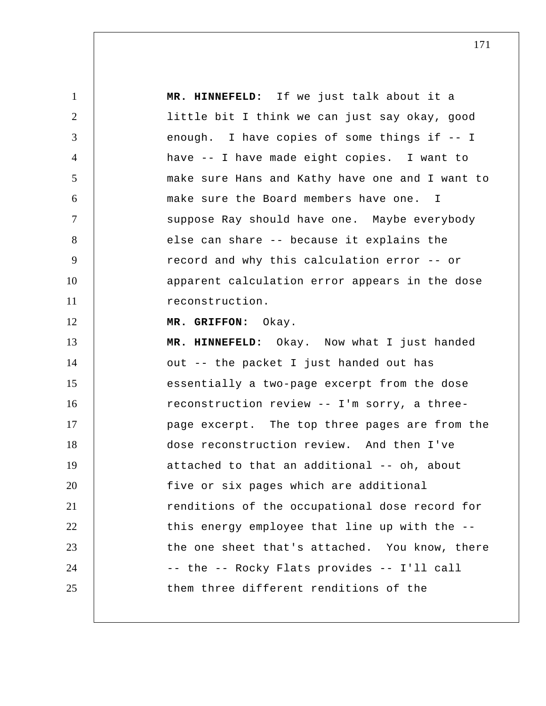1 2 3 4 5 6 7 8 9 10 11 12 13 14 15 16 17 18 19 20 21 22 23 24 25  **MR. HINNEFELD:** If we just talk about it a little bit I think we can just say okay, good enough. I have copies of some things if -- I have -- I have made eight copies. I want to make sure Hans and Kathy have one and I want to make sure the Board members have one. I suppose Ray should have one. Maybe everybody else can share -- because it explains the record and why this calculation error -- or apparent calculation error appears in the dose reconstruction.  **MR. GRIFFON:** Okay.  **MR. HINNEFELD:** Okay. Now what I just handed out -- the packet I just handed out has essentially a two-page excerpt from the dose reconstruction review -- I'm sorry, a threepage excerpt. The top three pages are from the dose reconstruction review. And then I've attached to that an additional -- oh, about five or six pages which are additional renditions of the occupational dose record for this energy employee that line up with the - the one sheet that's attached. You know, there -- the -- Rocky Flats provides -- I'll call them three different renditions of the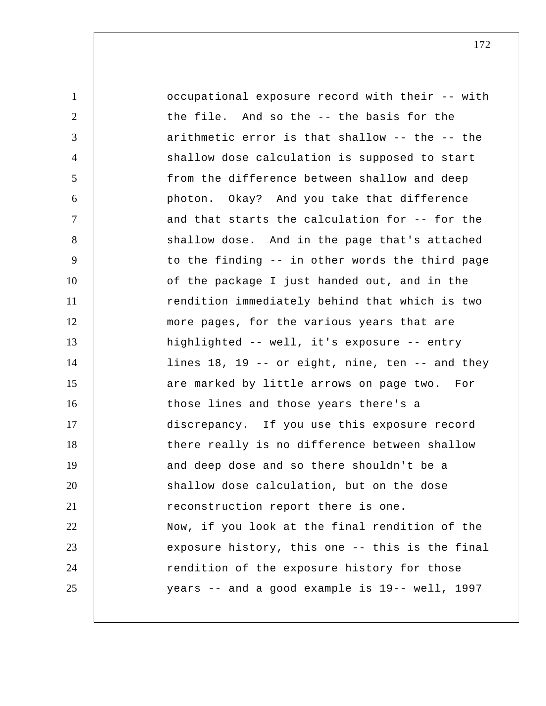| $\mathbf{1}$   | occupational exposure record with their -- with |
|----------------|-------------------------------------------------|
| $\overline{2}$ | the file. And so the -- the basis for the       |
| 3              | arithmetic error is that shallow -- the -- the  |
| 4              | shallow dose calculation is supposed to start   |
| 5              | from the difference between shallow and deep    |
| 6              | photon. Okay? And you take that difference      |
| $\tau$         | and that starts the calculation for -- for the  |
| 8              | shallow dose. And in the page that's attached   |
| 9              | to the finding -- in other words the third page |
| 10             | of the package I just handed out, and in the    |
| 11             | rendition immediately behind that which is two  |
| 12             | more pages, for the various years that are      |
| 13             | highlighted -- well, it's exposure -- entry     |
| 14             | lines 18, 19 -- or eight, nine, ten -- and they |
| 15             | are marked by little arrows on page two. For    |
| 16             | those lines and those years there's a           |
| 17             | discrepancy. If you use this exposure record    |
| 18             | there really is no difference between shallow   |
| 19             | and deep dose and so there shouldn't be a       |
| 20             | shallow dose calculation, but on the dose       |
| 21             | reconstruction report there is one.             |
| 22             | Now, if you look at the final rendition of the  |
| 23             | exposure history, this one -- this is the final |
| 24             | rendition of the exposure history for those     |
| 25             | years -- and a good example is 19-- well, 1997  |
|                |                                                 |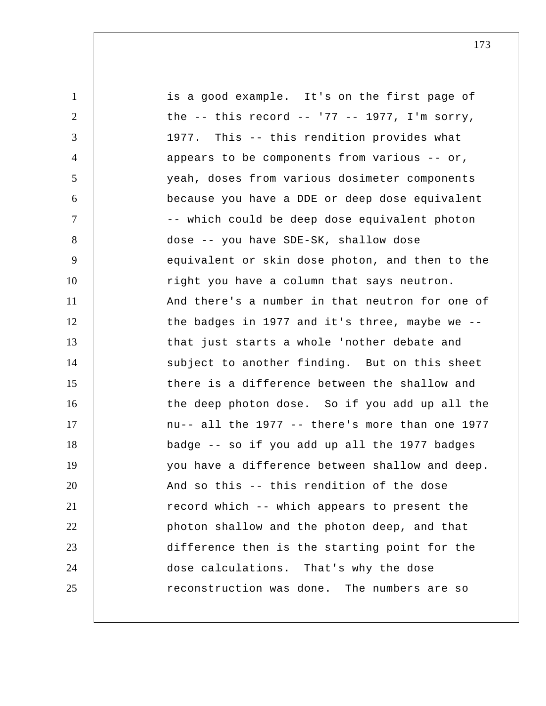| $\mathbf{1}$   | is a good example. It's on the first page of        |
|----------------|-----------------------------------------------------|
| $\overline{2}$ | the $--$ this record $--$ '77 $--$ 1977, I'm sorry, |
| 3              | 1977. This -- this rendition provides what          |
| $\overline{4}$ | appears to be components from various -- or,        |
| 5              | yeah, doses from various dosimeter components       |
| 6              | because you have a DDE or deep dose equivalent      |
| $\tau$         | -- which could be deep dose equivalent photon       |
| 8              | dose -- you have SDE-SK, shallow dose               |
| 9              | equivalent or skin dose photon, and then to the     |
| 10             | right you have a column that says neutron.          |
| 11             | And there's a number in that neutron for one of     |
| 12             | the badges in 1977 and it's three, maybe we --      |
| 13             | that just starts a whole 'nother debate and         |
| 14             | subject to another finding. But on this sheet       |
| 15             | there is a difference between the shallow and       |
| 16             | the deep photon dose. So if you add up all the      |
| 17             | nu-- all the 1977 -- there's more than one 1977     |
| 18             | badge -- so if you add up all the 1977 badges       |
| 19             | you have a difference between shallow and deep.     |
| 20             | And so this -- this rendition of the dose           |
| 21             | record which -- which appears to present the        |
| 22             | photon shallow and the photon deep, and that        |
| 23             | difference then is the starting point for the       |
| 24             | dose calculations. That's why the dose              |
| 25             | reconstruction was done. The numbers are so         |
|                |                                                     |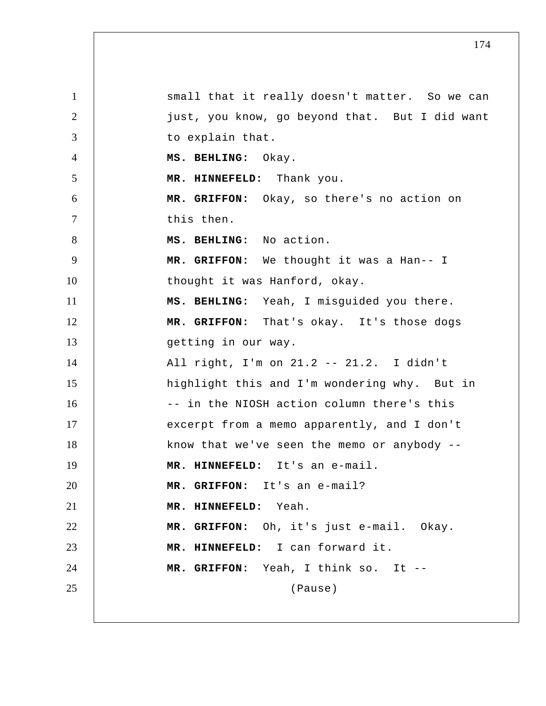1 2 3 4 5 6 7 8 9 10 11 12 13 14 15 16 17 18 19 20 21 22 23 24 25 small that it really doesn't matter. So we can just, you know, go beyond that. But I did want to explain that.  **MS. BEHLING:** Okay.  **MR. HINNEFELD:** Thank you.  **MR. GRIFFON:** Okay, so there's no action on this then.  **MS. BEHLING:** No action.  **MR. GRIFFON:** We thought it was a Han-- I thought it was Hanford, okay.  **MS. BEHLING:** Yeah, I misguided you there.  **MR. GRIFFON:** That's okay. It's those dogs getting in our way. All right, I'm on 21.2 -- 21.2. I didn't highlight this and I'm wondering why. But in -- in the NIOSH action column there's this excerpt from a memo apparently, and I don't know that we've seen the memo or anybody --  **MR. HINNEFELD:** It's an e-mail.  **MR. GRIFFON:** It's an e-mail?  **MR. HINNEFELD:** Yeah.  **MR. GRIFFON:** Oh, it's just e-mail. Okay.  **MR. HINNEFELD:** I can forward it.  **MR. GRIFFON:** Yeah, I think so. It --(Pause)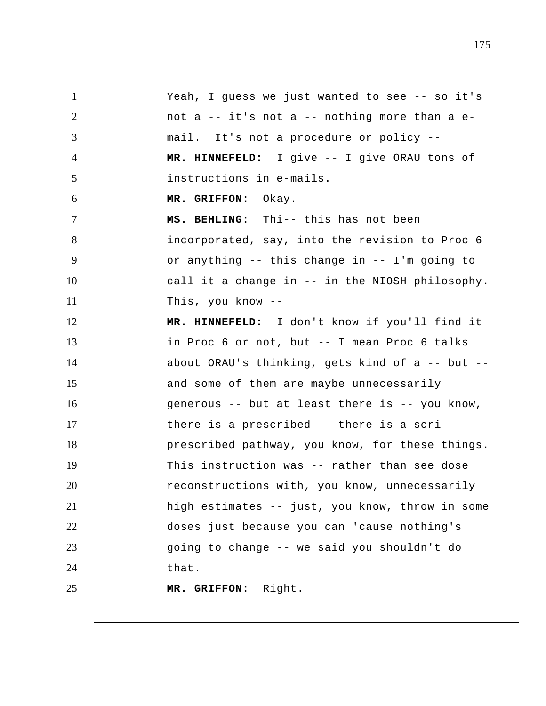1 2 3 4 5 6 7 8 9 10 11 12 13 14 15 16 17 18 19 20 21 22 23 24 25 Yeah, I guess we just wanted to see -- so it's not a -- it's not a -- nothing more than a e mail. It's not a procedure or policy --  **MR. HINNEFELD:** I give -- I give ORAU tons of instructions in e-mails.  **MR. GRIFFON:** Okay.  **MS. BEHLING:** Thi-- this has not been incorporated, say, into the revision to Proc 6 or anything -- this change in -- I'm going to call it a change in -- in the NIOSH philosophy. This, you know --  **MR. HINNEFELD:** I don't know if you'll find it in Proc 6 or not, but -- I mean Proc 6 talks about ORAU's thinking, gets kind of a -- but - and some of them are maybe unnecessarily generous -- but at least there is -- you know, there is a prescribed -- there is a scri- prescribed pathway, you know, for these things. This instruction was -- rather than see dose reconstructions with, you know, unnecessarily high estimates -- just, you know, throw in some doses just because you can 'cause nothing's going to change -- we said you shouldn't do that.  **MR. GRIFFON:** Right.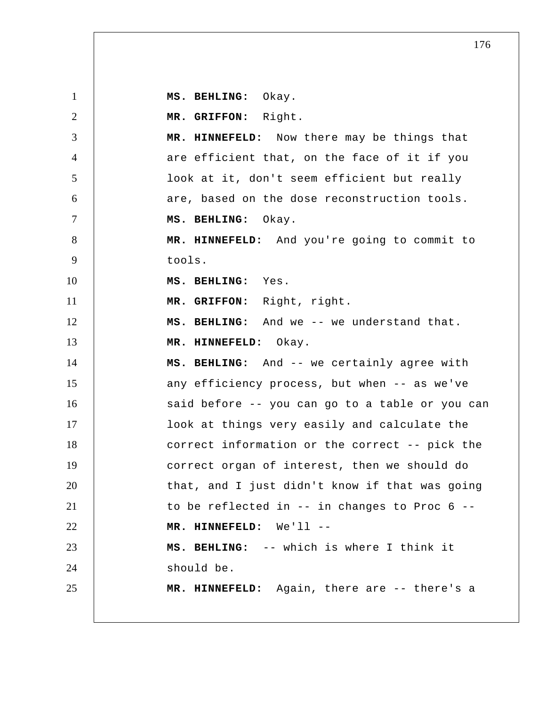1 2 3 4 5 6 7 8 9 10 11 12 13 14 15 16 17 18 19 20 21 22 23 24 25  **MS. BEHLING:** Okay.  **MR. GRIFFON:** Right.  **MR. HINNEFELD:** Now there may be things that are efficient that, on the face of it if you look at it, don't seem efficient but really are, based on the dose reconstruction tools.  **MS. BEHLING:** Okay.  **MR. HINNEFELD:** And you're going to commit to tools.  **MS. BEHLING:** Yes.  **MR. GRIFFON:** Right, right.  **MS. BEHLING:** And we -- we understand that.  **MR. HINNEFELD:** Okay.  **MS. BEHLING:** And -- we certainly agree with any efficiency process, but when -- as we've said before -- you can go to a table or you can look at things very easily and calculate the correct information or the correct -- pick the correct organ of interest, then we should do that, and I just didn't know if that was going to be reflected in -- in changes to Proc 6 --  **MR. HINNEFELD:** We'll -- **MS. BEHLING:** -- which is where I think it should be.  **MR. HINNEFELD:** Again, there are -- there's a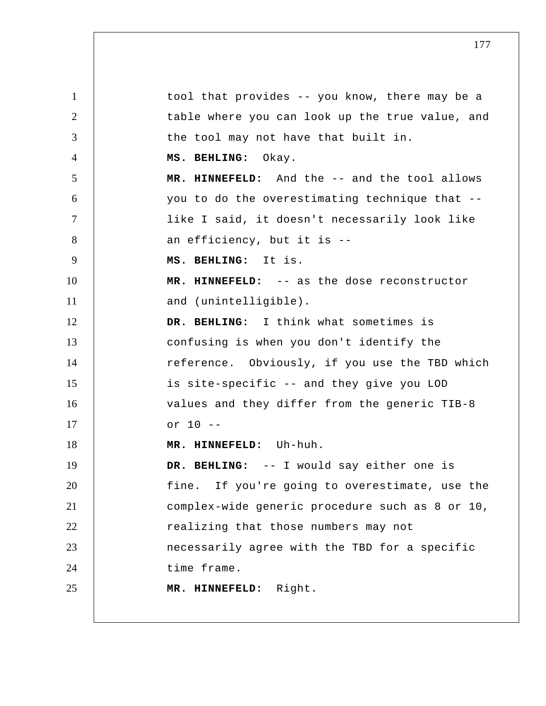1 2 3 4 5 6 7 8 9 10 11 12 13 14 15 16 17 18 19 20 21 22 23 24 25 tool that provides -- you know, there may be a table where you can look up the true value, and the tool may not have that built in.  **MS. BEHLING:** Okay.  **MR. HINNEFELD:** And the -- and the tool allows you to do the overestimating technique that - like I said, it doesn't necessarily look like an efficiency, but it is --  **MS. BEHLING:** It is.  **MR. HINNEFELD:** -- as the dose reconstructor and (unintelligible).  **DR. BEHLING:** I think what sometimes is confusing is when you don't identify the reference. Obviously, if you use the TBD which is site-specific -- and they give you LOD values and they differ from the generic TIB-8 or 10 -- **MR. HINNEFELD:** Uh-huh.  **DR. BEHLING:** -- I would say either one is fine. If you're going to overestimate, use the complex-wide generic procedure such as 8 or 10, realizing that those numbers may not necessarily agree with the TBD for a specific time frame.  **MR. HINNEFELD:** Right.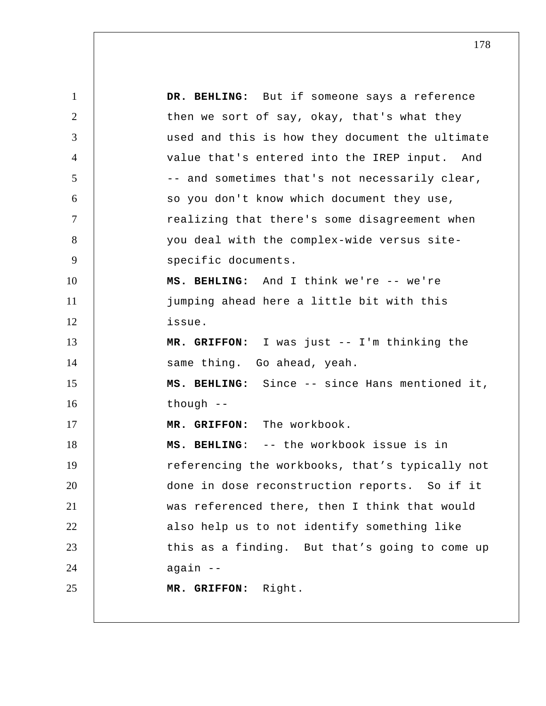1 2 3 4 5 6 7 8 9 10 11 12 13 14 15 16 17 18 19 20 21 22 23 24 25  **DR. BEHLING:** But if someone says a reference then we sort of say, okay, that's what they used and this is how they document the ultimate value that's entered into the IREP input. And -- and sometimes that's not necessarily clear, so you don't know which document they use, realizing that there's some disagreement when you deal with the complex-wide versus site specific documents.  **MS. BEHLING:** And I think we're -- we're jumping ahead here a little bit with this issue.  **MR. GRIFFON:** I was just -- I'm thinking the same thing. Go ahead, yeah.  **MS. BEHLING:** Since -- since Hans mentioned it, though --  **MR. GRIFFON:** The workbook.  **MS. BEHLING**: -- the workbook issue is in referencing the workbooks, that's typically not done in dose reconstruction reports. So if it was referenced there, then I think that would also help us to not identify something like this as a finding. But that's going to come up again --  **MR. GRIFFON:** Right.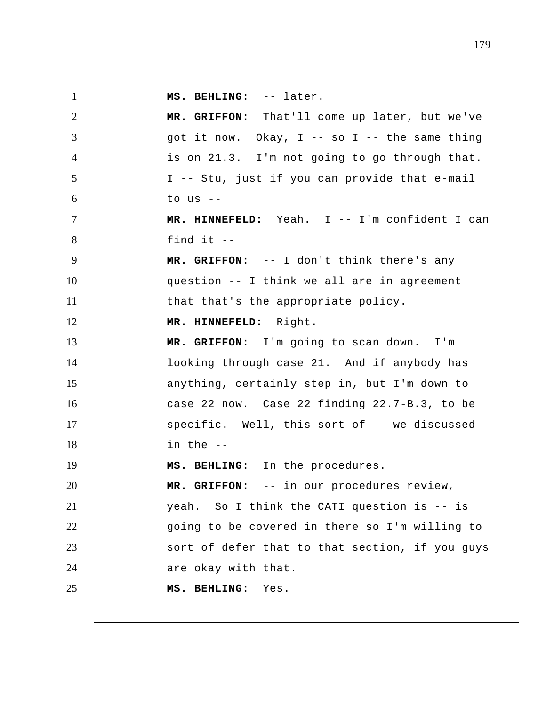1 2 3 4 5 6 7 8 9 10 11 12 13 14 15 16 17 18 19 20 21 22 23 24 25  **MS. BEHLING:** -- later.  **MR. GRIFFON:** That'll come up later, but we've got it now. Okay,  $I$  -- so  $I$  -- the same thing is on 21.3. I'm not going to go through that. I -- Stu, just if you can provide that e-mail to  $us$   $--$  **MR. HINNEFELD:** Yeah. I -- I'm confident I can find it -- **MR. GRIFFON:** -- I don't think there's any question -- I think we all are in agreement that that's the appropriate policy.  **MR. HINNEFELD:** Right.  **MR. GRIFFON:** I'm going to scan down. I'm looking through case 21. And if anybody has anything, certainly step in, but I'm down to case 22 now. Case 22 finding 22.7-B.3, to be specific. Well, this sort of -- we discussed in the -- **MS. BEHLING:** In the procedures.  **MR. GRIFFON:** -- in our procedures review, yeah. So I think the CATI question is -- is going to be covered in there so I'm willing to sort of defer that to that section, if you guys are okay with that.  **MS. BEHLING:** Yes.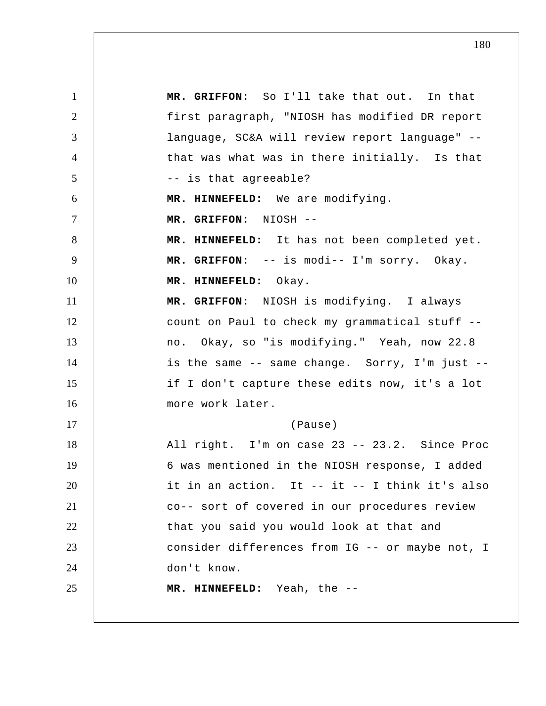1 2 3 4 5 6 7 8 9 10 11 12 13 14 15 16 17 18 19 20 21 22 23 24 25  **MR. GRIFFON:** So I'll take that out. In that first paragraph, "NIOSH has modified DR report language, SC&A will review report language" - that was what was in there initially. Is that -- is that agreeable?  **MR. HINNEFELD:** We are modifying.  **MR. GRIFFON:** NIOSH -- **MR. HINNEFELD:** It has not been completed yet.  **MR. GRIFFON:** -- is modi-- I'm sorry. Okay.  **MR. HINNEFELD:** Okay.  **MR. GRIFFON:** NIOSH is modifying. I always count on Paul to check my grammatical stuff - no. Okay, so "is modifying." Yeah, now 22.8 is the same -- same change. Sorry, I'm just - if I don't capture these edits now, it's a lot more work later. (Pause) All right. I'm on case 23 -- 23.2. Since Proc 6 was mentioned in the NIOSH response, I added it in an action. It -- it -- I think it's also co-- sort of covered in our procedures review that you said you would look at that and consider differences from IG -- or maybe not, I don't know.  **MR. HINNEFELD:** Yeah, the --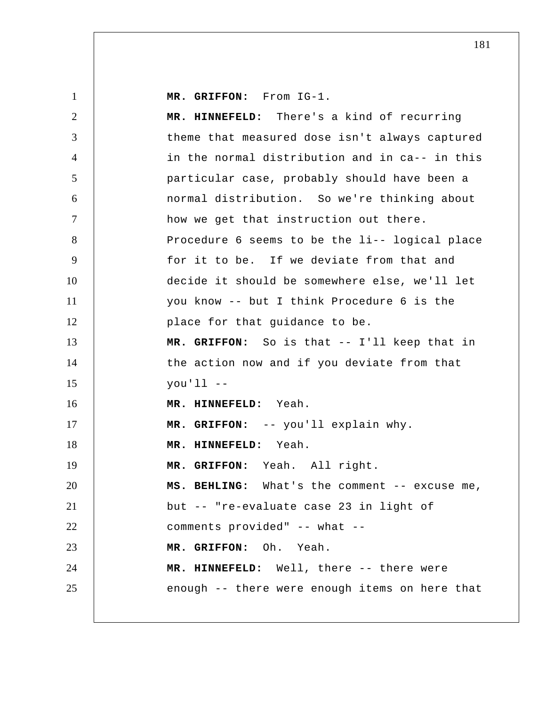1 2 3 4 5 6 7 8 9 10 11 12 13 14 15 16 17 18 19 20 21 22 23 24 25  **MR. GRIFFON:** From IG-1.  **MR. HINNEFELD:** There's a kind of recurring theme that measured dose isn't always captured in the normal distribution and in ca-- in this particular case, probably should have been a normal distribution. So we're thinking about how we get that instruction out there. Procedure 6 seems to be the li-- logical place for it to be. If we deviate from that and decide it should be somewhere else, we'll let you know -- but I think Procedure 6 is the place for that guidance to be.  **MR. GRIFFON:** So is that -- I'll keep that in the action now and if you deviate from that you'll --  **MR. HINNEFELD:** Yeah.  **MR. GRIFFON:** -- you'll explain why.  **MR. HINNEFELD:** Yeah.  **MR. GRIFFON:** Yeah. All right.  **MS. BEHLING:** What's the comment -- excuse me, but -- "re-evaluate case 23 in light of comments provided" -- what --  **MR. GRIFFON:** Oh. Yeah.  **MR. HINNEFELD:** Well, there -- there were enough -- there were enough items on here that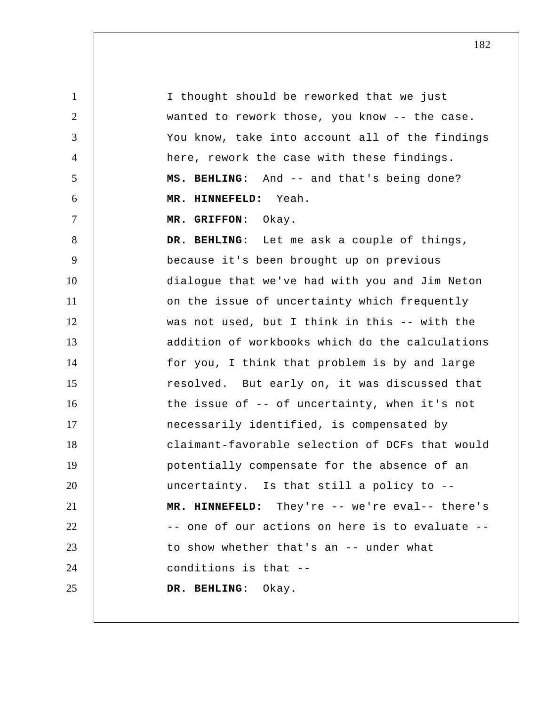1 2 3 4 5 6 7 8 9 10 11 12 13 14 15 16 17 18 19 20 21 22 23 24 25 I thought should be reworked that we just wanted to rework those, you know -- the case. You know, take into account all of the findings here, rework the case with these findings.  **MS. BEHLING:** And -- and that's being done?  **MR. HINNEFELD:** Yeah.  **MR. GRIFFON:** Okay.  **DR. BEHLING:** Let me ask a couple of things, because it's been brought up on previous dialogue that we've had with you and Jim Neton on the issue of uncertainty which frequently was not used, but I think in this -- with the addition of workbooks which do the calculations for you, I think that problem is by and large resolved. But early on, it was discussed that the issue of -- of uncertainty, when it's not necessarily identified, is compensated by claimant-favorable selection of DCFs that would potentially compensate for the absence of an uncertainty. Is that still a policy to --  **MR. HINNEFELD:** They're -- we're eval-- there's -- one of our actions on here is to evaluate - to show whether that's an -- under what conditions is that -- **DR. BEHLING:** Okay.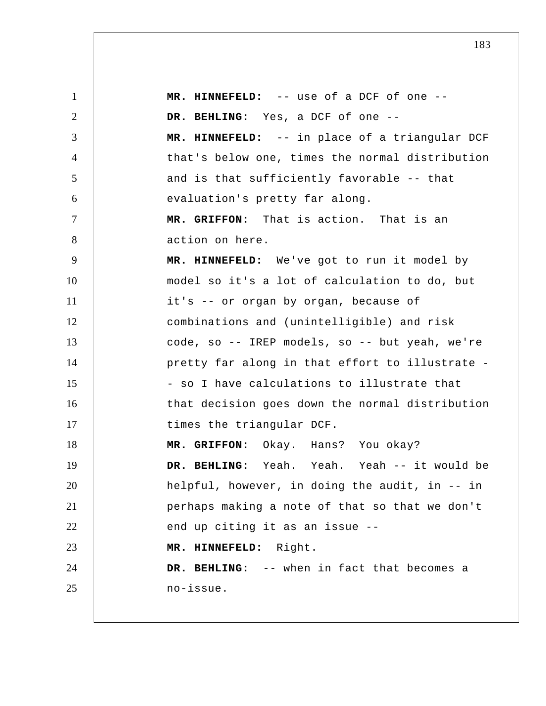1 2 3 4 5 6 7 8 9 10 11 12 13 14 15 16 17 18 19 20 21 22 23 24 25  **MR. HINNEFELD:** -- use of a DCF of one --  **DR. BEHLING:** Yes, a DCF of one -- **MR. HINNEFELD:** -- in place of a triangular DCF that's below one, times the normal distribution and is that sufficiently favorable -- that evaluation's pretty far along.  **MR. GRIFFON:** That is action. That is an action on here.  **MR. HINNEFELD:** We've got to run it model by model so it's a lot of calculation to do, but it's -- or organ by organ, because of combinations and (unintelligible) and risk code, so -- IREP models, so -- but yeah, we're pretty far along in that effort to illustrate - so I have calculations to illustrate that that decision goes down the normal distribution times the triangular DCF.  **MR. GRIFFON:** Okay. Hans? You okay?  **DR. BEHLING:** Yeah. Yeah. Yeah -- it would be helpful, however, in doing the audit, in -- in perhaps making a note of that so that we don't end up citing it as an issue --  **MR. HINNEFELD:** Right.  **DR. BEHLING:** -- when in fact that becomes a no-issue.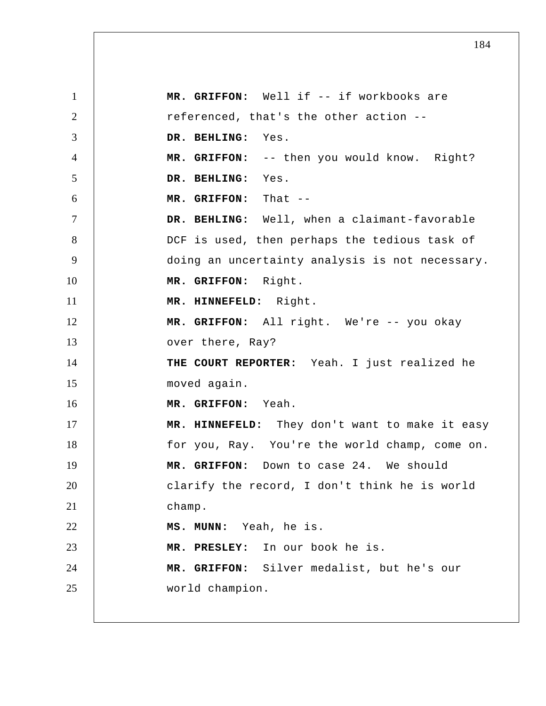1 2 3 4 5 6 7 8 9 10 11 12 13 14 15 16 17 18 19 20 21 22 23 24 25  **MR. GRIFFON:** Well if -- if workbooks are referenced, that's the other action --  **DR. BEHLING:** Yes.  **MR. GRIFFON:** -- then you would know. Right?  **DR. BEHLING:** Yes.  **MR. GRIFFON:** That --  **DR. BEHLING:** Well, when a claimant-favorable DCF is used, then perhaps the tedious task of doing an uncertainty analysis is not necessary.  **MR. GRIFFON:** Right.  **MR. HINNEFELD:** Right.  **MR. GRIFFON:** All right. We're -- you okay over there, Ray? **THE COURT REPORTER:** Yeah. I just realized he moved again.  **MR. GRIFFON:** Yeah.  **MR. HINNEFELD:** They don't want to make it easy for you, Ray. You're the world champ, come on.  **MR. GRIFFON:** Down to case 24. We should clarify the record, I don't think he is world champ.  **MS. MUNN:** Yeah, he is.  **MR. PRESLEY:** In our book he is.  **MR. GRIFFON:** Silver medalist, but he's our world champion.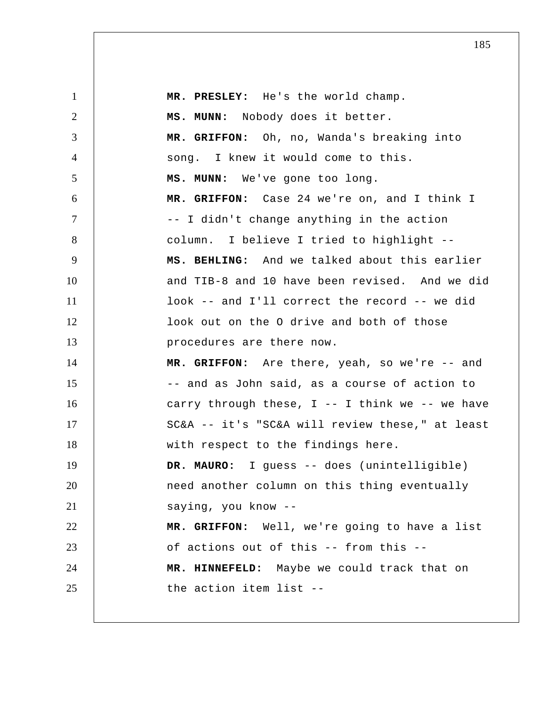1 2 3 4 5 6 7 8 9 10 11 12 13 14 15 16 17 18 19 20 21 22 23 24 25  **MR. PRESLEY:** He's the world champ.  **MS. MUNN:** Nobody does it better.  **MR. GRIFFON:** Oh, no, Wanda's breaking into song. I knew it would come to this.  **MS. MUNN:** We've gone too long.  **MR. GRIFFON:** Case 24 we're on, and I think I -- I didn't change anything in the action column. I believe I tried to highlight --  **MS. BEHLING:** And we talked about this earlier and TIB-8 and 10 have been revised. And we did look -- and I'll correct the record -- we did look out on the O drive and both of those procedures are there now.  **MR. GRIFFON:** Are there, yeah, so we're -- and -- and as John said, as a course of action to carry through these,  $I$  -- I think we -- we have SC&A -- it's "SC&A will review these," at least with respect to the findings here.  **DR. MAURO:** I guess -- does (unintelligible) need another column on this thing eventually saying, you know -- **MR. GRIFFON:** Well, we're going to have a list of actions out of this -- from this --  **MR. HINNEFELD:** Maybe we could track that on the action item list --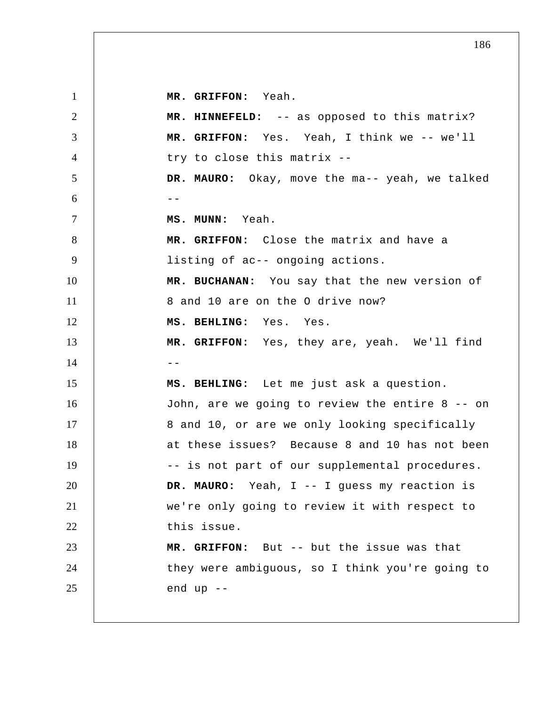**MR. GRIFFON:** Yeah.

1 2 3 4 5  $6$  --7 8 9 10 11 12 13 14 15 16 17 18 19 20 21 22 23 24 25  **MR. HINNEFELD:** -- as opposed to this matrix?  **MR. GRIFFON:** Yes. Yeah, I think we -- we'll try to close this matrix --**DR. MAURO:** Okay, move the ma-- yeah, we talked  **MS. MUNN:** Yeah.  **MR. GRIFFON:** Close the matrix and have a listing of ac-- ongoing actions.  **MR. BUCHANAN:** You say that the new version of 8 and 10 are on the O drive now?  **MS. BEHLING:** Yes. Yes.  **MR. GRIFFON:** Yes, they are, yeah. We'll find  $-$  **MS. BEHLING:** Let me just ask a question. John, are we going to review the entire 8 -- on 8 and 10, or are we only looking specifically at these issues? Because 8 and 10 has not been -- is not part of our supplemental procedures.  **DR. MAURO:** Yeah, I -- I guess my reaction is we're only going to review it with respect to this issue.  **MR. GRIFFON:** But -- but the issue was that they were ambiguous, so I think you're going to end up --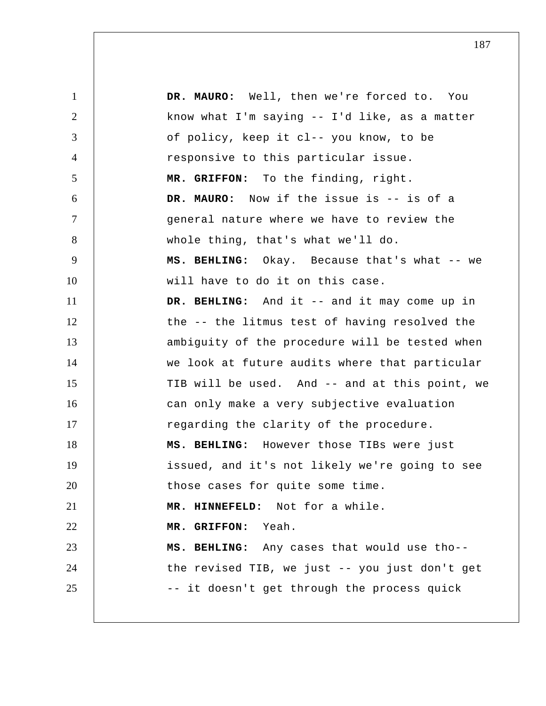1 2 3 4 5 6 7 8 9 10 11 12 13 14 15 16 17 18 19 20 21 22 23 24 25  **DR. MAURO:** Well, then we're forced to. You know what I'm saying -- I'd like, as a matter of policy, keep it cl-- you know, to be responsive to this particular issue.  **MR. GRIFFON:** To the finding, right.  **DR. MAURO:** Now if the issue is -- is of a general nature where we have to review the whole thing, that's what we'll do.  **MS. BEHLING:** Okay. Because that's what -- we will have to do it on this case.  **DR. BEHLING:** And it -- and it may come up in the -- the litmus test of having resolved the ambiguity of the procedure will be tested when we look at future audits where that particular TIB will be used. And -- and at this point, we can only make a very subjective evaluation regarding the clarity of the procedure.  **MS. BEHLING:** However those TIBs were just issued, and it's not likely we're going to see those cases for quite some time.  **MR. HINNEFELD:** Not for a while.  **MR. GRIFFON:** Yeah.  **MS. BEHLING:** Any cases that would use tho- the revised TIB, we just -- you just don't get -- it doesn't get through the process quick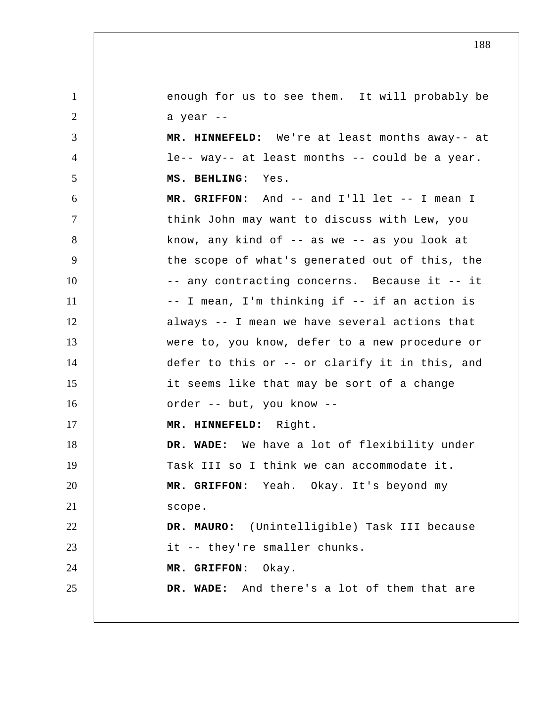1 2 3 4 5 6 7 8 9 10 11 12 13 14 15 16 17 18 19 20 21 22 23 24 25 enough for us to see them. It will probably be a year -- **MR. HINNEFELD:** We're at least months away-- at le-- way-- at least months -- could be a year.  **MS. BEHLING:** Yes.  **MR. GRIFFON:** And -- and I'll let -- I mean I think John may want to discuss with Lew, you know, any kind of -- as we -- as you look at the scope of what's generated out of this, the -- any contracting concerns. Because it -- it -- I mean, I'm thinking if -- if an action is always -- I mean we have several actions that were to, you know, defer to a new procedure or defer to this or -- or clarify it in this, and it seems like that may be sort of a change order -- but, you know -- **MR. HINNEFELD:** Right.  **DR. WADE:** We have a lot of flexibility under Task III so I think we can accommodate it.  **MR. GRIFFON:** Yeah. Okay. It's beyond my scope.  **DR. MAURO:** (Unintelligible) Task III because it -- they're smaller chunks.  **MR. GRIFFON:** Okay.  **DR. WADE:** And there's a lot of them that are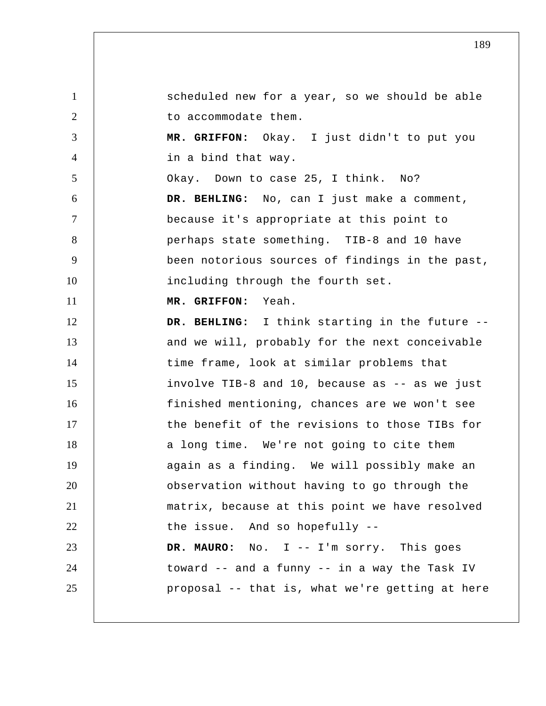1 2 3 4 5 6 7 8 9 10 11 12 13 14 15 16 17 18 19 20 21 22 23 24 25 scheduled new for a year, so we should be able to accommodate them.  **MR. GRIFFON:** Okay. I just didn't to put you in a bind that way. Okay. Down to case 25, I think. No?  **DR. BEHLING:** No, can I just make a comment, because it's appropriate at this point to perhaps state something. TIB-8 and 10 have been notorious sources of findings in the past, including through the fourth set.  **MR. GRIFFON:** Yeah.  **DR. BEHLING:** I think starting in the future - and we will, probably for the next conceivable time frame, look at similar problems that involve TIB-8 and 10, because as -- as we just finished mentioning, chances are we won't see the benefit of the revisions to those TIBs for a long time. We're not going to cite them again as a finding. We will possibly make an observation without having to go through the matrix, because at this point we have resolved the issue. And so hopefully --  **DR. MAURO:** No. I -- I'm sorry. This goes toward -- and a funny -- in a way the Task IV proposal -- that is, what we're getting at here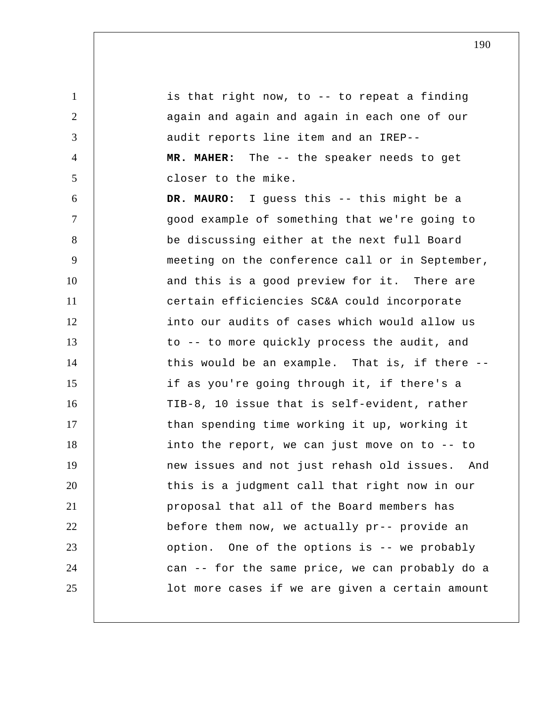1 2 3 4 5 6 7 8 9 10 11 12 13 14 15 16 17 18 19 20 21 22 23 24 25 is that right now, to -- to repeat a finding again and again and again in each one of our audit reports line item and an IREP--  **MR. MAHER:** The -- the speaker needs to get closer to the mike.  **DR. MAURO:** I guess this -- this might be a good example of something that we're going to be discussing either at the next full Board meeting on the conference call or in September, and this is a good preview for it. There are certain efficiencies SC&A could incorporate into our audits of cases which would allow us to -- to more quickly process the audit, and this would be an example. That is, if there - if as you're going through it, if there's a TIB-8, 10 issue that is self-evident, rather than spending time working it up, working it into the report, we can just move on to -- to new issues and not just rehash old issues. And this is a judgment call that right now in our proposal that all of the Board members has before them now, we actually pr-- provide an option. One of the options is -- we probably can -- for the same price, we can probably do a lot more cases if we are given a certain amount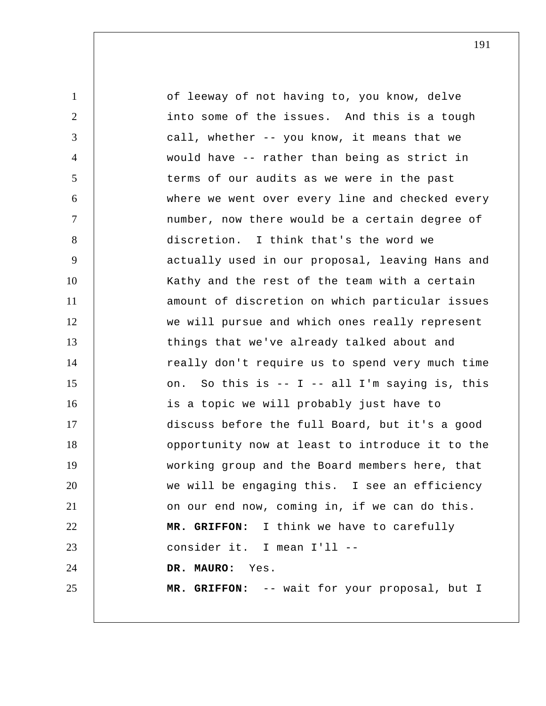| $\mathbf{1}$    | of leeway of not having to, you know, delve     |
|-----------------|-------------------------------------------------|
| $\overline{2}$  | into some of the issues. And this is a tough    |
| 3               | call, whether -- you know, it means that we     |
| $\overline{4}$  | would have -- rather than being as strict in    |
| $5\overline{)}$ | terms of our audits as we were in the past      |
| 6               | where we went over every line and checked every |
| $\tau$          | number, now there would be a certain degree of  |
| 8               | discretion. I think that's the word we          |
| 9               | actually used in our proposal, leaving Hans and |
| 10              | Kathy and the rest of the team with a certain   |
| 11              | amount of discretion on which particular issues |
| 12              | we will pursue and which ones really represent  |
| 13              | things that we've already talked about and      |
| 14              | really don't require us to spend very much time |
| 15              | on. So this is -- I -- all I'm saying is, this  |
| 16              | is a topic we will probably just have to        |
| 17              | discuss before the full Board, but it's a good  |
| 18              | opportunity now at least to introduce it to the |
| 19              | working group and the Board members here, that  |
| 20              | we will be engaging this. I see an efficiency   |
| 21              | on our end now, coming in, if we can do this.   |
| 22              | MR. GRIFFON: I think we have to carefully       |
| 23              | consider it. I mean I'll --                     |
| 24              | DR. MAURO: Yes.                                 |
| 25              | MR. GRIFFON: -- wait for your proposal, but I   |
|                 |                                                 |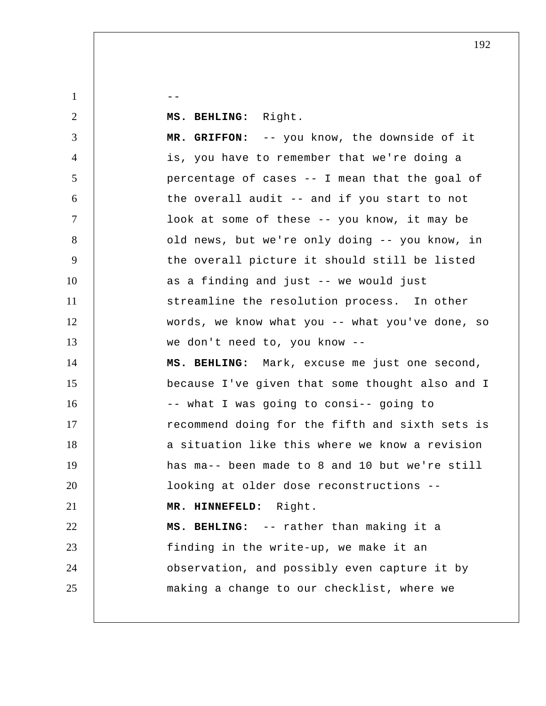$1 \quad \vert \quad \vert \quad \vert \quad \vert \quad \vert \quad \vert$ 

2

 **MS. BEHLING:** Right.

3 4 5 6 7 8 9 10 11 12 13 14 15 16 17 18 19 20 21 22 23 24 25  **MR. GRIFFON:** -- you know, the downside of it is, you have to remember that we're doing a percentage of cases -- I mean that the goal of the overall audit -- and if you start to not look at some of these -- you know, it may be old news, but we're only doing -- you know, in the overall picture it should still be listed as a finding and just -- we would just streamline the resolution process. In other words, we know what you -- what you've done, so we don't need to, you know --  **MS. BEHLING:** Mark, excuse me just one second, because I've given that some thought also and I -- what I was going to consi-- going to recommend doing for the fifth and sixth sets is a situation like this where we know a revision has ma-- been made to 8 and 10 but we're still looking at older dose reconstructions --  **MR. HINNEFELD:** Right.  **MS. BEHLING:** -- rather than making it a finding in the write-up, we make it an observation, and possibly even capture it by making a change to our checklist, where we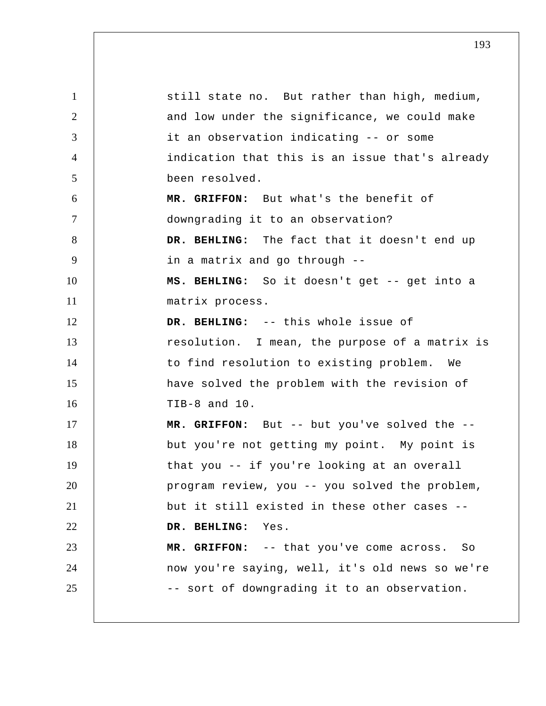| $\mathbf{1}$   | still state no. But rather than high, medium,   |
|----------------|-------------------------------------------------|
| 2              | and low under the significance, we could make   |
| 3              | it an observation indicating -- or some         |
| $\overline{4}$ | indication that this is an issue that's already |
| 5              | been resolved.                                  |
| 6              | MR. GRIFFON: But what's the benefit of          |
| $\tau$         | downgrading it to an observation?               |
| 8              | DR. BEHLING: The fact that it doesn't end up    |
| 9              | in a matrix and go through --                   |
| 10             | MS. BEHLING: So it doesn't get -- get into a    |
| 11             | matrix process.                                 |
| 12             | DR. BEHLING: -- this whole issue of             |
| 13             | resolution. I mean, the purpose of a matrix is  |
| 14             | to find resolution to existing problem. We      |
| 15             | have solved the problem with the revision of    |
| 16             | TIB-8 and 10.                                   |
| 17             | MR. GRIFFON: But -- but you've solved the --    |
| 18             | but you're not getting my point. My point is    |
| 19             | that you -- if you're looking at an overall     |
| 20             | program review, you -- you solved the problem,  |
| 21             | but it still existed in these other cases --    |
| 22             | DR. BEHLING: Yes.                               |
| 23             | MR. GRIFFON: -- that you've come across. So     |
| 24             | now you're saying, well, it's old news so we're |
| 25             | -- sort of downgrading it to an observation.    |
|                |                                                 |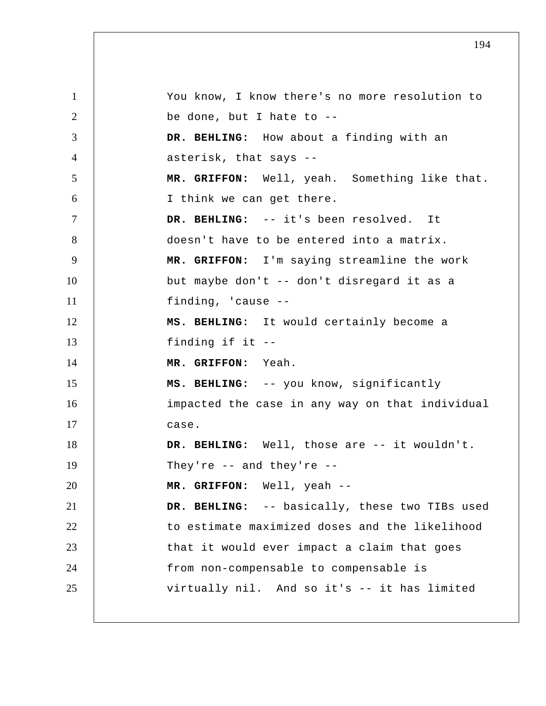1 2 3 4 5 6 7 8 9 10 11 12 13 14 15 16 17 18 19 20 21 22 23 24 25 You know, I know there's no more resolution to be done, but I hate to -- **DR. BEHLING:** How about a finding with an asterisk, that says -- **MR. GRIFFON:** Well, yeah. Something like that. I think we can get there.  **DR. BEHLING:** -- it's been resolved. It doesn't have to be entered into a matrix.  **MR. GRIFFON:** I'm saying streamline the work but maybe don't -- don't disregard it as a finding, 'cause -- **MS. BEHLING:** It would certainly become a finding if it -- **MR. GRIFFON:** Yeah.  **MS. BEHLING:** -- you know, significantly impacted the case in any way on that individual case.  **DR. BEHLING:** Well, those are -- it wouldn't. They're  $--$  and they're  $--$  **MR. GRIFFON:** Well, yeah -- DR. BEHLING: -- basically, these two TIBs used to estimate maximized doses and the likelihood that it would ever impact a claim that goes from non-compensable to compensable is virtually nil. And so it's -- it has limited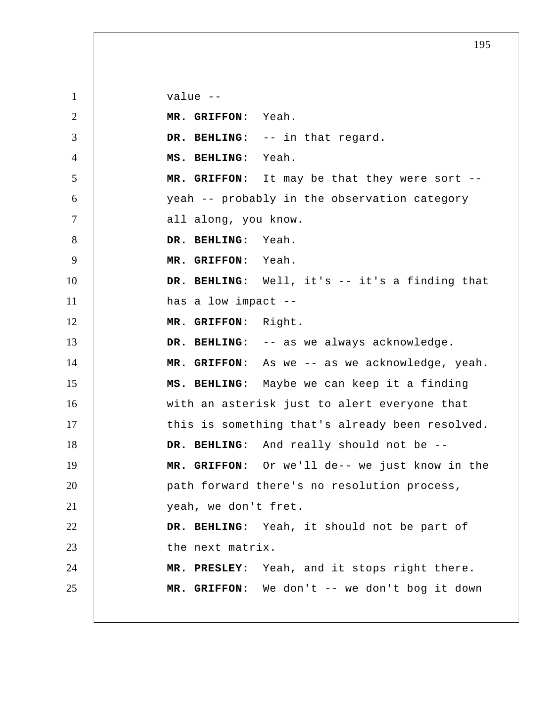1 2 3 4 5 6 7 8 9 10 11 12 13 14 15 16 17 18 19 20 21 22 23 24 25 value --  **MR. GRIFFON:** Yeah.  **DR. BEHLING:** -- in that regard.  **MS. BEHLING:** Yeah.  **MR. GRIFFON:** It may be that they were sort - yeah -- probably in the observation category all along, you know.  **DR. BEHLING:** Yeah.  **MR. GRIFFON:** Yeah.  **DR. BEHLING:** Well, it's -- it's a finding that has a low impact --  **MR. GRIFFON:** Right. DR. BEHLING: -- as we always acknowledge.  **MR. GRIFFON:** As we -- as we acknowledge, yeah.  **MS. BEHLING:** Maybe we can keep it a finding with an asterisk just to alert everyone that this is something that's already been resolved.  **DR. BEHLING:** And really should not be --  **MR. GRIFFON:** Or we'll de-- we just know in the path forward there's no resolution process, yeah, we don't fret.  **DR. BEHLING:** Yeah, it should not be part of the next matrix.  **MR. PRESLEY:** Yeah, and it stops right there.  **MR. GRIFFON:** We don't -- we don't bog it down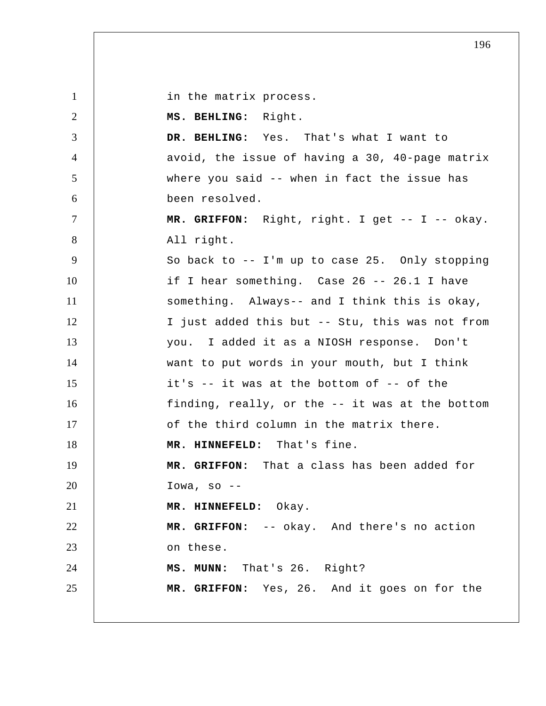in the matrix process.

1

2 3 4 5 6 7 8 9 10 11 12 13 14 15 16 17 18 19 20 21 22 23 24 25  **MS. BEHLING:** Right.  **DR. BEHLING:** Yes. That's what I want to avoid, the issue of having a 30, 40-page matrix where you said -- when in fact the issue has been resolved.  **MR. GRIFFON:** Right, right. I get -- I -- okay. All right. So back to -- I'm up to case 25. Only stopping if I hear something. Case 26 -- 26.1 I have something. Always-- and I think this is okay, I just added this but -- Stu, this was not from you. I added it as a NIOSH response. Don't want to put words in your mouth, but I think it's -- it was at the bottom of -- of the finding, really, or the -- it was at the bottom of the third column in the matrix there.  **MR. HINNEFELD:** That's fine.  **MR. GRIFFON:** That a class has been added for Iowa, so  $--$  **MR. HINNEFELD:** Okay.  **MR. GRIFFON:** -- okay. And there's no action on these.  **MS. MUNN:** That's 26. Right?  **MR. GRIFFON:** Yes, 26. And it goes on for the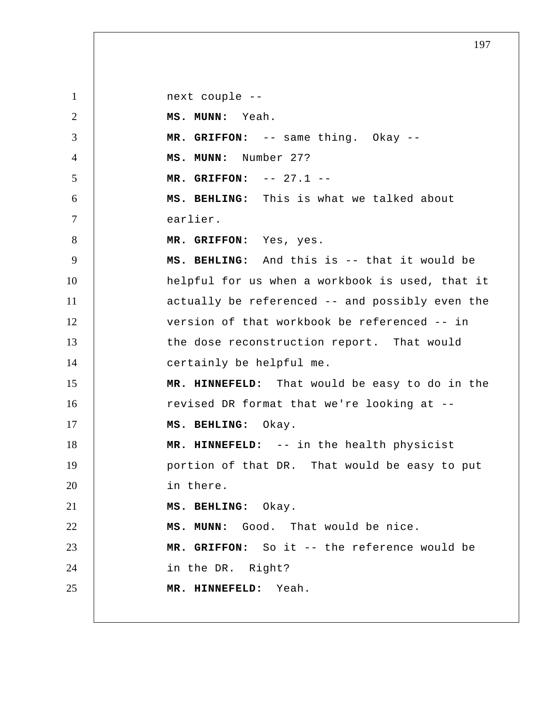1 2 3 4 5 6 7 8 9 10 11 12 13 14 15 16 17 18 19 20 21 22 23 24 25 next couple -- **MS. MUNN:** Yeah.  **MR. GRIFFON:** -- same thing. Okay -- **MS. MUNN:** Number 27?  **MR. GRIFFON:** -- 27.1 -- **MS. BEHLING:** This is what we talked about earlier.  **MR. GRIFFON:** Yes, yes.  **MS. BEHLING:** And this is -- that it would be helpful for us when a workbook is used, that it actually be referenced -- and possibly even the version of that workbook be referenced -- in the dose reconstruction report. That would certainly be helpful me.  **MR. HINNEFELD:** That would be easy to do in the revised DR format that we're looking at --  **MS. BEHLING:** Okay.  **MR. HINNEFELD:** -- in the health physicist portion of that DR. That would be easy to put in there.  **MS. BEHLING:** Okay.  **MS. MUNN:** Good. That would be nice.  **MR. GRIFFON:** So it -- the reference would be in the DR. Right?  **MR. HINNEFELD:** Yeah.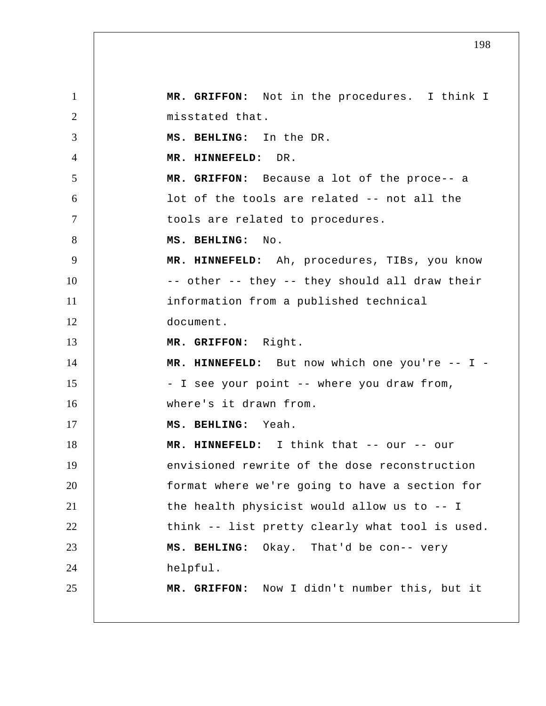1 2 3 4 5 6 7 8 9 10 11 12 13 14 15 16 17 18 19 20 21 22 23 24 25  **MR. GRIFFON:** Not in the procedures. I think I misstated that.  **MS. BEHLING:** In the DR.  **MR. HINNEFELD:** DR.  **MR. GRIFFON:** Because a lot of the proce-- a lot of the tools are related -- not all the tools are related to procedures.  **MS. BEHLING:** No.  **MR. HINNEFELD:** Ah, procedures, TIBs, you know -- other -- they -- they should all draw their information from a published technical document.  **MR. GRIFFON:** Right.  **MR. HINNEFELD:** But now which one you're -- I - I see your point -- where you draw from, where's it drawn from.  **MS. BEHLING:** Yeah.  **MR. HINNEFELD:** I think that -- our -- our envisioned rewrite of the dose reconstruction format where we're going to have a section for the health physicist would allow us to -- I think -- list pretty clearly what tool is used.  **MS. BEHLING:** Okay. That'd be con-- very helpful.  **MR. GRIFFON:** Now I didn't number this, but it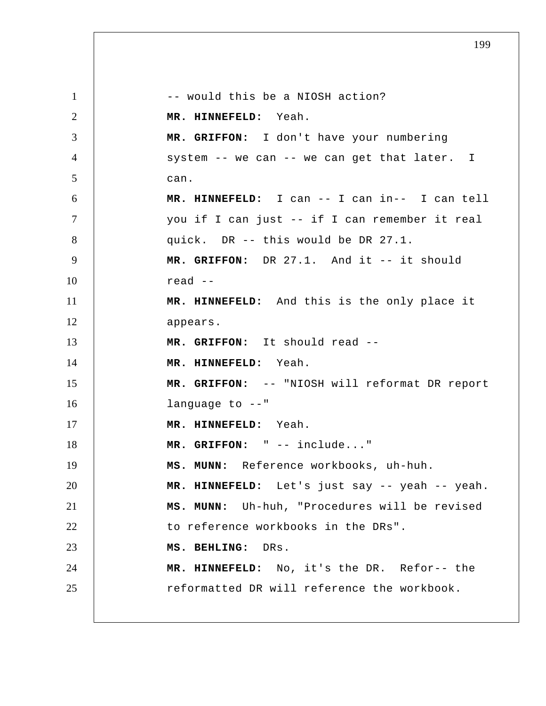1 2 3 4 5 6 7 8 9 10 11 12 13 14 15 16 17 18 19 20 21 22 23 24 25 -- would this be a NIOSH action?  **MR. HINNEFELD:** Yeah.  **MR. GRIFFON:** I don't have your numbering system -- we can -- we can get that later. I can.  **MR. HINNEFELD:** I can -- I can in-- I can tell you if I can just -- if I can remember it real quick. DR -- this would be DR 27.1.  **MR. GRIFFON:** DR 27.1. And it -- it should read -- **MR. HINNEFELD:** And this is the only place it appears.  **MR. GRIFFON:** It should read --  **MR. HINNEFELD:** Yeah.  **MR. GRIFFON:** -- "NIOSH will reformat DR report language to --"  **MR. HINNEFELD:** Yeah.  **MR. GRIFFON:** " -- include..."  **MS. MUNN:** Reference workbooks, uh-huh.  **MR. HINNEFELD:** Let's just say -- yeah -- yeah.  **MS. MUNN:** Uh-huh, "Procedures will be revised to reference workbooks in the DRs".  **MS. BEHLING:** DRs.  **MR. HINNEFELD:** No, it's the DR. Refor-- the reformatted DR will reference the workbook.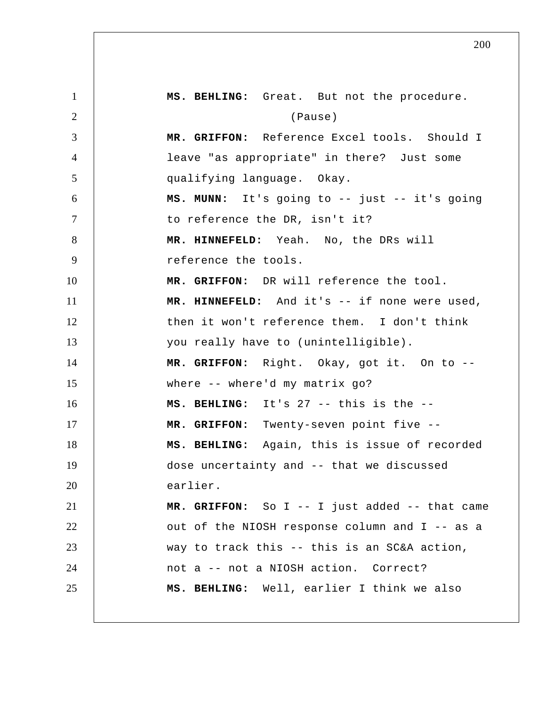1 2 3 4 5 6 7 8 9 10 11 12 13 14 15 16 17 18 19 20 21 22 23 24 25  **MS. BEHLING:** Great. But not the procedure. (Pause)  **MR. GRIFFON:** Reference Excel tools. Should I leave "as appropriate" in there? Just some qualifying language. Okay.  **MS. MUNN:** It's going to -- just -- it's going to reference the DR, isn't it?  **MR. HINNEFELD:** Yeah. No, the DRs will reference the tools.  **MR. GRIFFON:** DR will reference the tool.  **MR. HINNEFELD:** And it's -- if none were used, then it won't reference them. I don't think you really have to (unintelligible).  **MR. GRIFFON:** Right. Okay, got it. On to -where -- where'd my matrix go?  **MS. BEHLING:** It's 27 -- this is the --  **MR. GRIFFON:** Twenty-seven point five --  **MS. BEHLING:** Again, this is issue of recorded dose uncertainty and -- that we discussed earlier.  **MR. GRIFFON:** So I -- I just added -- that came out of the NIOSH response column and I -- as a way to track this -- this is an SC&A action, not a -- not a NIOSH action. Correct?  **MS. BEHLING:** Well, earlier I think we also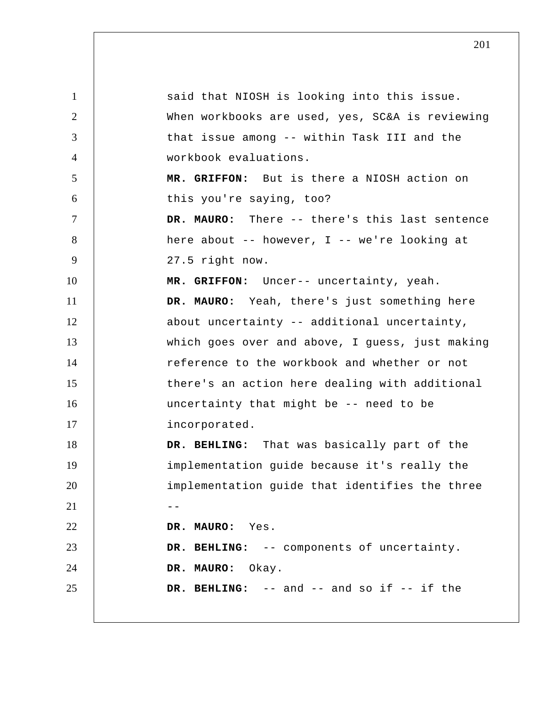1 2 3 4 5 6 7 8 9 10 11 12 13 14 15 16 17 18 19 20  $21$   $-$ 22 23 24 25 said that NIOSH is looking into this issue. When workbooks are used, yes, SC&A is reviewing that issue among -- within Task III and the workbook evaluations.  **MR. GRIFFON:** But is there a NIOSH action on this you're saying, too?  **DR. MAURO:** There -- there's this last sentence here about -- however, I -- we're looking at 27.5 right now.  **MR. GRIFFON:** Uncer-- uncertainty, yeah.  **DR. MAURO:** Yeah, there's just something here about uncertainty -- additional uncertainty, which goes over and above, I guess, just making reference to the workbook and whether or not there's an action here dealing with additional uncertainty that might be -- need to be incorporated.  **DR. BEHLING:** That was basically part of the implementation guide because it's really the implementation guide that identifies the three  **DR. MAURO:** Yes.  **DR. BEHLING:** -- components of uncertainty.  **DR. MAURO:** Okay.  **DR. BEHLING:** -- and -- and so if -- if the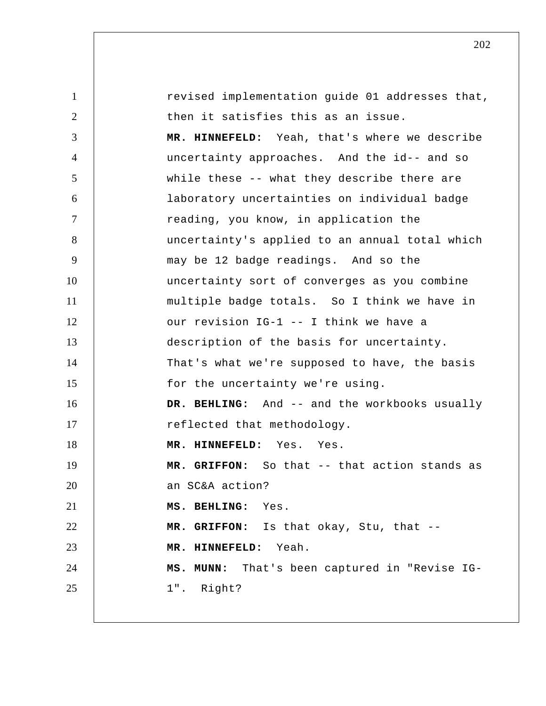| $\mathbf{1}$   | revised implementation guide 01 addresses that, |
|----------------|-------------------------------------------------|
| $\overline{2}$ | then it satisfies this as an issue.             |
| 3              | MR. HINNEFELD: Yeah, that's where we describe   |
| $\overline{4}$ | uncertainty approaches. And the id-- and so     |
| 5              | while these -- what they describe there are     |
| 6              | laboratory uncertainties on individual badge    |
| $\tau$         | reading, you know, in application the           |
| 8              | uncertainty's applied to an annual total which  |
| 9              | may be 12 badge readings. And so the            |
| 10             | uncertainty sort of converges as you combine    |
| 11             | multiple badge totals. So I think we have in    |
| 12             | our revision IG-1 -- I think we have a          |
| 13             | description of the basis for uncertainty.       |
| 14             | That's what we're supposed to have, the basis   |
| 15             | for the uncertainty we're using.                |
| 16             | DR. BEHLING: And -- and the workbooks usually   |
| 17             | reflected that methodology.                     |
| 18             | MR. HINNEFELD: Yes. Yes.                        |
| 19             | MR. GRIFFON: So that -- that action stands as   |
| 20             | an SC&A action?                                 |
| 21             | MS. BEHLING: Yes.                               |
| 22             | MR. GRIFFON: Is that okay, Stu, that --         |
| 23             | MR. HINNEFELD: Yeah.                            |
| 24             | MS. MUNN: That's been captured in "Revise IG-   |
| 25             | 1". Right?                                      |
|                |                                                 |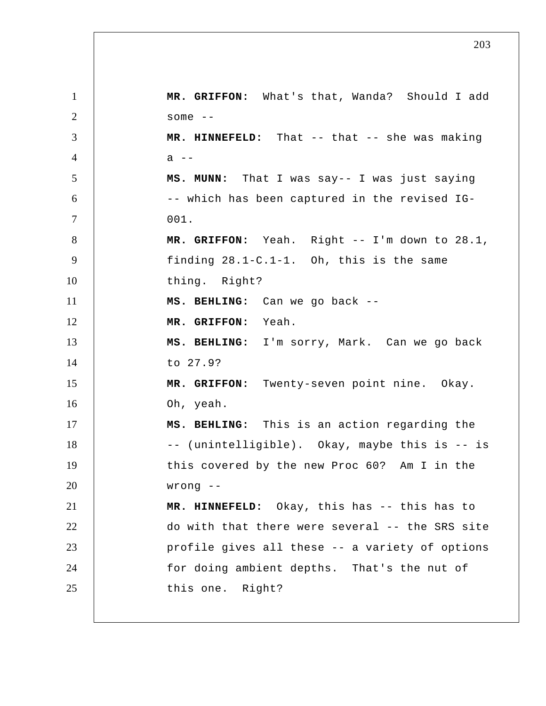1 2 3 4 5 6 7 8 9 10 11 12 13 14 15 16 17 18 19 20 21 22 23 24 25  **MR. GRIFFON:** What's that, Wanda? Should I add some  $--$  **MR. HINNEFELD:** That -- that -- she was making  $a$  -- **MS. MUNN:** That I was say-- I was just saying -- which has been captured in the revised IG-001.  **MR. GRIFFON:** Yeah. Right -- I'm down to 28.1, finding 28.1-C.1-1. Oh, this is the same thing. Right?  **MS. BEHLING:** Can we go back --  **MR. GRIFFON:** Yeah.  **MS. BEHLING:** I'm sorry, Mark. Can we go back to 27.9?  **MR. GRIFFON:** Twenty-seven point nine. Okay. Oh, yeah.  **MS. BEHLING:** This is an action regarding the -- (unintelligible). Okay, maybe this is -- is this covered by the new Proc 60? Am I in the wrong --  **MR. HINNEFELD:** Okay, this has -- this has to do with that there were several -- the SRS site profile gives all these -- a variety of options for doing ambient depths. That's the nut of this one. Right?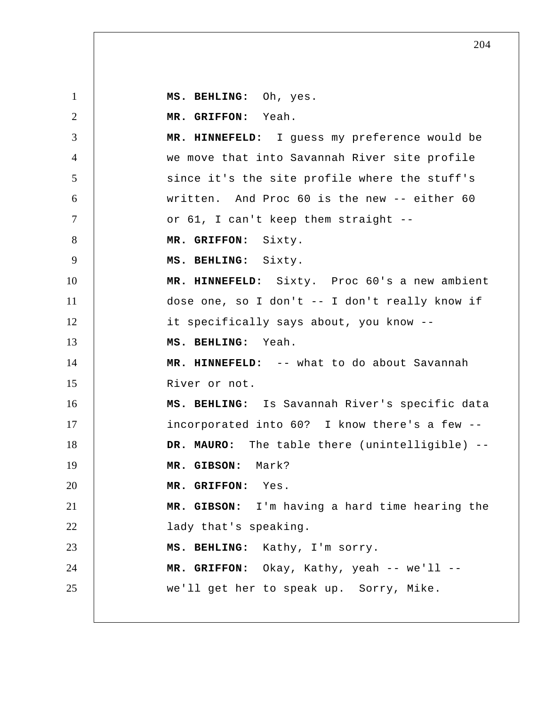1 2 3 4 5 6 7 8 9 10 11 12 13 14 15 16 17 18 19 20 21 22 23 24 25  **MS. BEHLING:** Oh, yes.  **MR. GRIFFON:** Yeah.  **MR. HINNEFELD:** I guess my preference would be we move that into Savannah River site profile since it's the site profile where the stuff's written. And Proc 60 is the new -- either 60 or 61, I can't keep them straight --  **MR. GRIFFON:** Sixty.  **MS. BEHLING:** Sixty.  **MR. HINNEFELD:** Sixty. Proc 60's a new ambient dose one, so I don't -- I don't really know if it specifically says about, you know --  **MS. BEHLING:** Yeah.  **MR. HINNEFELD:** -- what to do about Savannah River or not.  **MS. BEHLING:** Is Savannah River's specific data incorporated into 60? I know there's a few -- **DR. MAURO:** The table there (unintelligible) --  **MR. GIBSON:** Mark?  **MR. GRIFFON:** Yes.  **MR. GIBSON:** I'm having a hard time hearing the lady that's speaking.  **MS. BEHLING:** Kathy, I'm sorry.  **MR. GRIFFON:** Okay, Kathy, yeah -- we'll - we'll get her to speak up. Sorry, Mike.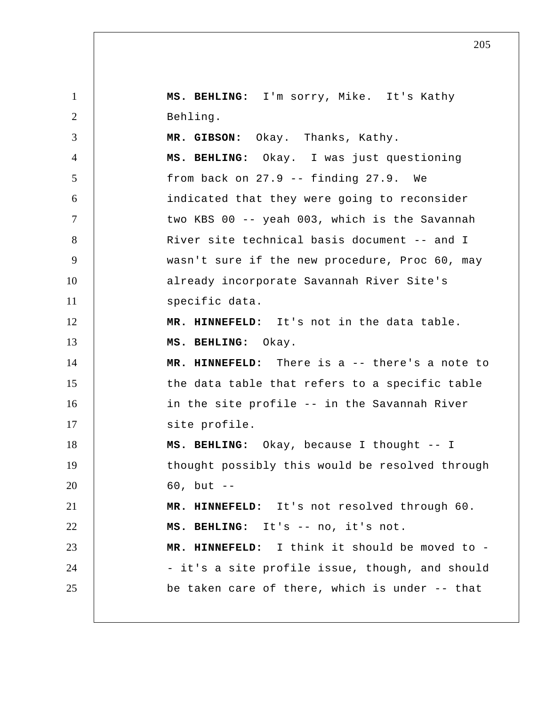1 2 3 4 5 6 7 8 9 10 11 12 13 14 15 16 17 18 19 20 21 22 23 24 25  **MS. BEHLING:** I'm sorry, Mike. It's Kathy Behling.  **MR. GIBSON:** Okay. Thanks, Kathy.  **MS. BEHLING:** Okay. I was just questioning from back on 27.9 -- finding 27.9. We indicated that they were going to reconsider two KBS 00 -- yeah 003, which is the Savannah River site technical basis document -- and I wasn't sure if the new procedure, Proc 60, may already incorporate Savannah River Site's specific data.  **MR. HINNEFELD:** It's not in the data table.  **MS. BEHLING:** Okay.  **MR. HINNEFELD:** There is a -- there's a note to the data table that refers to a specific table in the site profile -- in the Savannah River site profile.  **MS. BEHLING:** Okay, because I thought -- I thought possibly this would be resolved through  $60$ , but  $-$  **MR. HINNEFELD:** It's not resolved through 60.  **MS. BEHLING:** It's -- no, it's not.  **MR. HINNEFELD:** I think it should be moved to - it's a site profile issue, though, and should be taken care of there, which is under -- that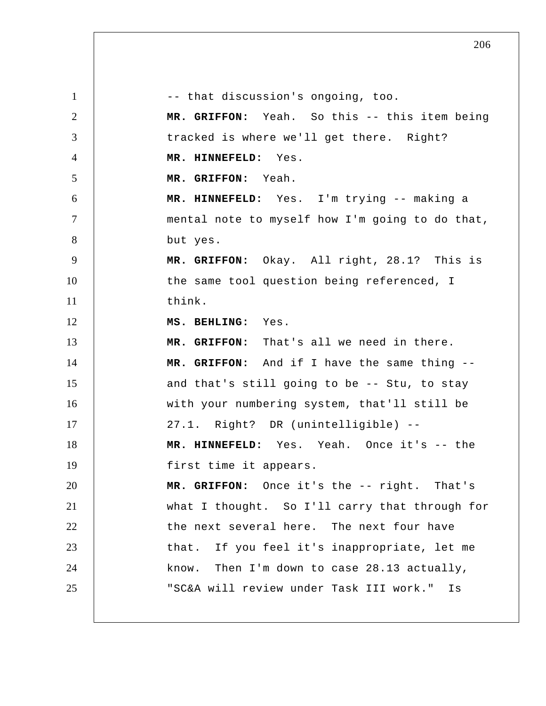1 2 3 4 5 6 7 8 9 10 11 12 13 14 15 16 17 18 19 20 21 22 23 24 25 -- that discussion's ongoing, too.  **MR. GRIFFON:** Yeah. So this -- this item being tracked is where we'll get there. Right?  **MR. HINNEFELD:** Yes.  **MR. GRIFFON:** Yeah.  **MR. HINNEFELD:** Yes. I'm trying -- making a mental note to myself how I'm going to do that, but yes.  **MR. GRIFFON:** Okay. All right, 28.1? This is the same tool question being referenced, I think.  **MS. BEHLING:** Yes.  **MR. GRIFFON:** That's all we need in there.  **MR. GRIFFON:** And if I have the same thing - and that's still going to be -- Stu, to stay with your numbering system, that'll still be 27.1. Right? DR (unintelligible) --  **MR. HINNEFELD:** Yes. Yeah. Once it's -- the first time it appears.  **MR. GRIFFON:** Once it's the -- right. That's what I thought. So I'll carry that through for the next several here. The next four have that. If you feel it's inappropriate, let me know. Then I'm down to case 28.13 actually, "SC&A will review under Task III work." Is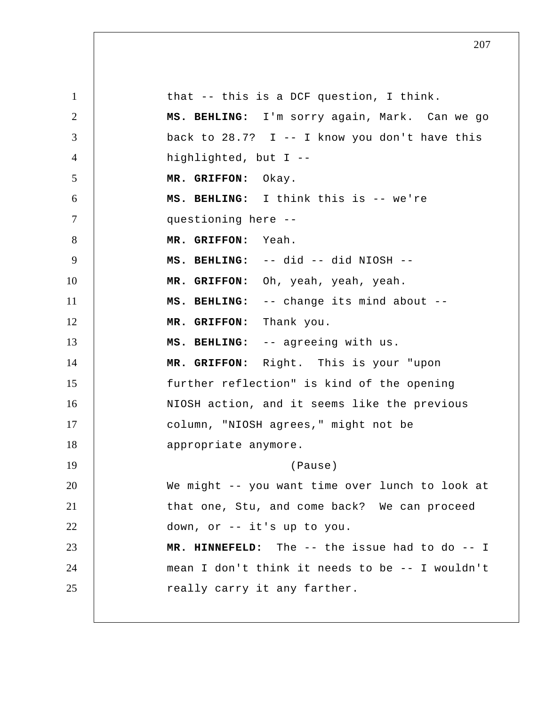1 2 3 4 5 6 7 8 9 10 11 12 13 14 15 16 17 18 19 20 21 22 23 24 25 that -- this is a DCF question, I think.  **MS. BEHLING:** I'm sorry again, Mark. Can we go back to  $28.7$ ? I -- I know you don't have this highlighted, but I -- **MR. GRIFFON:** Okay.  **MS. BEHLING:** I think this is -- we're questioning here -- **MR. GRIFFON:** Yeah.  **MS. BEHLING:** -- did -- did NIOSH --  **MR. GRIFFON:** Oh, yeah, yeah, yeah.  **MS. BEHLING:** -- change its mind about --  **MR. GRIFFON:** Thank you.  **MS. BEHLING:** -- agreeing with us.  **MR. GRIFFON:** Right. This is your "upon further reflection" is kind of the opening NIOSH action, and it seems like the previous column, "NIOSH agrees," might not be appropriate anymore. (Pause) We might -- you want time over lunch to look at that one, Stu, and come back? We can proceed down, or -- it's up to you.  **MR. HINNEFELD:** The -- the issue had to do -- I mean I don't think it needs to be -- I wouldn't really carry it any farther.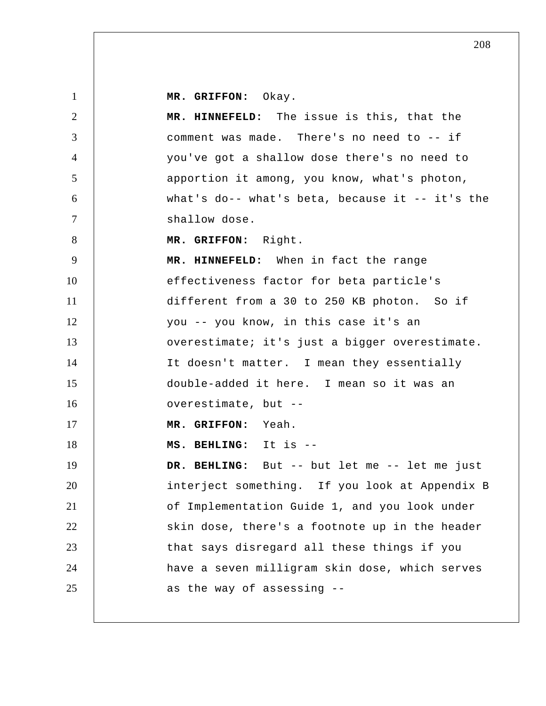**MR. GRIFFON:** Okay.

| $\mathbf{1}$   | MR. GRIFFON: Okay.                              |
|----------------|-------------------------------------------------|
| $\overline{2}$ | MR. HINNEFELD: The issue is this, that the      |
| 3              | comment was made. There's no need to -- if      |
| $\overline{4}$ | you've got a shallow dose there's no need to    |
| 5              | apportion it among, you know, what's photon,    |
| 6              | what's do-- what's beta, because it -- it's the |
| $\overline{7}$ | shallow dose.                                   |
| 8              | MR. GRIFFON: Right.                             |
| 9              | MR. HINNEFELD: When in fact the range           |
| 10             | effectiveness factor for beta particle's        |
| 11             | different from a 30 to 250 KB photon. So if     |
| 12             | you -- you know, in this case it's an           |
| 13             | overestimate; it's just a bigger overestimate.  |
| 14             | It doesn't matter. I mean they essentially      |
| 15             | double-added it here. I mean so it was an       |
| 16             | overestimate, but --                            |
| 17             | MR. GRIFFON: Yeah.                              |
| 18             | MS. BEHLING: It is --                           |
| 19             | DR. BEHLING: But -- but let me -- let me just   |
| 20             | interject something. If you look at Appendix B  |
| 21             | of Implementation Guide 1, and you look under   |
| 22             | skin dose, there's a footnote up in the header  |
| 23             | that says disregard all these things if you     |
| 24             | have a seven milligram skin dose, which serves  |
| 25             | as the way of assessing --                      |
|                |                                                 |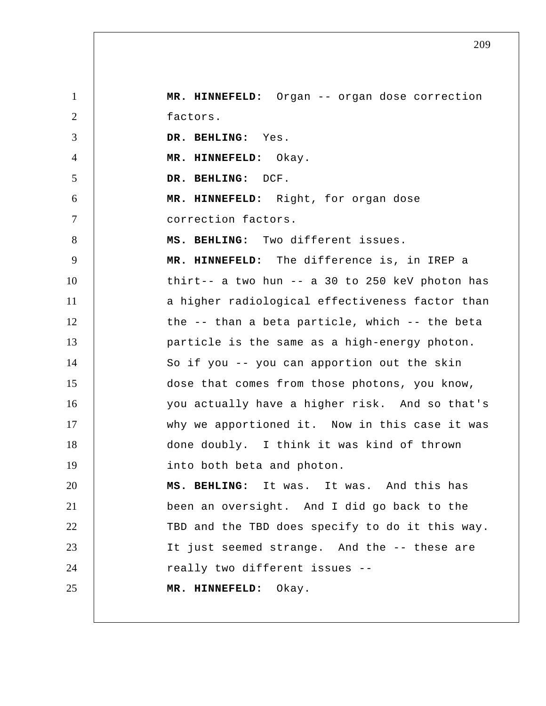1 2 3 4 5 6 7 8 9 10 11 12 13 14 15 16 17 18 19 20 21 22 23 24 25  **MR. HINNEFELD:** Organ -- organ dose correction factors.  **DR. BEHLING:** Yes.  **MR. HINNEFELD:** Okay.  **DR. BEHLING:** DCF.  **MR. HINNEFELD:** Right, for organ dose correction factors.  **MS. BEHLING:** Two different issues.  **MR. HINNEFELD:** The difference is, in IREP a thirt-- a two hun -- a 30 to 250 keV photon has a higher radiological effectiveness factor than the -- than a beta particle, which -- the beta particle is the same as a high-energy photon. So if you -- you can apportion out the skin dose that comes from those photons, you know, you actually have a higher risk. And so that's why we apportioned it. Now in this case it was done doubly. I think it was kind of thrown into both beta and photon.  **MS. BEHLING:** It was. It was. And this has been an oversight. And I did go back to the TBD and the TBD does specify to do it this way. It just seemed strange. And the -- these are really two different issues -- **MR. HINNEFELD:** Okay.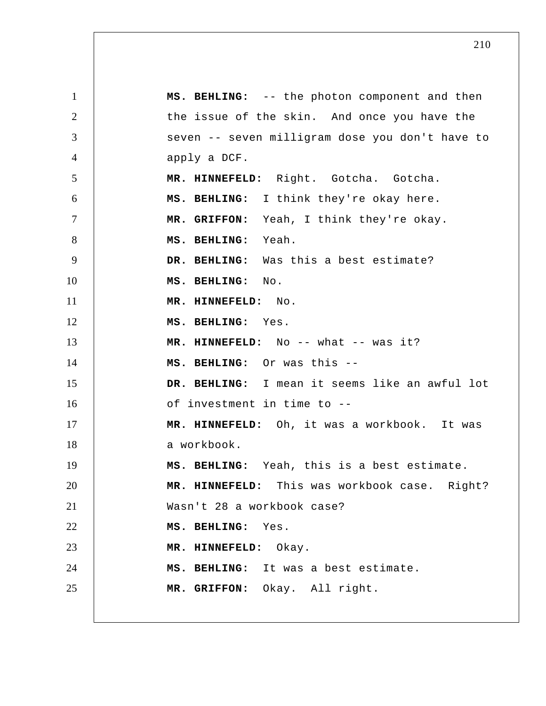1 2 3 4 5 6 7 8 9 10 11 12 13 14 15 16 17 18 19 20 21 22 23 24 25  **MS. BEHLING:** -- the photon component and then the issue of the skin. And once you have the seven -- seven milligram dose you don't have to apply a DCF.  **MR. HINNEFELD:** Right. Gotcha. Gotcha.  **MS. BEHLING:** I think they're okay here.  **MR. GRIFFON:** Yeah, I think they're okay.  **MS. BEHLING:** Yeah.  **DR. BEHLING:** Was this a best estimate?  **MS. BEHLING:** No.  **MR. HINNEFELD:** No.  **MS. BEHLING:** Yes. MR. HINNEFELD: No -- what -- was it?  **MS. BEHLING:** Or was this -- **DR. BEHLING:** I mean it seems like an awful lot of investment in time to -- **MR. HINNEFELD:** Oh, it was a workbook. It was a workbook.  **MS. BEHLING:** Yeah, this is a best estimate.  **MR. HINNEFELD:** This was workbook case. Right? Wasn't 28 a workbook case?  **MS. BEHLING:** Yes.  **MR. HINNEFELD:** Okay.  **MS. BEHLING:** It was a best estimate.  **MR. GRIFFON:** Okay. All right.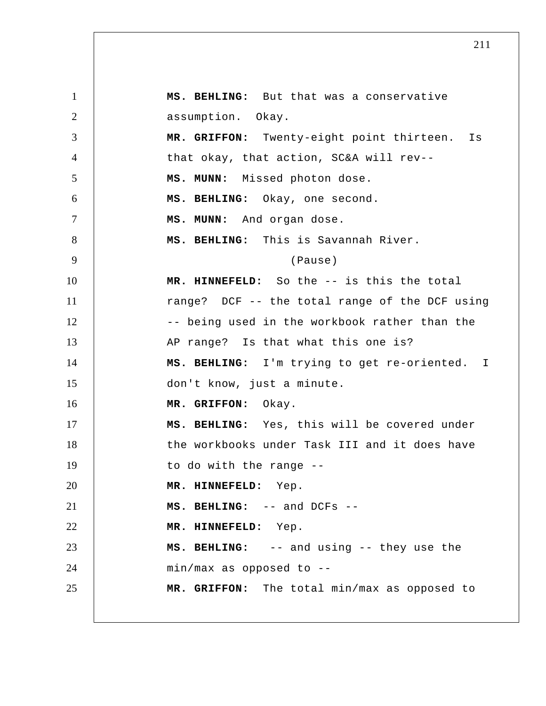1 2 3 4 5 6 7 8 9 10 11 12 13 14 15 16 17 18 19 20 21 22 23 24 25  **MS. BEHLING:** But that was a conservative assumption. Okay.  **MR. GRIFFON:** Twenty-eight point thirteen. Is that okay, that action, SC&A will rev--  **MS. MUNN:** Missed photon dose.  **MS. BEHLING:** Okay, one second.  **MS. MUNN:** And organ dose.  **MS. BEHLING:** This is Savannah River. (Pause)  **MR. HINNEFELD:** So the -- is this the total range? DCF -- the total range of the DCF using -- being used in the workbook rather than the AP range? Is that what this one is?  **MS. BEHLING:** I'm trying to get re-oriented. I don't know, just a minute.  **MR. GRIFFON:** Okay.  **MS. BEHLING:** Yes, this will be covered under the workbooks under Task III and it does have to do with the range -- **MR. HINNEFELD:** Yep.  **MS. BEHLING:** -- and DCFs -- **MR. HINNEFELD:** Yep.  **MS. BEHLING:** -- and using -- they use the min/max as opposed to --  **MR. GRIFFON:** The total min/max as opposed to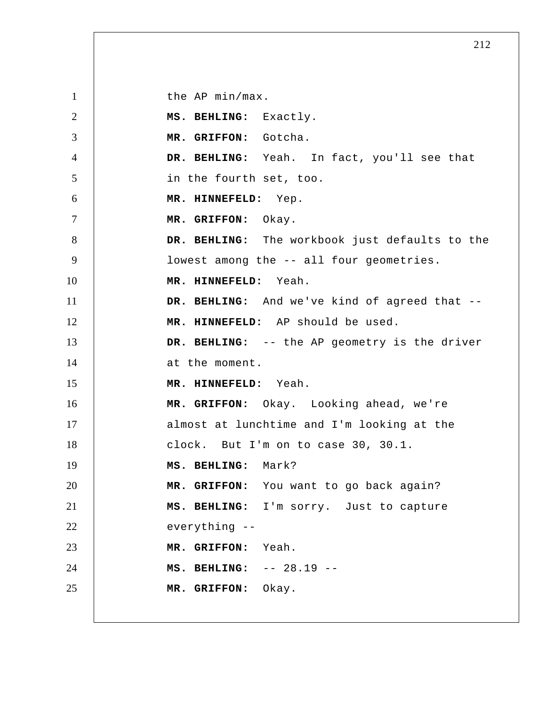1 2 3 4 5 6 7 8 9 10 11 12 13 14 15 16 17 18 19 20 21 22 23 24 25 the AP min/max.  **MS. BEHLING:** Exactly.  **MR. GRIFFON:** Gotcha.  **DR. BEHLING:** Yeah. In fact, you'll see that in the fourth set, too.  **MR. HINNEFELD:** Yep.  **MR. GRIFFON:** Okay.  **DR. BEHLING:** The workbook just defaults to the lowest among the -- all four geometries.  **MR. HINNEFELD:** Yeah.  **DR. BEHLING:** And we've kind of agreed that --  **MR. HINNEFELD:** AP should be used.  **DR. BEHLING:** -- the AP geometry is the driver at the moment.  **MR. HINNEFELD:** Yeah.  **MR. GRIFFON:** Okay. Looking ahead, we're almost at lunchtime and I'm looking at the clock. But I'm on to case 30, 30.1.  **MS. BEHLING:** Mark?  **MR. GRIFFON:** You want to go back again?  **MS. BEHLING:** I'm sorry. Just to capture everything --  **MR. GRIFFON:** Yeah.  **MS. BEHLING:** -- 28.19 -- **MR. GRIFFON:** Okay.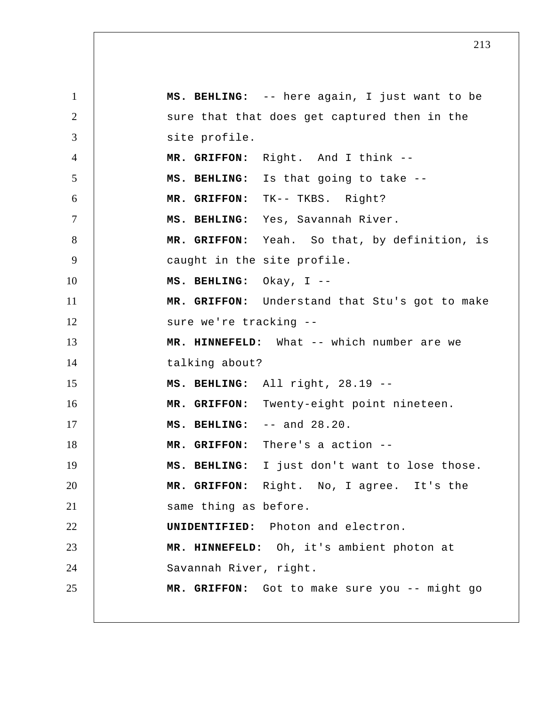1 2 3 4 5 6 7 8 9 10 11 12 13 14 15 16 17 18 19 20 21 22 23 24 25  **MS. BEHLING:** -- here again, I just want to be sure that that does get captured then in the site profile.  **MR. GRIFFON:** Right. And I think --  **MS. BEHLING:** Is that going to take --  **MR. GRIFFON:** TK-- TKBS. Right?  **MS. BEHLING:** Yes, Savannah River.  **MR. GRIFFON:** Yeah. So that, by definition, is caught in the site profile.  **MS. BEHLING:** Okay, I -- **MR. GRIFFON:** Understand that Stu's got to make sure we're tracking -- **MR. HINNEFELD:** What -- which number are we talking about?  **MS. BEHLING:** All right, 28.19 -- **MR. GRIFFON:** Twenty-eight point nineteen.  **MS. BEHLING:** -- and 28.20.  **MR. GRIFFON:** There's a action -- **MS. BEHLING:** I just don't want to lose those.  **MR. GRIFFON:** Right. No, I agree. It's the same thing as before. **UNIDENTIFIED:** Photon and electron.  **MR. HINNEFELD:** Oh, it's ambient photon at Savannah River, right.  **MR. GRIFFON:** Got to make sure you -- might go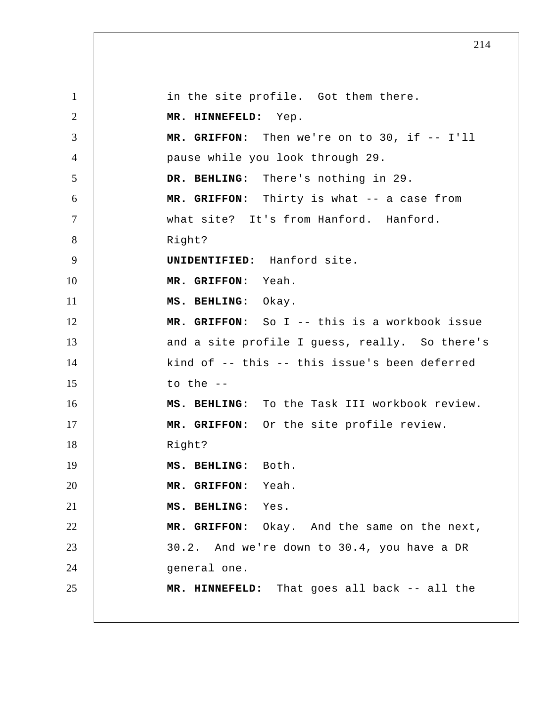1 2 3 4 5 6 7 8 9 10 11 12 13 14 15 16 17 18 19 20 21 22 23 24 25 in the site profile. Got them there.  **MR. HINNEFELD:** Yep.  **MR. GRIFFON:** Then we're on to 30, if -- I'll pause while you look through 29.  **DR. BEHLING:** There's nothing in 29.  **MR. GRIFFON:** Thirty is what -- a case from what site? It's from Hanford. Hanford. Right? **UNIDENTIFIED:** Hanford site.  **MR. GRIFFON:** Yeah.  **MS. BEHLING:** Okay.  **MR. GRIFFON:** So I -- this is a workbook issue and a site profile I guess, really. So there's kind of -- this -- this issue's been deferred to the --  **MS. BEHLING:** To the Task III workbook review.  **MR. GRIFFON:** Or the site profile review. Right?  **MS. BEHLING:** Both.  **MR. GRIFFON:** Yeah.  **MS. BEHLING:** Yes.  **MR. GRIFFON:** Okay. And the same on the next, 30.2. And we're down to 30.4, you have a DR general one.  **MR. HINNEFELD:** That goes all back -- all the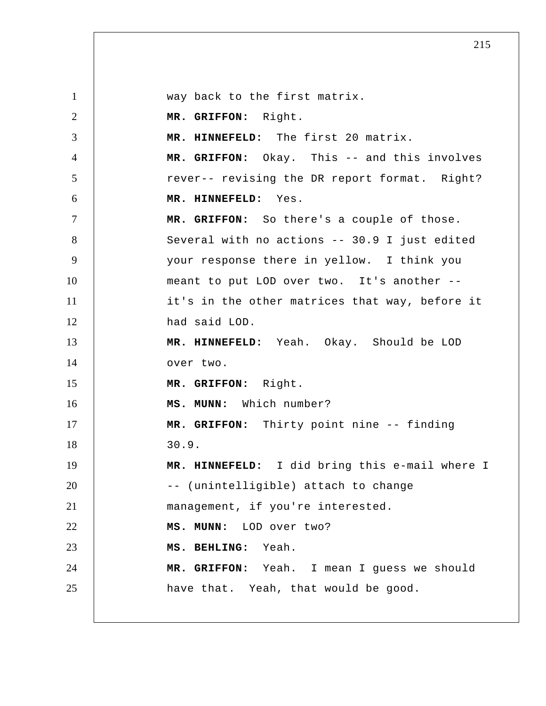1 2 3 4 5 6 7 8 9 10 11 12 13 14 15 16 17 18 19 20 21 22 23 24 25 way back to the first matrix.  **MR. GRIFFON:** Right.  **MR. HINNEFELD:** The first 20 matrix.  **MR. GRIFFON:** Okay. This -- and this involves rever-- revising the DR report format. Right?  **MR. HINNEFELD:** Yes.  **MR. GRIFFON:** So there's a couple of those. Several with no actions -- 30.9 I just edited your response there in yellow. I think you meant to put LOD over two. It's another - it's in the other matrices that way, before it had said LOD.  **MR. HINNEFELD:** Yeah. Okay. Should be LOD over two.  **MR. GRIFFON:** Right.  **MS. MUNN:** Which number?  **MR. GRIFFON:** Thirty point nine -- finding 30.9.  **MR. HINNEFELD:** I did bring this e-mail where I -- (unintelligible) attach to change management, if you're interested.  **MS. MUNN:** LOD over two?  **MS. BEHLING:** Yeah.  **MR. GRIFFON:** Yeah. I mean I guess we should have that. Yeah, that would be good.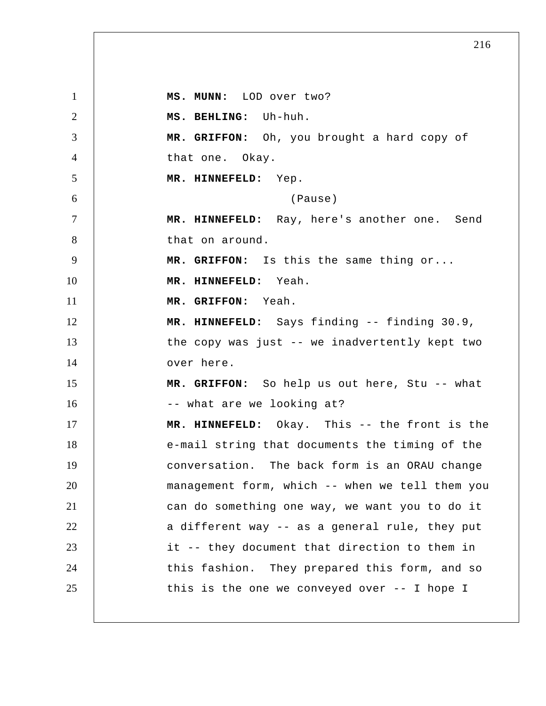1 2 3 4 5 6 7 8 9 10 11 12 13 14 15 16 17 18 19 20 21 22 23 24 25  **MS. MUNN:** LOD over two?  **MS. BEHLING:** Uh-huh.  **MR. GRIFFON:** Oh, you brought a hard copy of that one. Okay.  **MR. HINNEFELD:** Yep. (Pause)  **MR. HINNEFELD:** Ray, here's another one. Send that on around.  **MR. GRIFFON:** Is this the same thing or...  **MR. HINNEFELD:** Yeah.  **MR. GRIFFON:** Yeah.  **MR. HINNEFELD:** Says finding -- finding 30.9, the copy was just -- we inadvertently kept two over here.  **MR. GRIFFON:** So help us out here, Stu -- what -- what are we looking at?  **MR. HINNEFELD:** Okay. This -- the front is the e-mail string that documents the timing of the conversation. The back form is an ORAU change management form, which -- when we tell them you can do something one way, we want you to do it a different way -- as a general rule, they put it -- they document that direction to them in this fashion. They prepared this form, and so this is the one we conveyed over -- I hope I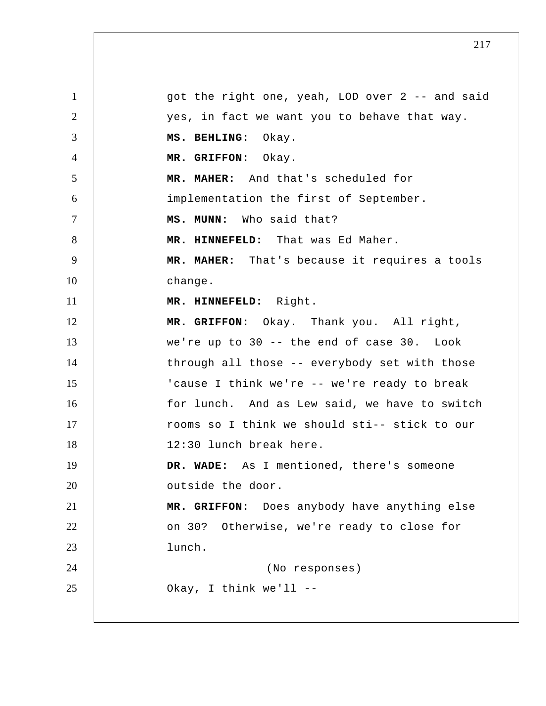1 2 3 4 5 6 7 8 9 10 11 12 13 14 15 16 17 18 19 20 21 22 23 24 25 got the right one, yeah, LOD over 2 -- and said yes, in fact we want you to behave that way.  **MS. BEHLING:** Okay.  **MR. GRIFFON:** Okay.  **MR. MAHER:** And that's scheduled for implementation the first of September.  **MS. MUNN:** Who said that?  **MR. HINNEFELD:** That was Ed Maher.  **MR. MAHER:** That's because it requires a tools change.  **MR. HINNEFELD:** Right.  **MR. GRIFFON:** Okay. Thank you. All right, we're up to 30 -- the end of case 30. Look through all those -- everybody set with those 'cause I think we're -- we're ready to break for lunch. And as Lew said, we have to switch rooms so I think we should sti-- stick to our 12:30 lunch break here.  **DR. WADE:** As I mentioned, there's someone outside the door.  **MR. GRIFFON:** Does anybody have anything else on 30? Otherwise, we're ready to close for lunch. (No responses) Okay, I think we'll --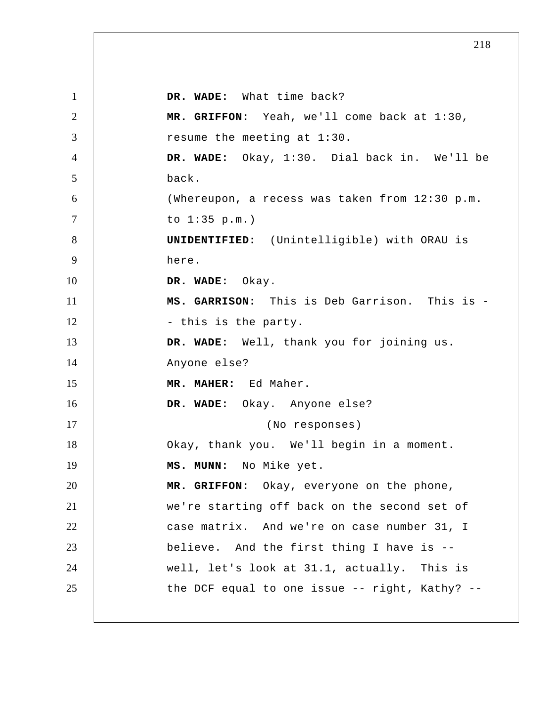1 2 3 4 5 6 7 8 9 10 11 12 13 14 15 16 17 18 19 20 21 22 23 24 25  **DR. WADE:** What time back?  **MR. GRIFFON:** Yeah, we'll come back at 1:30, resume the meeting at 1:30.  **DR. WADE:** Okay, 1:30. Dial back in. We'll be back. (Whereupon, a recess was taken from 12:30 p.m. to 1:35 p.m.) **UNIDENTIFIED:** (Unintelligible) with ORAU is here.  **DR. WADE:** Okay. **MS. GARRISON:** This is Deb Garrison. This is - this is the party.  **DR. WADE:** Well, thank you for joining us. Anyone else?  **MR. MAHER:** Ed Maher.  **DR. WADE:** Okay. Anyone else? (No responses) Okay, thank you. We'll begin in a moment.  **MS. MUNN:** No Mike yet.  **MR. GRIFFON:** Okay, everyone on the phone, we're starting off back on the second set of case matrix. And we're on case number 31, I believe. And the first thing I have is - well, let's look at 31.1, actually. This is the DCF equal to one issue -- right, Kathy? --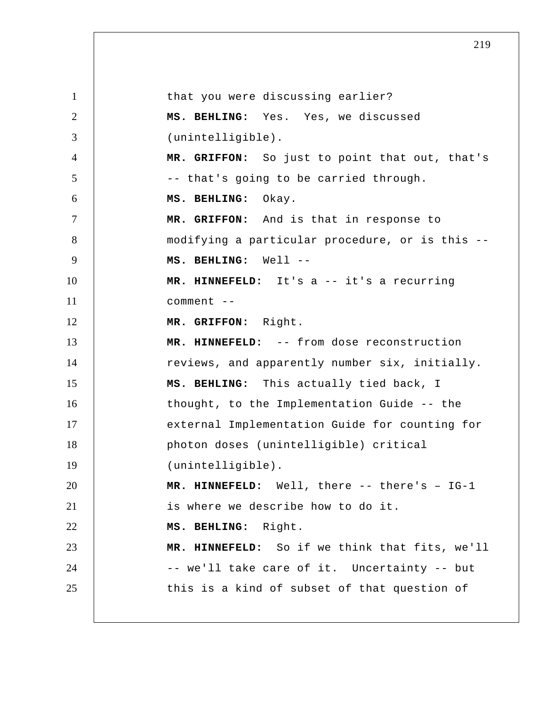1 2 3 4 5 6 7 8 9 10 11 12 13 14 15 16 17 18 19 20 21 22 23 24 25 that you were discussing earlier?  **MS. BEHLING:** Yes. Yes, we discussed (unintelligible).  **MR. GRIFFON:** So just to point that out, that's -- that's going to be carried through.  **MS. BEHLING:** Okay.  **MR. GRIFFON:** And is that in response to modifying a particular procedure, or is this --  **MS. BEHLING:** Well -- **MR. HINNEFELD:** It's a -- it's a recurring comment -- **MR. GRIFFON:** Right.  **MR. HINNEFELD:** -- from dose reconstruction reviews, and apparently number six, initially.  **MS. BEHLING:** This actually tied back, I thought, to the Implementation Guide -- the external Implementation Guide for counting for photon doses (unintelligible) critical (unintelligible).  **MR. HINNEFELD:** Well, there -- there's – IG-1 is where we describe how to do it.  **MS. BEHLING:** Right.  **MR. HINNEFELD:** So if we think that fits, we'll -- we'll take care of it. Uncertainty -- but this is a kind of subset of that question of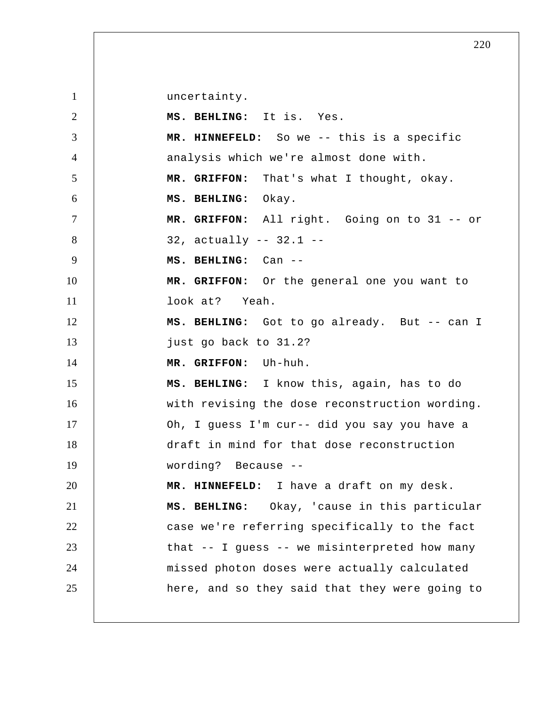1 2 3 4 5 6 7 8 9 10 11 12 13 14 15 16 17 18 19 20 21 22 23 24 25 uncertainty.  **MS. BEHLING:** It is. Yes.  **MR. HINNEFELD:** So we -- this is a specific analysis which we're almost done with.  **MR. GRIFFON:** That's what I thought, okay.  **MS. BEHLING:** Okay.  **MR. GRIFFON:** All right. Going on to 31 -- or 32, actually -- 32.1 --  **MS. BEHLING:** Can -- **MR. GRIFFON:** Or the general one you want to look at? Yeah.  **MS. BEHLING:** Got to go already. But -- can I just go back to 31.2?  **MR. GRIFFON:** Uh-huh.  **MS. BEHLING:** I know this, again, has to do with revising the dose reconstruction wording. Oh, I guess I'm cur-- did you say you have a draft in mind for that dose reconstruction wording? Because -- **MR. HINNEFELD:** I have a draft on my desk.  **MS. BEHLING:** Okay, 'cause in this particular case we're referring specifically to the fact that -- I guess -- we misinterpreted how many missed photon doses were actually calculated here, and so they said that they were going to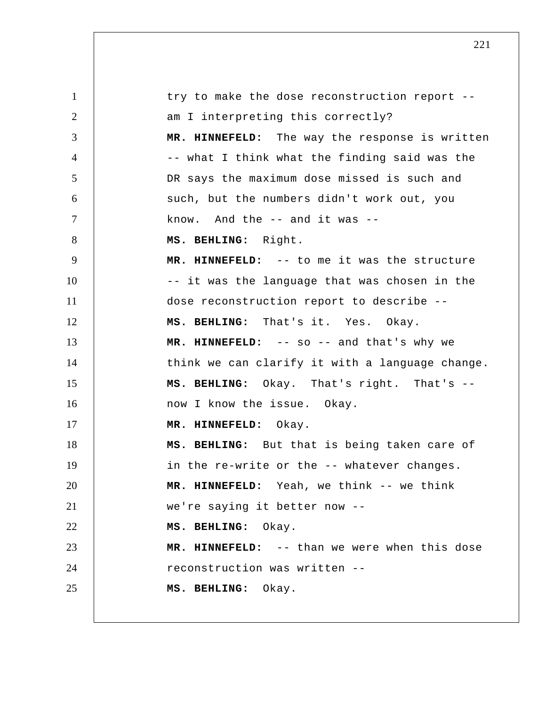1 2 3 4 5 6 7 8 9 10 11 12 13 14 15 16 17 18 19 20 21 22 23 24 25 try to make the dose reconstruction report - am I interpreting this correctly?  **MR. HINNEFELD:** The way the response is written -- what I think what the finding said was the DR says the maximum dose missed is such and such, but the numbers didn't work out, you know. And the -- and it was --  **MS. BEHLING:** Right.  **MR. HINNEFELD:** -- to me it was the structure -- it was the language that was chosen in the dose reconstruction report to describe --  **MS. BEHLING:** That's it. Yes. Okay.  **MR. HINNEFELD:** -- so -- and that's why we think we can clarify it with a language change.  **MS. BEHLING:** Okay. That's right. That's -now I know the issue. Okay.  **MR. HINNEFELD:** Okay.  **MS. BEHLING:** But that is being taken care of in the re-write or the -- whatever changes.  **MR. HINNEFELD:** Yeah, we think -- we think we're saying it better now --  **MS. BEHLING:** Okay.  **MR. HINNEFELD:** -- than we were when this dose reconstruction was written --  **MS. BEHLING:** Okay.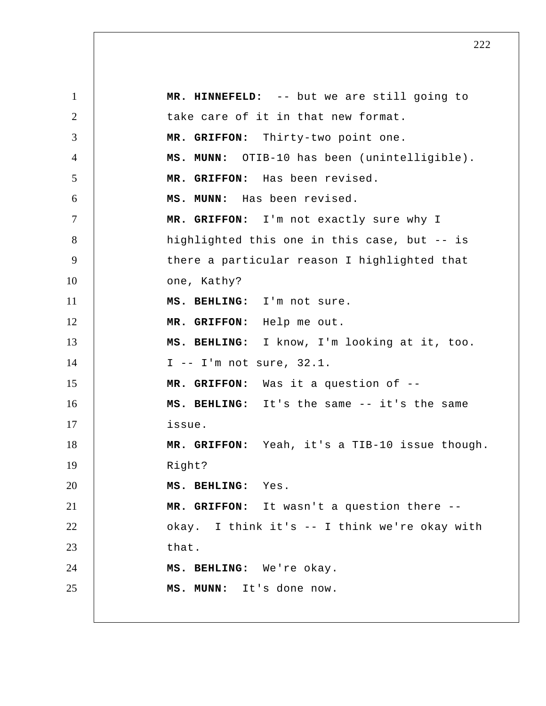1 2 3 4 5 6 7 8 9 10 11 12 13 14 15 16 17 18 19 20 21 22 23 24 25  **MR. HINNEFELD:** -- but we are still going to take care of it in that new format.  **MR. GRIFFON:** Thirty-two point one.  **MS. MUNN:** OTIB-10 has been (unintelligible).  **MR. GRIFFON:** Has been revised.  **MS. MUNN:** Has been revised.  **MR. GRIFFON:** I'm not exactly sure why I highlighted this one in this case, but -- is there a particular reason I highlighted that one, Kathy?  **MS. BEHLING:** I'm not sure.  **MR. GRIFFON:** Help me out.  **MS. BEHLING:** I know, I'm looking at it, too. I -- I'm not sure, 32.1.  **MR. GRIFFON:** Was it a question of -- **MS. BEHLING:** It's the same -- it's the same issue.  **MR. GRIFFON:** Yeah, it's a TIB-10 issue though. Right?  **MS. BEHLING:** Yes.  **MR. GRIFFON:** It wasn't a question there - okay. I think it's -- I think we're okay with that.  **MS. BEHLING:** We're okay.  **MS. MUNN:** It's done now.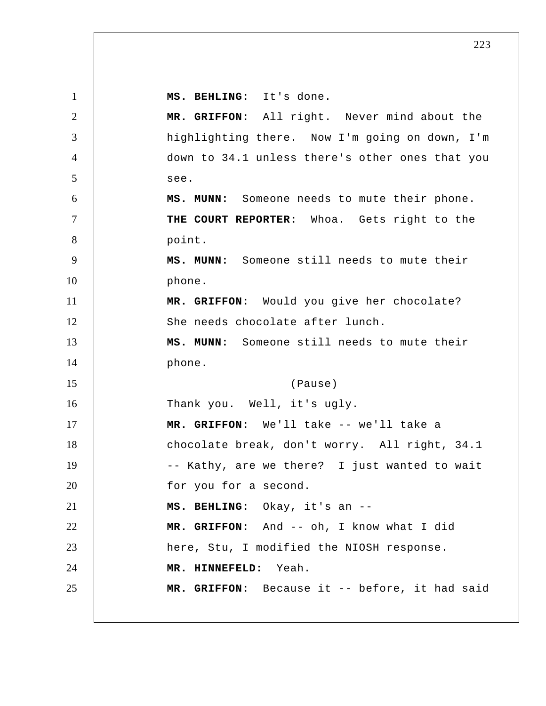1 2 3 4 5 6 7 8 9 10 11 12 13 14 15 16 17 18 19 20 21 22 23 24 25  **MS. BEHLING:** It's done.  **MR. GRIFFON:** All right. Never mind about the highlighting there. Now I'm going on down, I'm down to 34.1 unless there's other ones that you see.  **MS. MUNN:** Someone needs to mute their phone. **THE COURT REPORTER:** Whoa. Gets right to the point.  **MS. MUNN:** Someone still needs to mute their phone.  **MR. GRIFFON:** Would you give her chocolate? She needs chocolate after lunch.  **MS. MUNN:** Someone still needs to mute their phone. (Pause) Thank you. Well, it's ugly.  **MR. GRIFFON:** We'll take -- we'll take a chocolate break, don't worry. All right, 34.1 -- Kathy, are we there? I just wanted to wait for you for a second.  **MS. BEHLING:** Okay, it's an -- **MR. GRIFFON:** And -- oh, I know what I did here, Stu, I modified the NIOSH response.  **MR. HINNEFELD:** Yeah.  **MR. GRIFFON:** Because it -- before, it had said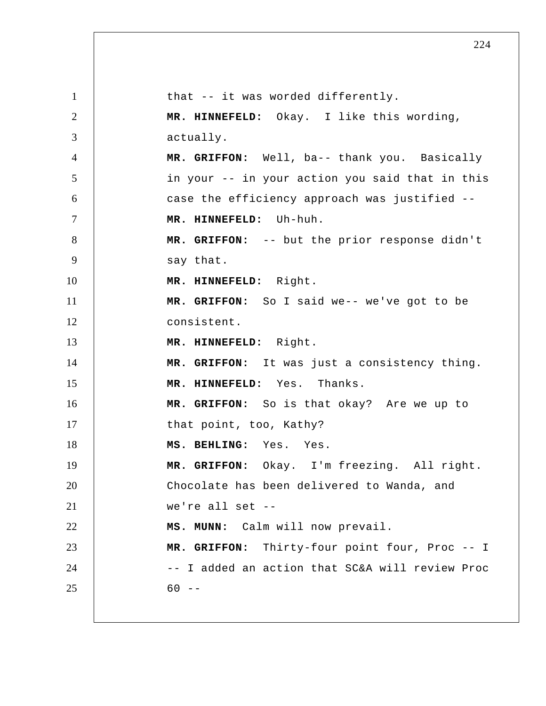1 2 3 4 5 6 7 8 9 10 11 12 13 14 15 16 17 18 19 20 21 22 23 24 25 that -- it was worded differently.  **MR. HINNEFELD:** Okay. I like this wording, actually.  **MR. GRIFFON:** Well, ba-- thank you. Basically in your -- in your action you said that in this case the efficiency approach was justified --  **MR. HINNEFELD:** Uh-huh.  **MR. GRIFFON:** -- but the prior response didn't say that.  **MR. HINNEFELD:** Right.  **MR. GRIFFON:** So I said we-- we've got to be consistent.  **MR. HINNEFELD:** Right.  **MR. GRIFFON:** It was just a consistency thing.  **MR. HINNEFELD:** Yes. Thanks.  **MR. GRIFFON:** So is that okay? Are we up to that point, too, Kathy?  **MS. BEHLING:** Yes. Yes.  **MR. GRIFFON:** Okay. I'm freezing. All right. Chocolate has been delivered to Wanda, and we're all set -- **MS. MUNN:** Calm will now prevail.  **MR. GRIFFON:** Thirty-four point four, Proc -- I -- I added an action that SC&A will review Proc  $60 - -$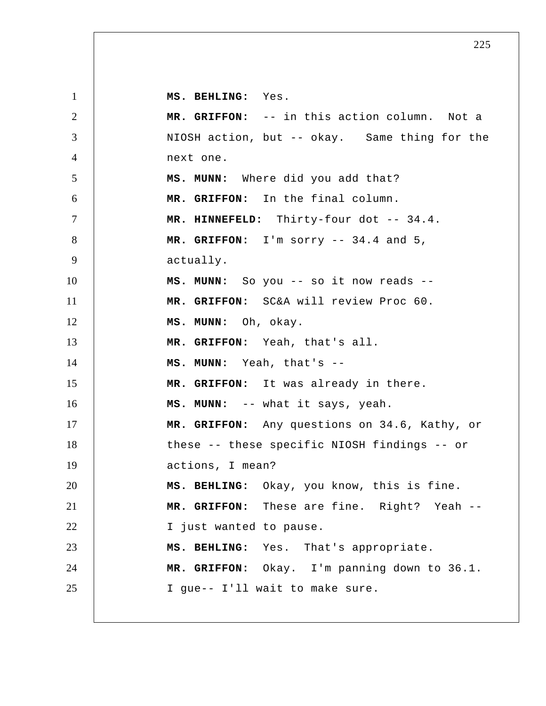1 2 3 4 5 6 7 8 9 10 11 12 13 14 15 16 17 18 19 20 21 22 23 24 25  **MS. BEHLING:** Yes.  **MR. GRIFFON:** -- in this action column. Not a NIOSH action, but -- okay. Same thing for the next one.  **MS. MUNN:** Where did you add that?  **MR. GRIFFON:** In the final column.  **MR. HINNEFELD:** Thirty-four dot -- 34.4.  **MR. GRIFFON:** I'm sorry -- 34.4 and 5, actually.  **MS. MUNN:** So you -- so it now reads --  **MR. GRIFFON:** SC&A will review Proc 60.  **MS. MUNN:** Oh, okay.  **MR. GRIFFON:** Yeah, that's all.  **MS. MUNN:** Yeah, that's -- **MR. GRIFFON:** It was already in there.  **MS. MUNN:** -- what it says, yeah.  **MR. GRIFFON:** Any questions on 34.6, Kathy, or these -- these specific NIOSH findings -- or actions, I mean?  **MS. BEHLING:** Okay, you know, this is fine.  **MR. GRIFFON:** These are fine. Right? Yeah --I just wanted to pause.  **MS. BEHLING:** Yes. That's appropriate.  **MR. GRIFFON:** Okay. I'm panning down to 36.1. I gue-- I'll wait to make sure.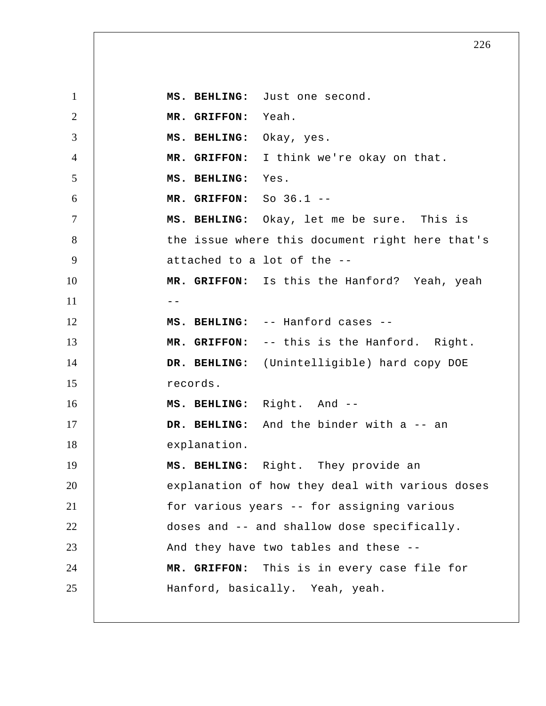1 2 3 4 5 6 7 8 9 10  $11$   $-$ 12 13 14 15 16 17 18 19 20 21 22 23 24 25  **MS. BEHLING:** Just one second.  **MR. GRIFFON:** Yeah.  **MS. BEHLING:** Okay, yes.  **MR. GRIFFON:** I think we're okay on that.  **MS. BEHLING:** Yes.  **MR. GRIFFON:** So 36.1 -- **MS. BEHLING:** Okay, let me be sure. This is the issue where this document right here that's attached to a lot of the --  **MR. GRIFFON:** Is this the Hanford? Yeah, yeah  **MS. BEHLING:** -- Hanford cases -- **MR. GRIFFON:** -- this is the Hanford. Right.  **DR. BEHLING:** (Unintelligible) hard copy DOE records.  **MS. BEHLING:** Right. And --DR. BEHLING: And the binder with a -- an explanation.  **MS. BEHLING:** Right. They provide an explanation of how they deal with various doses for various years -- for assigning various doses and -- and shallow dose specifically. And they have two tables and these --  **MR. GRIFFON:** This is in every case file for Hanford, basically. Yeah, yeah.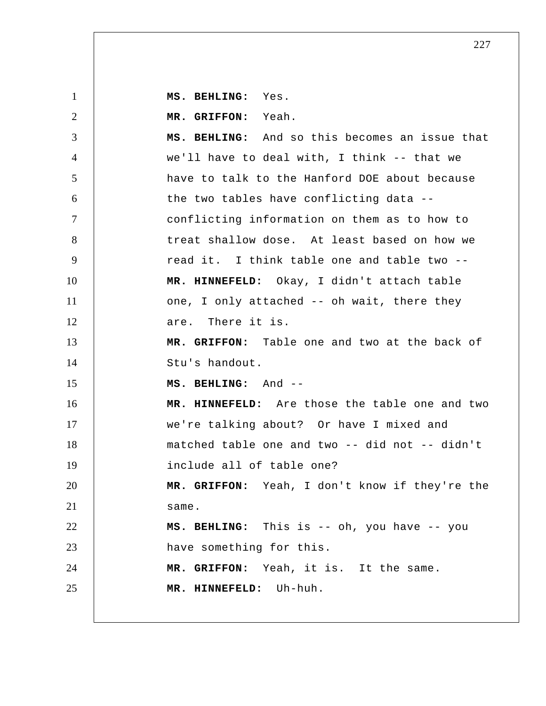**MS. BEHLING:** Yes.

1

2 3 4 5 6 7 8 9 10 11 12 13 14 15 16 17 18 19 20 21 22 23 24 25  **MR. GRIFFON:** Yeah.  **MS. BEHLING:** And so this becomes an issue that we'll have to deal with, I think -- that we have to talk to the Hanford DOE about because the two tables have conflicting data - conflicting information on them as to how to treat shallow dose. At least based on how we read it. I think table one and table two --  **MR. HINNEFELD:** Okay, I didn't attach table one, I only attached -- oh wait, there they are. There it is.  **MR. GRIFFON:** Table one and two at the back of Stu's handout.  **MS. BEHLING:** And -- **MR. HINNEFELD:** Are those the table one and two we're talking about? Or have I mixed and matched table one and two -- did not -- didn't include all of table one?  **MR. GRIFFON:** Yeah, I don't know if they're the same.  **MS. BEHLING:** This is -- oh, you have -- you have something for this.  **MR. GRIFFON:** Yeah, it is. It the same.  **MR. HINNEFELD:** Uh-huh.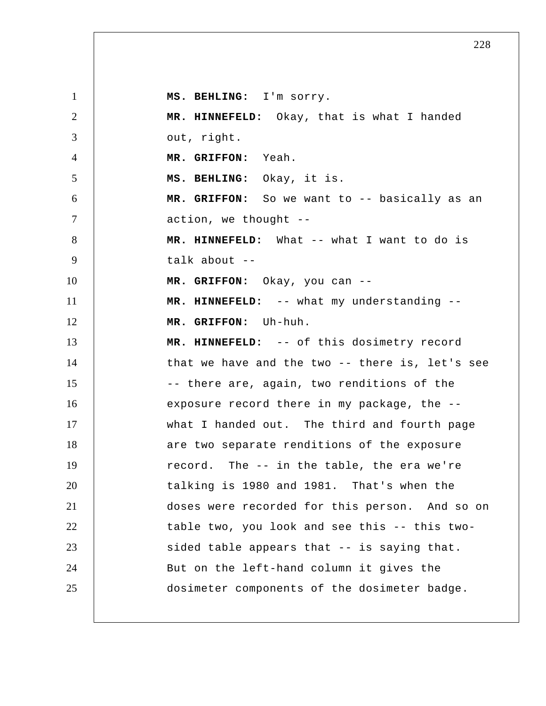1 2 3 4 5 6 7 8 9 10 11 12 13 14 15 16 17 18 19 20 21 22 23 24 25  **MS. BEHLING:** I'm sorry.  **MR. HINNEFELD:** Okay, that is what I handed out, right.  **MR. GRIFFON:** Yeah.  **MS. BEHLING:** Okay, it is.  **MR. GRIFFON:** So we want to -- basically as an action, we thought --  **MR. HINNEFELD:** What -- what I want to do is talk about --  **MR. GRIFFON:** Okay, you can -- **MR. HINNEFELD:** -- what my understanding --  **MR. GRIFFON:** Uh-huh.  **MR. HINNEFELD:** -- of this dosimetry record that we have and the two -- there is, let's see -- there are, again, two renditions of the exposure record there in my package, the - what I handed out. The third and fourth page are two separate renditions of the exposure record. The -- in the table, the era we're talking is 1980 and 1981. That's when the doses were recorded for this person. And so on table two, you look and see this -- this twosided table appears that -- is saying that. But on the left-hand column it gives the dosimeter components of the dosimeter badge.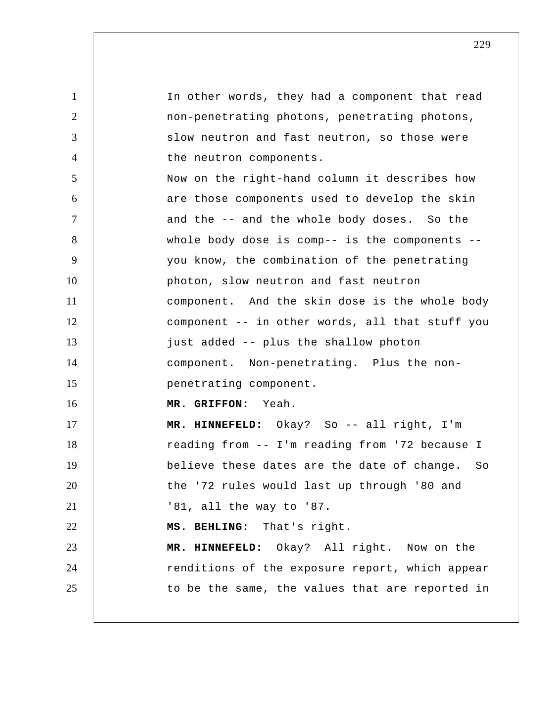1 2 3 4 5 6 7 8 9 10 11 12 13 14 15 16 17 18 19 20 21 22 23 24 25 In other words, they had a component that read non-penetrating photons, penetrating photons, slow neutron and fast neutron, so those were the neutron components. Now on the right-hand column it describes how are those components used to develop the skin and the -- and the whole body doses. So the whole body dose is comp-- is the components - you know, the combination of the penetrating photon, slow neutron and fast neutron component. And the skin dose is the whole body component -- in other words, all that stuff you just added -- plus the shallow photon component. Non-penetrating. Plus the non penetrating component.  **MR. GRIFFON:** Yeah.  **MR. HINNEFELD:** Okay? So -- all right, I'm reading from -- I'm reading from '72 because I believe these dates are the date of change. So the '72 rules would last up through '80 and '81, all the way to '87.  **MS. BEHLING:** That's right.  **MR. HINNEFELD:** Okay? All right. Now on the renditions of the exposure report, which appear to be the same, the values that are reported in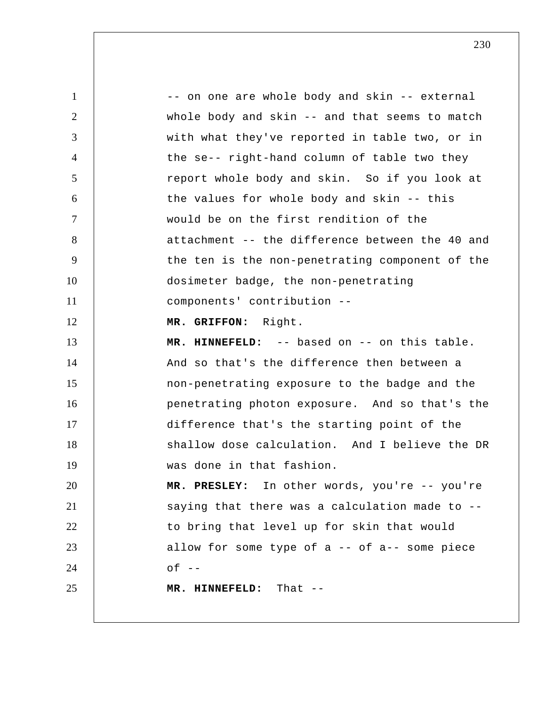1 2 3 4 5 6 7 8 9 10 11 12 13 14 15 16 17 18 19 20 21 22 23 24 25 -- on one are whole body and skin -- external whole body and skin -- and that seems to match with what they've reported in table two, or in the se-- right-hand column of table two they report whole body and skin. So if you look at the values for whole body and skin -- this would be on the first rendition of the attachment -- the difference between the 40 and the ten is the non-penetrating component of the dosimeter badge, the non-penetrating components' contribution --  **MR. GRIFFON:** Right.  **MR. HINNEFELD:** -- based on -- on this table. And so that's the difference then between a non-penetrating exposure to the badge and the penetrating photon exposure. And so that's the difference that's the starting point of the shallow dose calculation. And I believe the DR was done in that fashion.  **MR. PRESLEY:** In other words, you're -- you're saying that there was a calculation made to - to bring that level up for skin that would allow for some type of  $a$  -- of  $a$ -- some piece  $of --$  **MR. HINNEFELD:** That --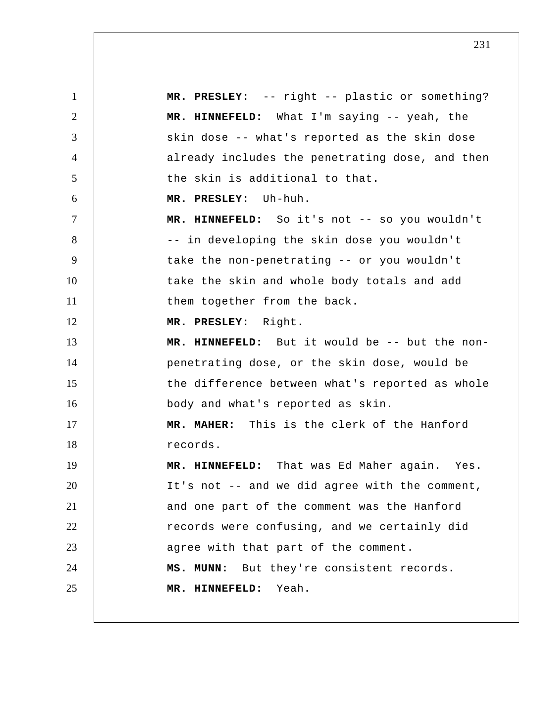1 2 3 4 5 6 7 8 9 10 11 12 13 14 15 16 17 18 19 20 21 22 23 24 25  **MR. PRESLEY:** -- right -- plastic or something?  **MR. HINNEFELD:** What I'm saying -- yeah, the skin dose -- what's reported as the skin dose already includes the penetrating dose, and then the skin is additional to that.  **MR. PRESLEY:** Uh-huh.  **MR. HINNEFELD:** So it's not -- so you wouldn't -- in developing the skin dose you wouldn't take the non-penetrating -- or you wouldn't take the skin and whole body totals and add them together from the back.  **MR. PRESLEY:** Right.  **MR. HINNEFELD:** But it would be -- but the nonpenetrating dose, or the skin dose, would be the difference between what's reported as whole body and what's reported as skin.  **MR. MAHER:** This is the clerk of the Hanford records.  **MR. HINNEFELD:** That was Ed Maher again. Yes. It's not -- and we did agree with the comment, and one part of the comment was the Hanford records were confusing, and we certainly did agree with that part of the comment.  **MS. MUNN:** But they're consistent records.  **MR. HINNEFELD:** Yeah.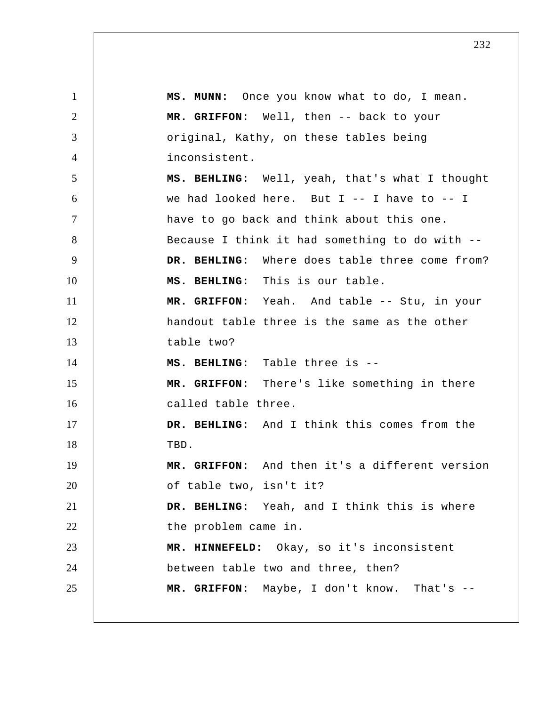1 2 3 4 5 6 7 8 9 10 11 12 13 14 15 16 17 18 19 20 21 22 23 24 25  **MS. MUNN:** Once you know what to do, I mean.  **MR. GRIFFON:** Well, then -- back to your original, Kathy, on these tables being inconsistent.  **MS. BEHLING:** Well, yeah, that's what I thought we had looked here. But  $I$  -- I have to -- I have to go back and think about this one. Because I think it had something to do with --  **DR. BEHLING:** Where does table three come from?  **MS. BEHLING:** This is our table.  **MR. GRIFFON:** Yeah. And table -- Stu, in your handout table three is the same as the other table two?  **MS. BEHLING:** Table three is -- **MR. GRIFFON:** There's like something in there called table three.  **DR. BEHLING:** And I think this comes from the TBD.  **MR. GRIFFON:** And then it's a different version of table two, isn't it?  **DR. BEHLING:** Yeah, and I think this is where the problem came in.  **MR. HINNEFELD:** Okay, so it's inconsistent between table two and three, then?  **MR. GRIFFON:** Maybe, I don't know. That's --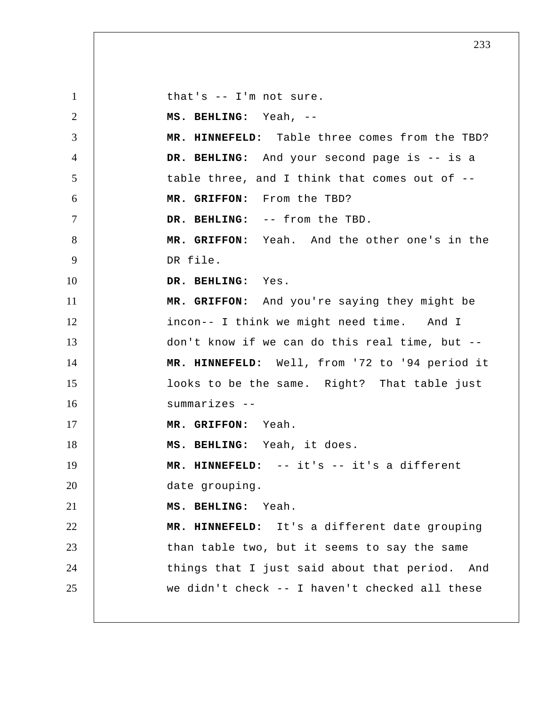1 2 3 4 5 6 7 8 9 10 11 12 13 14 15 16 17 18 19 20 21 22 23 24 25 that's -- I'm not sure.  **MS. BEHLING:** Yeah, -- **MR. HINNEFELD:** Table three comes from the TBD?  **DR. BEHLING:** And your second page is -- is a table three, and I think that comes out of --  **MR. GRIFFON:** From the TBD?  **DR. BEHLING:** -- from the TBD.  **MR. GRIFFON:** Yeah. And the other one's in the DR file.  **DR. BEHLING:** Yes.  **MR. GRIFFON:** And you're saying they might be incon-- I think we might need time. And I don't know if we can do this real time, but --  **MR. HINNEFELD:** Well, from '72 to '94 period it looks to be the same. Right? That table just summarizes -- **MR. GRIFFON:** Yeah.  **MS. BEHLING:** Yeah, it does.  **MR. HINNEFELD:** -- it's -- it's a different date grouping.  **MS. BEHLING:** Yeah.  **MR. HINNEFELD:** It's a different date grouping than table two, but it seems to say the same things that I just said about that period. And we didn't check -- I haven't checked all these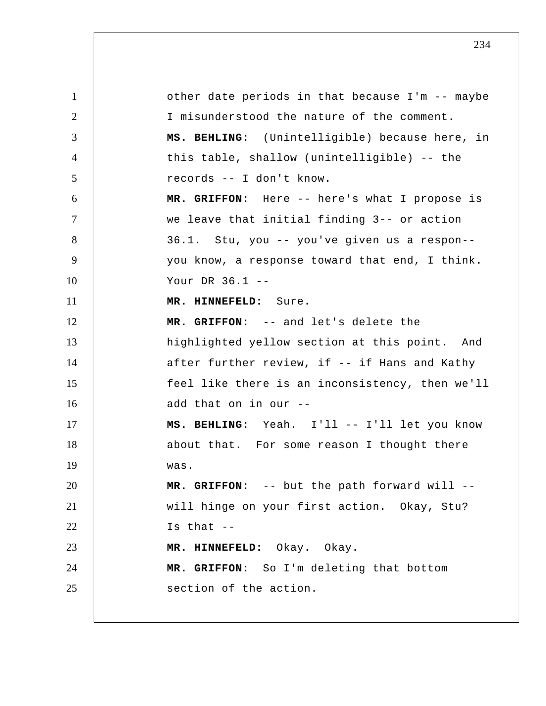1 2 3 4 5 6 7 8 9 10 11 12 13 14 15 16 17 18 19 20 21 22 23 24 25 other date periods in that because I'm -- maybe I misunderstood the nature of the comment.  **MS. BEHLING:** (Unintelligible) because here, in this table, shallow (unintelligible) -- the records -- I don't know.  **MR. GRIFFON:** Here -- here's what I propose is we leave that initial finding 3-- or action 36.1. Stu, you -- you've given us a respon- you know, a response toward that end, I think. Your DR 36.1 -- **MR. HINNEFELD:** Sure.  **MR. GRIFFON:** -- and let's delete the highlighted yellow section at this point. And after further review, if -- if Hans and Kathy feel like there is an inconsistency, then we'll add that on in our --  **MS. BEHLING:** Yeah. I'll -- I'll let you know about that. For some reason I thought there was.  **MR. GRIFFON:** -- but the path forward will - will hinge on your first action. Okay, Stu? Is that  $-$  **MR. HINNEFELD:** Okay. Okay.  **MR. GRIFFON:** So I'm deleting that bottom section of the action.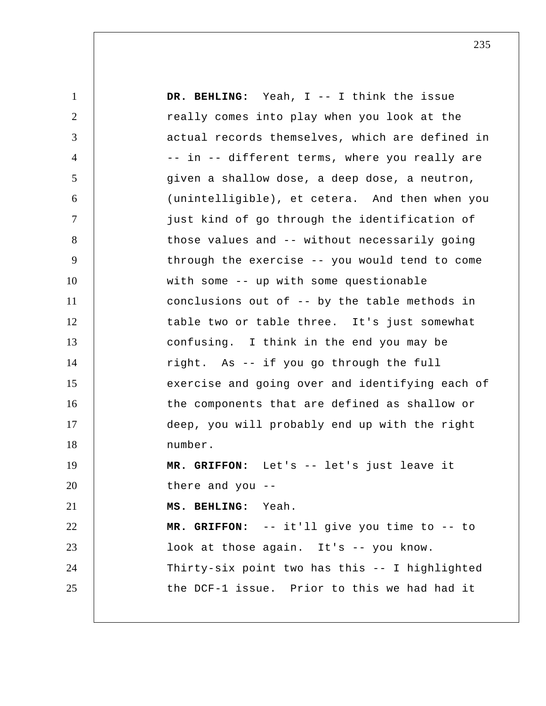1 2 3 4 5 6 7 8 9 10 11 12 13 14 15 16 17 18 19 20 21 22 23 24 25  **DR. BEHLING:** Yeah, I -- I think the issue really comes into play when you look at the actual records themselves, which are defined in -- in -- different terms, where you really are given a shallow dose, a deep dose, a neutron, (unintelligible), et cetera. And then when you just kind of go through the identification of those values and -- without necessarily going through the exercise -- you would tend to come with some -- up with some questionable conclusions out of -- by the table methods in table two or table three. It's just somewhat confusing. I think in the end you may be right. As -- if you go through the full exercise and going over and identifying each of the components that are defined as shallow or deep, you will probably end up with the right number.  **MR. GRIFFON:** Let's -- let's just leave it there and you --  **MS. BEHLING:** Yeah.  **MR. GRIFFON:** -- it'll give you time to -- to look at those again. It's -- you know. Thirty-six point two has this -- I highlighted the DCF-1 issue. Prior to this we had had it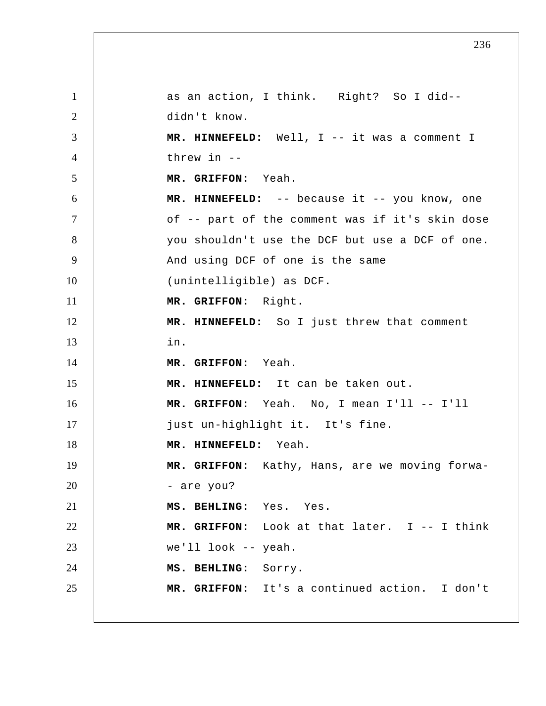1 2 3 4 5 6 7 8 9 10 11 12 13 14 15 16 17 18 19 20 21 22 23 24 25 as an action, I think. Right? So I did- didn't know.  **MR. HINNEFELD:** Well, I -- it was a comment I threw in -- **MR. GRIFFON:** Yeah.  **MR. HINNEFELD:** -- because it -- you know, one of -- part of the comment was if it's skin dose you shouldn't use the DCF but use a DCF of one. And using DCF of one is the same (unintelligible) as DCF.  **MR. GRIFFON:** Right.  **MR. HINNEFELD:** So I just threw that comment in.  **MR. GRIFFON:** Yeah.  **MR. HINNEFELD:** It can be taken out.  **MR. GRIFFON:** Yeah. No, I mean I'll -- I'll just un-highlight it. It's fine.  **MR. HINNEFELD:** Yeah.  **MR. GRIFFON:** Kathy, Hans, are we moving forwa - are you?  **MS. BEHLING:** Yes. Yes.  **MR. GRIFFON:** Look at that later. I -- I think we'll look -- yeah.  **MS. BEHLING:** Sorry.  **MR. GRIFFON:** It's a continued action. I don't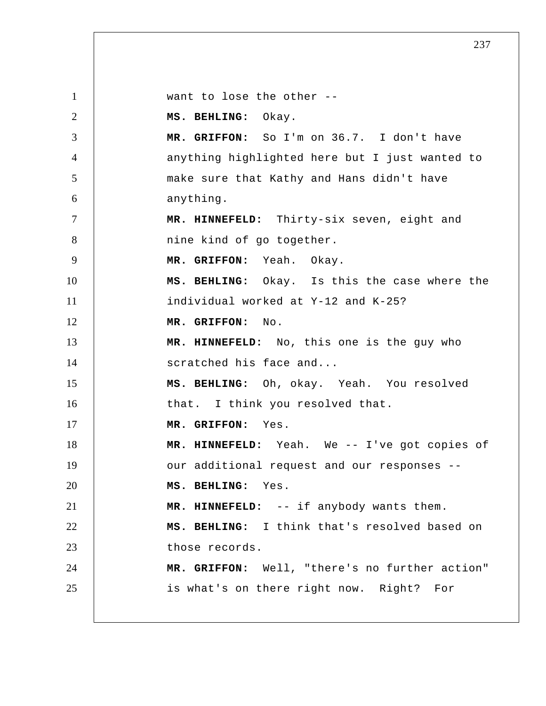1 2 3 4 5 6 7 8 9 10 11 12 13 14 15 16 17 18 19 20 21 22 23 24 25 want to lose the other --  **MS. BEHLING:** Okay.  **MR. GRIFFON:** So I'm on 36.7. I don't have anything highlighted here but I just wanted to make sure that Kathy and Hans didn't have anything.  **MR. HINNEFELD:** Thirty-six seven, eight and nine kind of go together.  **MR. GRIFFON:** Yeah. Okay.  **MS. BEHLING:** Okay. Is this the case where the individual worked at Y-12 and K-25?  **MR. GRIFFON:** No.  **MR. HINNEFELD:** No, this one is the guy who scratched his face and...  **MS. BEHLING:** Oh, okay. Yeah. You resolved that. I think you resolved that.  **MR. GRIFFON:** Yes.  **MR. HINNEFELD:** Yeah. We -- I've got copies of our additional request and our responses --  **MS. BEHLING:** Yes.  **MR. HINNEFELD:** -- if anybody wants them.  **MS. BEHLING:** I think that's resolved based on those records.  **MR. GRIFFON:** Well, "there's no further action" is what's on there right now. Right? For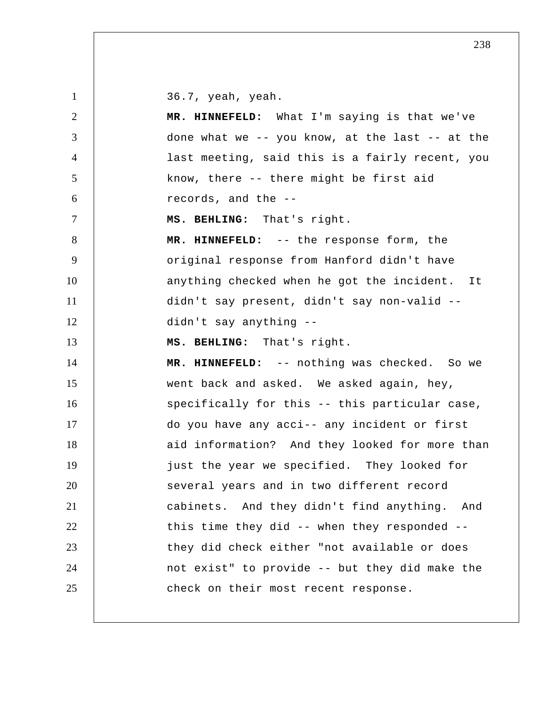36.7, yeah, yeah.

1

2 3 4 5 6 7 8 9 10 11 12 13 14 15 16 17 18 19 20 21 22 23 24 25  **MR. HINNEFELD:** What I'm saying is that we've done what we -- you know, at the last -- at the last meeting, said this is a fairly recent, you know, there -- there might be first aid records, and the --  **MS. BEHLING:** That's right.  **MR. HINNEFELD:** -- the response form, the original response from Hanford didn't have anything checked when he got the incident. It didn't say present, didn't say non-valid - didn't say anything -- **MS. BEHLING:** That's right.  **MR. HINNEFELD:** -- nothing was checked. So we went back and asked. We asked again, hey, specifically for this -- this particular case, do you have any acci-- any incident or first aid information? And they looked for more than just the year we specified. They looked for several years and in two different record cabinets. And they didn't find anything. And this time they did -- when they responded - they did check either "not available or does not exist" to provide -- but they did make the check on their most recent response.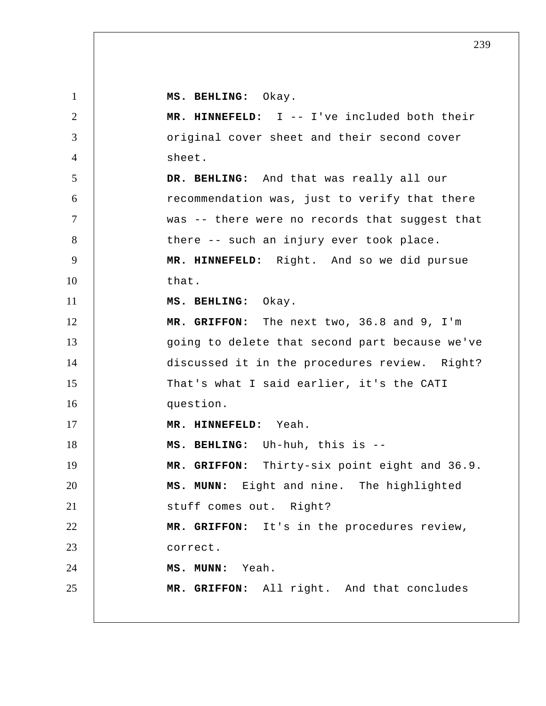| $\mathbf{1}$   | MS. BEHLING: Okay.                             |
|----------------|------------------------------------------------|
| $\overline{2}$ | MR. HINNEFELD: I -- I've included both their   |
| 3              | original cover sheet and their second cover    |
| $\overline{4}$ | sheet.                                         |
| 5              | DR. BEHLING: And that was really all our       |
| 6              | recommendation was, just to verify that there  |
| $\overline{7}$ | was -- there were no records that suggest that |
| 8              | there -- such an injury ever took place.       |
| 9              | MR. HINNEFELD: Right. And so we did pursue     |
| 10             | that.                                          |
| 11             | MS. BEHLING: Okay.                             |
| 12             | MR. GRIFFON: The next two, 36.8 and 9, I'm     |
| 13             | going to delete that second part because we've |
| 14             | discussed it in the procedures review. Right?  |
| 15             | That's what I said earlier, it's the CATI      |
| 16             | question.                                      |
| 17             | MR. HINNEFELD: Yeah.                           |
| 18             | MS. BEHLING: Uh-huh, this is --                |
| 19             | MR. GRIFFON: Thirty-six point eight and 36.9.  |
| 20             | MS. MUNN: Eight and nine. The highlighted      |
| 21             | stuff comes out. Right?                        |
| 22             | MR. GRIFFON: It's in the procedures review,    |
| 23             | correct.                                       |
| 24             | MS. MUNN: Yeah.                                |
| 25             | MR. GRIFFON: All right. And that concludes     |
|                |                                                |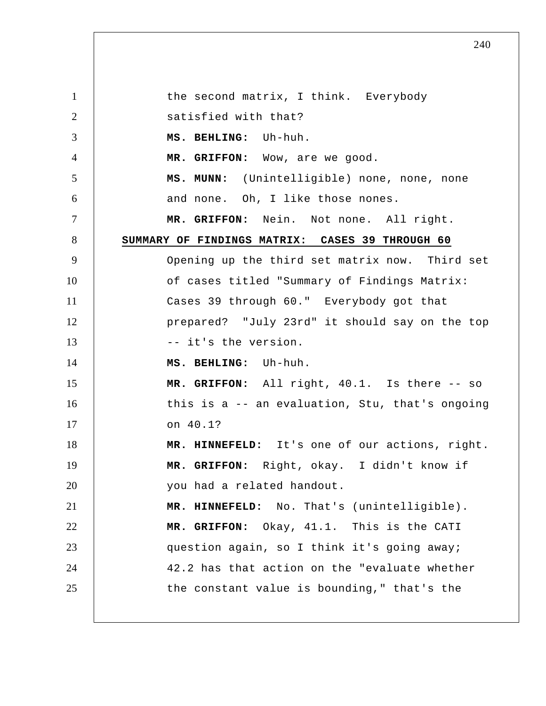1 2 3 4 5 6 7 8 9 10 11 12 13 14 15 16 17 18 19 20 21 22 23 24 25 the second matrix, I think. Everybody satisfied with that?  **MS. BEHLING:** Uh-huh.  **MR. GRIFFON:** Wow, are we good.  **MS. MUNN:** (Unintelligible) none, none, none and none. Oh, I like those nones.  **MR. GRIFFON:** Nein. Not none. All right. **SUMMARY OF FINDINGS MATRIX: CASES 39 THROUGH 60**  Opening up the third set matrix now. Third set of cases titled "Summary of Findings Matrix: Cases 39 through 60." Everybody got that prepared? "July 23rd" it should say on the top -- it's the version.  **MS. BEHLING:** Uh-huh.  **MR. GRIFFON:** All right, 40.1. Is there -- so this is a -- an evaluation, Stu, that's ongoing on 40.1?  **MR. HINNEFELD:** It's one of our actions, right.  **MR. GRIFFON:** Right, okay. I didn't know if you had a related handout.  **MR. HINNEFELD:** No. That's (unintelligible).  **MR. GRIFFON:** Okay, 41.1. This is the CATI question again, so I think it's going away; 42.2 has that action on the "evaluate whether the constant value is bounding," that's the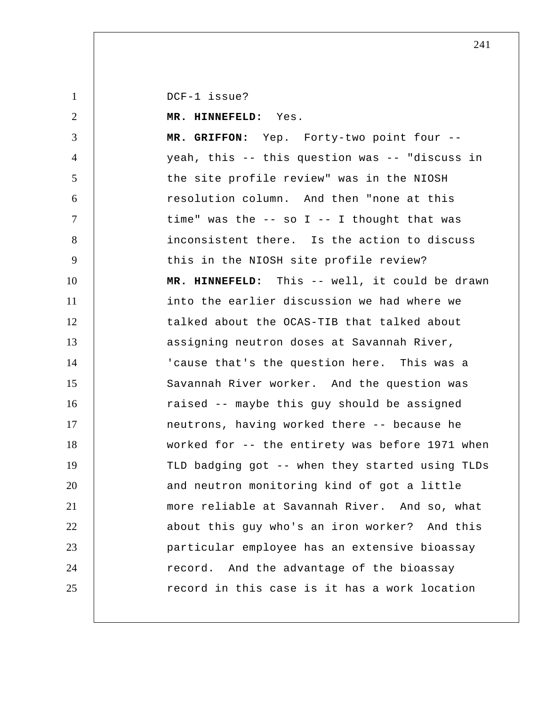DCF-1 issue?

1

2 3 4 5 6 7 8 9 10 11 12 13 14 15 16 17 18 19 20 21 22 23 24 25  **MR. HINNEFELD:** Yes.  **MR. GRIFFON:** Yep. Forty-two point four - yeah, this -- this question was -- "discuss in the site profile review" was in the NIOSH resolution column. And then "none at this time" was the  $-$  so I  $-$  I thought that was inconsistent there. Is the action to discuss this in the NIOSH site profile review?  **MR. HINNEFELD:** This -- well, it could be drawn into the earlier discussion we had where we talked about the OCAS-TIB that talked about assigning neutron doses at Savannah River, 'cause that's the question here. This was a Savannah River worker. And the question was raised -- maybe this guy should be assigned neutrons, having worked there -- because he worked for -- the entirety was before 1971 when TLD badging got -- when they started using TLDs and neutron monitoring kind of got a little more reliable at Savannah River. And so, what about this guy who's an iron worker? And this particular employee has an extensive bioassay record. And the advantage of the bioassay record in this case is it has a work location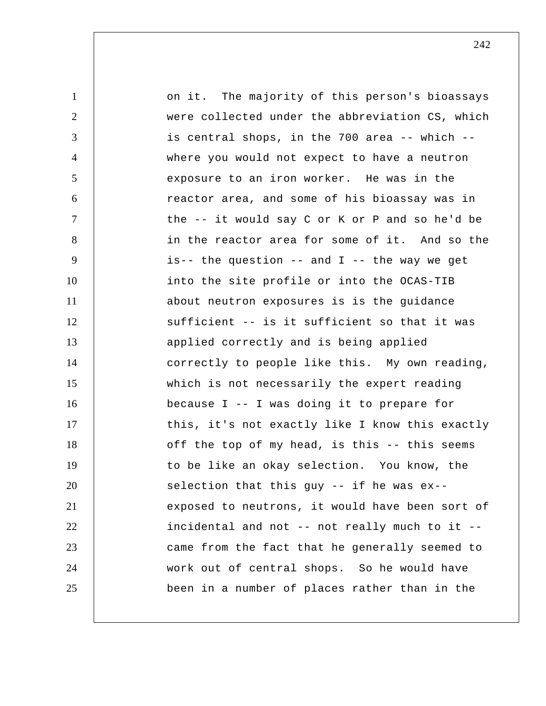1 2 3 4 5 6 7 8 9 10 11 12 13 14 15 16 17 18 19 20 21 22 23 24 25 on it. The majority of this person's bioassays were collected under the abbreviation CS, which is central shops, in the 700 area -- which - where you would not expect to have a neutron exposure to an iron worker. He was in the reactor area, and some of his bioassay was in the -- it would say C or K or P and so he'd be in the reactor area for some of it. And so the is-- the question -- and  $I$  -- the way we get into the site profile or into the OCAS-TIB about neutron exposures is is the guidance sufficient -- is it sufficient so that it was applied correctly and is being applied correctly to people like this. My own reading, which is not necessarily the expert reading because I -- I was doing it to prepare for this, it's not exactly like I know this exactly off the top of my head, is this -- this seems to be like an okay selection. You know, the selection that this guy -- if he was ex- exposed to neutrons, it would have been sort of incidental and not -- not really much to it - came from the fact that he generally seemed to work out of central shops. So he would have been in a number of places rather than in the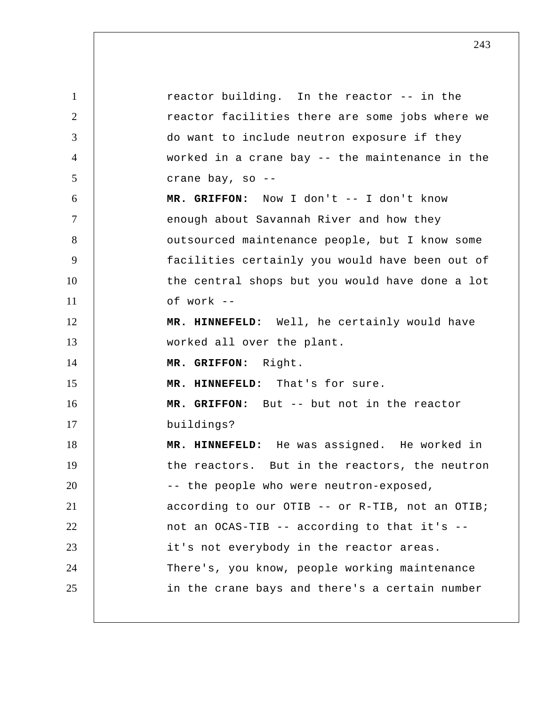1 2 3 4 5 6 7 8 9 10 11 12 13 14 15 16 17 18 19 20 21 22 23 24 25 reactor building. In the reactor -- in the reactor facilities there are some jobs where we do want to include neutron exposure if they worked in a crane bay -- the maintenance in the crane bay, so -- **MR. GRIFFON:** Now I don't -- I don't know enough about Savannah River and how they outsourced maintenance people, but I know some facilities certainly you would have been out of the central shops but you would have done a lot of work -- **MR. HINNEFELD:** Well, he certainly would have worked all over the plant.  **MR. GRIFFON:** Right.  **MR. HINNEFELD:** That's for sure.  **MR. GRIFFON:** But -- but not in the reactor buildings?  **MR. HINNEFELD:** He was assigned. He worked in the reactors. But in the reactors, the neutron -- the people who were neutron-exposed, according to our OTIB -- or R-TIB, not an OTIB; not an OCAS-TIB -- according to that it's - it's not everybody in the reactor areas. There's, you know, people working maintenance in the crane bays and there's a certain number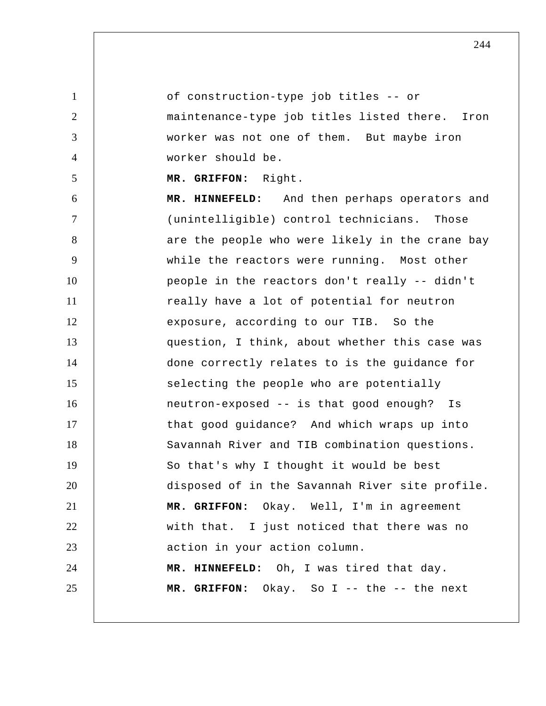1 2 3 4 5 6 7 8 9 10 11 12 13 14 15 16 17 18 19 20 21 22 23 24 25 of construction-type job titles -- or maintenance-type job titles listed there. Iron worker was not one of them. But maybe iron worker should be.  **MR. GRIFFON:** Right.  **MR. HINNEFELD:** And then perhaps operators and (unintelligible) control technicians. Those are the people who were likely in the crane bay while the reactors were running. Most other people in the reactors don't really -- didn't really have a lot of potential for neutron exposure, according to our TIB. So the question, I think, about whether this case was done correctly relates to is the guidance for selecting the people who are potentially neutron-exposed -- is that good enough? Is that good guidance? And which wraps up into Savannah River and TIB combination questions. So that's why I thought it would be best disposed of in the Savannah River site profile.  **MR. GRIFFON:** Okay. Well, I'm in agreement with that. I just noticed that there was no action in your action column.  **MR. HINNEFELD:** Oh, I was tired that day.  **MR. GRIFFON:** Okay. So I -- the -- the next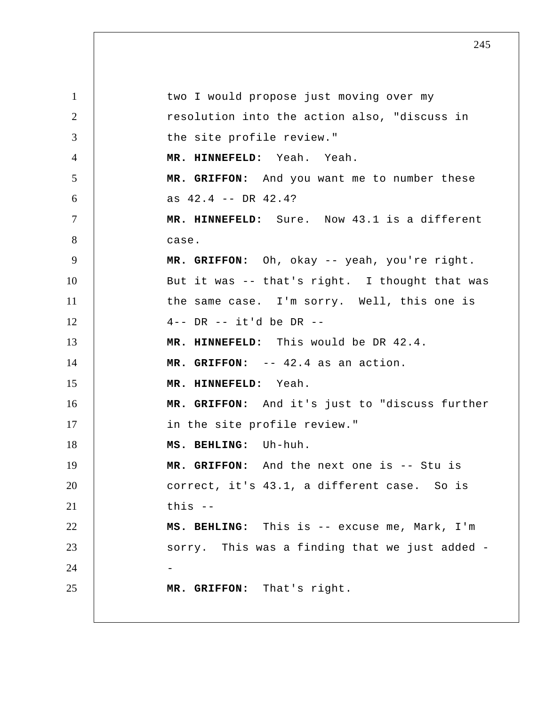1 2 3 4 5 6 7 8 9 10 11 12 13 14 15 16 17 18 19 20 21 22 23 24 25 two I would propose just moving over my resolution into the action also, "discuss in the site profile review."  **MR. HINNEFELD:** Yeah. Yeah.  **MR. GRIFFON:** And you want me to number these as 42.4 -- DR 42.4?  **MR. HINNEFELD:** Sure. Now 43.1 is a different case.  **MR. GRIFFON:** Oh, okay -- yeah, you're right. But it was -- that's right. I thought that was the same case. I'm sorry. Well, this one is 4-- DR -- it'd be DR -- **MR. HINNEFELD:** This would be DR 42.4.  **MR. GRIFFON:** -- 42.4 as an action.  **MR. HINNEFELD:** Yeah.  **MR. GRIFFON:** And it's just to "discuss further in the site profile review."  **MS. BEHLING:** Uh-huh.  **MR. GRIFFON:** And the next one is -- Stu is correct, it's 43.1, a different case. So is this --  **MS. BEHLING:** This is -- excuse me, Mark, I'm sorry. This was a finding that we just added - **MR. GRIFFON:** That's right.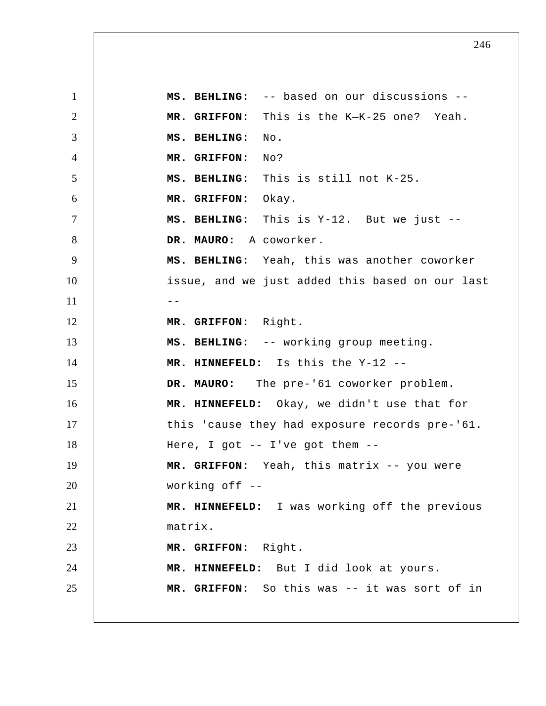1 2 3 4 5 6 7 8 9 10  $11$   $-$ 12 13 14 15 16 17 18 19 20 21 22 23 24 25  **MS. BEHLING:** -- based on our discussions --  **MR. GRIFFON:** This is the K—K-25 one? Yeah.  **MS. BEHLING:** No.  **MR. GRIFFON:** No?  **MS. BEHLING:** This is still not K-25.  **MR. GRIFFON:** Okay.  **MS. BEHLING:** This is Y-12. But we just --  **DR. MAURO:** A coworker.  **MS. BEHLING:** Yeah, this was another coworker issue, and we just added this based on our last  **MR. GRIFFON:** Right.  **MS. BEHLING:** -- working group meeting.  **MR. HINNEFELD:** Is this the Y-12 --  **DR. MAURO:** The pre-'61 coworker problem.  **MR. HINNEFELD:** Okay, we didn't use that for this 'cause they had exposure records pre-'61. Here, I got -- I've got them --  **MR. GRIFFON:** Yeah, this matrix -- you were working off --  **MR. HINNEFELD:** I was working off the previous matrix.  **MR. GRIFFON:** Right.  **MR. HINNEFELD:** But I did look at yours.  **MR. GRIFFON:** So this was -- it was sort of in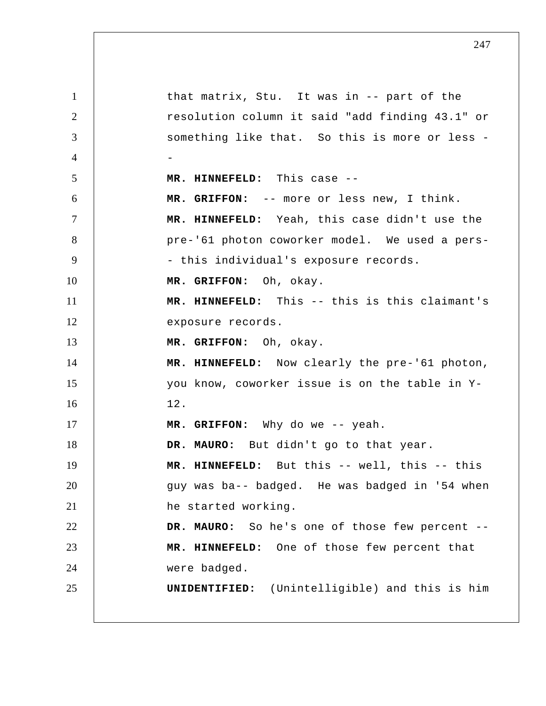1 2 3 4 5 6 7 8 9 10 11 12 13 14 15 16 17 18 19 20 21 22 23 24 25 that matrix, Stu. It was in -- part of the resolution column it said "add finding 43.1" or something like that. So this is more or less -- **MR. HINNEFELD:** This case -- **MR. GRIFFON:** -- more or less new, I think.  **MR. HINNEFELD:** Yeah, this case didn't use the pre-'61 photon coworker model. We used a pers - this individual's exposure records.  **MR. GRIFFON:** Oh, okay.  **MR. HINNEFELD:** This -- this is this claimant's exposure records.  **MR. GRIFFON:** Oh, okay.  **MR. HINNEFELD:** Now clearly the pre-'61 photon, you know, coworker issue is on the table in Y-12.  **MR. GRIFFON:** Why do we -- yeah.  **DR. MAURO:** But didn't go to that year.  **MR. HINNEFELD:** But this -- well, this -- this guy was ba-- badged. He was badged in '54 when he started working.  **DR. MAURO:** So he's one of those few percent --  **MR. HINNEFELD:** One of those few percent that were badged. **UNIDENTIFIED:** (Unintelligible) and this is him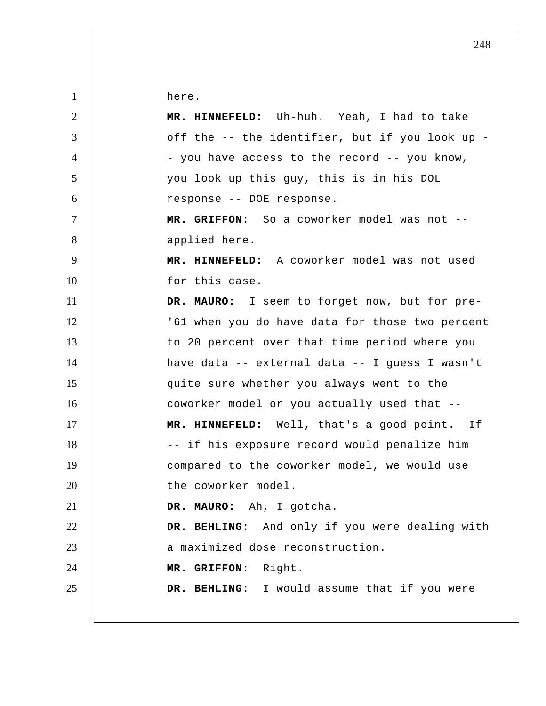here.

| 2              | MR. HINNEFELD: Uh-huh. Yeah, I had to take      |
|----------------|-------------------------------------------------|
| 3              | off the -- the identifier, but if you look up - |
| $\overline{4}$ | - you have access to the record -- you know,    |
| $\mathfrak{S}$ | you look up this guy, this is in his DOL        |
| 6              | response -- DOE response.                       |
| $\tau$         | MR. GRIFFON: So a coworker model was not --     |
| 8              | applied here.                                   |
| 9              | MR. HINNEFELD: A coworker model was not used    |
| 10             | for this case.                                  |
| 11             | DR. MAURO: I seem to forget now, but for pre-   |
| 12             | '61 when you do have data for those two percent |
| 13             | to 20 percent over that time period where you   |
| 14             | have data -- external data -- I quess I wasn't  |
| 15             | quite sure whether you always went to the       |
| 16             | coworker model or you actually used that --     |
| 17             | MR. HINNEFELD: Well, that's a good point. If    |
| 18             | -- if his exposure record would penalize him    |
| 19             | compared to the coworker model, we would use    |
| 20             | the coworker model.                             |
| 21             | DR. MAURO: Ah, I gotcha.                        |
| 22             | DR. BEHLING: And only if you were dealing with  |
| 23             | a maximized dose reconstruction.                |
| 24             | MR. GRIFFON: Right.                             |
| 25             | DR. BEHLING: I would assume that if you were    |
|                |                                                 |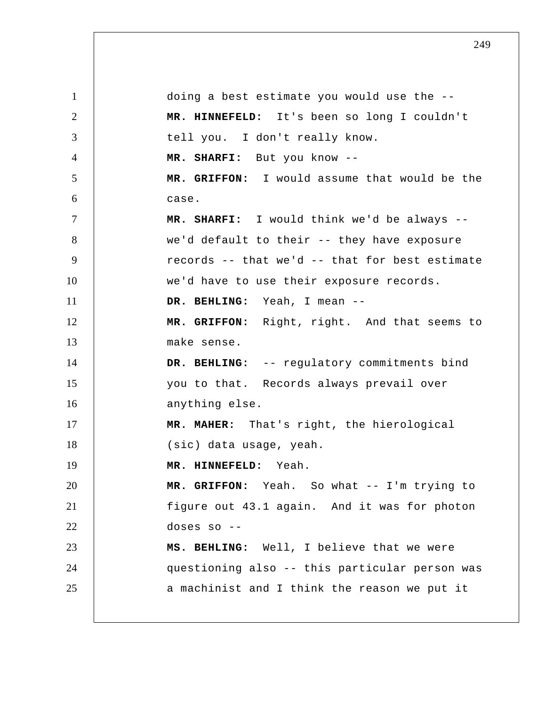1 2 3 4 5 6 7 8 9 10 11 12 13 14 15 16 17 18 19 20 21 22 23 24 25 doing a best estimate you would use the --  **MR. HINNEFELD:** It's been so long I couldn't tell you. I don't really know.  **MR. SHARFI:** But you know -- **MR. GRIFFON:** I would assume that would be the case.  **MR. SHARFI:** I would think we'd be always - we'd default to their -- they have exposure records -- that we'd -- that for best estimate we'd have to use their exposure records.  **DR. BEHLING:** Yeah, I mean --  **MR. GRIFFON:** Right, right. And that seems to make sense.  **DR. BEHLING:** -- regulatory commitments bind you to that. Records always prevail over anything else.  **MR. MAHER:** That's right, the hierological (sic) data usage, yeah.  **MR. HINNEFELD:** Yeah.  **MR. GRIFFON:** Yeah. So what -- I'm trying to figure out 43.1 again. And it was for photon doses so -- **MS. BEHLING:** Well, I believe that we were questioning also -- this particular person was a machinist and I think the reason we put it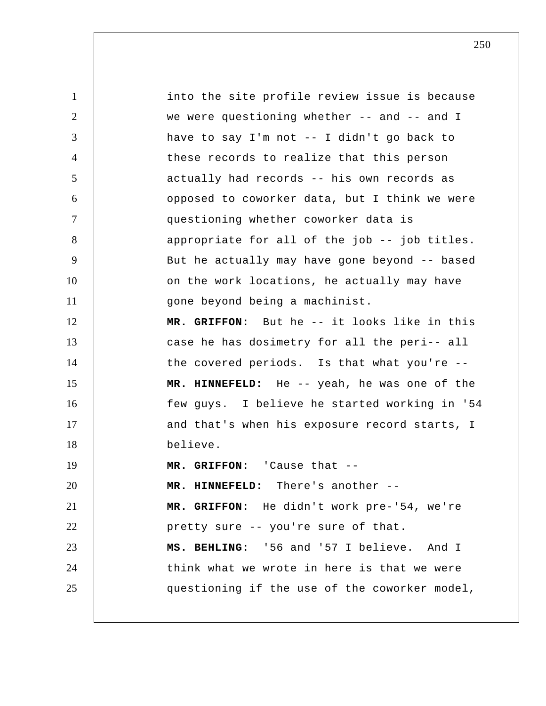1 2 3 4 5 6 7 8 9 10 11 12 13 14 15 16 17 18 19 20 21 22 23 24 25 into the site profile review issue is because we were questioning whether -- and -- and I have to say I'm not -- I didn't go back to these records to realize that this person actually had records -- his own records as opposed to coworker data, but I think we were questioning whether coworker data is appropriate for all of the job -- job titles. But he actually may have gone beyond -- based on the work locations, he actually may have gone beyond being a machinist.  **MR. GRIFFON:** But he -- it looks like in this case he has dosimetry for all the peri-- all the covered periods. Is that what you're --  **MR. HINNEFELD:** He -- yeah, he was one of the few guys. I believe he started working in '54 and that's when his exposure record starts, I believe.  **MR. GRIFFON:** 'Cause that -- **MR. HINNEFELD:** There's another -- **MR. GRIFFON:** He didn't work pre-'54, we're pretty sure -- you're sure of that.  **MS. BEHLING:** '56 and '57 I believe. And I think what we wrote in here is that we were questioning if the use of the coworker model,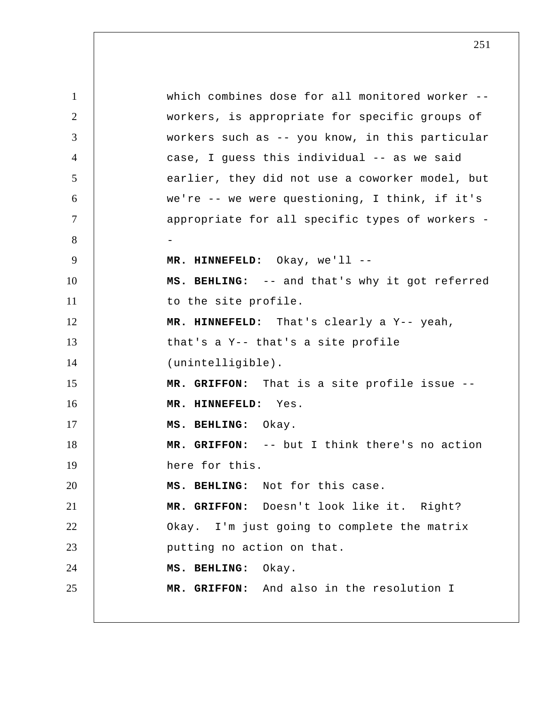1 2 3 4 5 6 7 8 9 10 11 12 13 14 15 16 17 18 19 20 21 22 23 24 25 which combines dose for all monitored worker - workers, is appropriate for specific groups of workers such as -- you know, in this particular case, I guess this individual -- as we said earlier, they did not use a coworker model, but we're -- we were questioning, I think, if it's appropriate for all specific types of workers - **MR. HINNEFELD:** Okay, we'll -- **MS. BEHLING:** -- and that's why it got referred to the site profile.  **MR. HINNEFELD:** That's clearly a Y-- yeah, that's a Y-- that's a site profile (unintelligible).  **MR. GRIFFON:** That is a site profile issue --  **MR. HINNEFELD:** Yes.  **MS. BEHLING:** Okay.  **MR. GRIFFON:** -- but I think there's no action here for this.  **MS. BEHLING:** Not for this case.  **MR. GRIFFON:** Doesn't look like it. Right? Okay. I'm just going to complete the matrix putting no action on that.  **MS. BEHLING:** Okay.  **MR. GRIFFON:** And also in the resolution I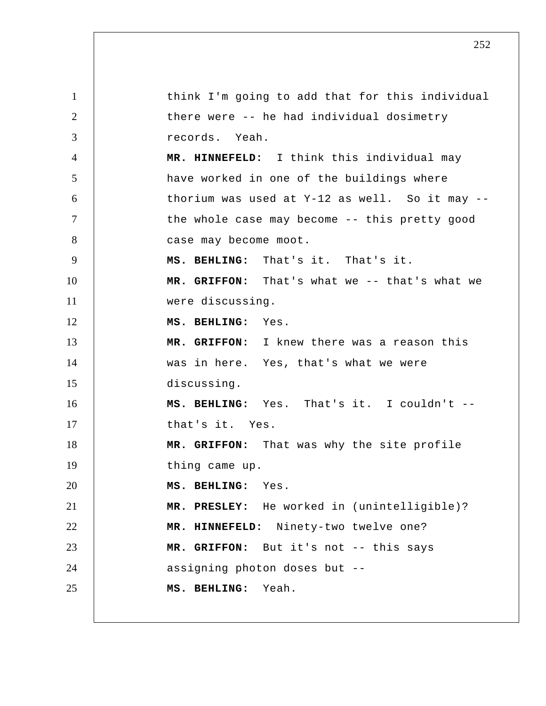1 2 3 4 5 6 7 8 9 10 11 12 13 14 15 16 17 18 19 20 21 22 23 24 25 think I'm going to add that for this individual there were -- he had individual dosimetry records. Yeah.  **MR. HINNEFELD:** I think this individual may have worked in one of the buildings where thorium was used at  $Y-12$  as well. So it may  $-$ the whole case may become -- this pretty good case may become moot.  **MS. BEHLING:** That's it. That's it.  **MR. GRIFFON:** That's what we -- that's what we were discussing.  **MS. BEHLING:** Yes.  **MR. GRIFFON:** I knew there was a reason this was in here. Yes, that's what we were discussing.  **MS. BEHLING:** Yes. That's it. I couldn't - that's it. Yes.  **MR. GRIFFON:** That was why the site profile thing came up.  **MS. BEHLING:** Yes.  **MR. PRESLEY:** He worked in (unintelligible)?  **MR. HINNEFELD:** Ninety-two twelve one?  **MR. GRIFFON:** But it's not -- this says assigning photon doses but --  **MS. BEHLING:** Yeah.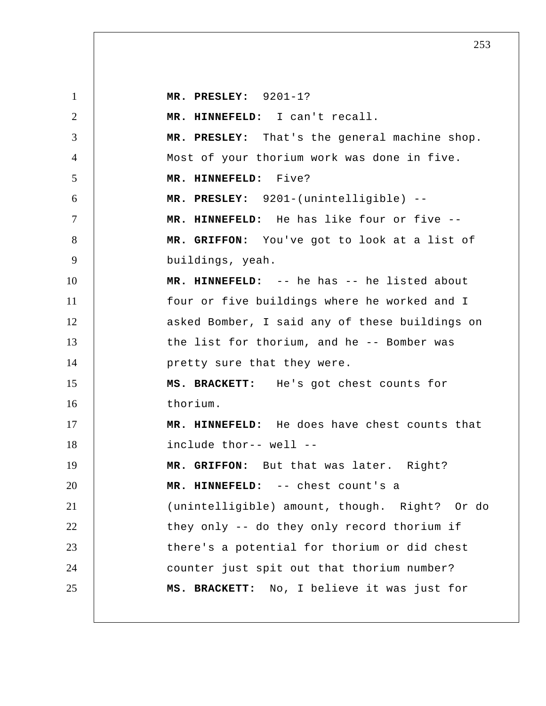| $\mathbf{1}$   | MR. PRESLEY: $9201-1?$                         |
|----------------|------------------------------------------------|
| $\overline{2}$ | MR. HINNEFELD: I can't recall.                 |
| 3              | MR. PRESLEY: That's the general machine shop.  |
| $\overline{4}$ | Most of your thorium work was done in five.    |
| 5              | MR. HINNEFELD: Five?                           |
| 6              | MR. PRESLEY: 9201-(unintelligible) --          |
| $\tau$         | MR. HINNEFELD: He has like four or five --     |
| 8              | MR. GRIFFON: You've got to look at a list of   |
| 9              | buildings, yeah.                               |
| 10             | MR. HINNEFELD: -- he has -- he listed about    |
| 11             | four or five buildings where he worked and I   |
| 12             | asked Bomber, I said any of these buildings on |
| 13             | the list for thorium, and he -- Bomber was     |
| 14             | pretty sure that they were.                    |
| 15             | MS. BRACKETT: He's got chest counts for        |
| 16             | thorium.                                       |
| 17             | MR. HINNEFELD: He does have chest counts that  |
| 18             | include thor-- well --                         |
| 19             | MR. GRIFFON: But that was later. Right?        |
| 20             | MR. HINNEFELD: -- chest count's a              |
| 21             | (unintelligible) amount, though. Right? Or do  |
| 22             | they only -- do they only record thorium if    |
| 23             | there's a potential for thorium or did chest   |
| 24             | counter just spit out that thorium number?     |
| 25             | MS. BRACKETT: No, I believe it was just for    |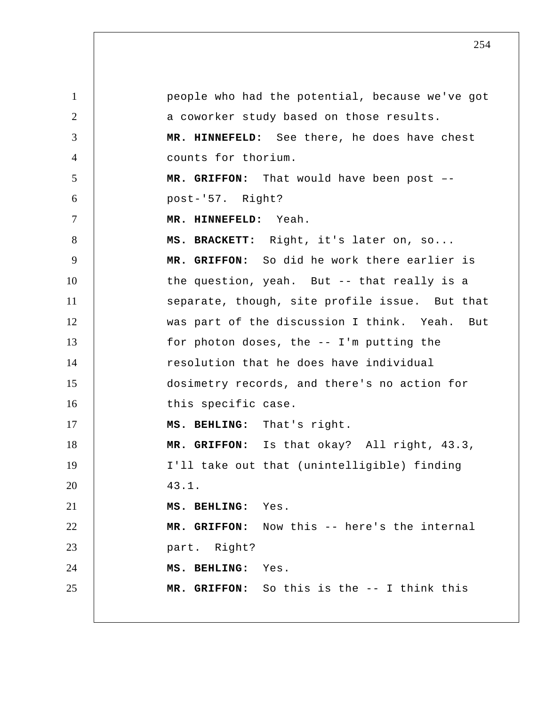1 2 3 4 5 6 7 8 9 10 11 12 13 14 15 16 17 18 19 20 21 22 23 24 25 people who had the potential, because we've got a coworker study based on those results.  **MR. HINNEFELD:** See there, he does have chest counts for thorium.  **MR. GRIFFON:** That would have been post – post-'57. Right?  **MR. HINNEFELD:** Yeah.  **MS. BRACKETT:** Right, it's later on, so...  **MR. GRIFFON:** So did he work there earlier is the question, yeah. But -- that really is a separate, though, site profile issue. But that was part of the discussion I think. Yeah. But for photon doses, the -- I'm putting the resolution that he does have individual dosimetry records, and there's no action for this specific case.  **MS. BEHLING:** That's right.  **MR. GRIFFON:** Is that okay? All right, 43.3, I'll take out that (unintelligible) finding 43.1.  **MS. BEHLING:** Yes.  **MR. GRIFFON:** Now this -- here's the internal part. Right?  **MS. BEHLING:** Yes.  **MR. GRIFFON:** So this is the -- I think this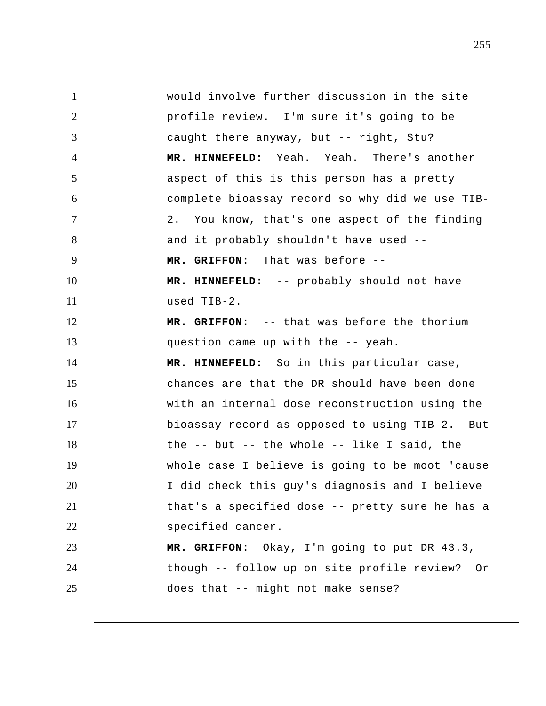1 2 3 4 5 6 7 8 9 10 11 12 13 14 15 16 17 18 19 20 21 22 23 24 25 would involve further discussion in the site profile review. I'm sure it's going to be caught there anyway, but -- right, Stu?  **MR. HINNEFELD:** Yeah. Yeah. There's another aspect of this is this person has a pretty complete bioassay record so why did we use TIB-2. You know, that's one aspect of the finding and it probably shouldn't have used --  **MR. GRIFFON:** That was before -- **MR. HINNEFELD:** -- probably should not have used TIB-2.  **MR. GRIFFON:** -- that was before the thorium question came up with the -- yeah.  **MR. HINNEFELD:** So in this particular case, chances are that the DR should have been done with an internal dose reconstruction using the bioassay record as opposed to using TIB-2. But the -- but -- the whole -- like I said, the whole case I believe is going to be moot 'cause I did check this guy's diagnosis and I believe that's a specified dose -- pretty sure he has a specified cancer.  **MR. GRIFFON:** Okay, I'm going to put DR 43.3, though -- follow up on site profile review? Or does that -- might not make sense?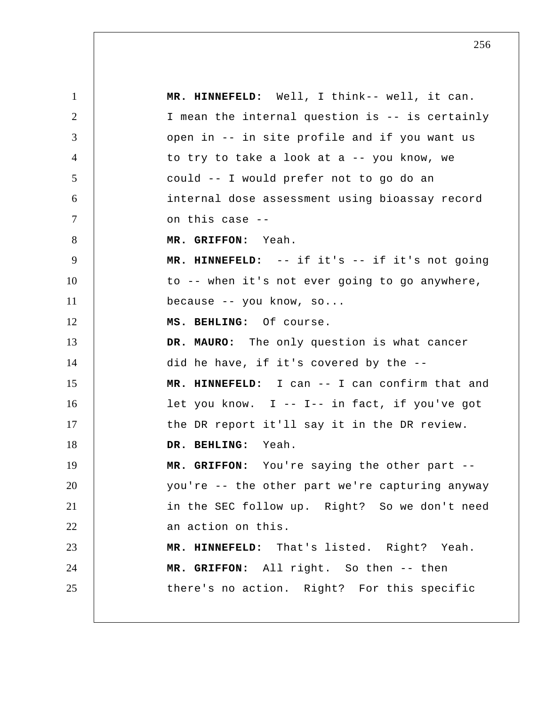1 2 3 4 5 6 7 8 9 10 11 12 13 14 15 16 17 18 19 20 21 22 23 24 25  **MR. HINNEFELD:** Well, I think-- well, it can. I mean the internal question is -- is certainly open in -- in site profile and if you want us to try to take a look at a -- you know, we could -- I would prefer not to go do an internal dose assessment using bioassay record on this case -- **MR. GRIFFON:** Yeah.  **MR. HINNEFELD:** -- if it's -- if it's not going to -- when it's not ever going to go anywhere, because -- you know, so...  **MS. BEHLING:** Of course.  **DR. MAURO:** The only question is what cancer did he have, if it's covered by the --  **MR. HINNEFELD:** I can -- I can confirm that and let you know. I -- I-- in fact, if you've got the DR report it'll say it in the DR review.  **DR. BEHLING:** Yeah.  **MR. GRIFFON:** You're saying the other part - you're -- the other part we're capturing anyway in the SEC follow up. Right? So we don't need an action on this.  **MR. HINNEFELD:** That's listed. Right? Yeah.  **MR. GRIFFON:** All right. So then -- then there's no action. Right? For this specific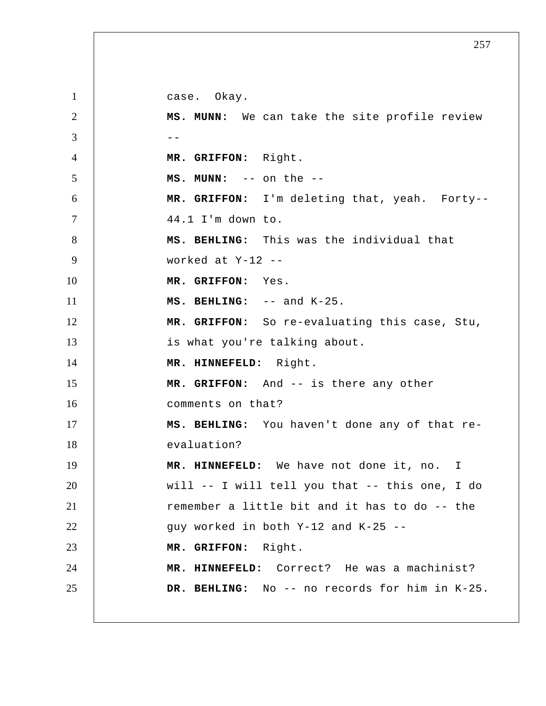1 2  $3 \quad \vert \quad \vert \quad \vert \quad \vert$ 4 5 6 7 8 9 10 11 12 13 14 15 16 17 18 19 20 21 22 23 24 25 case. Okay.  **MS. MUNN:** We can take the site profile review  **MR. GRIFFON:** Right.  **MS. MUNN:** -- on the -- **MR. GRIFFON:** I'm deleting that, yeah. Forty--44.1 I'm down to.  **MS. BEHLING:** This was the individual that worked at Y-12 --  **MR. GRIFFON:** Yes.  **MS. BEHLING:** -- and K-25.  **MR. GRIFFON:** So re-evaluating this case, Stu, is what you're talking about.  **MR. HINNEFELD:** Right.  **MR. GRIFFON:** And -- is there any other comments on that?  **MS. BEHLING:** You haven't done any of that reevaluation?  **MR. HINNEFELD:** We have not done it, no. I will -- I will tell you that -- this one, I do remember a little bit and it has to do -- the guy worked in both Y-12 and K-25 --  **MR. GRIFFON:** Right.  **MR. HINNEFELD:** Correct? He was a machinist? DR. BEHLING: No -- no records for him in K-25.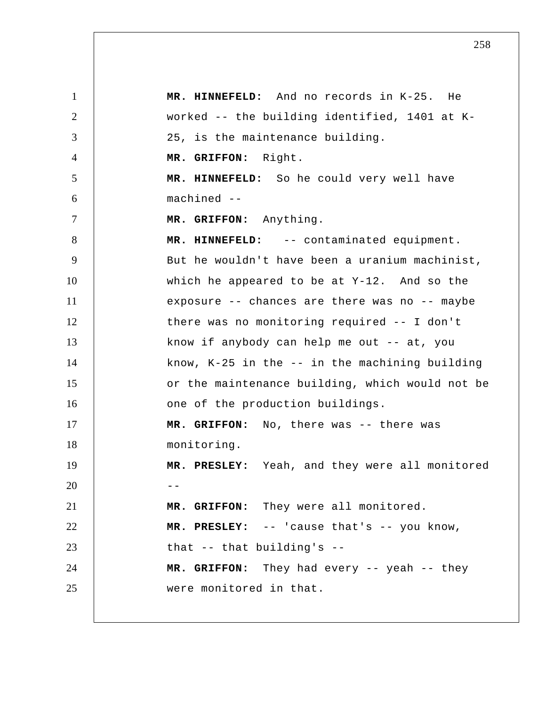1 2 3 4 5 6 7 8 9 10 11 12 13 14 15 16 17 18 19 20 21 22 23 24 25  **MR. HINNEFELD:** And no records in K-25. He worked -- the building identified, 1401 at K-25, is the maintenance building.  **MR. GRIFFON:** Right.  **MR. HINNEFELD:** So he could very well have machined --  **MR. GRIFFON:** Anything.  **MR. HINNEFELD:** -- contaminated equipment. But he wouldn't have been a uranium machinist, which he appeared to be at Y-12. And so the exposure -- chances are there was no -- maybe there was no monitoring required -- I don't know if anybody can help me out -- at, you know, K-25 in the -- in the machining building or the maintenance building, which would not be one of the production buildings.  **MR. GRIFFON:** No, there was -- there was monitoring.  **MR. PRESLEY:** Yeah, and they were all monitored  $- -$  **MR. GRIFFON:**  They were all monitored.  **MR. PRESLEY:**  -- 'cause that's -- you know, that -- that building's --  **MR. GRIFFON:** They had every -- yeah -- they were monitored in that.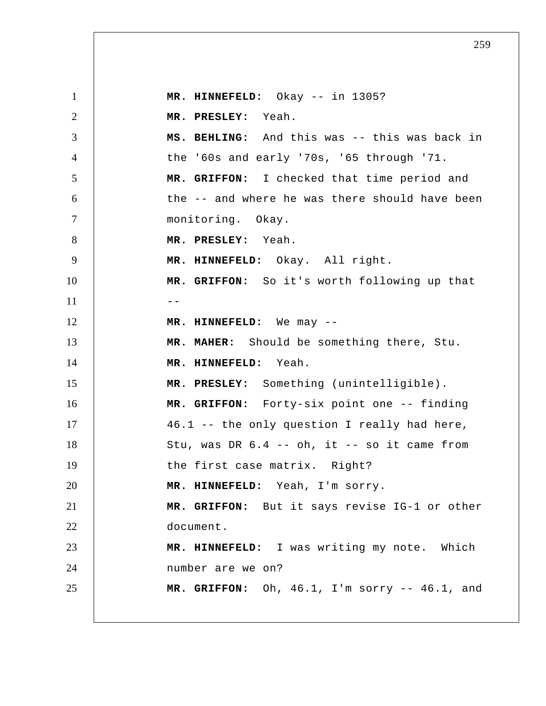1 2 3 4 5 6 7 8 9 10  $11$   $-$ 12 13 14 15 16 17 18 19 20 21 22 23 24 25  **MR. HINNEFELD:** Okay -- in 1305?  **MR. PRESLEY:** Yeah.  **MS. BEHLING:** And this was -- this was back in the '60s and early '70s, '65 through '71.  **MR. GRIFFON:** I checked that time period and the -- and where he was there should have been monitoring. Okay.  **MR. PRESLEY:** Yeah.  **MR. HINNEFELD:** Okay. All right.  **MR. GRIFFON:** So it's worth following up that  **MR. HINNEFELD:** We may -- **MR. MAHER:** Should be something there, Stu.  **MR. HINNEFELD:** Yeah.  **MR. PRESLEY:** Something (unintelligible).  **MR. GRIFFON:** Forty-six point one -- finding 46.1 -- the only question I really had here, Stu, was DR  $6.4$  -- oh, it -- so it came from the first case matrix. Right?  **MR. HINNEFELD:** Yeah, I'm sorry.  **MR. GRIFFON:** But it says revise IG-1 or other document.  **MR. HINNEFELD:** I was writing my note. Which number are we on?  **MR. GRIFFON:** Oh, 46.1, I'm sorry -- 46.1, and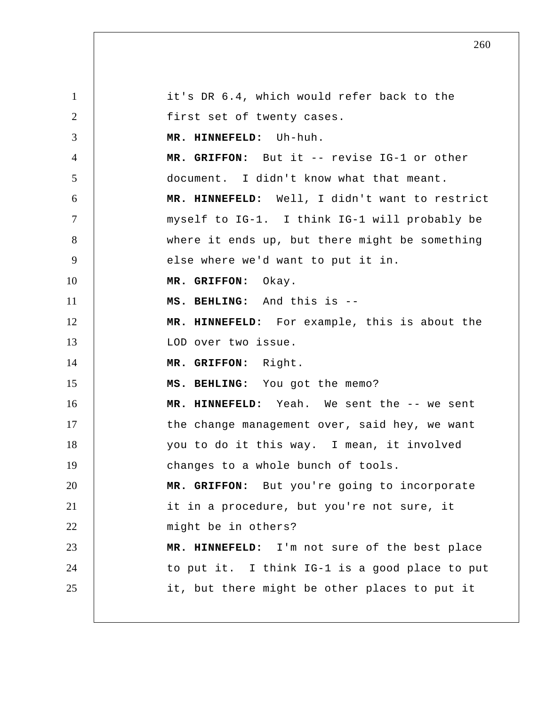1 2 3 4 5 6 7 8 9 10 11 12 13 14 15 16 17 18 19 20 21 22 23 24 25 it's DR 6.4, which would refer back to the first set of twenty cases.  **MR. HINNEFELD:** Uh-huh.  **MR. GRIFFON:** But it -- revise IG-1 or other document. I didn't know what that meant.  **MR. HINNEFELD:** Well, I didn't want to restrict myself to IG-1. I think IG-1 will probably be where it ends up, but there might be something else where we'd want to put it in.  **MR. GRIFFON:** Okay.  **MS. BEHLING:** And this is -- **MR. HINNEFELD:** For example, this is about the LOD over two issue.  **MR. GRIFFON:** Right.  **MS. BEHLING:** You got the memo?  **MR. HINNEFELD:** Yeah. We sent the -- we sent the change management over, said hey, we want you to do it this way. I mean, it involved changes to a whole bunch of tools.  **MR. GRIFFON:** But you're going to incorporate it in a procedure, but you're not sure, it might be in others?  **MR. HINNEFELD:** I'm not sure of the best place to put it. I think IG-1 is a good place to put it, but there might be other places to put it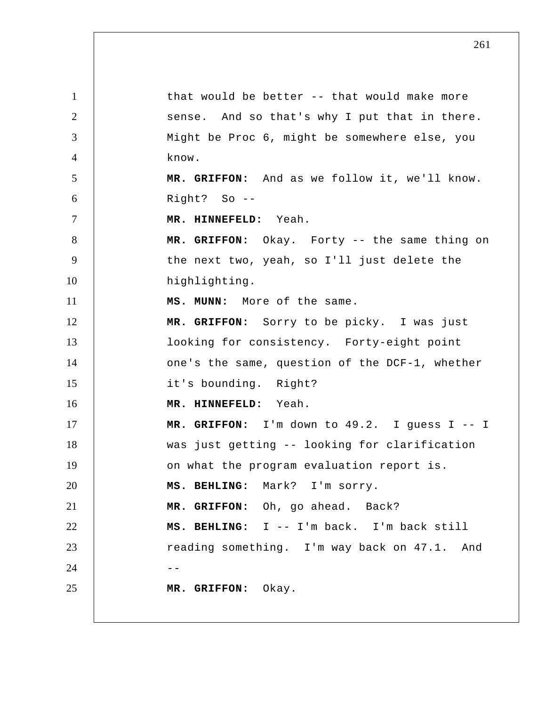1 2 3 4 5 6 7 8 9 10 11 12 13 14 15 16 17 18 19 20 21 22 23  $24$  --25 that would be better -- that would make more sense. And so that's why I put that in there. Might be Proc 6, might be somewhere else, you know.  **MR. GRIFFON:** And as we follow it, we'll know. Right?  $So --$  **MR. HINNEFELD:** Yeah.  **MR. GRIFFON:** Okay. Forty -- the same thing on the next two, yeah, so I'll just delete the highlighting.  **MS. MUNN:** More of the same.  **MR. GRIFFON:** Sorry to be picky. I was just looking for consistency. Forty-eight point one's the same, question of the DCF-1, whether it's bounding. Right?  **MR. HINNEFELD:** Yeah.  **MR. GRIFFON:** I'm down to 49.2. I guess I -- I was just getting -- looking for clarification on what the program evaluation report is.  **MS. BEHLING:** Mark? I'm sorry.  **MR. GRIFFON:** Oh, go ahead. Back?  **MS. BEHLING:** I -- I'm back. I'm back still reading something. I'm way back on 47.1. And  **MR. GRIFFON:** Okay.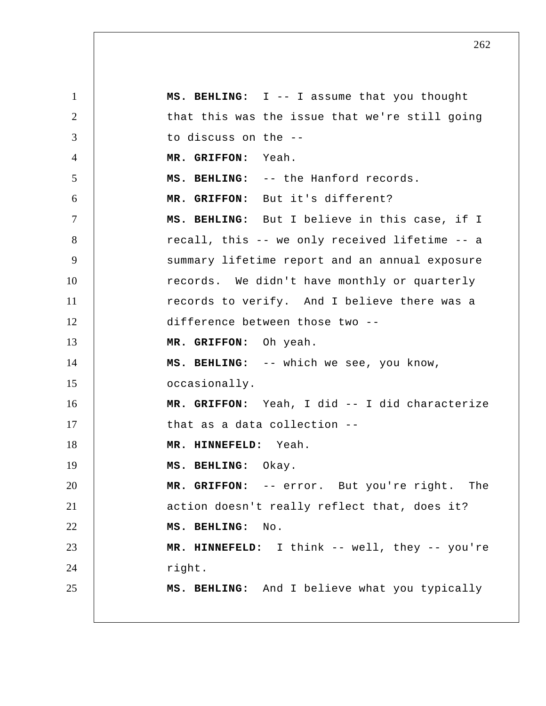1 2 3 4 5 6 7 8 9 10 11 12 13 14 15 16 17 18 19 20 21 22 23 24 25  **MS. BEHLING:** I -- I assume that you thought that this was the issue that we're still going to discuss on the --  **MR. GRIFFON:** Yeah.  **MS. BEHLING:** -- the Hanford records.  **MR. GRIFFON:** But it's different?  **MS. BEHLING:** But I believe in this case, if I recall, this -- we only received lifetime -- a summary lifetime report and an annual exposure records. We didn't have monthly or quarterly records to verify. And I believe there was a difference between those two --  **MR. GRIFFON:** Oh yeah.  **MS. BEHLING:** -- which we see, you know, occasionally.  **MR. GRIFFON:** Yeah, I did -- I did characterize that as a data collection --  **MR. HINNEFELD:** Yeah.  **MS. BEHLING:** Okay.  **MR. GRIFFON:** -- error. But you're right. The action doesn't really reflect that, does it?  **MS. BEHLING:** No.  **MR. HINNEFELD:** I think -- well, they -- you're right.  **MS. BEHLING:** And I believe what you typically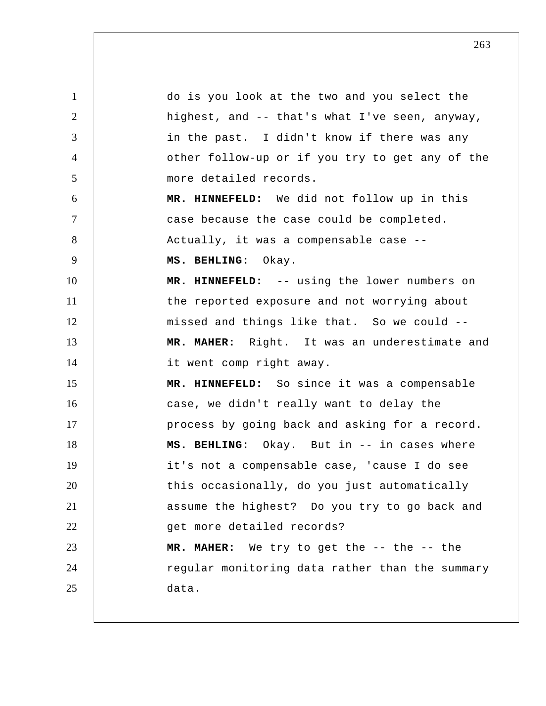1 2 3 4 5 6 7 8 9 10 11 12 13 14 15 16 17 18 19 20 21 22 23 24 25 do is you look at the two and you select the highest, and -- that's what I've seen, anyway, in the past. I didn't know if there was any other follow-up or if you try to get any of the more detailed records.  **MR. HINNEFELD:** We did not follow up in this case because the case could be completed. Actually, it was a compensable case --  **MS. BEHLING:** Okay.  **MR. HINNEFELD:** -- using the lower numbers on the reported exposure and not worrying about missed and things like that. So we could --  **MR. MAHER:** Right. It was an underestimate and it went comp right away.  **MR. HINNEFELD:** So since it was a compensable case, we didn't really want to delay the process by going back and asking for a record.  **MS. BEHLING:** Okay. But in -- in cases where it's not a compensable case, 'cause I do see this occasionally, do you just automatically assume the highest? Do you try to go back and get more detailed records?  **MR. MAHER:** We try to get the -- the -- the regular monitoring data rather than the summary data.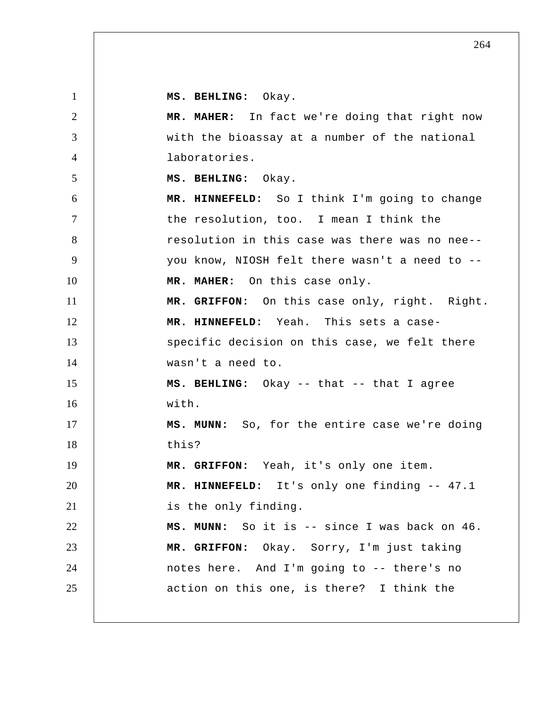**MS. BEHLING:** Okay.

1

2 3 4 5 6 7 8 9 10 11 12 13 14 15 16 17 18 19 20 21 22 23 24 25  **MR. MAHER:** In fact we're doing that right now with the bioassay at a number of the national laboratories.  **MS. BEHLING:** Okay.  **MR. HINNEFELD:** So I think I'm going to change the resolution, too. I mean I think the resolution in this case was there was no nee- you know, NIOSH felt there wasn't a need to --  **MR. MAHER:** On this case only.  **MR. GRIFFON:** On this case only, right. Right.  **MR. HINNEFELD:** Yeah. This sets a casespecific decision on this case, we felt there wasn't a need to.  **MS. BEHLING:** Okay -- that -- that I agree with.  **MS. MUNN:** So, for the entire case we're doing this?  **MR. GRIFFON:** Yeah, it's only one item.  **MR. HINNEFELD:** It's only one finding -- 47.1 is the only finding.  **MS. MUNN:** So it is -- since I was back on 46.  **MR. GRIFFON:** Okay. Sorry, I'm just taking notes here. And I'm going to -- there's no action on this one, is there? I think the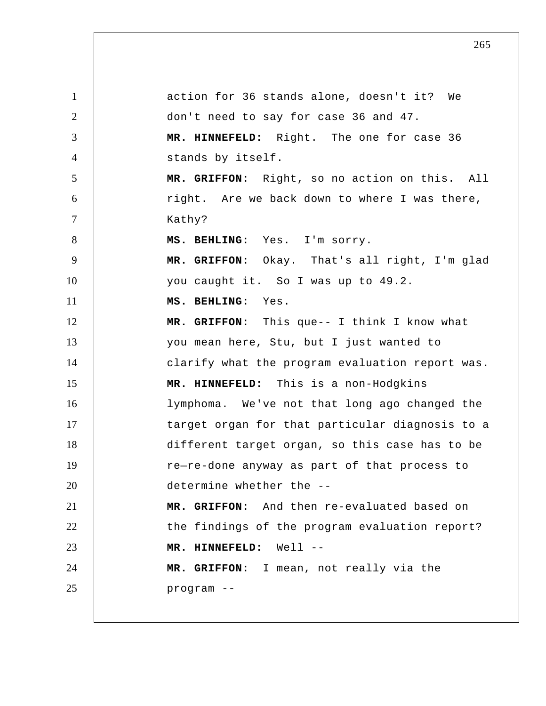1 2 3 4 5 6 7 8 9 10 11 12 13 14 15 16 17 18 19 20 21 22 23 24 25 action for 36 stands alone, doesn't it? We don't need to say for case 36 and 47.  **MR. HINNEFELD:** Right. The one for case 36 stands by itself.  **MR. GRIFFON:** Right, so no action on this. All right. Are we back down to where I was there, Kathy?  **MS. BEHLING:** Yes. I'm sorry.  **MR. GRIFFON:** Okay. That's all right, I'm glad you caught it. So I was up to 49.2.  **MS. BEHLING:** Yes.  **MR. GRIFFON:** This que-- I think I know what you mean here, Stu, but I just wanted to clarify what the program evaluation report was.  **MR. HINNEFELD:** This is a non-Hodgkins lymphoma. We've not that long ago changed the target organ for that particular diagnosis to a different target organ, so this case has to be re—re-done anyway as part of that process to determine whether the --  **MR. GRIFFON:** And then re-evaluated based on the findings of the program evaluation report?  **MR. HINNEFELD:** Well -- **MR. GRIFFON:** I mean, not really via the program --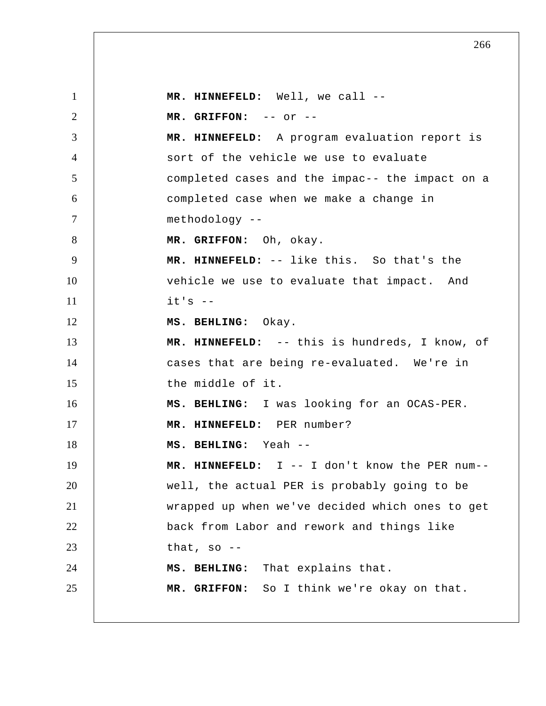1 2 3 4 5 6 7 8 9 10 11 12 13 14 15 16 17 18 19 20 21 22 23 24 25  **MR. HINNEFELD:** Well, we call -- **MR. GRIFFON:** -- or -- **MR. HINNEFELD:** A program evaluation report is sort of the vehicle we use to evaluate completed cases and the impac-- the impact on a completed case when we make a change in methodology --  **MR. GRIFFON:** Oh, okay.  **MR. HINNEFELD:** -- like this. So that's the vehicle we use to evaluate that impact. And  $it's$  -- **MS. BEHLING:** Okay.  **MR. HINNEFELD:** -- this is hundreds, I know, of cases that are being re-evaluated. We're in the middle of it.  **MS. BEHLING:** I was looking for an OCAS-PER.  **MR. HINNEFELD:** PER number?  **MS. BEHLING:** Yeah -- **MR. HINNEFELD:** I -- I don't know the PER num- well, the actual PER is probably going to be wrapped up when we've decided which ones to get back from Labor and rework and things like that, so  $-$  **MS. BEHLING:** That explains that.  **MR. GRIFFON:** So I think we're okay on that.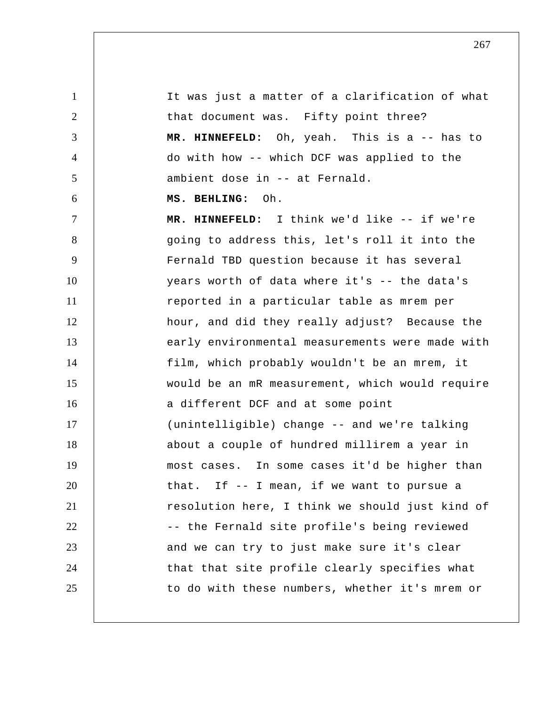1 2 3 4 5 6 7 8 9 10 11 12 13 14 15 16 17 18 19 20 21 22 23 24 25 It was just a matter of a clarification of what that document was. Fifty point three?  **MR. HINNEFELD:** Oh, yeah. This is a -- has to do with how -- which DCF was applied to the ambient dose in -- at Fernald.  **MS. BEHLING:** Oh.  **MR. HINNEFELD:** I think we'd like -- if we're going to address this, let's roll it into the Fernald TBD question because it has several years worth of data where it's -- the data's reported in a particular table as mrem per hour, and did they really adjust? Because the early environmental measurements were made with film, which probably wouldn't be an mrem, it would be an mR measurement, which would require a different DCF and at some point (unintelligible) change -- and we're talking about a couple of hundred millirem a year in most cases. In some cases it'd be higher than that. If -- I mean, if we want to pursue a resolution here, I think we should just kind of -- the Fernald site profile's being reviewed and we can try to just make sure it's clear that that site profile clearly specifies what to do with these numbers, whether it's mrem or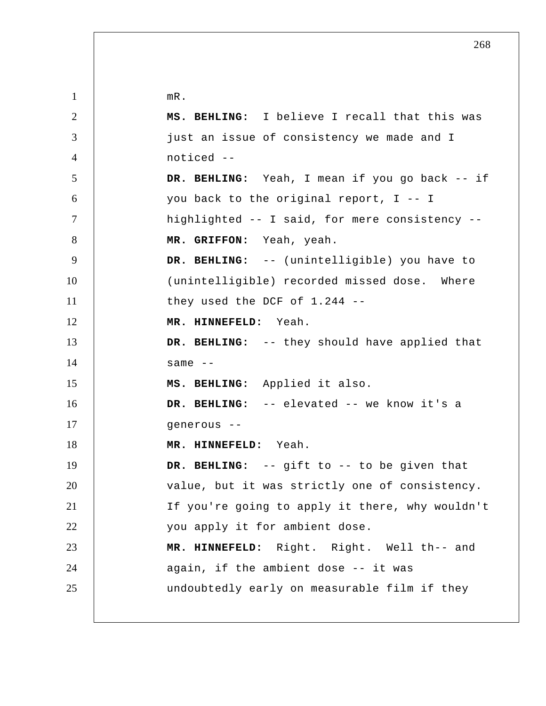1 2 3 4 5 6 7 8 9 10 11 12 13 14 15 16 17 18 19 20 21 22 23 24 25 mR.  **MS. BEHLING:** I believe I recall that this was just an issue of consistency we made and I noticed -- **DR. BEHLING:** Yeah, I mean if you go back -- if you back to the original report, I -- I highlighted -- I said, for mere consistency --  **MR. GRIFFON:** Yeah, yeah.  **DR. BEHLING:** -- (unintelligible) you have to (unintelligible) recorded missed dose. Where they used the DCF of 1.244 --  **MR. HINNEFELD:** Yeah.  **DR. BEHLING:** -- they should have applied that same  $--$  **MS. BEHLING:** Applied it also.  **DR. BEHLING:** -- elevated -- we know it's a generous --  **MR. HINNEFELD:** Yeah.  **DR. BEHLING:** -- gift to -- to be given that value, but it was strictly one of consistency. If you're going to apply it there, why wouldn't you apply it for ambient dose.  **MR. HINNEFELD:** Right. Right. Well th-- and again, if the ambient dose -- it was undoubtedly early on measurable film if they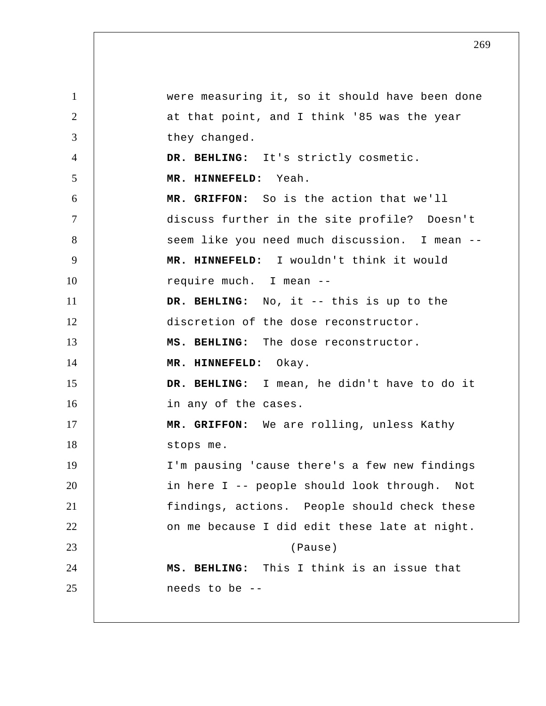1 2 3 4 5 6 7 8 9 10 11 12 13 14 15 16 17 18 19 20 21 22 23 24 25 were measuring it, so it should have been done at that point, and I think '85 was the year they changed.  **DR. BEHLING:** It's strictly cosmetic.  **MR. HINNEFELD:** Yeah.  **MR. GRIFFON:** So is the action that we'll discuss further in the site profile? Doesn't seem like you need much discussion. I mean -- **MR. HINNEFELD:** I wouldn't think it would require much. I mean --  **DR. BEHLING:** No, it -- this is up to the discretion of the dose reconstructor.  **MS. BEHLING:** The dose reconstructor.  **MR. HINNEFELD:** Okay.  **DR. BEHLING:** I mean, he didn't have to do it in any of the cases.  **MR. GRIFFON:** We are rolling, unless Kathy stops me. I'm pausing 'cause there's a few new findings in here I -- people should look through. Not findings, actions. People should check these on me because I did edit these late at night. (Pause)  **MS. BEHLING:** This I think is an issue that needs to be --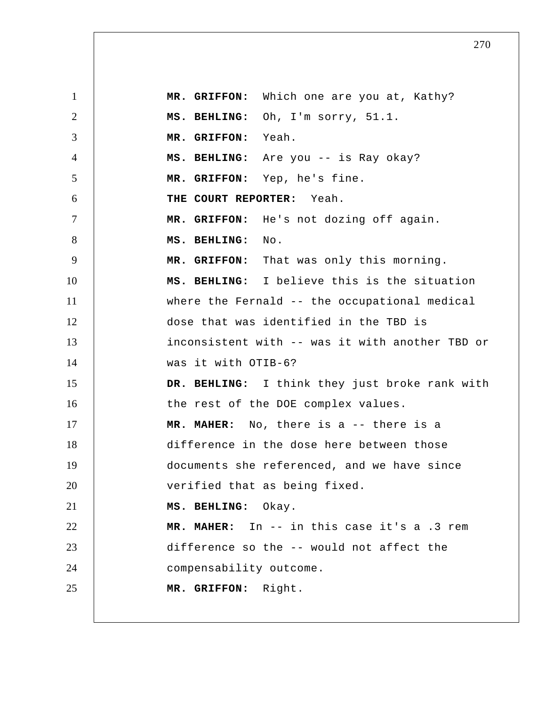1 2 3 4 5 6 7 8 9 10 11 12 13 14 15 16 17 18 19 20 21 22 23 24 25  **MR. GRIFFON:** Which one are you at, Kathy?  **MS. BEHLING:** Oh, I'm sorry, 51.1.  **MR. GRIFFON:** Yeah.  **MS. BEHLING:** Are you -- is Ray okay?  **MR. GRIFFON:** Yep, he's fine. **THE COURT REPORTER:** Yeah.  **MR. GRIFFON:** He's not dozing off again.  **MS. BEHLING:** No.  **MR. GRIFFON:** That was only this morning.  **MS. BEHLING:** I believe this is the situation where the Fernald -- the occupational medical dose that was identified in the TBD is inconsistent with -- was it with another TBD or was it with OTIB-6?  **DR. BEHLING:** I think they just broke rank with the rest of the DOE complex values.  **MR. MAHER:** No, there is a -- there is a difference in the dose here between those documents she referenced, and we have since verified that as being fixed.  **MS. BEHLING:** Okay.  **MR. MAHER:** In -- in this case it's a .3 rem difference so the -- would not affect the compensability outcome.  **MR. GRIFFON:** Right.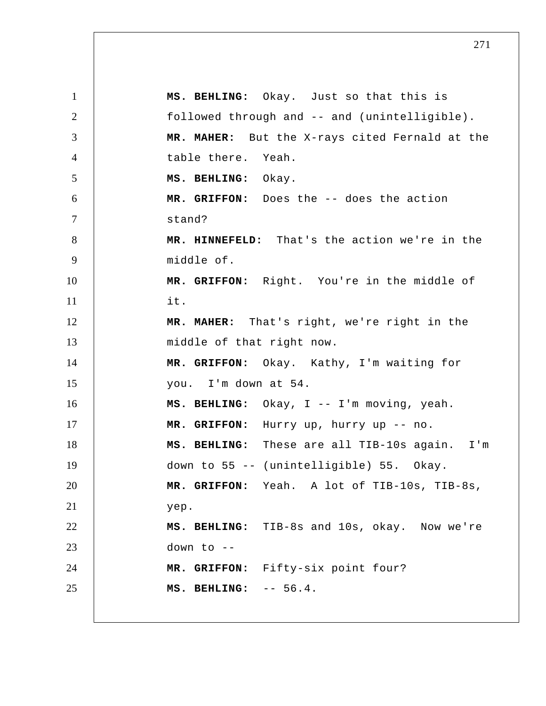1 2 3 4 5 6 7 8 9 10 11 12 13 14 15 16 17 18 19 20 21 22 23 24 25  **MS. BEHLING:** Okay. Just so that this is followed through and -- and (unintelligible).  **MR. MAHER:** But the X-rays cited Fernald at the table there. Yeah.  **MS. BEHLING:** Okay.  **MR. GRIFFON:** Does the -- does the action stand?  **MR. HINNEFELD:** That's the action we're in the middle of.  **MR. GRIFFON:** Right. You're in the middle of it.  **MR. MAHER:** That's right, we're right in the middle of that right now.  **MR. GRIFFON:** Okay. Kathy, I'm waiting for you. I'm down at 54.  **MS. BEHLING:** Okay, I -- I'm moving, yeah.  **MR. GRIFFON:** Hurry up, hurry up -- no.  **MS. BEHLING:** These are all TIB-10s again. I'm down to 55 -- (unintelligible) 55. Okay.  **MR. GRIFFON:** Yeah. A lot of TIB-10s, TIB-8s, yep.  **MS. BEHLING:** TIB-8s and 10s, okay. Now we're down to -- **MR. GRIFFON:** Fifty-six point four?  **MS. BEHLING:** -- 56.4.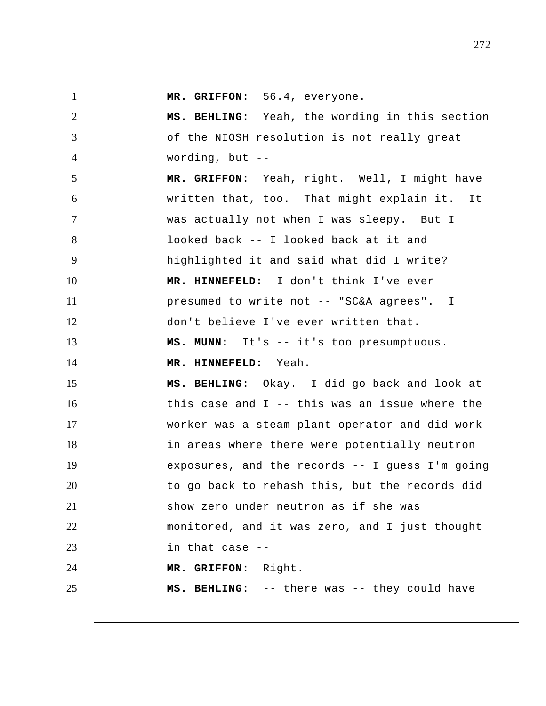| $\mathbf{1}$   | MR. GRIFFON: 56.4, everyone.                     |
|----------------|--------------------------------------------------|
| $\overline{2}$ | MS. BEHLING: Yeah, the wording in this section   |
| 3              | of the NIOSH resolution is not really great      |
| $\overline{4}$ | wording, but $--$                                |
| 5              | MR. GRIFFON: Yeah, right. Well, I might have     |
| 6              | written that, too. That might explain it. It     |
| $\overline{7}$ | was actually not when I was sleepy. But I        |
| 8              | looked back -- I looked back at it and           |
| 9              | highlighted it and said what did I write?        |
| 10             | MR. HINNEFELD: I don't think I've ever           |
| 11             | presumed to write not -- "SC&A agrees". I        |
| 12             | don't believe I've ever written that.            |
| 13             | MS. MUNN: It's -- it's too presumptuous.         |
| 14             | MR. HINNEFELD: Yeah.                             |
| 15             | MS. BEHLING: Okay. I did go back and look at     |
| 16             | this case and $I$ -- this was an issue where the |
| 17             | worker was a steam plant operator and did work   |
| 18             | in areas where there were potentially neutron    |
| 19             | exposures, and the records -- I guess I'm going  |
| 20             | to go back to rehash this, but the records did   |
| 21             | show zero under neutron as if she was            |
| 22             | monitored, and it was zero, and I just thought   |
| 23             | in that case --                                  |
| 24             | MR. GRIFFON: Right.                              |
| 25             | MS. BEHLING: -- there was -- they could have     |
|                |                                                  |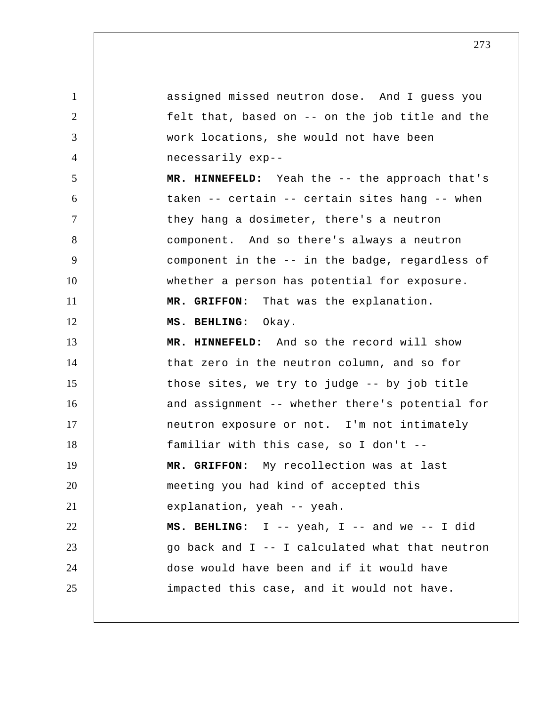1 2 3 4 5 6 7 8 9 10 11 12 13 14 15 16 17 18 19 20 21 22 23 24 25 assigned missed neutron dose. And I guess you felt that, based on -- on the job title and the work locations, she would not have been necessarily exp-- **MR. HINNEFELD:** Yeah the -- the approach that's taken -- certain -- certain sites hang -- when they hang a dosimeter, there's a neutron component. And so there's always a neutron component in the -- in the badge, regardless of whether a person has potential for exposure.  **MR. GRIFFON:** That was the explanation.  **MS. BEHLING:** Okay.  **MR. HINNEFELD:** And so the record will show that zero in the neutron column, and so for those sites, we try to judge -- by job title and assignment -- whether there's potential for neutron exposure or not. I'm not intimately familiar with this case, so I don't --  **MR. GRIFFON:** My recollection was at last meeting you had kind of accepted this explanation, yeah -- yeah.  **MS. BEHLING:** I -- yeah, I -- and we -- I did go back and I -- I calculated what that neutron dose would have been and if it would have impacted this case, and it would not have.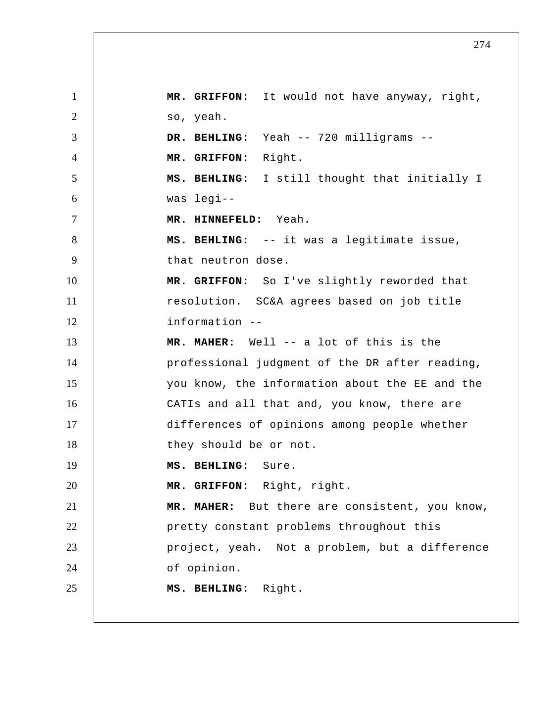1 2 3 4 5 6 7 8 9 10 11 12 13 14 15 16 17 18 19 20 21 22 23 24 25  **MR. GRIFFON:** It would not have anyway, right, so, yeah.  **DR. BEHLING:** Yeah -- 720 milligrams --  **MR. GRIFFON:** Right.  **MS. BEHLING:** I still thought that initially I was legi--  **MR. HINNEFELD:** Yeah.  **MS. BEHLING:** -- it was a legitimate issue, that neutron dose.  **MR. GRIFFON:** So I've slightly reworded that resolution. SC&A agrees based on job title information -- **MR. MAHER:** Well -- a lot of this is the professional judgment of the DR after reading, you know, the information about the EE and the CATIs and all that and, you know, there are differences of opinions among people whether they should be or not.  **MS. BEHLING:** Sure.  **MR. GRIFFON:** Right, right.  **MR. MAHER:** But there are consistent, you know, pretty constant problems throughout this project, yeah. Not a problem, but a difference of opinion.  **MS. BEHLING:** Right.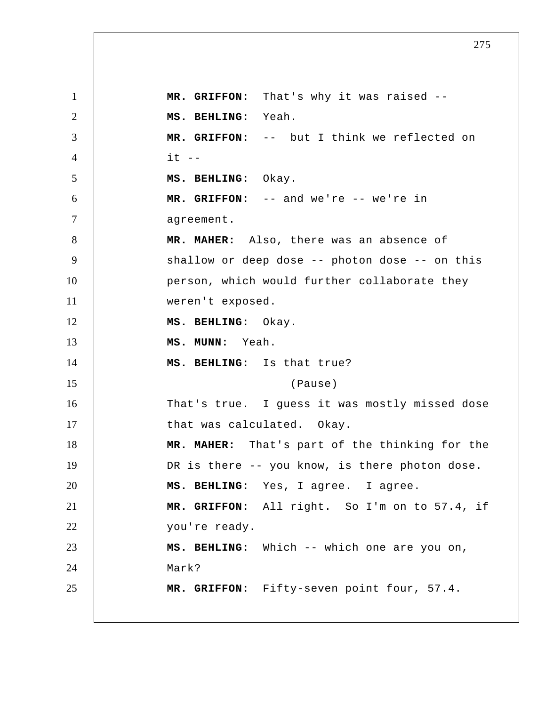1 2 3 4 5 6 7 8 9 10 11 12 13 14 15 16 17 18 19 20 21 22 23 24 25  **MR. GRIFFON:** That's why it was raised --  **MS. BEHLING:** Yeah.  **MR. GRIFFON:** -- but I think we reflected on  $it$   $-$  **MS. BEHLING:** Okay.  **MR. GRIFFON:** -- and we're -- we're in agreement.  **MR. MAHER:** Also, there was an absence of shallow or deep dose -- photon dose -- on this person, which would further collaborate they weren't exposed.  **MS. BEHLING:** Okay.  **MS. MUNN:** Yeah.  **MS. BEHLING:** Is that true? (Pause) That's true. I guess it was mostly missed dose that was calculated. Okay.  **MR. MAHER:** That's part of the thinking for the DR is there -- you know, is there photon dose.  **MS. BEHLING:** Yes, I agree. I agree.  **MR. GRIFFON:** All right. So I'm on to 57.4, if you're ready.  **MS. BEHLING:** Which -- which one are you on, Mark?  **MR. GRIFFON:** Fifty-seven point four, 57.4.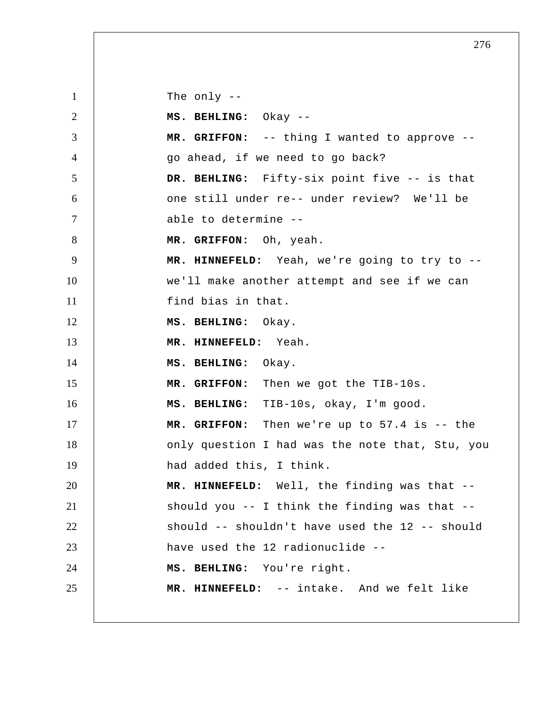1 2 3 4 5 6 7 8 9 10 11 12 13 14 15 16 17 18 19 20 21 22 23 24 25 The only -- **MS. BEHLING:** Okay -- **MR. GRIFFON:** -- thing I wanted to approve - go ahead, if we need to go back?  **DR. BEHLING:** Fifty-six point five -- is that one still under re-- under review? We'll be able to determine -- **MR. GRIFFON:** Oh, yeah.  **MR. HINNEFELD:** Yeah, we're going to try to - we'll make another attempt and see if we can find bias in that.  **MS. BEHLING:** Okay.  **MR. HINNEFELD:** Yeah.  **MS. BEHLING:** Okay.  **MR. GRIFFON:** Then we got the TIB-10s.  **MS. BEHLING:** TIB-10s, okay, I'm good.  **MR. GRIFFON:** Then we're up to 57.4 is -- the only question I had was the note that, Stu, you had added this, I think.  **MR. HINNEFELD:** Well, the finding was that - should you -- I think the finding was that - should -- shouldn't have used the 12 -- should have used the 12 radionuclide --  **MS. BEHLING:** You're right.  **MR. HINNEFELD:** -- intake. And we felt like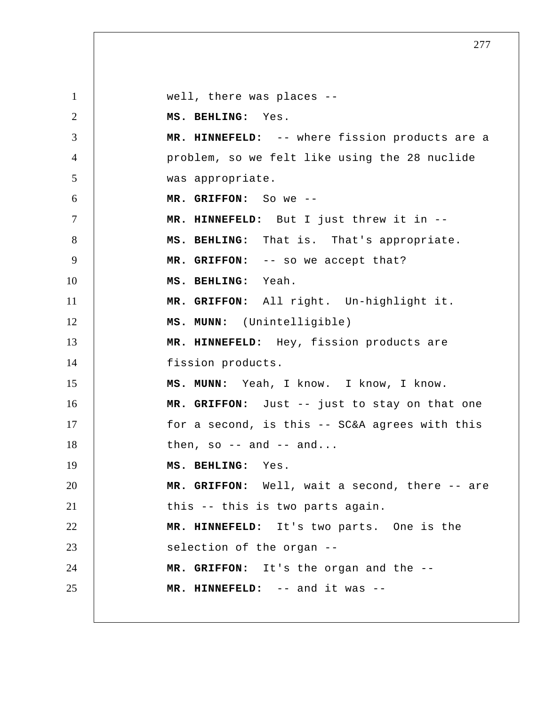1 2 3 4 5 6 7 8 9 10 11 12 13 14 15 16 17 18 19 20 21 22 23 24 25 well, there was places --  **MS. BEHLING:** Yes.  **MR. HINNEFELD:** -- where fission products are a problem, so we felt like using the 28 nuclide was appropriate.  **MR. GRIFFON:** So we -- **MR. HINNEFELD:** But I just threw it in --  **MS. BEHLING:** That is. That's appropriate.  **MR. GRIFFON:** -- so we accept that?  **MS. BEHLING:** Yeah.  **MR. GRIFFON:** All right. Un-highlight it.  **MS. MUNN:** (Unintelligible)  **MR. HINNEFELD:** Hey, fission products are fission products.  **MS. MUNN:** Yeah, I know. I know, I know.  **MR. GRIFFON:** Just -- just to stay on that one for a second, is this -- SC&A agrees with this then, so  $-$  and  $-$  and...  **MS. BEHLING:** Yes.  **MR. GRIFFON:** Well, wait a second, there -- are this -- this is two parts again.  **MR. HINNEFELD:** It's two parts. One is the selection of the organ -- **MR. GRIFFON:** It's the organ and the --  **MR. HINNEFELD:** -- and it was --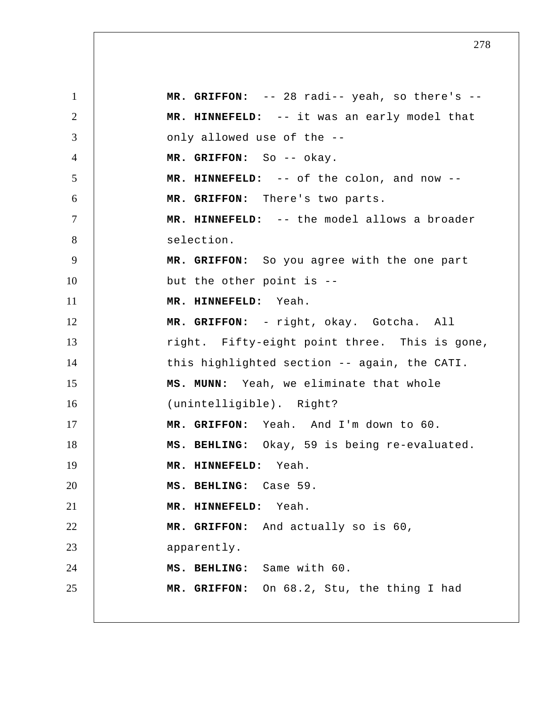1 2 3 4 5 6 7 8 9 10 11 12 13 14 15 16 17 18 19 20 21 22 23 24 25  **MR. GRIFFON:** -- 28 radi-- yeah, so there's --  **MR. HINNEFELD:** -- it was an early model that only allowed use of the --  **MR. GRIFFON:** So -- okay.  **MR. HINNEFELD:** -- of the colon, and now --  **MR. GRIFFON:** There's two parts.  **MR. HINNEFELD:** -- the model allows a broader selection.  **MR. GRIFFON:** So you agree with the one part but the other point is --  **MR. HINNEFELD:** Yeah.  **MR. GRIFFON:** - right, okay. Gotcha. All right. Fifty-eight point three. This is gone, this highlighted section -- again, the CATI.  **MS. MUNN:** Yeah, we eliminate that whole (unintelligible). Right?  **MR. GRIFFON:** Yeah. And I'm down to 60.  **MS. BEHLING:** Okay, 59 is being re-evaluated.  **MR. HINNEFELD:** Yeah.  **MS. BEHLING:** Case 59.  **MR. HINNEFELD:** Yeah.  **MR. GRIFFON:** And actually so is 60, apparently.  **MS. BEHLING:** Same with 60.  **MR. GRIFFON:** On 68.2, Stu, the thing I had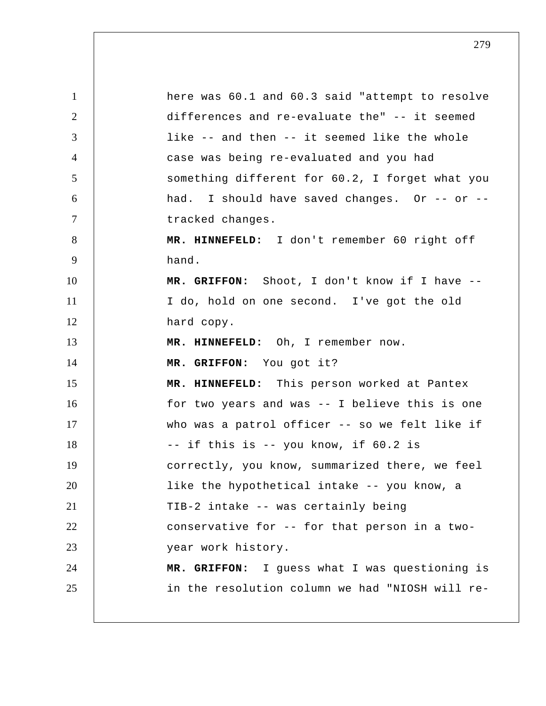1 2 3 4 5 6 7 8 9 10 11 12 13 14 15 16 17 18 19 20 21 22 23 24 25 here was 60.1 and 60.3 said "attempt to resolve differences and re-evaluate the" -- it seemed like -- and then -- it seemed like the whole case was being re-evaluated and you had something different for 60.2, I forget what you had. I should have saved changes. Or -- or -tracked changes.  **MR. HINNEFELD:** I don't remember 60 right off hand.  **MR. GRIFFON:** Shoot, I don't know if I have -- I do, hold on one second. I've got the old hard copy.  **MR. HINNEFELD:** Oh, I remember now.  **MR. GRIFFON:** You got it?  **MR. HINNEFELD:** This person worked at Pantex for two years and was -- I believe this is one who was a patrol officer -- so we felt like if -- if this is -- you know, if 60.2 is correctly, you know, summarized there, we feel like the hypothetical intake -- you know, a TIB-2 intake -- was certainly being conservative for -- for that person in a twoyear work history.  **MR. GRIFFON:** I guess what I was questioning is in the resolution column we had "NIOSH will re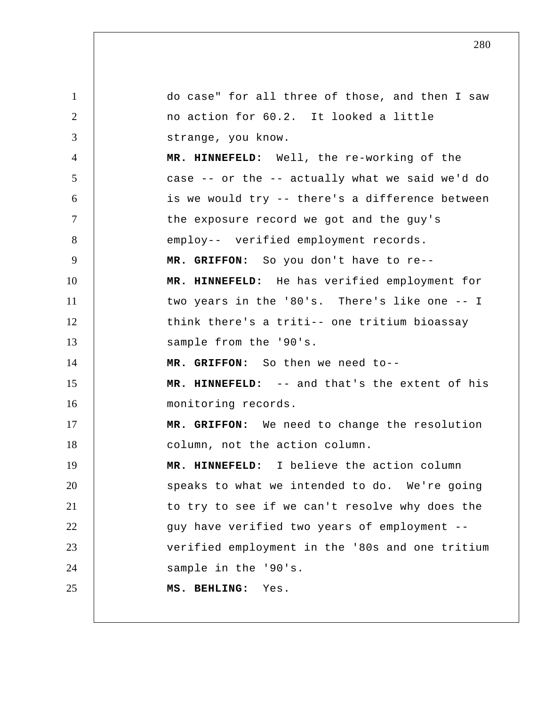1 2 3 4 5 6 7 8 9 10 11 12 13 14 15 16 17 18 19 20 21 22 23 24 25 do case" for all three of those, and then I saw no action for 60.2. It looked a little strange, you know.  **MR. HINNEFELD:** Well, the re-working of the case -- or the -- actually what we said we'd do is we would try -- there's a difference between the exposure record we got and the guy's employ-- verified employment records.  **MR. GRIFFON:** So you don't have to re--  **MR. HINNEFELD:** He has verified employment for two years in the '80's. There's like one -- I think there's a triti-- one tritium bioassay sample from the '90's.  **MR. GRIFFON:** So then we need to--  **MR. HINNEFELD:** -- and that's the extent of his monitoring records.  **MR. GRIFFON:** We need to change the resolution column, not the action column.  **MR. HINNEFELD:** I believe the action column speaks to what we intended to do. We're going to try to see if we can't resolve why does the guy have verified two years of employment - verified employment in the '80s and one tritium sample in the '90's.  **MS. BEHLING:** Yes.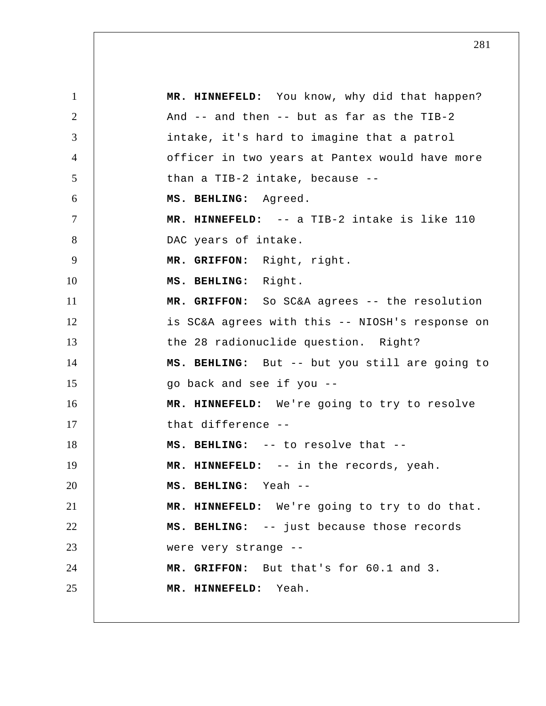1 2 3 4 5 6 7 8 9 10 11 12 13 14 15 16 17 18 19 20 21 22 23 24 25  **MR. HINNEFELD:** You know, why did that happen? And -- and then -- but as far as the TIB-2 intake, it's hard to imagine that a patrol officer in two years at Pantex would have more than a TIB-2 intake, because --  **MS. BEHLING:** Agreed.  **MR. HINNEFELD:** -- a TIB-2 intake is like 110 DAC years of intake.  **MR. GRIFFON:** Right, right.  **MS. BEHLING:** Right.  **MR. GRIFFON:** So SC&A agrees -- the resolution is SC&A agrees with this -- NIOSH's response on the 28 radionuclide question. Right?  **MS. BEHLING:** But -- but you still are going to go back and see if you --  **MR. HINNEFELD:** We're going to try to resolve that difference -- **MS. BEHLING:** -- to resolve that -- **MR. HINNEFELD:** -- in the records, yeah.  **MS. BEHLING:** Yeah -- **MR. HINNEFELD:** We're going to try to do that.  **MS. BEHLING:** -- just because those records were very strange -- **MR. GRIFFON:** But that's for 60.1 and 3.  **MR. HINNEFELD:** Yeah.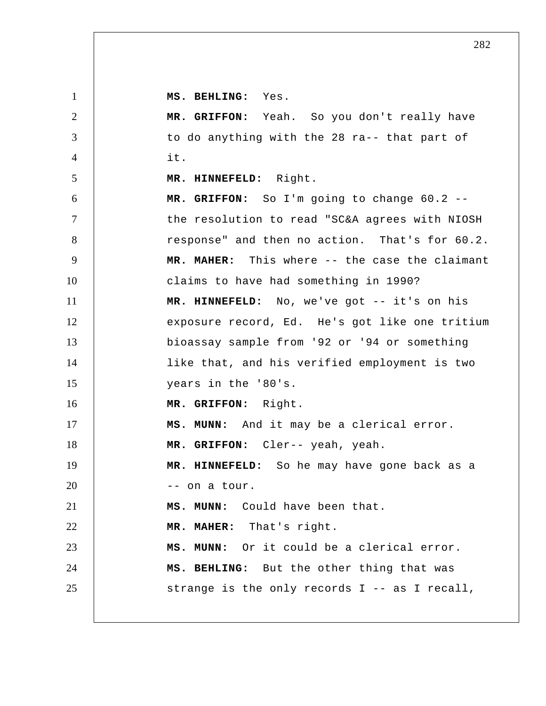**MS. BEHLING:** Yes.

1

2 3 4 5 6 7 8 9 10 11 12 13 14 15 16 17 18 19 20 21 22 23 24 25  **MR. GRIFFON:** Yeah. So you don't really have to do anything with the 28 ra-- that part of it.  **MR. HINNEFELD:** Right.  **MR. GRIFFON:** So I'm going to change 60.2 - the resolution to read "SC&A agrees with NIOSH response" and then no action. That's for 60.2.  **MR. MAHER:** This where -- the case the claimant claims to have had something in 1990?  **MR. HINNEFELD:** No, we've got -- it's on his exposure record, Ed. He's got like one tritium bioassay sample from '92 or '94 or something like that, and his verified employment is two years in the '80's.  **MR. GRIFFON:** Right.  **MS. MUNN:** And it may be a clerical error.  **MR. GRIFFON:** Cler-- yeah, yeah.  **MR. HINNEFELD:** So he may have gone back as a -- on a tour.  **MS. MUNN:** Could have been that. **MR. MAHER:** That's right.  **MS. MUNN:** Or it could be a clerical error.  **MS. BEHLING:** But the other thing that was strange is the only records I -- as I recall,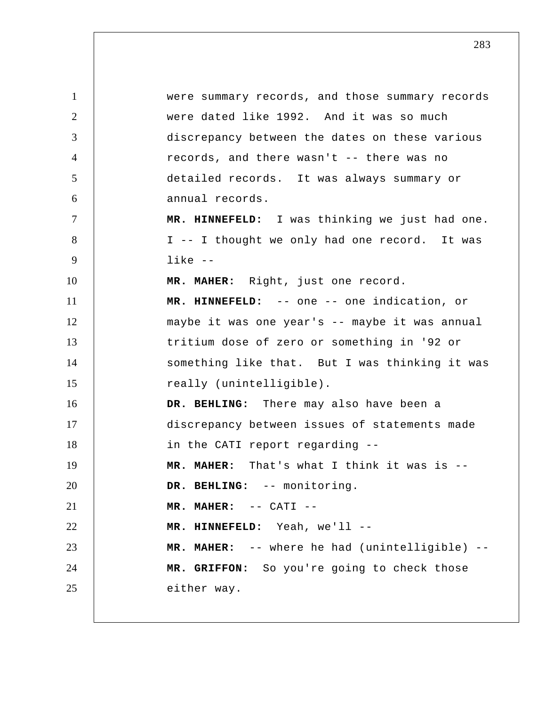1 2 3 4 5 6 7 8 9 10 11 12 13 14 15 16 17 18 19 20 21 22 23 24 25 were summary records, and those summary records were dated like 1992. And it was so much discrepancy between the dates on these various records, and there wasn't -- there was no detailed records. It was always summary or annual records.  **MR. HINNEFELD:** I was thinking we just had one. I -- I thought we only had one record. It was like --**MR. MAHER:** Right, just one record.  **MR. HINNEFELD:** -- one -- one indication, or maybe it was one year's -- maybe it was annual tritium dose of zero or something in '92 or something like that. But I was thinking it was really (unintelligible).  **DR. BEHLING:** There may also have been a discrepancy between issues of statements made in the CATI report regarding -- **MR. MAHER:** That's what I think it was is --  **DR. BEHLING:** -- monitoring.  **MR. MAHER:** -- CATI -- **MR. HINNEFELD:** Yeah, we'll -- **MR. MAHER:** -- where he had (unintelligible) --  **MR. GRIFFON:** So you're going to check those either way.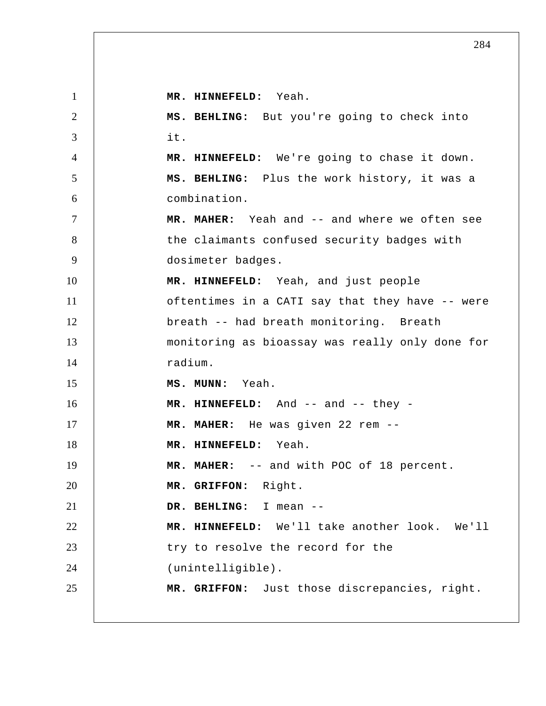1 2 3 4 5 6 7 8 9 10 11 12 13 14 15 16 17 18 19 20 21 22 23 24 25  **MR. HINNEFELD:** Yeah.  **MS. BEHLING:** But you're going to check into it.  **MR. HINNEFELD:** We're going to chase it down.  **MS. BEHLING:** Plus the work history, it was a combination.  **MR. MAHER:** Yeah and -- and where we often see the claimants confused security badges with dosimeter badges.  **MR. HINNEFELD:** Yeah, and just people oftentimes in a CATI say that they have -- were breath -- had breath monitoring. Breath monitoring as bioassay was really only done for radium.  **MS. MUNN:** Yeah.  **MR. HINNEFELD:** And -- and -- they - **MR. MAHER:** He was given 22 rem --  **MR. HINNEFELD:** Yeah.  **MR. MAHER:** -- and with POC of 18 percent.  **MR. GRIFFON:** Right.  **DR. BEHLING:** I mean -- **MR. HINNEFELD:** We'll take another look. We'll try to resolve the record for the (unintelligible).  **MR. GRIFFON:** Just those discrepancies, right.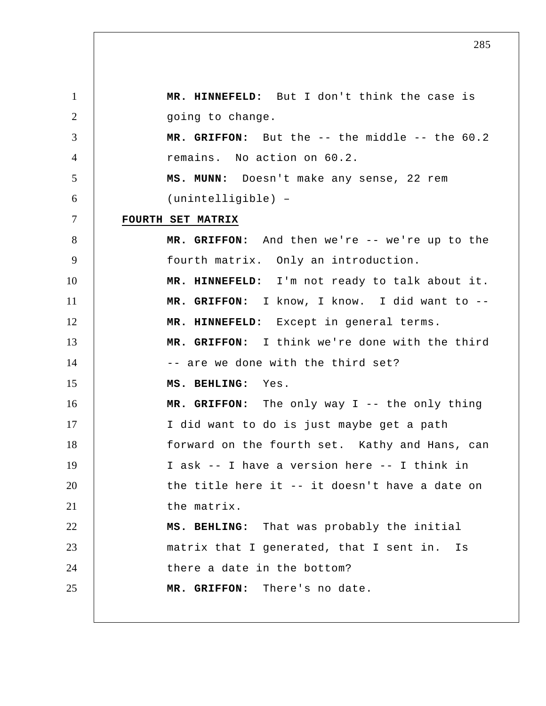1 2 3 4 5 6 7 8 9 10 11 12 13 14 15 16 17 18 19 20 21 22 23 24 25  **MR. HINNEFELD:** But I don't think the case is going to change.  **MR. GRIFFON:** But the -- the middle -- the 60.2 remains. No action on 60.2.  **MS. MUNN:** Doesn't make any sense, 22 rem (unintelligible) – **FOURTH SET MATRIX MR. GRIFFON:** And then we're -- we're up to the fourth matrix. Only an introduction.  **MR. HINNEFELD:** I'm not ready to talk about it.  **MR. GRIFFON:** I know, I know. I did want to --  **MR. HINNEFELD:** Except in general terms.  **MR. GRIFFON:** I think we're done with the third -- are we done with the third set?  **MS. BEHLING:** Yes.  **MR. GRIFFON:** The only way I -- the only thing I did want to do is just maybe get a path forward on the fourth set. Kathy and Hans, can I ask -- I have a version here -- I think in the title here it -- it doesn't have a date on the matrix.  **MS. BEHLING:** That was probably the initial matrix that I generated, that I sent in. Is there a date in the bottom?  **MR. GRIFFON:** There's no date.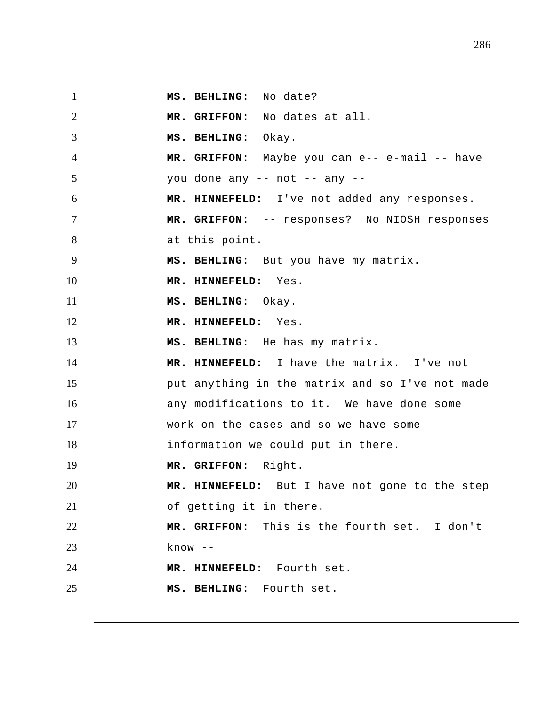1 2 3 4 5 6 7 8 9 10 11 12 13 14 15 16 17 18 19 20 21 22 23 24 25  **MS. BEHLING:** No date?  **MR. GRIFFON:** No dates at all.  **MS. BEHLING:** Okay.  **MR. GRIFFON:** Maybe you can e-- e-mail -- have you done any -- not -- any -- **MR. HINNEFELD:** I've not added any responses.  **MR. GRIFFON:** -- responses? No NIOSH responses at this point.  **MS. BEHLING:** But you have my matrix.  **MR. HINNEFELD:** Yes.  **MS. BEHLING:** Okay.  **MR. HINNEFELD:** Yes.  **MS. BEHLING:** He has my matrix.  **MR. HINNEFELD:** I have the matrix. I've not put anything in the matrix and so I've not made any modifications to it. We have done some work on the cases and so we have some information we could put in there.  **MR. GRIFFON:** Right.  **MR. HINNEFELD:** But I have not gone to the step of getting it in there.  **MR. GRIFFON:** This is the fourth set. I don't know -- **MR. HINNEFELD:** Fourth set.  **MS. BEHLING:** Fourth set.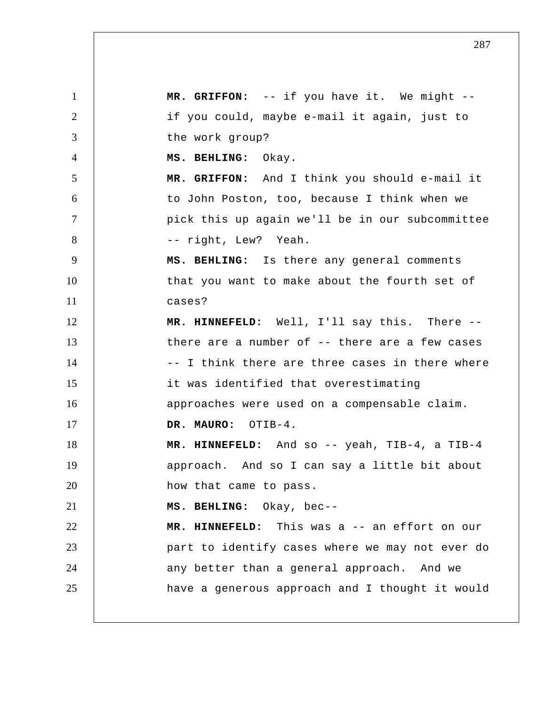1 2 3 4 5 6 7 8 9 10 11 12 13 14 15 16 17 18 19 20 21 22 23 24 25  **MR. GRIFFON:** -- if you have it. We might -if you could, maybe e-mail it again, just to the work group?  **MS. BEHLING:** Okay.  **MR. GRIFFON:** And I think you should e-mail it to John Poston, too, because I think when we pick this up again we'll be in our subcommittee -- right, Lew? Yeah.  **MS. BEHLING:** Is there any general comments that you want to make about the fourth set of cases?  **MR. HINNEFELD:** Well, I'll say this. There -there are a number of -- there are a few cases -- I think there are three cases in there where it was identified that overestimating approaches were used on a compensable claim.  **DR. MAURO:** OTIB-4.  **MR. HINNEFELD:** And so -- yeah, TIB-4, a TIB-4 approach. And so I can say a little bit about how that came to pass.  **MS. BEHLING:** Okay, bec-- **MR. HINNEFELD:** This was a -- an effort on our part to identify cases where we may not ever do any better than a general approach. And we have a generous approach and I thought it would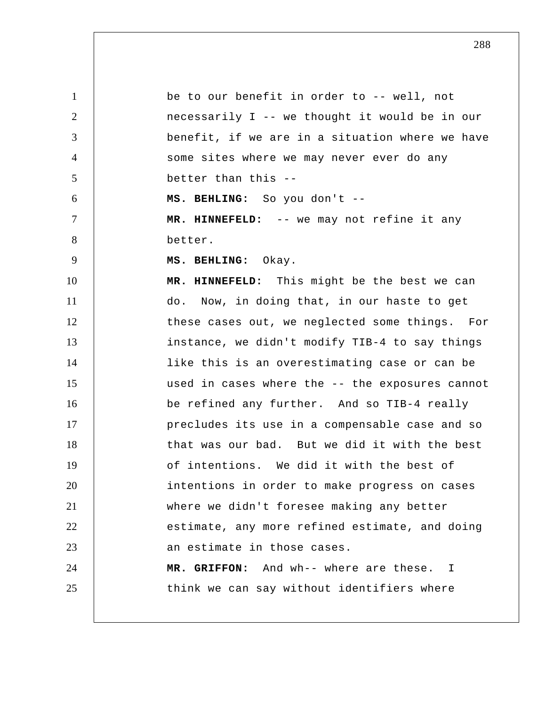1 2 3 4 5 6 7 8 9 10 11 12 13 14 15 16 17 18 19 20 21 22 23 24 25 be to our benefit in order to -- well, not necessarily I -- we thought it would be in our benefit, if we are in a situation where we have some sites where we may never ever do any better than this -- **MS. BEHLING:** So you don't -- **MR. HINNEFELD:** -- we may not refine it any better.  **MS. BEHLING:** Okay.  **MR. HINNEFELD:** This might be the best we can do. Now, in doing that, in our haste to get these cases out, we neglected some things. For instance, we didn't modify TIB-4 to say things like this is an overestimating case or can be used in cases where the -- the exposures cannot be refined any further. And so TIB-4 really precludes its use in a compensable case and so that was our bad. But we did it with the best of intentions. We did it with the best of intentions in order to make progress on cases where we didn't foresee making any better estimate, any more refined estimate, and doing an estimate in those cases.  **MR. GRIFFON:** And wh-- where are these. I think we can say without identifiers where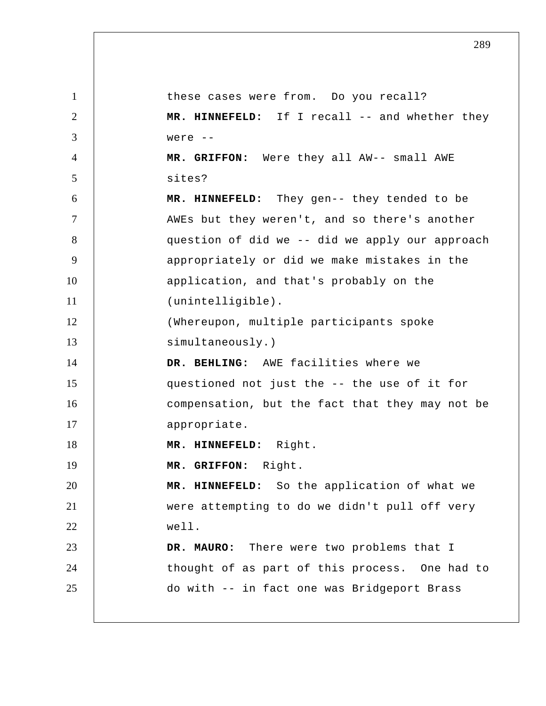1 2 3 4 5 6 7 8 9 10 11 12 13 14 15 16 17 18 19 20 21 22 23 24 25 these cases were from. Do you recall?  **MR. HINNEFELD:** If I recall -- and whether they were -- **MR. GRIFFON:** Were they all AW-- small AWE sites?  **MR. HINNEFELD:** They gen-- they tended to be AWEs but they weren't, and so there's another question of did we -- did we apply our approach appropriately or did we make mistakes in the application, and that's probably on the (unintelligible). (Whereupon, multiple participants spoke simultaneously.)  **DR. BEHLING:** AWE facilities where we questioned not just the -- the use of it for compensation, but the fact that they may not be appropriate.  **MR. HINNEFELD:** Right.  **MR. GRIFFON:** Right.  **MR. HINNEFELD:** So the application of what we were attempting to do we didn't pull off very well.  **DR. MAURO:** There were two problems that I thought of as part of this process. One had to do with -- in fact one was Bridgeport Brass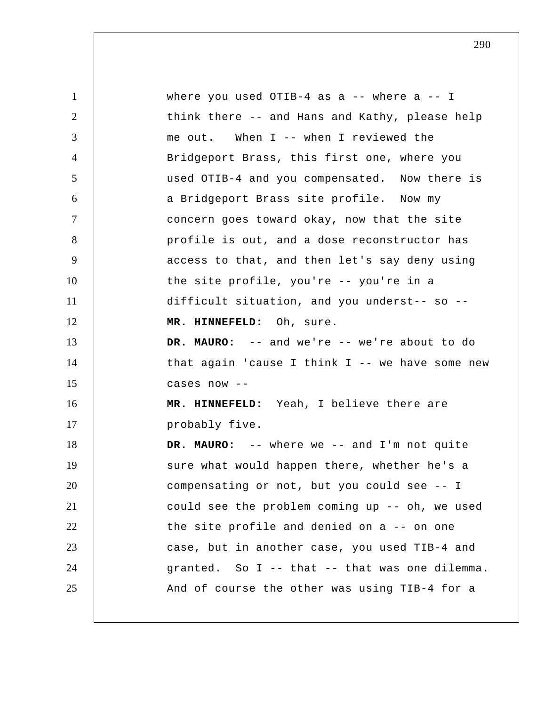1 2 3 4 5 6 7 8 9 10 11 12 13 14 15 16 17 18 19 20 21 22 23 24 25 where you used OTIB-4 as a  $-$  where a  $-$  I think there -- and Hans and Kathy, please help me out. When I -- when I reviewed the Bridgeport Brass, this first one, where you used OTIB-4 and you compensated. Now there is a Bridgeport Brass site profile. Now my concern goes toward okay, now that the site profile is out, and a dose reconstructor has access to that, and then let's say deny using the site profile, you're -- you're in a difficult situation, and you underst-- so --  **MR. HINNEFELD:** Oh, sure. **DR. MAURO:** -- and we're -- we're about to do that again 'cause I think I -- we have some new cases now -- **MR. HINNEFELD:** Yeah, I believe there are probably five.  **DR. MAURO:** -- where we -- and I'm not quite sure what would happen there, whether he's a compensating or not, but you could see -- I could see the problem coming up -- oh, we used the site profile and denied on a -- on one case, but in another case, you used TIB-4 and granted. So I -- that -- that was one dilemma. And of course the other was using TIB-4 for a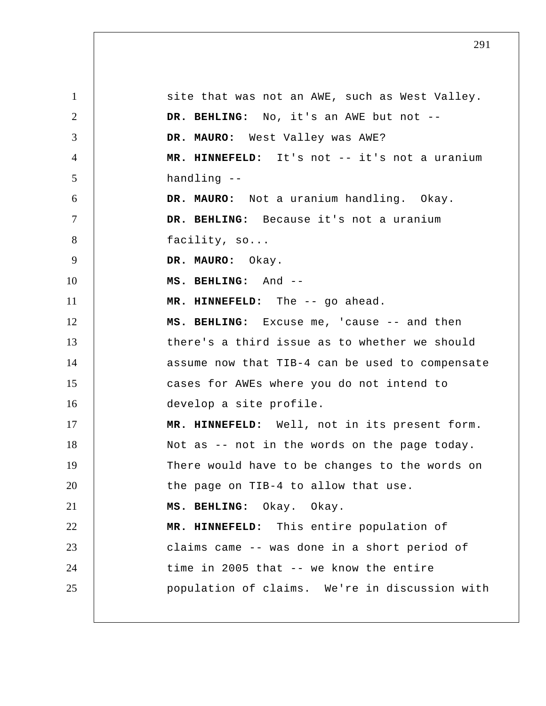1 2 3 4 5 6 7 8 9 10 11 12 13 14 15 16 17 18 19 20 21 22 23 24 25 site that was not an AWE, such as West Valley.  **DR. BEHLING:** No, it's an AWE but not --  **DR. MAURO:** West Valley was AWE?  **MR. HINNEFELD:** It's not -- it's not a uranium handling -- **DR. MAURO:** Not a uranium handling. Okay.  **DR. BEHLING:** Because it's not a uranium facility, so...  **DR. MAURO:** Okay.  **MS. BEHLING:** And -- **MR. HINNEFELD:** The -- go ahead.  **MS. BEHLING:** Excuse me, 'cause -- and then there's a third issue as to whether we should assume now that TIB-4 can be used to compensate cases for AWEs where you do not intend to develop a site profile.  **MR. HINNEFELD:** Well, not in its present form. Not as -- not in the words on the page today. There would have to be changes to the words on the page on TIB-4 to allow that use.  **MS. BEHLING:** Okay. Okay.  **MR. HINNEFELD:** This entire population of claims came -- was done in a short period of time in 2005 that -- we know the entire population of claims. We're in discussion with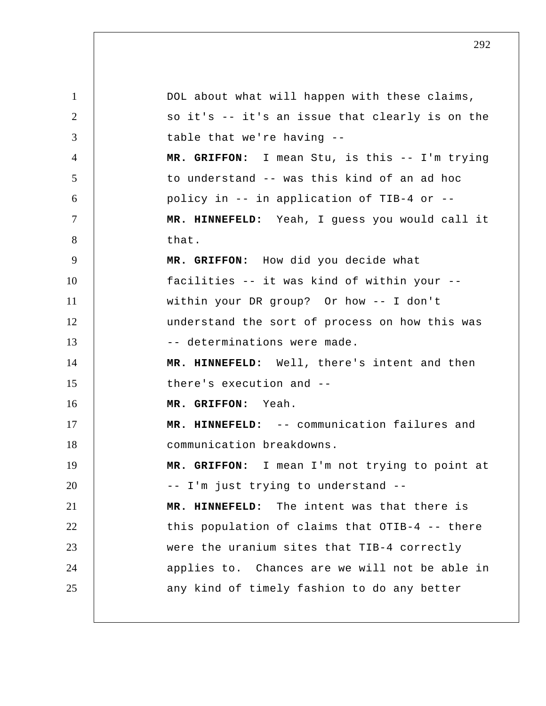1 2 3 4 5 6 7 8 9 10 11 12 13 14 15 16 17 18 19 20 21 22 23 24 25 DOL about what will happen with these claims, so it's -- it's an issue that clearly is on the table that we're having --  **MR. GRIFFON:** I mean Stu, is this -- I'm trying to understand -- was this kind of an ad hoc policy in -- in application of TIB-4 or --  **MR. HINNEFELD:** Yeah, I guess you would call it that.  **MR. GRIFFON:** How did you decide what facilities -- it was kind of within your - within your DR group? Or how -- I don't understand the sort of process on how this was -- determinations were made.  **MR. HINNEFELD:** Well, there's intent and then there's execution and --  **MR. GRIFFON:** Yeah.  **MR. HINNEFELD:** -- communication failures and communication breakdowns.  **MR. GRIFFON:** I mean I'm not trying to point at -- I'm just trying to understand --  **MR. HINNEFELD:** The intent was that there is this population of claims that OTIB-4 -- there were the uranium sites that TIB-4 correctly applies to. Chances are we will not be able in any kind of timely fashion to do any better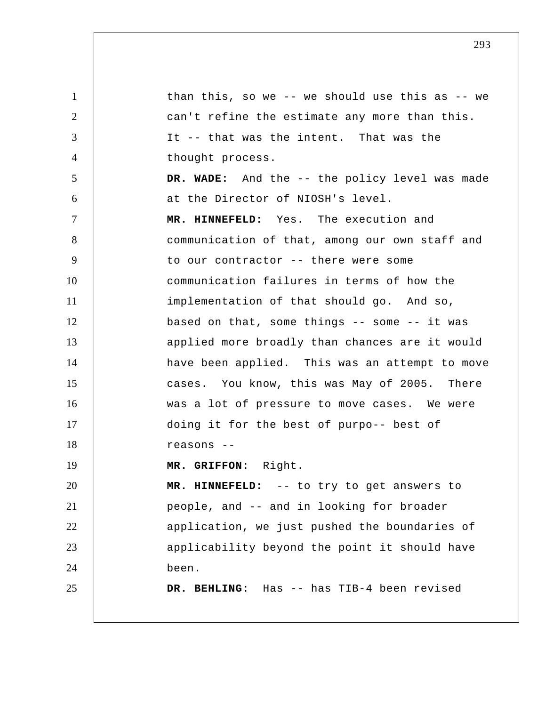1 2 3 4 5 6 7 8 9 10 11 12 13 14 15 16 17 18 19 20 21 22 23 24 25 than this, so we -- we should use this as -- we can't refine the estimate any more than this. It -- that was the intent. That was the thought process.  **DR. WADE:** And the -- the policy level was made at the Director of NIOSH's level.  **MR. HINNEFELD:** Yes. The execution and communication of that, among our own staff and to our contractor -- there were some communication failures in terms of how the implementation of that should go. And so, based on that, some things -- some -- it was applied more broadly than chances are it would have been applied. This was an attempt to move cases. You know, this was May of 2005. There was a lot of pressure to move cases. We were doing it for the best of purpo-- best of reasons -- **MR. GRIFFON:** Right.  **MR. HINNEFELD:** -- to try to get answers to people, and -- and in looking for broader application, we just pushed the boundaries of applicability beyond the point it should have been.  **DR. BEHLING:** Has -- has TIB-4 been revised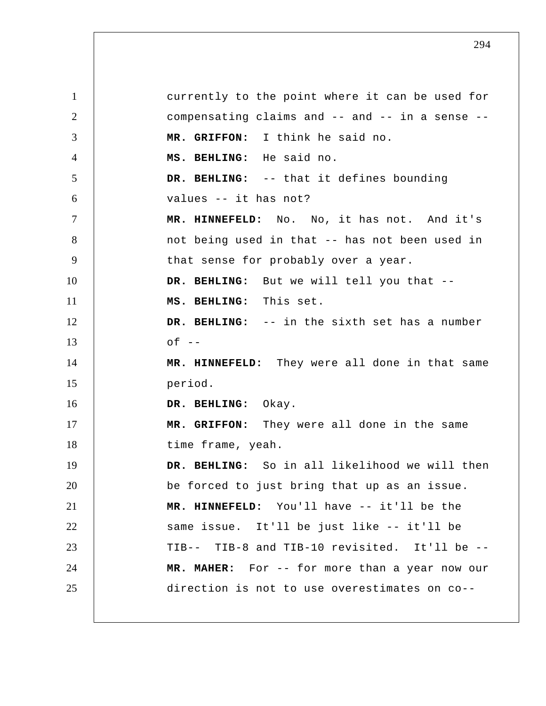1 2 3 4 5 6 7 8 9 10 11 12 13 14 15 16 17 18 19 20 21 22 23 24 25 currently to the point where it can be used for compensating claims and -- and -- in a sense --  **MR. GRIFFON:** I think he said no.  **MS. BEHLING:** He said no.  **DR. BEHLING:** -- that it defines bounding values -- it has not?  **MR. HINNEFELD:** No. No, it has not. And it's not being used in that -- has not been used in that sense for probably over a year.  **DR. BEHLING:** But we will tell you that --  **MS. BEHLING:** This set.  **DR. BEHLING:** -- in the sixth set has a number  $of --$  **MR. HINNEFELD:** They were all done in that same period.  **DR. BEHLING:** Okay.  **MR. GRIFFON:** They were all done in the same time frame, yeah.  **DR. BEHLING:** So in all likelihood we will then be forced to just bring that up as an issue.  **MR. HINNEFELD:** You'll have -- it'll be the same issue. It'll be just like -- it'll be TIB-- TIB-8 and TIB-10 revisited. It'll be -- **MR. MAHER:** For -- for more than a year now our direction is not to use overestimates on co--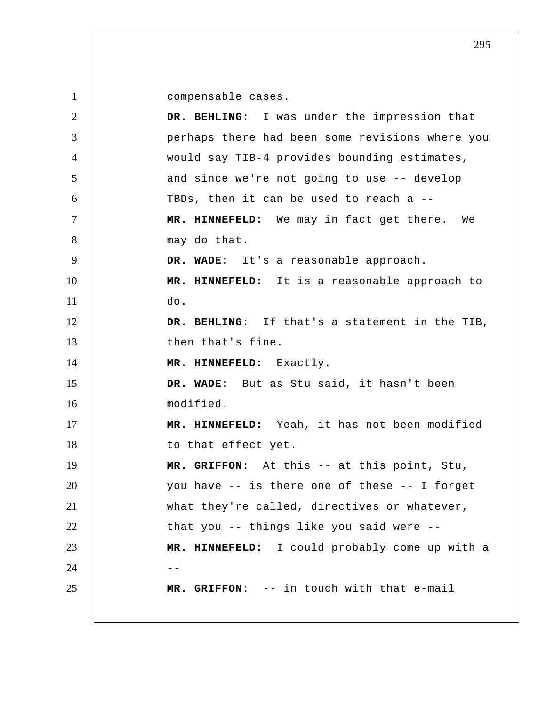compensable cases.

| 2              | DR. BEHLING: I was under the impression that    |
|----------------|-------------------------------------------------|
| 3              | perhaps there had been some revisions where you |
| $\overline{4}$ | would say TIB-4 provides bounding estimates,    |
| 5              | and since we're not going to use -- develop     |
| 6              | TBDs, then it can be used to reach a --         |
| $\tau$         | MR. HINNEFELD: We may in fact get there. We     |
| 8              | may do that.                                    |
| 9              | DR. WADE: It's a reasonable approach.           |
| 10             | MR. HINNEFELD: It is a reasonable approach to   |
| 11             | do.                                             |
| 12             | DR. BEHLING: If that's a statement in the TIB,  |
| 13             | then that's fine.                               |
| 14             | MR. HINNEFELD: Exactly.                         |
| 15             | DR. WADE: But as Stu said, it hasn't been       |
| 16             | modified.                                       |
| 17             | MR. HINNEFELD: Yeah, it has not been modified   |
| 18             | to that effect yet.                             |
| 19             | MR. GRIFFON: At this -- at this point, Stu,     |
| 20             | you have -- is there one of these -- I forget   |
| 21             | what they're called, directives or whatever,    |
| 22             | that you -- things like you said were --        |
| 23             | MR. HINNEFELD: I could probably come up with a  |
| 24             |                                                 |
| 25             | MR. GRIFFON: -- in touch with that e-mail       |
|                |                                                 |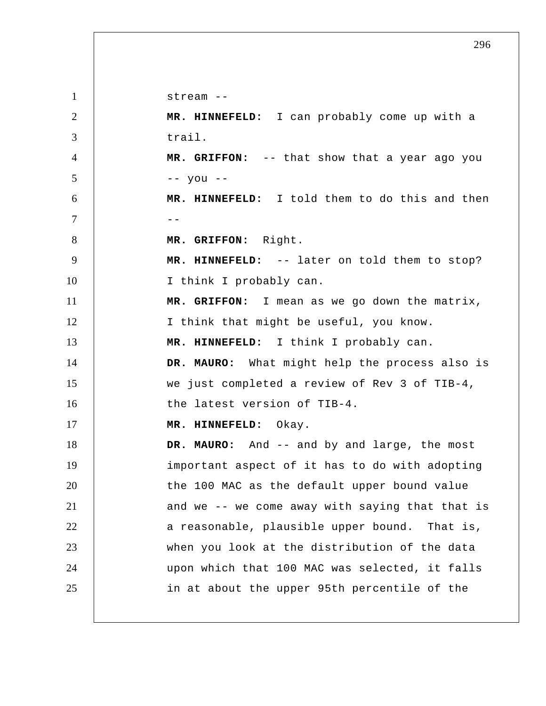1 2 3 4 5 6  $7$  --8 9 10 11 12 13 14 15 16 17 18 19 20 21 22 23 24 25 stream -- **MR. HINNEFELD:** I can probably come up with a trail.  **MR. GRIFFON:** -- that show that a year ago you -- you -- **MR. HINNEFELD:** I told them to do this and then  **MR. GRIFFON:** Right.  **MR. HINNEFELD:** -- later on told them to stop? I think I probably can.  **MR. GRIFFON:** I mean as we go down the matrix, I think that might be useful, you know.  **MR. HINNEFELD:** I think I probably can.  **DR. MAURO:** What might help the process also is we just completed a review of Rev 3 of TIB-4, the latest version of TIB-4.  **MR. HINNEFELD:** Okay.  **DR. MAURO:** And -- and by and large, the most important aspect of it has to do with adopting the 100 MAC as the default upper bound value and we -- we come away with saying that that is a reasonable, plausible upper bound. That is, when you look at the distribution of the data upon which that 100 MAC was selected, it falls in at about the upper 95th percentile of the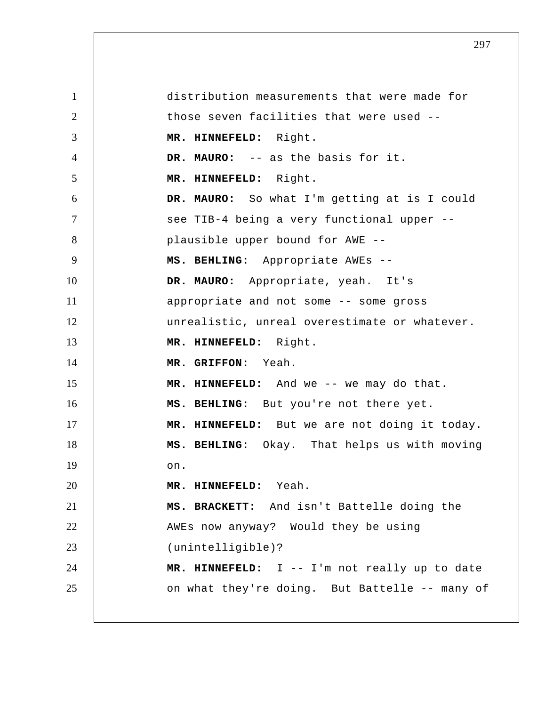1 2 3 4 5 6 7 8 9 10 11 12 13 14 15 16 17 18 19 20 21 22 23 24 25 distribution measurements that were made for those seven facilities that were used --  **MR. HINNEFELD:** Right.  **DR. MAURO:** -- as the basis for it.  **MR. HINNEFELD:** Right.  **DR. MAURO:** So what I'm getting at is I could see TIB-4 being a very functional upper - plausible upper bound for AWE --  **MS. BEHLING:** Appropriate AWEs -- **DR. MAURO:** Appropriate, yeah. It's appropriate and not some -- some gross unrealistic, unreal overestimate or whatever.  **MR. HINNEFELD:** Right.  **MR. GRIFFON:** Yeah.  **MR. HINNEFELD:** And we -- we may do that.  **MS. BEHLING:** But you're not there yet.  **MR. HINNEFELD:** But we are not doing it today.  **MS. BEHLING:** Okay. That helps us with moving on.  **MR. HINNEFELD:** Yeah.  **MS. BRACKETT:** And isn't Battelle doing the AWEs now anyway? Would they be using (unintelligible)?  **MR. HINNEFELD:** I -- I'm not really up to date on what they're doing. But Battelle -- many of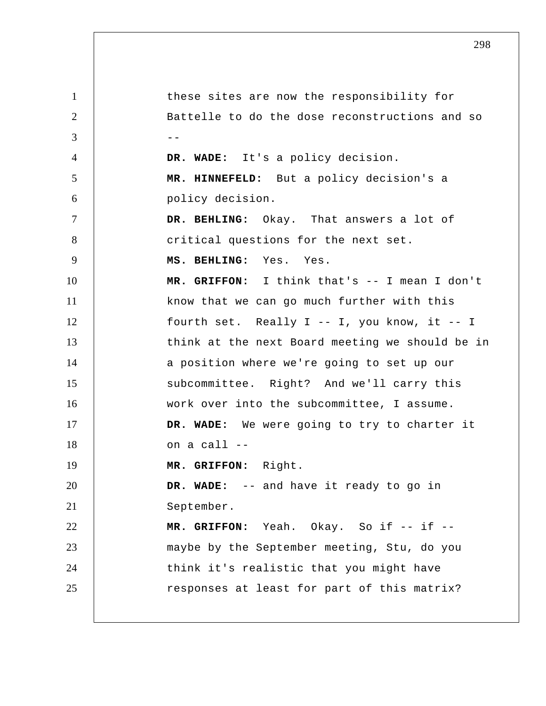1 2  $3 \quad \vert \quad \vert \quad \vert \quad \vert$ 4 5 6 7 8 9 10 11 12 13 14 15 16 17 18 19 20 21 22 23 24 25 these sites are now the responsibility for Battelle to do the dose reconstructions and so  **DR. WADE:** It's a policy decision.  **MR. HINNEFELD:** But a policy decision's a policy decision.  **DR. BEHLING:** Okay. That answers a lot of critical questions for the next set.  **MS. BEHLING:** Yes. Yes.  **MR. GRIFFON:** I think that's -- I mean I don't know that we can go much further with this fourth set. Really I -- I, you know, it -- I think at the next Board meeting we should be in a position where we're going to set up our subcommittee. Right? And we'll carry this work over into the subcommittee, I assume.  **DR. WADE:** We were going to try to charter it on a call -- **MR. GRIFFON:** Right.  **DR. WADE:** -- and have it ready to go in September. MR. GRIFFON: Yeah. Okay. So if -- if -maybe by the September meeting, Stu, do you think it's realistic that you might have responses at least for part of this matrix?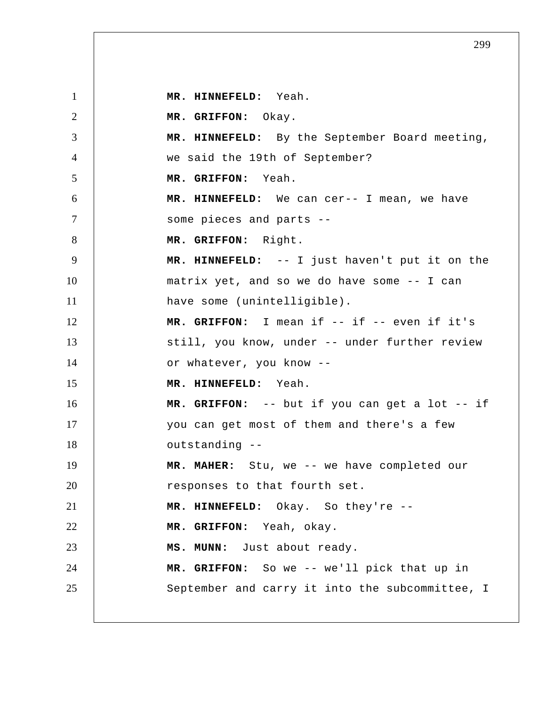1 2 3 4 5 6 7 8 9 10 11 12 13 14 15 16 17 18 19 20 21 22 23 24 25  **MR. HINNEFELD:** Yeah.  **MR. GRIFFON:** Okay.  **MR. HINNEFELD:** By the September Board meeting, we said the 19th of September?  **MR. GRIFFON:** Yeah.  **MR. HINNEFELD:** We can cer-- I mean, we have some pieces and parts --  **MR. GRIFFON:** Right.  **MR. HINNEFELD:** -- I just haven't put it on the matrix yet, and so we do have some -- I can have some (unintelligible).  **MR. GRIFFON:** I mean if -- if -- even if it's still, you know, under -- under further review or whatever, you know --  **MR. HINNEFELD:** Yeah.  **MR. GRIFFON:** -- but if you can get a lot -- if you can get most of them and there's a few outstanding -- **MR. MAHER:** Stu, we -- we have completed our responses to that fourth set.  **MR. HINNEFELD:** Okay. So they're -- **MR. GRIFFON:** Yeah, okay.  **MS. MUNN:** Just about ready.  **MR. GRIFFON:** So we -- we'll pick that up in September and carry it into the subcommittee, I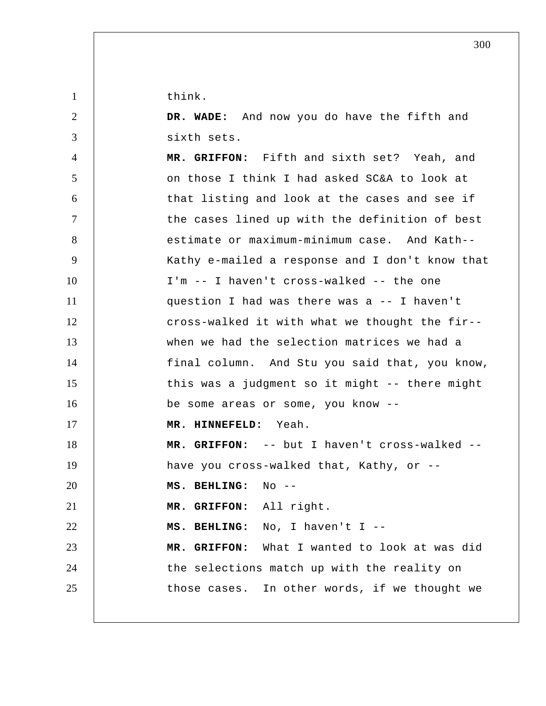think.

1

2 3 4 5 6 7 8 9 10 11 12 13 14 15 16 17 18 19 20 21 22 23 24 25  **DR. WADE:** And now you do have the fifth and sixth sets.  **MR. GRIFFON:** Fifth and sixth set? Yeah, and on those I think I had asked SC&A to look at that listing and look at the cases and see if the cases lined up with the definition of best estimate or maximum-minimum case. And Kath--Kathy e-mailed a response and I don't know that I'm -- I haven't cross-walked -- the one question I had was there was a -- I haven't cross-walked it with what we thought the fir- when we had the selection matrices we had a final column. And Stu you said that, you know, this was a judgment so it might -- there might be some areas or some, you know --  **MR. HINNEFELD:** Yeah.  **MR. GRIFFON:** -- but I haven't cross-walked - have you cross-walked that, Kathy, or --  **MS. BEHLING:** No --  **MR. GRIFFON:** All right.  **MS. BEHLING:** No, I haven't I --  **MR. GRIFFON:** What I wanted to look at was did the selections match up with the reality on those cases. In other words, if we thought we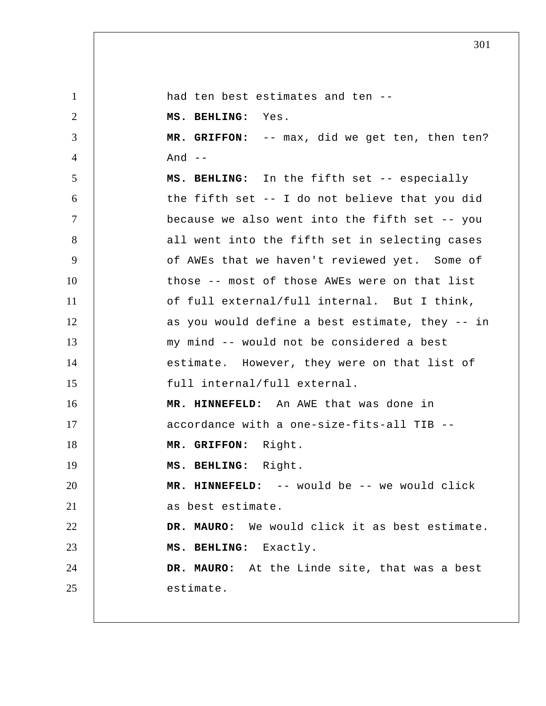1 2 3 4 5 6 7 8 9 10 11 12 13 14 15 16 17 18 19 20 21 22 23 24 25 had ten best estimates and ten --  **MS. BEHLING:** Yes.  **MR. GRIFFON:** -- max, did we get ten, then ten? And  $--$  **MS. BEHLING:** In the fifth set -- especially the fifth set -- I do not believe that you did because we also went into the fifth set -- you all went into the fifth set in selecting cases of AWEs that we haven't reviewed yet. Some of those -- most of those AWEs were on that list of full external/full internal. But I think, as you would define a best estimate, they -- in my mind -- would not be considered a best estimate. However, they were on that list of full internal/full external.  **MR. HINNEFELD:** An AWE that was done in accordance with a one-size-fits-all TIB --  **MR. GRIFFON:** Right.  **MS. BEHLING:** Right.  **MR. HINNEFELD:** -- would be -- we would click as best estimate.  **DR. MAURO:** We would click it as best estimate.  **MS. BEHLING:** Exactly.  **DR. MAURO:** At the Linde site, that was a best estimate.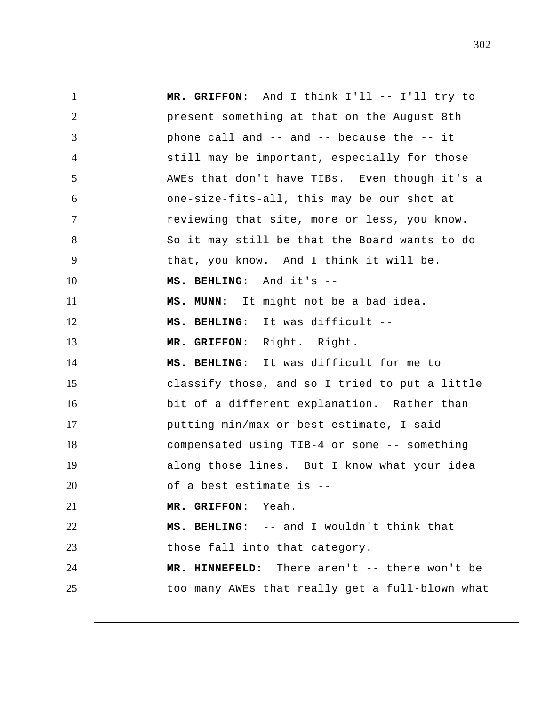1 2 3 4 5 6 7 8 9 10 11 12 13 14 15 16 17 18 19 20 21 22 23 24 25  **MR. GRIFFON:** And I think I'll -- I'll try to present something at that on the August 8th phone call and -- and -- because the -- it still may be important, especially for those AWEs that don't have TIBs. Even though it's a one-size-fits-all, this may be our shot at reviewing that site, more or less, you know. So it may still be that the Board wants to do that, you know. And I think it will be.  **MS. BEHLING:** And it's -- **MS. MUNN:** It might not be a bad idea.  **MS. BEHLING:** It was difficult --  **MR. GRIFFON:** Right. Right.  **MS. BEHLING:** It was difficult for me to classify those, and so I tried to put a little bit of a different explanation. Rather than putting min/max or best estimate, I said compensated using TIB-4 or some -- something along those lines. But I know what your idea of a best estimate is -- **MR. GRIFFON:** Yeah.  **MS. BEHLING:** -- and I wouldn't think that those fall into that category.  **MR. HINNEFELD:** There aren't -- there won't be too many AWEs that really get a full-blown what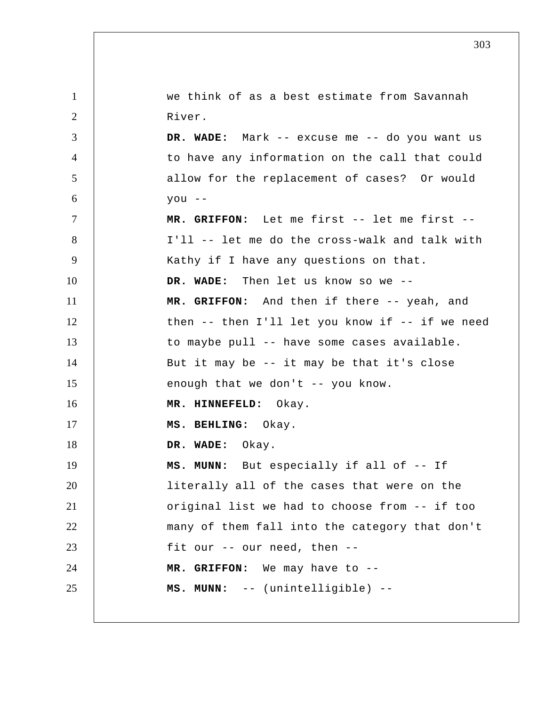| $\mathbf{1}$   | we think of as a best estimate from Savannah        |
|----------------|-----------------------------------------------------|
| $\overline{2}$ | River.                                              |
| 3              | DR. WADE: Mark -- excuse me -- do you want us       |
| 4              | to have any information on the call that could      |
| 5              | allow for the replacement of cases? Or would        |
| 6              | $you --$                                            |
| $\tau$         | MR. GRIFFON: Let me first -- let me first --        |
| 8              | I'll -- let me do the cross-walk and talk with      |
| 9              | Kathy if I have any questions on that.              |
| 10             | DR. WADE: Then let us know so we --                 |
| 11             | MR. GRIFFON: And then if there -- yeah, and         |
| 12             | then $--$ then I'll let you know if $--$ if we need |
| 13             | to maybe pull -- have some cases available.         |
| 14             | But it may be -- it may be that it's close          |
| 15             | enough that we don't -- you know.                   |
| 16             | MR. HINNEFELD: Okay.                                |
| 17             | MS. BEHLING: Okay.                                  |
| 18             | DR. WADE: Okay.                                     |
| 19             | MS. MUNN: But especially if all of -- If            |
| 20             | literally all of the cases that were on the         |
| 21             | original list we had to choose from -- if too       |
| 22             | many of them fall into the category that don't      |
| 23             | fit our -- our need, then --                        |
| 24             | MR. GRIFFON: We may have to --                      |
| 25             | MS. MUNN: -- (unintelligible) --                    |
|                |                                                     |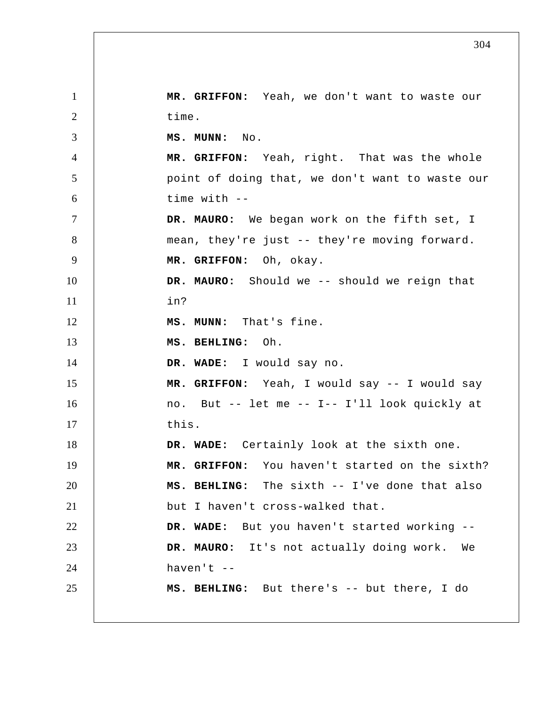1 2 3 4 5 6 7 8 9 10 11 12 13 14 15 16 17 18 19 20 21 22 23 24 25  **MR. GRIFFON:** Yeah, we don't want to waste our time.  **MS. MUNN:** No.  **MR. GRIFFON:** Yeah, right. That was the whole point of doing that, we don't want to waste our time with -- **DR. MAURO:** We began work on the fifth set, I mean, they're just -- they're moving forward.  **MR. GRIFFON:** Oh, okay.  **DR. MAURO:** Should we -- should we reign that in?  **MS. MUNN:** That's fine.  **MS. BEHLING:** Oh.  **DR. WADE:** I would say no.  **MR. GRIFFON:** Yeah, I would say -- I would say no. But -- let me -- I-- I'll look quickly at this.  **DR. WADE:** Certainly look at the sixth one.  **MR. GRIFFON:** You haven't started on the sixth?  **MS. BEHLING:** The sixth -- I've done that also but I haven't cross-walked that.  **DR. WADE:** But you haven't started working -- **DR. MAURO:** It's not actually doing work. We haven't -- **MS. BEHLING:** But there's -- but there, I do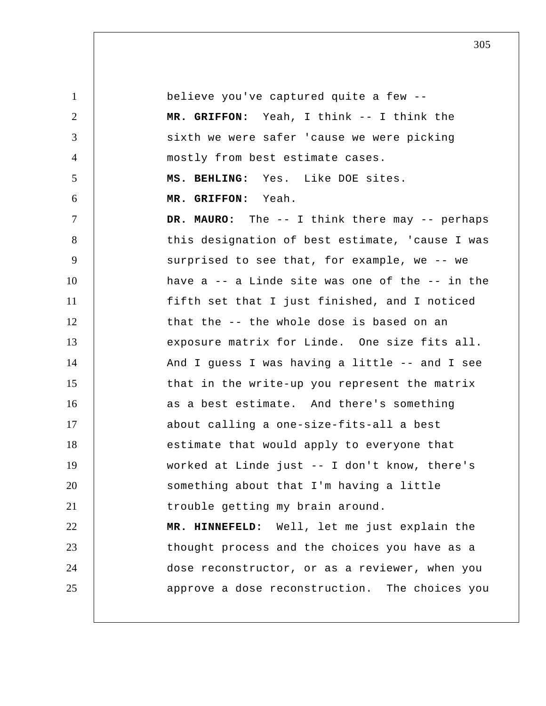1 2 3 4 5 6 7 8 9 10 11 12 13 14 15 16 17 18 19 20 21 22 23 24 25 believe you've captured quite a few --  **MR. GRIFFON:** Yeah, I think -- I think the sixth we were safer 'cause we were picking mostly from best estimate cases.  **MS. BEHLING:** Yes. Like DOE sites.  **MR. GRIFFON:** Yeah.  **DR. MAURO:** The -- I think there may -- perhaps this designation of best estimate, 'cause I was surprised to see that, for example, we -- we have  $a - a$  Linde site was one of the  $- -$  in the fifth set that I just finished, and I noticed that the -- the whole dose is based on an exposure matrix for Linde. One size fits all. And I guess I was having a little -- and I see that in the write-up you represent the matrix as a best estimate. And there's something about calling a one-size-fits-all a best estimate that would apply to everyone that worked at Linde just -- I don't know, there's something about that I'm having a little trouble getting my brain around.  **MR. HINNEFELD:** Well, let me just explain the thought process and the choices you have as a dose reconstructor, or as a reviewer, when you approve a dose reconstruction. The choices you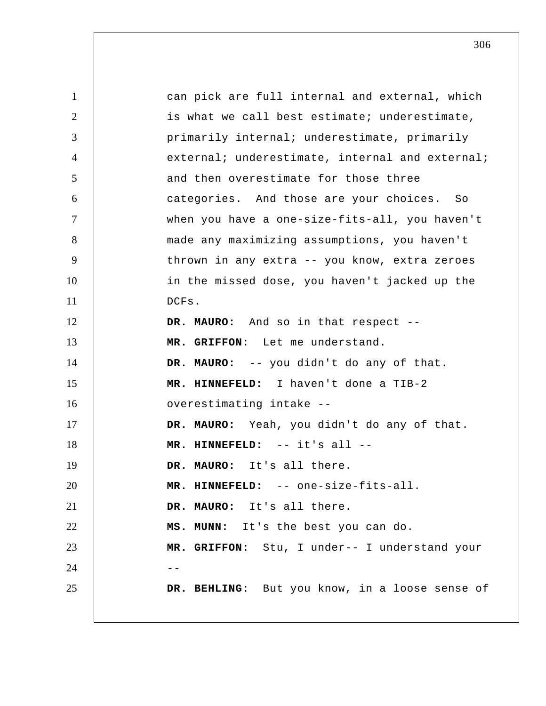1 2 3 4 5 6 7 8 9 10 11 12 13 14 15 16 17 18 19 20 21 22 23 24 25 can pick are full internal and external, which is what we call best estimate; underestimate, primarily internal; underestimate, primarily external; underestimate, internal and external; and then overestimate for those three categories. And those are your choices. So when you have a one-size-fits-all, you haven't made any maximizing assumptions, you haven't thrown in any extra -- you know, extra zeroes in the missed dose, you haven't jacked up the DCFs.  **DR. MAURO:** And so in that respect --  **MR. GRIFFON:** Let me understand. **DR. MAURO:** -- you didn't do any of that.  **MR. HINNEFELD:** I haven't done a TIB-2 overestimating intake --  **DR. MAURO:** Yeah, you didn't do any of that.  **MR. HINNEFELD:** -- it's all --**DR. MAURO:** It's all there.  **MR. HINNEFELD:** -- one-size-fits-all. **DR. MAURO:** It's all there.  **MS. MUNN:** It's the best you can do.  **MR. GRIFFON:** Stu, I under-- I understand your --  **DR. BEHLING:** But you know, in a loose sense of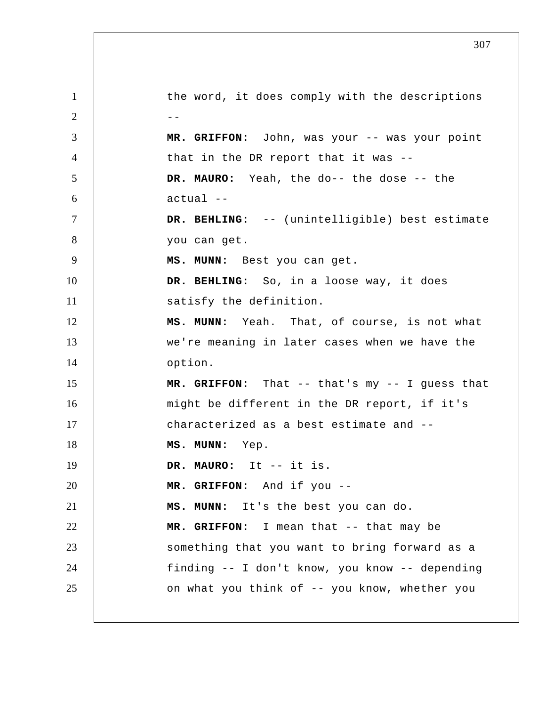1 2  $-$ 3 4 5 6 7 8 9 10 11 12 13 14 15 16 17 18 19 20 21 22 23 24 25 the word, it does comply with the descriptions  **MR. GRIFFON:** John, was your -- was your point that in the DR report that it was --  **DR. MAURO:** Yeah, the do-- the dose -- the actual --  **DR. BEHLING:** -- (unintelligible) best estimate you can get.  **MS. MUNN:** Best you can get.  **DR. BEHLING:** So, in a loose way, it does satisfy the definition.  **MS. MUNN:** Yeah. That, of course, is not what we're meaning in later cases when we have the option.  **MR. GRIFFON:** That -- that's my -- I guess that might be different in the DR report, if it's characterized as a best estimate and --  **MS. MUNN:** Yep.  **DR. MAURO:** It -- it is.  **MR. GRIFFON:** And if you --  **MS. MUNN:** It's the best you can do. MR. GRIFFON: I mean that -- that may be something that you want to bring forward as a finding -- I don't know, you know -- depending on what you think of -- you know, whether you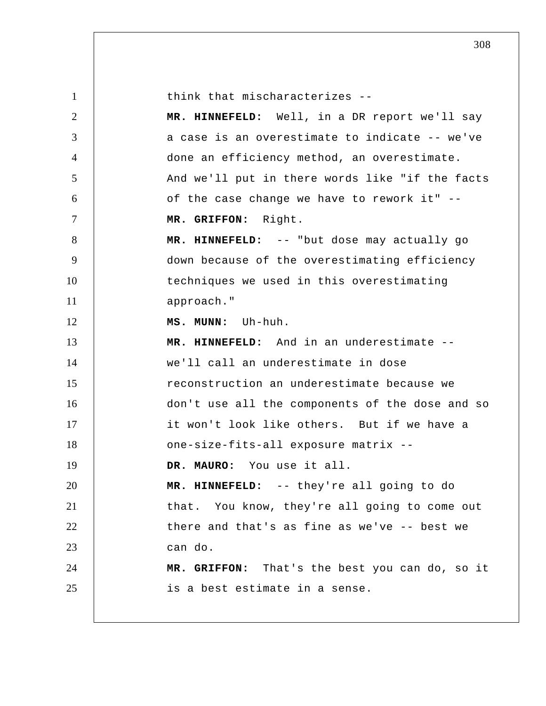| $\mathbf{1}$   | think that mischaracterizes --                  |
|----------------|-------------------------------------------------|
| 2              | MR. HINNEFELD: Well, in a DR report we'll say   |
| 3              | a case is an overestimate to indicate -- we've  |
| 4              | done an efficiency method, an overestimate.     |
| 5              | And we'll put in there words like "if the facts |
| 6              | of the case change we have to rework it" --     |
| $\overline{7}$ | Right.<br>MR. GRIFFON:                          |
| 8              | MR. HINNEFELD: -- "but dose may actually go     |
| 9              | down because of the overestimating efficiency   |
| 10             | techniques we used in this overestimating       |
| 11             | approach."                                      |
| 12             | MS. MUNN: Uh-huh.                               |
| 13             | MR. HINNEFELD: And in an underestimate --       |
| 14             | we'll call an underestimate in dose             |
| 15             | reconstruction an underestimate because we      |
| 16             | don't use all the components of the dose and so |
| 17             | it won't look like others. But if we have a     |
| 18             | one-size-fits-all exposure matrix --            |
| 19             | DR. MAURO: You use it all.                      |
| 20             | MR. HINNEFELD: -- they're all going to do       |
| 21             | that. You know, they're all going to come out   |
| 22             | there and that's as fine as we've -- best we    |
| 23             | can do.                                         |
| 24             | MR. GRIFFON: That's the best you can do, so it  |
| 25             | is a best estimate in a sense.                  |
|                |                                                 |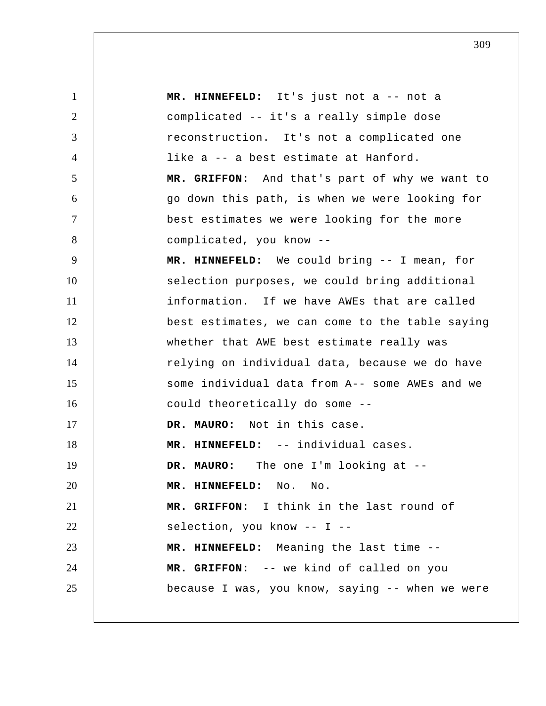1 2 3 4 5 6 7 8 9 10 11 12 13 14 15 16 17 18 19 20 21 22 23 24 25  **MR. HINNEFELD:** It's just not a -- not a complicated -- it's a really simple dose reconstruction. It's not a complicated one like a -- a best estimate at Hanford.  **MR. GRIFFON:** And that's part of why we want to go down this path, is when we were looking for best estimates we were looking for the more complicated, you know --  **MR. HINNEFELD:** We could bring -- I mean, for selection purposes, we could bring additional information. If we have AWEs that are called best estimates, we can come to the table saying whether that AWE best estimate really was relying on individual data, because we do have some individual data from A-- some AWEs and we could theoretically do some --  **DR. MAURO:** Not in this case.  **MR. HINNEFELD:** -- individual cases. **DR. MAURO:** The one I'm looking at --  **MR. HINNEFELD:** No. No.  **MR. GRIFFON:** I think in the last round of selection, you know -- I --  **MR. HINNEFELD:** Meaning the last time --  **MR. GRIFFON:** -- we kind of called on you because I was, you know, saying -- when we were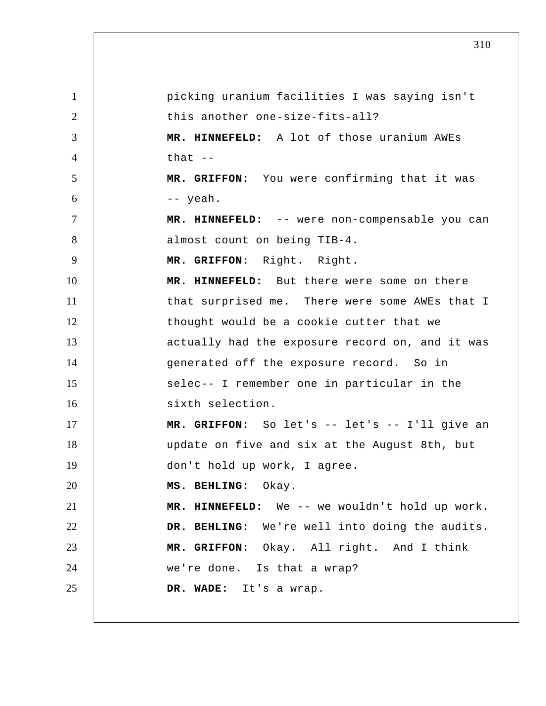1 2 3 4 5 6 7 8 9 10 11 12 13 14 15 16 17 18 19 20 21 22 23 24 25 picking uranium facilities I was saying isn't this another one-size-fits-all?  **MR. HINNEFELD:** A lot of those uranium AWEs that  $-$  **MR. GRIFFON:** You were confirming that it was -- yeah.  **MR. HINNEFELD:** -- were non-compensable you can almost count on being TIB-4.  **MR. GRIFFON:** Right. Right.  **MR. HINNEFELD:** But there were some on there that surprised me. There were some AWEs that I thought would be a cookie cutter that we actually had the exposure record on, and it was generated off the exposure record. So in selec-- I remember one in particular in the sixth selection.  **MR. GRIFFON:** So let's -- let's -- I'll give an update on five and six at the August 8th, but don't hold up work, I agree.  **MS. BEHLING:** Okay.  **MR. HINNEFELD:** We -- we wouldn't hold up work.  **DR. BEHLING:** We're well into doing the audits.  **MR. GRIFFON:** Okay. All right. And I think we're done. Is that a wrap?  **DR. WADE:** It's a wrap.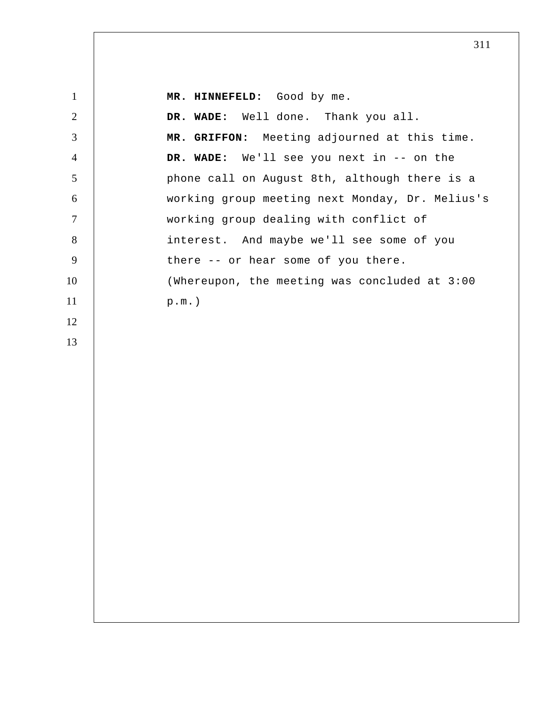| $\mathbf{1}$   | MR. HINNEFELD: Good by me.                      |
|----------------|-------------------------------------------------|
| $\overline{2}$ | DR. WADE: Well done. Thank you all.             |
| 3              | MR. GRIFFON: Meeting adjourned at this time.    |
| $\overline{4}$ | DR. WADE: We'll see you next in -- on the       |
| 5              | phone call on August 8th, although there is a   |
| 6              | working group meeting next Monday, Dr. Melius's |
| $\overline{7}$ | working group dealing with conflict of          |
| 8              | interest. And maybe we'll see some of you       |
| 9              | there -- or hear some of you there.             |
| 10             | (Whereupon, the meeting was concluded at 3:00   |
| 11             | $p.m.$ )                                        |
| 12             |                                                 |
| 13             |                                                 |
|                |                                                 |
|                |                                                 |
|                |                                                 |
|                |                                                 |
|                |                                                 |
|                |                                                 |
|                |                                                 |
|                |                                                 |
|                |                                                 |
|                |                                                 |
|                |                                                 |
|                |                                                 |
|                |                                                 |